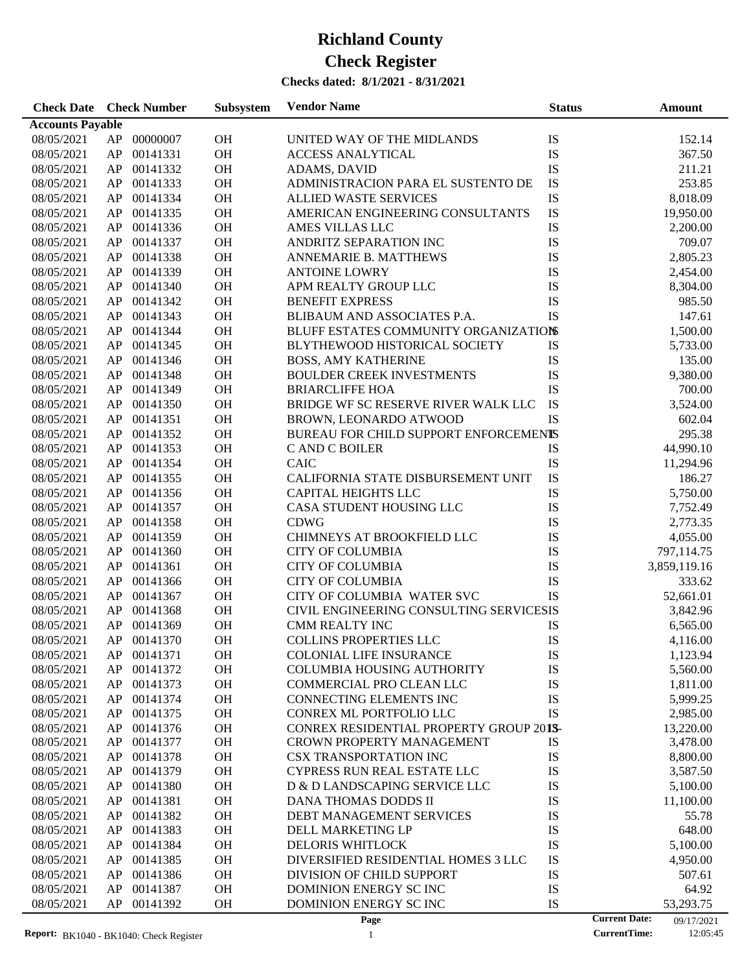| <b>Check Date</b> Check Number |    |             | Subsystem | <b>Vendor Name</b>                      | <b>Status</b> | <b>Amount</b>                      |
|--------------------------------|----|-------------|-----------|-----------------------------------------|---------------|------------------------------------|
| <b>Accounts Payable</b>        |    |             |           |                                         |               |                                    |
| 08/05/2021                     | AP | 00000007    | <b>OH</b> | UNITED WAY OF THE MIDLANDS              | IS            | 152.14                             |
| 08/05/2021                     | AP | 00141331    | OH        | <b>ACCESS ANALYTICAL</b>                | IS            | 367.50                             |
| 08/05/2021                     | AP | 00141332    | <b>OH</b> | ADAMS, DAVID                            | IS            | 211.21                             |
| 08/05/2021                     | AP | 00141333    | <b>OH</b> | ADMINISTRACION PARA EL SUSTENTO DE      | IS            | 253.85                             |
| 08/05/2021                     | AP | 00141334    | <b>OH</b> | <b>ALLIED WASTE SERVICES</b>            | ${\rm IS}$    | 8,018.09                           |
| 08/05/2021                     | AP | 00141335    | <b>OH</b> | AMERICAN ENGINEERING CONSULTANTS        | ${\rm IS}$    | 19,950.00                          |
| 08/05/2021                     | AP | 00141336    | <b>OH</b> | AMES VILLAS LLC                         | ${\rm IS}$    | 2,200.00                           |
| 08/05/2021                     | AP | 00141337    | OH        | ANDRITZ SEPARATION INC                  | ${\rm IS}$    | 709.07                             |
| 08/05/2021                     | AP | 00141338    | OH        | ANNEMARIE B. MATTHEWS                   | IS            | 2,805.23                           |
| 08/05/2021                     | AP | 00141339    | <b>OH</b> | <b>ANTOINE LOWRY</b>                    | IS            | 2,454.00                           |
| 08/05/2021                     | AP | 00141340    | <b>OH</b> | APM REALTY GROUP LLC                    | IS            | 8,304.00                           |
| 08/05/2021                     | AP | 00141342    | <b>OH</b> | <b>BENEFIT EXPRESS</b>                  | IS            | 985.50                             |
| 08/05/2021                     | AP | 00141343    | <b>OH</b> | BLIBAUM AND ASSOCIATES P.A.             | IS            | 147.61                             |
| 08/05/2021                     | AP | 00141344    | <b>OH</b> | BLUFF ESTATES COMMUNITY ORGANIZATIONS   |               | 1,500.00                           |
| 08/05/2021                     | AP | 00141345    | <b>OH</b> | BLYTHEWOOD HISTORICAL SOCIETY           | IS            | 5,733.00                           |
| 08/05/2021                     | AP | 00141346    | OH        | <b>BOSS, AMY KATHERINE</b>              | IS            | 135.00                             |
| 08/05/2021                     | AP | 00141348    | OH        | <b>BOULDER CREEK INVESTMENTS</b>        | ${\rm IS}$    | 9,380.00                           |
| 08/05/2021                     | AP | 00141349    | OH        | <b>BRIARCLIFFE HOA</b>                  | IS            | 700.00                             |
| 08/05/2021                     | AP | 00141350    | <b>OH</b> | BRIDGE WF SC RESERVE RIVER WALK LLC     | IS            | 3,524.00                           |
| 08/05/2021                     | AP | 00141351    | <b>OH</b> | BROWN, LEONARDO ATWOOD                  | IS            | 602.04                             |
| 08/05/2021                     | AP | 00141352    | <b>OH</b> | BUREAU FOR CHILD SUPPORT ENFORCEMENTS   |               | 295.38                             |
| 08/05/2021                     | AP | 00141353    | <b>OH</b> | C AND C BOILER                          | IS            | 44,990.10                          |
| 08/05/2021                     | AP | 00141354    | <b>OH</b> | <b>CAIC</b>                             | IS            | 11,294.96                          |
| 08/05/2021                     | AP | 00141355    | <b>OH</b> | CALIFORNIA STATE DISBURSEMENT UNIT      | ${\rm IS}$    | 186.27                             |
| 08/05/2021                     | AP | 00141356    | OH        | <b>CAPITAL HEIGHTS LLC</b>              | ${\rm IS}$    | 5,750.00                           |
| 08/05/2021                     | AP | 00141357    | OH        | CASA STUDENT HOUSING LLC                | ${\rm IS}$    | 7,752.49                           |
| 08/05/2021                     | AP | 00141358    | <b>OH</b> | <b>CDWG</b>                             | IS            | 2,773.35                           |
| 08/05/2021                     | AP | 00141359    | <b>OH</b> | CHIMNEYS AT BROOKFIELD LLC              | IS            | 4,055.00                           |
| 08/05/2021                     | AP | 00141360    | <b>OH</b> | <b>CITY OF COLUMBIA</b>                 | IS            | 797,114.75                         |
| 08/05/2021                     | AP | 00141361    | <b>OH</b> | <b>CITY OF COLUMBIA</b>                 | IS            | 3,859,119.16                       |
| 08/05/2021                     | AP | 00141366    | <b>OH</b> | <b>CITY OF COLUMBIA</b>                 | IS            | 333.62                             |
| 08/05/2021                     | AP | 00141367    | <b>OH</b> | CITY OF COLUMBIA WATER SVC              | IS            | 52,661.01                          |
| 08/05/2021                     | AP | 00141368    | <b>OH</b> | CIVIL ENGINEERING CONSULTING SERVICESIS |               | 3,842.96                           |
|                                | AP | 00141369    | <b>OH</b> | CMM REALTY INC                          | IS            |                                    |
| 08/05/2021<br>08/05/2021       |    | AP 00141370 | OH        | <b>COLLINS PROPERTIES LLC</b>           | IS            | 6,565.00                           |
| 08/05/2021                     |    | AP 00141371 | <b>OH</b> | <b>COLONIAL LIFE INSURANCE</b>          | IS            | 4,116.00                           |
|                                |    |             |           |                                         |               | 1,123.94                           |
| 08/05/2021                     | AP | 00141372    | <b>OH</b> | <b>COLUMBIA HOUSING AUTHORITY</b>       | IS            | 5,560.00                           |
| 08/05/2021                     | AP | 00141373    | OH        | COMMERCIAL PRO CLEAN LLC                | IS            | 1,811.00                           |
| 08/05/2021                     | AP | 00141374    | OH        | CONNECTING ELEMENTS INC                 | IS            | 5,999.25                           |
| 08/05/2021                     | AP | 00141375    | OH        | CONREX ML PORTFOLIO LLC                 | IS            | 2,985.00                           |
| 08/05/2021                     | AP | 00141376    | OH        | CONREX RESIDENTIAL PROPERTY GROUP 2013- |               | 13,220.00                          |
| 08/05/2021                     | AP | 00141377    | OH        | <b>CROWN PROPERTY MANAGEMENT</b>        | IS            | 3,478.00                           |
| 08/05/2021                     | AP | 00141378    | OH        | <b>CSX TRANSPORTATION INC</b>           | IS            | 8,800.00                           |
| 08/05/2021                     | AP | 00141379    | OH        | CYPRESS RUN REAL ESTATE LLC             | IS            | 3,587.50                           |
| 08/05/2021                     | AP | 00141380    | OH        | D & D LANDSCAPING SERVICE LLC           | IS            | 5,100.00                           |
| 08/05/2021                     | AP | 00141381    | OH        | DANA THOMAS DODDS II                    | IS            | 11,100.00                          |
| 08/05/2021                     | AP | 00141382    | OH        | DEBT MANAGEMENT SERVICES                | IS            | 55.78                              |
| 08/05/2021                     | AP | 00141383    | OH        | DELL MARKETING LP                       | IS            | 648.00                             |
| 08/05/2021                     | AP | 00141384    | OH        | <b>DELORIS WHITLOCK</b>                 | IS            | 5,100.00                           |
| 08/05/2021                     | AP | 00141385    | OH        | DIVERSIFIED RESIDENTIAL HOMES 3 LLC     | IS            | 4,950.00                           |
| 08/05/2021                     | AP | 00141386    | OH        | DIVISION OF CHILD SUPPORT               | IS            | 507.61                             |
| 08/05/2021                     | AP | 00141387    | OH        | DOMINION ENERGY SC INC                  | IS            | 64.92                              |
| 08/05/2021                     | AP | 00141392    | OH        | DOMINION ENERGY SC INC                  | IS            | 53,293.75                          |
|                                |    |             |           | Page                                    |               | <b>Current Date:</b><br>09/17/2021 |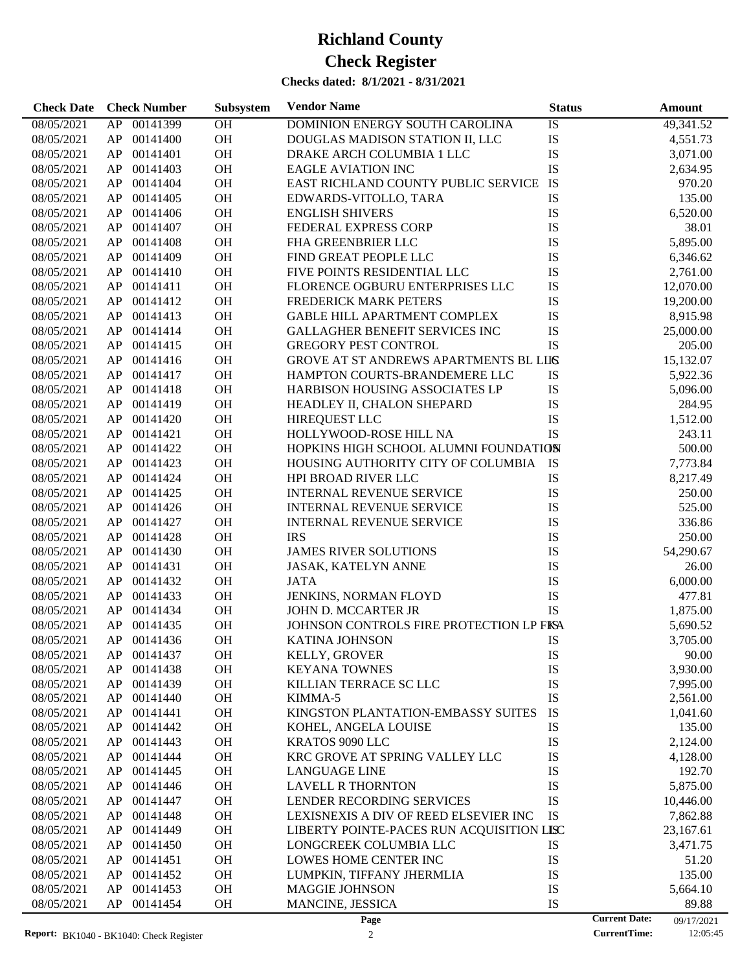| 00141399<br>OH<br>08/05/2021<br>AP<br>DOMINION ENERGY SOUTH CAROLINA<br>IS<br>49,341.52<br>OH<br>IS<br>00141400<br>DOUGLAS MADISON STATION II, LLC<br>08/05/2021<br>AP<br>4,551.73<br>OH<br>IS<br>00141401<br>3,071.00<br>08/05/2021<br>AP<br>DRAKE ARCH COLUMBIA 1 LLC<br>OH<br>IS<br>00141403<br>08/05/2021<br>AP<br><b>EAGLE AVIATION INC</b><br>2,634.95<br>OH<br>IS<br>00141404<br>EAST RICHLAND COUNTY PUBLIC SERVICE<br>970.20<br>08/05/2021<br>AP<br>OH<br>IS<br>00141405<br>135.00<br>08/05/2021<br>AP<br>EDWARDS-VITOLLO, TARA<br>OH<br>IS<br>00141406<br>6,520.00<br>08/05/2021<br>AP<br><b>ENGLISH SHIVERS</b><br>IS<br>00141407<br><b>OH</b><br>38.01<br>08/05/2021<br>AP<br>FEDERAL EXPRESS CORP<br>OH<br>IS<br>00141408<br>5,895.00<br>08/05/2021<br>AP<br><b>FHA GREENBRIER LLC</b><br>OH<br>IS<br>00141409<br>08/05/2021<br>AP<br>FIND GREAT PEOPLE LLC<br>6,346.62<br>IS<br>00141410<br><b>OH</b><br>08/05/2021<br>AP<br>FIVE POINTS RESIDENTIAL LLC<br>2,761.00<br>OH<br>IS<br>00141411<br>08/05/2021<br>AP<br>FLORENCE OGBURU ENTERPRISES LLC<br>12,070.00<br>OH<br>IS<br>00141412<br>08/05/2021<br>AP<br><b>FREDERICK MARK PETERS</b><br>19,200.00<br>OH<br>IS<br>00141413<br>08/05/2021<br>AP<br><b>GABLE HILL APARTMENT COMPLEX</b><br>8,915.98<br>IS<br>00141414<br><b>OH</b><br>08/05/2021<br>AP<br><b>GALLAGHER BENEFIT SERVICES INC</b><br>25,000.00<br>IS<br>00141415<br><b>OH</b><br><b>GREGORY PEST CONTROL</b><br>08/05/2021<br>AP<br>205.00<br>OH<br>00141416<br>GROVE AT ST ANDREWS APARTMENTS BL LIIS<br>08/05/2021<br>AP<br>15,132.07<br>OH<br>00141417<br>IS<br>08/05/2021<br>AP<br>HAMPTON COURTS-BRANDEMERE LLC<br>5,922.36<br>00141418<br>OH<br>IS<br>08/05/2021<br>AP<br>HARBISON HOUSING ASSOCIATES LP<br>5,096.00<br>OH<br>IS<br>00141419<br>08/05/2021<br>AP<br>HEADLEY II, CHALON SHEPARD<br>284.95<br>OH<br>IS<br>00141420<br>HIREQUEST LLC<br>08/05/2021<br>AP<br>1,512.00<br>OH<br>IS<br>00141421<br>HOLLYWOOD-ROSE HILL NA<br>08/05/2021<br>AP<br>243.11<br>00141422<br><b>OH</b><br>HOPKINS HIGH SCHOOL ALUMNI FOUNDATION<br>500.00<br>08/05/2021<br>AP<br>OH<br>00141423<br>HOUSING AUTHORITY CITY OF COLUMBIA<br>7,773.84<br>08/05/2021<br>AP<br>IS<br>OH<br>00141424<br>IS<br>8,217.49<br>08/05/2021<br>AP<br><b>HPI BROAD RIVER LLC</b><br>OH<br>IS<br>00141425<br>08/05/2021<br>AP<br><b>INTERNAL REVENUE SERVICE</b><br>250.00<br>IS<br>00141426<br><b>OH</b><br>525.00<br>08/05/2021<br>AP<br><b>INTERNAL REVENUE SERVICE</b><br>OH<br>IS<br>00141427<br>08/05/2021<br>AP<br>INTERNAL REVENUE SERVICE<br>336.86<br>OH<br>IS<br>00141428<br><b>IRS</b><br>08/05/2021<br>AP<br>250.00<br>OH<br>IS<br>00141430<br>54,290.67<br>08/05/2021<br>AP<br><b>JAMES RIVER SOLUTIONS</b><br>IS<br>00141431<br><b>OH</b><br>08/05/2021<br>AP<br>JASAK, KATELYN ANNE<br>26.00<br>IS<br>00141432<br><b>OH</b><br>08/05/2021<br>AP<br><b>JATA</b><br>6,000.00<br>OH<br>IS<br>00141433<br>JENKINS, NORMAN FLOYD<br>08/05/2021<br>AP<br>477.81<br>IS<br>00141434<br><b>OH</b><br>08/05/2021<br>AP<br>JOHN D. MCCARTER JR<br>1,875.00<br>00141435<br>OH<br>JOHNSON CONTROLS FIRE PROTECTION LP FISA<br>08/05/2021<br>AP<br>5,690.52<br>OH<br>08/05/2021<br>AP 00141436<br>KATINA JOHNSON<br>IS<br>3,705.00<br>08/05/2021<br>AP<br>00141437<br><b>OH</b><br><b>KELLY, GROVER</b><br>IS<br>90.00<br>OH<br>IS<br>08/05/2021<br>00141438<br><b>KEYANA TOWNES</b><br>3,930.00<br>AP<br>00141439<br>OH<br>IS<br>08/05/2021<br>AP<br>KILLIAN TERRACE SC LLC<br>7,995.00<br>IS<br>OH<br>AP<br>00141440<br>08/05/2021<br>KIMMA-5<br>2,561.00<br>OH<br>IS<br>08/05/2021<br>AP<br>00141441<br>KINGSTON PLANTATION-EMBASSY SUITES<br>1,041.60<br>00141442<br>OH<br>IS<br>08/05/2021<br>AP<br>135.00<br>KOHEL, ANGELA LOUISE<br>00141443<br>OH<br>IS<br>08/05/2021<br>AP<br>KRATOS 9090 LLC<br>2,124.00<br>IS<br>00141444<br>OH<br>08/05/2021<br>AP<br>KRC GROVE AT SPRING VALLEY LLC<br>4,128.00<br>OH<br>IS<br>08/05/2021<br>AP<br>00141445<br><b>LANGUAGE LINE</b><br>192.70<br>OH<br>IS<br>08/05/2021<br>AP<br>00141446<br><b>LAVELL R THORNTON</b><br>5,875.00<br>IS<br>00141447<br>OH<br>08/05/2021<br>AP<br>LENDER RECORDING SERVICES<br>10,446.00<br>00141448<br>OH<br>IS<br>08/05/2021<br>AP<br>LEXISNEXIS A DIV OF REED ELSEVIER INC<br>7,862.88<br>OH<br>08/05/2021<br>AP<br>00141449<br>LIBERTY POINTE-PACES RUN ACQUISITION LISC<br>23,167.61<br>00141450<br>OH<br>08/05/2021<br>AP<br>LONGCREEK COLUMBIA LLC<br>IS<br>3,471.75<br>00141451<br>OH<br>IS<br>08/05/2021<br>AP<br>LOWES HOME CENTER INC<br>51.20<br>IS<br>AP<br>00141452<br>OH<br>135.00<br>08/05/2021<br>LUMPKIN, TIFFANY JHERMLIA<br>AP<br>00141453<br>OH<br>IS<br>08/05/2021<br><b>MAGGIE JOHNSON</b><br>5,664.10<br>AP<br>OH<br>IS<br>08/05/2021<br>00141454<br>MANCINE, JESSICA<br>89.88 | <b>Check Date</b> | <b>Check Number</b> | Subsystem | <b>Vendor Name</b> | <b>Status</b>        | Amount |
|-------------------------------------------------------------------------------------------------------------------------------------------------------------------------------------------------------------------------------------------------------------------------------------------------------------------------------------------------------------------------------------------------------------------------------------------------------------------------------------------------------------------------------------------------------------------------------------------------------------------------------------------------------------------------------------------------------------------------------------------------------------------------------------------------------------------------------------------------------------------------------------------------------------------------------------------------------------------------------------------------------------------------------------------------------------------------------------------------------------------------------------------------------------------------------------------------------------------------------------------------------------------------------------------------------------------------------------------------------------------------------------------------------------------------------------------------------------------------------------------------------------------------------------------------------------------------------------------------------------------------------------------------------------------------------------------------------------------------------------------------------------------------------------------------------------------------------------------------------------------------------------------------------------------------------------------------------------------------------------------------------------------------------------------------------------------------------------------------------------------------------------------------------------------------------------------------------------------------------------------------------------------------------------------------------------------------------------------------------------------------------------------------------------------------------------------------------------------------------------------------------------------------------------------------------------------------------------------------------------------------------------------------------------------------------------------------------------------------------------------------------------------------------------------------------------------------------------------------------------------------------------------------------------------------------------------------------------------------------------------------------------------------------------------------------------------------------------------------------------------------------------------------------------------------------------------------------------------------------------------------------------------------------------------------------------------------------------------------------------------------------------------------------------------------------------------------------------------------------------------------------------------------------------------------------------------------------------------------------------------------------------------------------------------------------------------------------------------------------------------------------------------------------------------------------------------------------------------------------------------------------------------------------------------------------------------------------------------------------------------------------------------------------------------------------------------------------------------------------------------------------------------------------------------------------------------------------------------------------------------------------------------------------------------------------------------------------------------------------------------------------------------------------------------------------------------------------------------------------------------------------------------------------------------------------------------------------------------------------------------------------------------------------------------------------------------------------------------------------------------------------------------------------------------------|-------------------|---------------------|-----------|--------------------|----------------------|--------|
|                                                                                                                                                                                                                                                                                                                                                                                                                                                                                                                                                                                                                                                                                                                                                                                                                                                                                                                                                                                                                                                                                                                                                                                                                                                                                                                                                                                                                                                                                                                                                                                                                                                                                                                                                                                                                                                                                                                                                                                                                                                                                                                                                                                                                                                                                                                                                                                                                                                                                                                                                                                                                                                                                                                                                                                                                                                                                                                                                                                                                                                                                                                                                                                                                                                                                                                                                                                                                                                                                                                                                                                                                                                                                                                                                                                                                                                                                                                                                                                                                                                                                                                                                                                                                                                                                                                                                                                                                                                                                                                                                                                                                                                                                                                                                                                                 |                   |                     |           |                    |                      |        |
|                                                                                                                                                                                                                                                                                                                                                                                                                                                                                                                                                                                                                                                                                                                                                                                                                                                                                                                                                                                                                                                                                                                                                                                                                                                                                                                                                                                                                                                                                                                                                                                                                                                                                                                                                                                                                                                                                                                                                                                                                                                                                                                                                                                                                                                                                                                                                                                                                                                                                                                                                                                                                                                                                                                                                                                                                                                                                                                                                                                                                                                                                                                                                                                                                                                                                                                                                                                                                                                                                                                                                                                                                                                                                                                                                                                                                                                                                                                                                                                                                                                                                                                                                                                                                                                                                                                                                                                                                                                                                                                                                                                                                                                                                                                                                                                                 |                   |                     |           |                    |                      |        |
|                                                                                                                                                                                                                                                                                                                                                                                                                                                                                                                                                                                                                                                                                                                                                                                                                                                                                                                                                                                                                                                                                                                                                                                                                                                                                                                                                                                                                                                                                                                                                                                                                                                                                                                                                                                                                                                                                                                                                                                                                                                                                                                                                                                                                                                                                                                                                                                                                                                                                                                                                                                                                                                                                                                                                                                                                                                                                                                                                                                                                                                                                                                                                                                                                                                                                                                                                                                                                                                                                                                                                                                                                                                                                                                                                                                                                                                                                                                                                                                                                                                                                                                                                                                                                                                                                                                                                                                                                                                                                                                                                                                                                                                                                                                                                                                                 |                   |                     |           |                    |                      |        |
|                                                                                                                                                                                                                                                                                                                                                                                                                                                                                                                                                                                                                                                                                                                                                                                                                                                                                                                                                                                                                                                                                                                                                                                                                                                                                                                                                                                                                                                                                                                                                                                                                                                                                                                                                                                                                                                                                                                                                                                                                                                                                                                                                                                                                                                                                                                                                                                                                                                                                                                                                                                                                                                                                                                                                                                                                                                                                                                                                                                                                                                                                                                                                                                                                                                                                                                                                                                                                                                                                                                                                                                                                                                                                                                                                                                                                                                                                                                                                                                                                                                                                                                                                                                                                                                                                                                                                                                                                                                                                                                                                                                                                                                                                                                                                                                                 |                   |                     |           |                    |                      |        |
|                                                                                                                                                                                                                                                                                                                                                                                                                                                                                                                                                                                                                                                                                                                                                                                                                                                                                                                                                                                                                                                                                                                                                                                                                                                                                                                                                                                                                                                                                                                                                                                                                                                                                                                                                                                                                                                                                                                                                                                                                                                                                                                                                                                                                                                                                                                                                                                                                                                                                                                                                                                                                                                                                                                                                                                                                                                                                                                                                                                                                                                                                                                                                                                                                                                                                                                                                                                                                                                                                                                                                                                                                                                                                                                                                                                                                                                                                                                                                                                                                                                                                                                                                                                                                                                                                                                                                                                                                                                                                                                                                                                                                                                                                                                                                                                                 |                   |                     |           |                    |                      |        |
|                                                                                                                                                                                                                                                                                                                                                                                                                                                                                                                                                                                                                                                                                                                                                                                                                                                                                                                                                                                                                                                                                                                                                                                                                                                                                                                                                                                                                                                                                                                                                                                                                                                                                                                                                                                                                                                                                                                                                                                                                                                                                                                                                                                                                                                                                                                                                                                                                                                                                                                                                                                                                                                                                                                                                                                                                                                                                                                                                                                                                                                                                                                                                                                                                                                                                                                                                                                                                                                                                                                                                                                                                                                                                                                                                                                                                                                                                                                                                                                                                                                                                                                                                                                                                                                                                                                                                                                                                                                                                                                                                                                                                                                                                                                                                                                                 |                   |                     |           |                    |                      |        |
|                                                                                                                                                                                                                                                                                                                                                                                                                                                                                                                                                                                                                                                                                                                                                                                                                                                                                                                                                                                                                                                                                                                                                                                                                                                                                                                                                                                                                                                                                                                                                                                                                                                                                                                                                                                                                                                                                                                                                                                                                                                                                                                                                                                                                                                                                                                                                                                                                                                                                                                                                                                                                                                                                                                                                                                                                                                                                                                                                                                                                                                                                                                                                                                                                                                                                                                                                                                                                                                                                                                                                                                                                                                                                                                                                                                                                                                                                                                                                                                                                                                                                                                                                                                                                                                                                                                                                                                                                                                                                                                                                                                                                                                                                                                                                                                                 |                   |                     |           |                    |                      |        |
|                                                                                                                                                                                                                                                                                                                                                                                                                                                                                                                                                                                                                                                                                                                                                                                                                                                                                                                                                                                                                                                                                                                                                                                                                                                                                                                                                                                                                                                                                                                                                                                                                                                                                                                                                                                                                                                                                                                                                                                                                                                                                                                                                                                                                                                                                                                                                                                                                                                                                                                                                                                                                                                                                                                                                                                                                                                                                                                                                                                                                                                                                                                                                                                                                                                                                                                                                                                                                                                                                                                                                                                                                                                                                                                                                                                                                                                                                                                                                                                                                                                                                                                                                                                                                                                                                                                                                                                                                                                                                                                                                                                                                                                                                                                                                                                                 |                   |                     |           |                    |                      |        |
|                                                                                                                                                                                                                                                                                                                                                                                                                                                                                                                                                                                                                                                                                                                                                                                                                                                                                                                                                                                                                                                                                                                                                                                                                                                                                                                                                                                                                                                                                                                                                                                                                                                                                                                                                                                                                                                                                                                                                                                                                                                                                                                                                                                                                                                                                                                                                                                                                                                                                                                                                                                                                                                                                                                                                                                                                                                                                                                                                                                                                                                                                                                                                                                                                                                                                                                                                                                                                                                                                                                                                                                                                                                                                                                                                                                                                                                                                                                                                                                                                                                                                                                                                                                                                                                                                                                                                                                                                                                                                                                                                                                                                                                                                                                                                                                                 |                   |                     |           |                    |                      |        |
|                                                                                                                                                                                                                                                                                                                                                                                                                                                                                                                                                                                                                                                                                                                                                                                                                                                                                                                                                                                                                                                                                                                                                                                                                                                                                                                                                                                                                                                                                                                                                                                                                                                                                                                                                                                                                                                                                                                                                                                                                                                                                                                                                                                                                                                                                                                                                                                                                                                                                                                                                                                                                                                                                                                                                                                                                                                                                                                                                                                                                                                                                                                                                                                                                                                                                                                                                                                                                                                                                                                                                                                                                                                                                                                                                                                                                                                                                                                                                                                                                                                                                                                                                                                                                                                                                                                                                                                                                                                                                                                                                                                                                                                                                                                                                                                                 |                   |                     |           |                    |                      |        |
|                                                                                                                                                                                                                                                                                                                                                                                                                                                                                                                                                                                                                                                                                                                                                                                                                                                                                                                                                                                                                                                                                                                                                                                                                                                                                                                                                                                                                                                                                                                                                                                                                                                                                                                                                                                                                                                                                                                                                                                                                                                                                                                                                                                                                                                                                                                                                                                                                                                                                                                                                                                                                                                                                                                                                                                                                                                                                                                                                                                                                                                                                                                                                                                                                                                                                                                                                                                                                                                                                                                                                                                                                                                                                                                                                                                                                                                                                                                                                                                                                                                                                                                                                                                                                                                                                                                                                                                                                                                                                                                                                                                                                                                                                                                                                                                                 |                   |                     |           |                    |                      |        |
|                                                                                                                                                                                                                                                                                                                                                                                                                                                                                                                                                                                                                                                                                                                                                                                                                                                                                                                                                                                                                                                                                                                                                                                                                                                                                                                                                                                                                                                                                                                                                                                                                                                                                                                                                                                                                                                                                                                                                                                                                                                                                                                                                                                                                                                                                                                                                                                                                                                                                                                                                                                                                                                                                                                                                                                                                                                                                                                                                                                                                                                                                                                                                                                                                                                                                                                                                                                                                                                                                                                                                                                                                                                                                                                                                                                                                                                                                                                                                                                                                                                                                                                                                                                                                                                                                                                                                                                                                                                                                                                                                                                                                                                                                                                                                                                                 |                   |                     |           |                    |                      |        |
|                                                                                                                                                                                                                                                                                                                                                                                                                                                                                                                                                                                                                                                                                                                                                                                                                                                                                                                                                                                                                                                                                                                                                                                                                                                                                                                                                                                                                                                                                                                                                                                                                                                                                                                                                                                                                                                                                                                                                                                                                                                                                                                                                                                                                                                                                                                                                                                                                                                                                                                                                                                                                                                                                                                                                                                                                                                                                                                                                                                                                                                                                                                                                                                                                                                                                                                                                                                                                                                                                                                                                                                                                                                                                                                                                                                                                                                                                                                                                                                                                                                                                                                                                                                                                                                                                                                                                                                                                                                                                                                                                                                                                                                                                                                                                                                                 |                   |                     |           |                    |                      |        |
|                                                                                                                                                                                                                                                                                                                                                                                                                                                                                                                                                                                                                                                                                                                                                                                                                                                                                                                                                                                                                                                                                                                                                                                                                                                                                                                                                                                                                                                                                                                                                                                                                                                                                                                                                                                                                                                                                                                                                                                                                                                                                                                                                                                                                                                                                                                                                                                                                                                                                                                                                                                                                                                                                                                                                                                                                                                                                                                                                                                                                                                                                                                                                                                                                                                                                                                                                                                                                                                                                                                                                                                                                                                                                                                                                                                                                                                                                                                                                                                                                                                                                                                                                                                                                                                                                                                                                                                                                                                                                                                                                                                                                                                                                                                                                                                                 |                   |                     |           |                    |                      |        |
|                                                                                                                                                                                                                                                                                                                                                                                                                                                                                                                                                                                                                                                                                                                                                                                                                                                                                                                                                                                                                                                                                                                                                                                                                                                                                                                                                                                                                                                                                                                                                                                                                                                                                                                                                                                                                                                                                                                                                                                                                                                                                                                                                                                                                                                                                                                                                                                                                                                                                                                                                                                                                                                                                                                                                                                                                                                                                                                                                                                                                                                                                                                                                                                                                                                                                                                                                                                                                                                                                                                                                                                                                                                                                                                                                                                                                                                                                                                                                                                                                                                                                                                                                                                                                                                                                                                                                                                                                                                                                                                                                                                                                                                                                                                                                                                                 |                   |                     |           |                    |                      |        |
|                                                                                                                                                                                                                                                                                                                                                                                                                                                                                                                                                                                                                                                                                                                                                                                                                                                                                                                                                                                                                                                                                                                                                                                                                                                                                                                                                                                                                                                                                                                                                                                                                                                                                                                                                                                                                                                                                                                                                                                                                                                                                                                                                                                                                                                                                                                                                                                                                                                                                                                                                                                                                                                                                                                                                                                                                                                                                                                                                                                                                                                                                                                                                                                                                                                                                                                                                                                                                                                                                                                                                                                                                                                                                                                                                                                                                                                                                                                                                                                                                                                                                                                                                                                                                                                                                                                                                                                                                                                                                                                                                                                                                                                                                                                                                                                                 |                   |                     |           |                    |                      |        |
|                                                                                                                                                                                                                                                                                                                                                                                                                                                                                                                                                                                                                                                                                                                                                                                                                                                                                                                                                                                                                                                                                                                                                                                                                                                                                                                                                                                                                                                                                                                                                                                                                                                                                                                                                                                                                                                                                                                                                                                                                                                                                                                                                                                                                                                                                                                                                                                                                                                                                                                                                                                                                                                                                                                                                                                                                                                                                                                                                                                                                                                                                                                                                                                                                                                                                                                                                                                                                                                                                                                                                                                                                                                                                                                                                                                                                                                                                                                                                                                                                                                                                                                                                                                                                                                                                                                                                                                                                                                                                                                                                                                                                                                                                                                                                                                                 |                   |                     |           |                    |                      |        |
|                                                                                                                                                                                                                                                                                                                                                                                                                                                                                                                                                                                                                                                                                                                                                                                                                                                                                                                                                                                                                                                                                                                                                                                                                                                                                                                                                                                                                                                                                                                                                                                                                                                                                                                                                                                                                                                                                                                                                                                                                                                                                                                                                                                                                                                                                                                                                                                                                                                                                                                                                                                                                                                                                                                                                                                                                                                                                                                                                                                                                                                                                                                                                                                                                                                                                                                                                                                                                                                                                                                                                                                                                                                                                                                                                                                                                                                                                                                                                                                                                                                                                                                                                                                                                                                                                                                                                                                                                                                                                                                                                                                                                                                                                                                                                                                                 |                   |                     |           |                    |                      |        |
|                                                                                                                                                                                                                                                                                                                                                                                                                                                                                                                                                                                                                                                                                                                                                                                                                                                                                                                                                                                                                                                                                                                                                                                                                                                                                                                                                                                                                                                                                                                                                                                                                                                                                                                                                                                                                                                                                                                                                                                                                                                                                                                                                                                                                                                                                                                                                                                                                                                                                                                                                                                                                                                                                                                                                                                                                                                                                                                                                                                                                                                                                                                                                                                                                                                                                                                                                                                                                                                                                                                                                                                                                                                                                                                                                                                                                                                                                                                                                                                                                                                                                                                                                                                                                                                                                                                                                                                                                                                                                                                                                                                                                                                                                                                                                                                                 |                   |                     |           |                    |                      |        |
|                                                                                                                                                                                                                                                                                                                                                                                                                                                                                                                                                                                                                                                                                                                                                                                                                                                                                                                                                                                                                                                                                                                                                                                                                                                                                                                                                                                                                                                                                                                                                                                                                                                                                                                                                                                                                                                                                                                                                                                                                                                                                                                                                                                                                                                                                                                                                                                                                                                                                                                                                                                                                                                                                                                                                                                                                                                                                                                                                                                                                                                                                                                                                                                                                                                                                                                                                                                                                                                                                                                                                                                                                                                                                                                                                                                                                                                                                                                                                                                                                                                                                                                                                                                                                                                                                                                                                                                                                                                                                                                                                                                                                                                                                                                                                                                                 |                   |                     |           |                    |                      |        |
|                                                                                                                                                                                                                                                                                                                                                                                                                                                                                                                                                                                                                                                                                                                                                                                                                                                                                                                                                                                                                                                                                                                                                                                                                                                                                                                                                                                                                                                                                                                                                                                                                                                                                                                                                                                                                                                                                                                                                                                                                                                                                                                                                                                                                                                                                                                                                                                                                                                                                                                                                                                                                                                                                                                                                                                                                                                                                                                                                                                                                                                                                                                                                                                                                                                                                                                                                                                                                                                                                                                                                                                                                                                                                                                                                                                                                                                                                                                                                                                                                                                                                                                                                                                                                                                                                                                                                                                                                                                                                                                                                                                                                                                                                                                                                                                                 |                   |                     |           |                    |                      |        |
|                                                                                                                                                                                                                                                                                                                                                                                                                                                                                                                                                                                                                                                                                                                                                                                                                                                                                                                                                                                                                                                                                                                                                                                                                                                                                                                                                                                                                                                                                                                                                                                                                                                                                                                                                                                                                                                                                                                                                                                                                                                                                                                                                                                                                                                                                                                                                                                                                                                                                                                                                                                                                                                                                                                                                                                                                                                                                                                                                                                                                                                                                                                                                                                                                                                                                                                                                                                                                                                                                                                                                                                                                                                                                                                                                                                                                                                                                                                                                                                                                                                                                                                                                                                                                                                                                                                                                                                                                                                                                                                                                                                                                                                                                                                                                                                                 |                   |                     |           |                    |                      |        |
|                                                                                                                                                                                                                                                                                                                                                                                                                                                                                                                                                                                                                                                                                                                                                                                                                                                                                                                                                                                                                                                                                                                                                                                                                                                                                                                                                                                                                                                                                                                                                                                                                                                                                                                                                                                                                                                                                                                                                                                                                                                                                                                                                                                                                                                                                                                                                                                                                                                                                                                                                                                                                                                                                                                                                                                                                                                                                                                                                                                                                                                                                                                                                                                                                                                                                                                                                                                                                                                                                                                                                                                                                                                                                                                                                                                                                                                                                                                                                                                                                                                                                                                                                                                                                                                                                                                                                                                                                                                                                                                                                                                                                                                                                                                                                                                                 |                   |                     |           |                    |                      |        |
|                                                                                                                                                                                                                                                                                                                                                                                                                                                                                                                                                                                                                                                                                                                                                                                                                                                                                                                                                                                                                                                                                                                                                                                                                                                                                                                                                                                                                                                                                                                                                                                                                                                                                                                                                                                                                                                                                                                                                                                                                                                                                                                                                                                                                                                                                                                                                                                                                                                                                                                                                                                                                                                                                                                                                                                                                                                                                                                                                                                                                                                                                                                                                                                                                                                                                                                                                                                                                                                                                                                                                                                                                                                                                                                                                                                                                                                                                                                                                                                                                                                                                                                                                                                                                                                                                                                                                                                                                                                                                                                                                                                                                                                                                                                                                                                                 |                   |                     |           |                    |                      |        |
|                                                                                                                                                                                                                                                                                                                                                                                                                                                                                                                                                                                                                                                                                                                                                                                                                                                                                                                                                                                                                                                                                                                                                                                                                                                                                                                                                                                                                                                                                                                                                                                                                                                                                                                                                                                                                                                                                                                                                                                                                                                                                                                                                                                                                                                                                                                                                                                                                                                                                                                                                                                                                                                                                                                                                                                                                                                                                                                                                                                                                                                                                                                                                                                                                                                                                                                                                                                                                                                                                                                                                                                                                                                                                                                                                                                                                                                                                                                                                                                                                                                                                                                                                                                                                                                                                                                                                                                                                                                                                                                                                                                                                                                                                                                                                                                                 |                   |                     |           |                    |                      |        |
|                                                                                                                                                                                                                                                                                                                                                                                                                                                                                                                                                                                                                                                                                                                                                                                                                                                                                                                                                                                                                                                                                                                                                                                                                                                                                                                                                                                                                                                                                                                                                                                                                                                                                                                                                                                                                                                                                                                                                                                                                                                                                                                                                                                                                                                                                                                                                                                                                                                                                                                                                                                                                                                                                                                                                                                                                                                                                                                                                                                                                                                                                                                                                                                                                                                                                                                                                                                                                                                                                                                                                                                                                                                                                                                                                                                                                                                                                                                                                                                                                                                                                                                                                                                                                                                                                                                                                                                                                                                                                                                                                                                                                                                                                                                                                                                                 |                   |                     |           |                    |                      |        |
|                                                                                                                                                                                                                                                                                                                                                                                                                                                                                                                                                                                                                                                                                                                                                                                                                                                                                                                                                                                                                                                                                                                                                                                                                                                                                                                                                                                                                                                                                                                                                                                                                                                                                                                                                                                                                                                                                                                                                                                                                                                                                                                                                                                                                                                                                                                                                                                                                                                                                                                                                                                                                                                                                                                                                                                                                                                                                                                                                                                                                                                                                                                                                                                                                                                                                                                                                                                                                                                                                                                                                                                                                                                                                                                                                                                                                                                                                                                                                                                                                                                                                                                                                                                                                                                                                                                                                                                                                                                                                                                                                                                                                                                                                                                                                                                                 |                   |                     |           |                    |                      |        |
|                                                                                                                                                                                                                                                                                                                                                                                                                                                                                                                                                                                                                                                                                                                                                                                                                                                                                                                                                                                                                                                                                                                                                                                                                                                                                                                                                                                                                                                                                                                                                                                                                                                                                                                                                                                                                                                                                                                                                                                                                                                                                                                                                                                                                                                                                                                                                                                                                                                                                                                                                                                                                                                                                                                                                                                                                                                                                                                                                                                                                                                                                                                                                                                                                                                                                                                                                                                                                                                                                                                                                                                                                                                                                                                                                                                                                                                                                                                                                                                                                                                                                                                                                                                                                                                                                                                                                                                                                                                                                                                                                                                                                                                                                                                                                                                                 |                   |                     |           |                    |                      |        |
|                                                                                                                                                                                                                                                                                                                                                                                                                                                                                                                                                                                                                                                                                                                                                                                                                                                                                                                                                                                                                                                                                                                                                                                                                                                                                                                                                                                                                                                                                                                                                                                                                                                                                                                                                                                                                                                                                                                                                                                                                                                                                                                                                                                                                                                                                                                                                                                                                                                                                                                                                                                                                                                                                                                                                                                                                                                                                                                                                                                                                                                                                                                                                                                                                                                                                                                                                                                                                                                                                                                                                                                                                                                                                                                                                                                                                                                                                                                                                                                                                                                                                                                                                                                                                                                                                                                                                                                                                                                                                                                                                                                                                                                                                                                                                                                                 |                   |                     |           |                    |                      |        |
|                                                                                                                                                                                                                                                                                                                                                                                                                                                                                                                                                                                                                                                                                                                                                                                                                                                                                                                                                                                                                                                                                                                                                                                                                                                                                                                                                                                                                                                                                                                                                                                                                                                                                                                                                                                                                                                                                                                                                                                                                                                                                                                                                                                                                                                                                                                                                                                                                                                                                                                                                                                                                                                                                                                                                                                                                                                                                                                                                                                                                                                                                                                                                                                                                                                                                                                                                                                                                                                                                                                                                                                                                                                                                                                                                                                                                                                                                                                                                                                                                                                                                                                                                                                                                                                                                                                                                                                                                                                                                                                                                                                                                                                                                                                                                                                                 |                   |                     |           |                    |                      |        |
|                                                                                                                                                                                                                                                                                                                                                                                                                                                                                                                                                                                                                                                                                                                                                                                                                                                                                                                                                                                                                                                                                                                                                                                                                                                                                                                                                                                                                                                                                                                                                                                                                                                                                                                                                                                                                                                                                                                                                                                                                                                                                                                                                                                                                                                                                                                                                                                                                                                                                                                                                                                                                                                                                                                                                                                                                                                                                                                                                                                                                                                                                                                                                                                                                                                                                                                                                                                                                                                                                                                                                                                                                                                                                                                                                                                                                                                                                                                                                                                                                                                                                                                                                                                                                                                                                                                                                                                                                                                                                                                                                                                                                                                                                                                                                                                                 |                   |                     |           |                    |                      |        |
|                                                                                                                                                                                                                                                                                                                                                                                                                                                                                                                                                                                                                                                                                                                                                                                                                                                                                                                                                                                                                                                                                                                                                                                                                                                                                                                                                                                                                                                                                                                                                                                                                                                                                                                                                                                                                                                                                                                                                                                                                                                                                                                                                                                                                                                                                                                                                                                                                                                                                                                                                                                                                                                                                                                                                                                                                                                                                                                                                                                                                                                                                                                                                                                                                                                                                                                                                                                                                                                                                                                                                                                                                                                                                                                                                                                                                                                                                                                                                                                                                                                                                                                                                                                                                                                                                                                                                                                                                                                                                                                                                                                                                                                                                                                                                                                                 |                   |                     |           |                    |                      |        |
|                                                                                                                                                                                                                                                                                                                                                                                                                                                                                                                                                                                                                                                                                                                                                                                                                                                                                                                                                                                                                                                                                                                                                                                                                                                                                                                                                                                                                                                                                                                                                                                                                                                                                                                                                                                                                                                                                                                                                                                                                                                                                                                                                                                                                                                                                                                                                                                                                                                                                                                                                                                                                                                                                                                                                                                                                                                                                                                                                                                                                                                                                                                                                                                                                                                                                                                                                                                                                                                                                                                                                                                                                                                                                                                                                                                                                                                                                                                                                                                                                                                                                                                                                                                                                                                                                                                                                                                                                                                                                                                                                                                                                                                                                                                                                                                                 |                   |                     |           |                    |                      |        |
|                                                                                                                                                                                                                                                                                                                                                                                                                                                                                                                                                                                                                                                                                                                                                                                                                                                                                                                                                                                                                                                                                                                                                                                                                                                                                                                                                                                                                                                                                                                                                                                                                                                                                                                                                                                                                                                                                                                                                                                                                                                                                                                                                                                                                                                                                                                                                                                                                                                                                                                                                                                                                                                                                                                                                                                                                                                                                                                                                                                                                                                                                                                                                                                                                                                                                                                                                                                                                                                                                                                                                                                                                                                                                                                                                                                                                                                                                                                                                                                                                                                                                                                                                                                                                                                                                                                                                                                                                                                                                                                                                                                                                                                                                                                                                                                                 |                   |                     |           |                    |                      |        |
|                                                                                                                                                                                                                                                                                                                                                                                                                                                                                                                                                                                                                                                                                                                                                                                                                                                                                                                                                                                                                                                                                                                                                                                                                                                                                                                                                                                                                                                                                                                                                                                                                                                                                                                                                                                                                                                                                                                                                                                                                                                                                                                                                                                                                                                                                                                                                                                                                                                                                                                                                                                                                                                                                                                                                                                                                                                                                                                                                                                                                                                                                                                                                                                                                                                                                                                                                                                                                                                                                                                                                                                                                                                                                                                                                                                                                                                                                                                                                                                                                                                                                                                                                                                                                                                                                                                                                                                                                                                                                                                                                                                                                                                                                                                                                                                                 |                   |                     |           |                    |                      |        |
|                                                                                                                                                                                                                                                                                                                                                                                                                                                                                                                                                                                                                                                                                                                                                                                                                                                                                                                                                                                                                                                                                                                                                                                                                                                                                                                                                                                                                                                                                                                                                                                                                                                                                                                                                                                                                                                                                                                                                                                                                                                                                                                                                                                                                                                                                                                                                                                                                                                                                                                                                                                                                                                                                                                                                                                                                                                                                                                                                                                                                                                                                                                                                                                                                                                                                                                                                                                                                                                                                                                                                                                                                                                                                                                                                                                                                                                                                                                                                                                                                                                                                                                                                                                                                                                                                                                                                                                                                                                                                                                                                                                                                                                                                                                                                                                                 |                   |                     |           |                    |                      |        |
|                                                                                                                                                                                                                                                                                                                                                                                                                                                                                                                                                                                                                                                                                                                                                                                                                                                                                                                                                                                                                                                                                                                                                                                                                                                                                                                                                                                                                                                                                                                                                                                                                                                                                                                                                                                                                                                                                                                                                                                                                                                                                                                                                                                                                                                                                                                                                                                                                                                                                                                                                                                                                                                                                                                                                                                                                                                                                                                                                                                                                                                                                                                                                                                                                                                                                                                                                                                                                                                                                                                                                                                                                                                                                                                                                                                                                                                                                                                                                                                                                                                                                                                                                                                                                                                                                                                                                                                                                                                                                                                                                                                                                                                                                                                                                                                                 |                   |                     |           |                    |                      |        |
|                                                                                                                                                                                                                                                                                                                                                                                                                                                                                                                                                                                                                                                                                                                                                                                                                                                                                                                                                                                                                                                                                                                                                                                                                                                                                                                                                                                                                                                                                                                                                                                                                                                                                                                                                                                                                                                                                                                                                                                                                                                                                                                                                                                                                                                                                                                                                                                                                                                                                                                                                                                                                                                                                                                                                                                                                                                                                                                                                                                                                                                                                                                                                                                                                                                                                                                                                                                                                                                                                                                                                                                                                                                                                                                                                                                                                                                                                                                                                                                                                                                                                                                                                                                                                                                                                                                                                                                                                                                                                                                                                                                                                                                                                                                                                                                                 |                   |                     |           |                    |                      |        |
|                                                                                                                                                                                                                                                                                                                                                                                                                                                                                                                                                                                                                                                                                                                                                                                                                                                                                                                                                                                                                                                                                                                                                                                                                                                                                                                                                                                                                                                                                                                                                                                                                                                                                                                                                                                                                                                                                                                                                                                                                                                                                                                                                                                                                                                                                                                                                                                                                                                                                                                                                                                                                                                                                                                                                                                                                                                                                                                                                                                                                                                                                                                                                                                                                                                                                                                                                                                                                                                                                                                                                                                                                                                                                                                                                                                                                                                                                                                                                                                                                                                                                                                                                                                                                                                                                                                                                                                                                                                                                                                                                                                                                                                                                                                                                                                                 |                   |                     |           |                    |                      |        |
|                                                                                                                                                                                                                                                                                                                                                                                                                                                                                                                                                                                                                                                                                                                                                                                                                                                                                                                                                                                                                                                                                                                                                                                                                                                                                                                                                                                                                                                                                                                                                                                                                                                                                                                                                                                                                                                                                                                                                                                                                                                                                                                                                                                                                                                                                                                                                                                                                                                                                                                                                                                                                                                                                                                                                                                                                                                                                                                                                                                                                                                                                                                                                                                                                                                                                                                                                                                                                                                                                                                                                                                                                                                                                                                                                                                                                                                                                                                                                                                                                                                                                                                                                                                                                                                                                                                                                                                                                                                                                                                                                                                                                                                                                                                                                                                                 |                   |                     |           |                    |                      |        |
|                                                                                                                                                                                                                                                                                                                                                                                                                                                                                                                                                                                                                                                                                                                                                                                                                                                                                                                                                                                                                                                                                                                                                                                                                                                                                                                                                                                                                                                                                                                                                                                                                                                                                                                                                                                                                                                                                                                                                                                                                                                                                                                                                                                                                                                                                                                                                                                                                                                                                                                                                                                                                                                                                                                                                                                                                                                                                                                                                                                                                                                                                                                                                                                                                                                                                                                                                                                                                                                                                                                                                                                                                                                                                                                                                                                                                                                                                                                                                                                                                                                                                                                                                                                                                                                                                                                                                                                                                                                                                                                                                                                                                                                                                                                                                                                                 |                   |                     |           |                    |                      |        |
|                                                                                                                                                                                                                                                                                                                                                                                                                                                                                                                                                                                                                                                                                                                                                                                                                                                                                                                                                                                                                                                                                                                                                                                                                                                                                                                                                                                                                                                                                                                                                                                                                                                                                                                                                                                                                                                                                                                                                                                                                                                                                                                                                                                                                                                                                                                                                                                                                                                                                                                                                                                                                                                                                                                                                                                                                                                                                                                                                                                                                                                                                                                                                                                                                                                                                                                                                                                                                                                                                                                                                                                                                                                                                                                                                                                                                                                                                                                                                                                                                                                                                                                                                                                                                                                                                                                                                                                                                                                                                                                                                                                                                                                                                                                                                                                                 |                   |                     |           |                    |                      |        |
|                                                                                                                                                                                                                                                                                                                                                                                                                                                                                                                                                                                                                                                                                                                                                                                                                                                                                                                                                                                                                                                                                                                                                                                                                                                                                                                                                                                                                                                                                                                                                                                                                                                                                                                                                                                                                                                                                                                                                                                                                                                                                                                                                                                                                                                                                                                                                                                                                                                                                                                                                                                                                                                                                                                                                                                                                                                                                                                                                                                                                                                                                                                                                                                                                                                                                                                                                                                                                                                                                                                                                                                                                                                                                                                                                                                                                                                                                                                                                                                                                                                                                                                                                                                                                                                                                                                                                                                                                                                                                                                                                                                                                                                                                                                                                                                                 |                   |                     |           |                    |                      |        |
|                                                                                                                                                                                                                                                                                                                                                                                                                                                                                                                                                                                                                                                                                                                                                                                                                                                                                                                                                                                                                                                                                                                                                                                                                                                                                                                                                                                                                                                                                                                                                                                                                                                                                                                                                                                                                                                                                                                                                                                                                                                                                                                                                                                                                                                                                                                                                                                                                                                                                                                                                                                                                                                                                                                                                                                                                                                                                                                                                                                                                                                                                                                                                                                                                                                                                                                                                                                                                                                                                                                                                                                                                                                                                                                                                                                                                                                                                                                                                                                                                                                                                                                                                                                                                                                                                                                                                                                                                                                                                                                                                                                                                                                                                                                                                                                                 |                   |                     |           |                    |                      |        |
|                                                                                                                                                                                                                                                                                                                                                                                                                                                                                                                                                                                                                                                                                                                                                                                                                                                                                                                                                                                                                                                                                                                                                                                                                                                                                                                                                                                                                                                                                                                                                                                                                                                                                                                                                                                                                                                                                                                                                                                                                                                                                                                                                                                                                                                                                                                                                                                                                                                                                                                                                                                                                                                                                                                                                                                                                                                                                                                                                                                                                                                                                                                                                                                                                                                                                                                                                                                                                                                                                                                                                                                                                                                                                                                                                                                                                                                                                                                                                                                                                                                                                                                                                                                                                                                                                                                                                                                                                                                                                                                                                                                                                                                                                                                                                                                                 |                   |                     |           |                    |                      |        |
|                                                                                                                                                                                                                                                                                                                                                                                                                                                                                                                                                                                                                                                                                                                                                                                                                                                                                                                                                                                                                                                                                                                                                                                                                                                                                                                                                                                                                                                                                                                                                                                                                                                                                                                                                                                                                                                                                                                                                                                                                                                                                                                                                                                                                                                                                                                                                                                                                                                                                                                                                                                                                                                                                                                                                                                                                                                                                                                                                                                                                                                                                                                                                                                                                                                                                                                                                                                                                                                                                                                                                                                                                                                                                                                                                                                                                                                                                                                                                                                                                                                                                                                                                                                                                                                                                                                                                                                                                                                                                                                                                                                                                                                                                                                                                                                                 |                   |                     |           |                    |                      |        |
|                                                                                                                                                                                                                                                                                                                                                                                                                                                                                                                                                                                                                                                                                                                                                                                                                                                                                                                                                                                                                                                                                                                                                                                                                                                                                                                                                                                                                                                                                                                                                                                                                                                                                                                                                                                                                                                                                                                                                                                                                                                                                                                                                                                                                                                                                                                                                                                                                                                                                                                                                                                                                                                                                                                                                                                                                                                                                                                                                                                                                                                                                                                                                                                                                                                                                                                                                                                                                                                                                                                                                                                                                                                                                                                                                                                                                                                                                                                                                                                                                                                                                                                                                                                                                                                                                                                                                                                                                                                                                                                                                                                                                                                                                                                                                                                                 |                   |                     |           |                    |                      |        |
|                                                                                                                                                                                                                                                                                                                                                                                                                                                                                                                                                                                                                                                                                                                                                                                                                                                                                                                                                                                                                                                                                                                                                                                                                                                                                                                                                                                                                                                                                                                                                                                                                                                                                                                                                                                                                                                                                                                                                                                                                                                                                                                                                                                                                                                                                                                                                                                                                                                                                                                                                                                                                                                                                                                                                                                                                                                                                                                                                                                                                                                                                                                                                                                                                                                                                                                                                                                                                                                                                                                                                                                                                                                                                                                                                                                                                                                                                                                                                                                                                                                                                                                                                                                                                                                                                                                                                                                                                                                                                                                                                                                                                                                                                                                                                                                                 |                   |                     |           |                    |                      |        |
|                                                                                                                                                                                                                                                                                                                                                                                                                                                                                                                                                                                                                                                                                                                                                                                                                                                                                                                                                                                                                                                                                                                                                                                                                                                                                                                                                                                                                                                                                                                                                                                                                                                                                                                                                                                                                                                                                                                                                                                                                                                                                                                                                                                                                                                                                                                                                                                                                                                                                                                                                                                                                                                                                                                                                                                                                                                                                                                                                                                                                                                                                                                                                                                                                                                                                                                                                                                                                                                                                                                                                                                                                                                                                                                                                                                                                                                                                                                                                                                                                                                                                                                                                                                                                                                                                                                                                                                                                                                                                                                                                                                                                                                                                                                                                                                                 |                   |                     |           |                    |                      |        |
|                                                                                                                                                                                                                                                                                                                                                                                                                                                                                                                                                                                                                                                                                                                                                                                                                                                                                                                                                                                                                                                                                                                                                                                                                                                                                                                                                                                                                                                                                                                                                                                                                                                                                                                                                                                                                                                                                                                                                                                                                                                                                                                                                                                                                                                                                                                                                                                                                                                                                                                                                                                                                                                                                                                                                                                                                                                                                                                                                                                                                                                                                                                                                                                                                                                                                                                                                                                                                                                                                                                                                                                                                                                                                                                                                                                                                                                                                                                                                                                                                                                                                                                                                                                                                                                                                                                                                                                                                                                                                                                                                                                                                                                                                                                                                                                                 |                   |                     |           |                    |                      |        |
|                                                                                                                                                                                                                                                                                                                                                                                                                                                                                                                                                                                                                                                                                                                                                                                                                                                                                                                                                                                                                                                                                                                                                                                                                                                                                                                                                                                                                                                                                                                                                                                                                                                                                                                                                                                                                                                                                                                                                                                                                                                                                                                                                                                                                                                                                                                                                                                                                                                                                                                                                                                                                                                                                                                                                                                                                                                                                                                                                                                                                                                                                                                                                                                                                                                                                                                                                                                                                                                                                                                                                                                                                                                                                                                                                                                                                                                                                                                                                                                                                                                                                                                                                                                                                                                                                                                                                                                                                                                                                                                                                                                                                                                                                                                                                                                                 |                   |                     |           |                    |                      |        |
|                                                                                                                                                                                                                                                                                                                                                                                                                                                                                                                                                                                                                                                                                                                                                                                                                                                                                                                                                                                                                                                                                                                                                                                                                                                                                                                                                                                                                                                                                                                                                                                                                                                                                                                                                                                                                                                                                                                                                                                                                                                                                                                                                                                                                                                                                                                                                                                                                                                                                                                                                                                                                                                                                                                                                                                                                                                                                                                                                                                                                                                                                                                                                                                                                                                                                                                                                                                                                                                                                                                                                                                                                                                                                                                                                                                                                                                                                                                                                                                                                                                                                                                                                                                                                                                                                                                                                                                                                                                                                                                                                                                                                                                                                                                                                                                                 |                   |                     |           |                    |                      |        |
|                                                                                                                                                                                                                                                                                                                                                                                                                                                                                                                                                                                                                                                                                                                                                                                                                                                                                                                                                                                                                                                                                                                                                                                                                                                                                                                                                                                                                                                                                                                                                                                                                                                                                                                                                                                                                                                                                                                                                                                                                                                                                                                                                                                                                                                                                                                                                                                                                                                                                                                                                                                                                                                                                                                                                                                                                                                                                                                                                                                                                                                                                                                                                                                                                                                                                                                                                                                                                                                                                                                                                                                                                                                                                                                                                                                                                                                                                                                                                                                                                                                                                                                                                                                                                                                                                                                                                                                                                                                                                                                                                                                                                                                                                                                                                                                                 |                   |                     |           |                    |                      |        |
|                                                                                                                                                                                                                                                                                                                                                                                                                                                                                                                                                                                                                                                                                                                                                                                                                                                                                                                                                                                                                                                                                                                                                                                                                                                                                                                                                                                                                                                                                                                                                                                                                                                                                                                                                                                                                                                                                                                                                                                                                                                                                                                                                                                                                                                                                                                                                                                                                                                                                                                                                                                                                                                                                                                                                                                                                                                                                                                                                                                                                                                                                                                                                                                                                                                                                                                                                                                                                                                                                                                                                                                                                                                                                                                                                                                                                                                                                                                                                                                                                                                                                                                                                                                                                                                                                                                                                                                                                                                                                                                                                                                                                                                                                                                                                                                                 |                   |                     |           |                    |                      |        |
| 09/17/2021                                                                                                                                                                                                                                                                                                                                                                                                                                                                                                                                                                                                                                                                                                                                                                                                                                                                                                                                                                                                                                                                                                                                                                                                                                                                                                                                                                                                                                                                                                                                                                                                                                                                                                                                                                                                                                                                                                                                                                                                                                                                                                                                                                                                                                                                                                                                                                                                                                                                                                                                                                                                                                                                                                                                                                                                                                                                                                                                                                                                                                                                                                                                                                                                                                                                                                                                                                                                                                                                                                                                                                                                                                                                                                                                                                                                                                                                                                                                                                                                                                                                                                                                                                                                                                                                                                                                                                                                                                                                                                                                                                                                                                                                                                                                                                                      |                   |                     |           | Page               | <b>Current Date:</b> |        |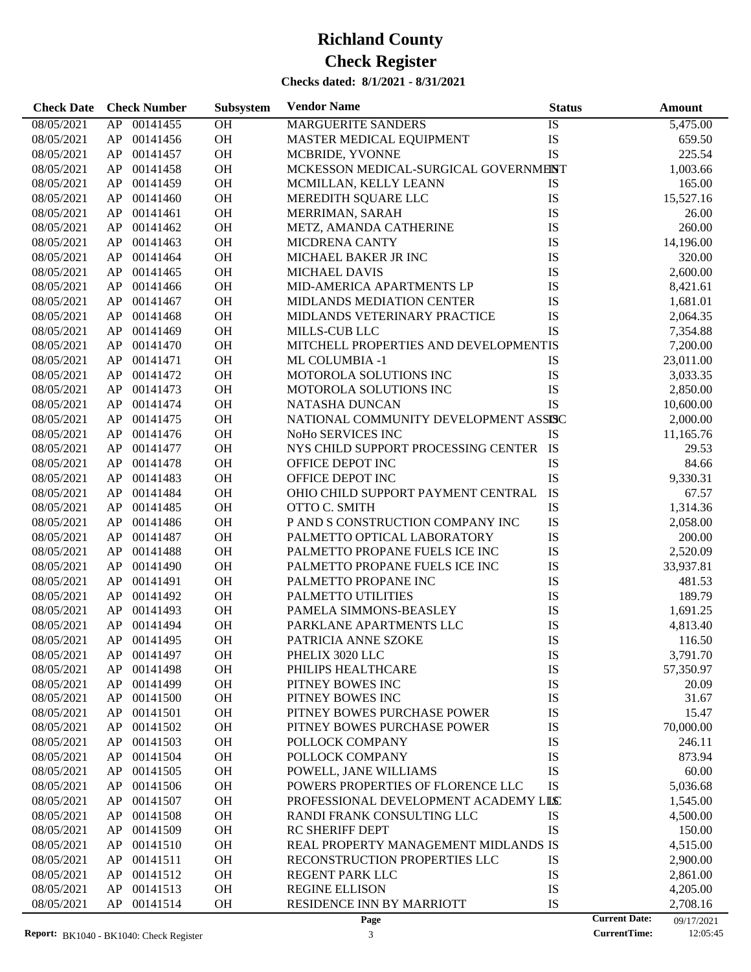| <b>Check Date</b> | <b>Check Number</b> | Subsystem | <b>Vendor Name</b>                     | <b>Status</b> | Amount                             |
|-------------------|---------------------|-----------|----------------------------------------|---------------|------------------------------------|
| 08/05/2021        | AP 00141455         | OH        | MARGUERITE SANDERS                     | IS            | 5,475.00                           |
| 08/05/2021        | AP 00141456         | OH        | MASTER MEDICAL EQUIPMENT               | IS            | 659.50                             |
| 08/05/2021        | AP 00141457         | OH        | MCBRIDE, YVONNE                        | IS            | 225.54                             |
| 08/05/2021        | 00141458<br>AP      | <b>OH</b> | MCKESSON MEDICAL-SURGICAL GOVERNMENT   |               | 1,003.66                           |
| 08/05/2021        | 00141459<br>AP      | OH        | MCMILLAN, KELLY LEANN                  | IS            | 165.00                             |
| 08/05/2021        | 00141460<br>AP      | OH        | MEREDITH SQUARE LLC                    | IS            | 15,527.16                          |
| 08/05/2021        | 00141461<br>AP      | OH        | MERRIMAN, SARAH                        | IS            | 26.00                              |
| 08/05/2021        | 00141462<br>AP      | OH        | METZ, AMANDA CATHERINE                 | IS            | 260.00                             |
| 08/05/2021        | 00141463<br>AP      | OH        | MICDRENA CANTY                         | IS            | 14,196.00                          |
| 08/05/2021        | 00141464<br>AP      | OH        | MICHAEL BAKER JR INC                   | IS            | 320.00                             |
| 08/05/2021        | 00141465<br>AP      | OH        | <b>MICHAEL DAVIS</b>                   | IS            | 2,600.00                           |
| 08/05/2021        | 00141466<br>AP      | OH        | MID-AMERICA APARTMENTS LP              | IS            | 8,421.61                           |
| 08/05/2021        | 00141467<br>AP      | OH        | <b>MIDLANDS MEDIATION CENTER</b>       | IS            | 1,681.01                           |
| 08/05/2021        | 00141468<br>AP      | <b>OH</b> | MIDLANDS VETERINARY PRACTICE           | IS            | 2,064.35                           |
| 08/05/2021        | 00141469<br>AP      | OH        | MILLS-CUB LLC                          | <b>IS</b>     | 7,354.88                           |
| 08/05/2021        | 00141470<br>AP      | OH        | MITCHELL PROPERTIES AND DEVELOPMENTIS  |               | 7,200.00                           |
| 08/05/2021        | 00141471<br>AP      | OH        | <b>ML COLUMBIA -1</b>                  | IS            | 23,011.00                          |
| 08/05/2021        | 00141472<br>AP      | <b>OH</b> | MOTOROLA SOLUTIONS INC                 | IS            | 3,033.35                           |
| 08/05/2021        | 00141473<br>AP      | <b>OH</b> | MOTOROLA SOLUTIONS INC                 | IS            | 2,850.00                           |
| 08/05/2021        | 00141474<br>AP      | <b>OH</b> | NATASHA DUNCAN                         | <b>IS</b>     | 10,600.00                          |
| 08/05/2021        | 00141475<br>AP      | OH        | NATIONAL COMMUNITY DEVELOPMENT ASSISC  |               | 2,000.00                           |
| 08/05/2021        | 00141476<br>AP      | <b>OH</b> | NoHo SERVICES INC                      | IS            | 11,165.76                          |
| 08/05/2021        | 00141477<br>AP      | OH        | NYS CHILD SUPPORT PROCESSING CENTER IS |               | 29.53                              |
| 08/05/2021        | 00141478<br>AP      | <b>OH</b> | OFFICE DEPOT INC                       | IS            | 84.66                              |
| 08/05/2021        | 00141483<br>AP      | OH        | OFFICE DEPOT INC                       | IS            | 9,330.31                           |
| 08/05/2021        | 00141484<br>AP      | OH        | OHIO CHILD SUPPORT PAYMENT CENTRAL     | IS            | 67.57                              |
| 08/05/2021        | 00141485<br>AP      | OH        | OTTO C. SMITH                          | IS            | 1,314.36                           |
| 08/05/2021        | 00141486<br>AP      | <b>OH</b> | P AND S CONSTRUCTION COMPANY INC       | IS            | 2,058.00                           |
| 08/05/2021        | 00141487<br>AP      | OH        | PALMETTO OPTICAL LABORATORY            | IS            | 200.00                             |
| 08/05/2021        | 00141488<br>AP      | OH        | PALMETTO PROPANE FUELS ICE INC         | IS            | 2,520.09                           |
| 08/05/2021        | 00141490<br>AP      | OH        | PALMETTO PROPANE FUELS ICE INC         | IS            | 33,937.81                          |
| 08/05/2021        | 00141491<br>AP      | <b>OH</b> | PALMETTO PROPANE INC                   | IS            | 481.53                             |
| 08/05/2021        | 00141492<br>AP      | <b>OH</b> | PALMETTO UTILITIES                     | IS            | 189.79                             |
| 08/05/2021        | 00141493<br>AP      | <b>OH</b> | PAMELA SIMMONS-BEASLEY                 | IS            | 1,691.25                           |
| 08/05/2021        | AP<br>00141494      | OH        | PARKLANE APARTMENTS LLC                | IS            | 4,813.40                           |
| 08/05/2021        | AP 00141495         | OH        | PATRICIA ANNE SZOKE                    | IS            | 116.50                             |
| 08/05/2021        | AP<br>00141497      | ОH        | PHELIX 3020 LLC                        | IS            | 3,791.70                           |
| 08/05/2021        | 00141498<br>AP      | OH        | PHILIPS HEALTHCARE                     | IS            | 57,350.97                          |
| 08/05/2021        | 00141499<br>AP      | OH        | PITNEY BOWES INC                       | IS            | 20.09                              |
| 08/05/2021        | 00141500<br>AP      | OH        | PITNEY BOWES INC                       | IS            | 31.67                              |
| 08/05/2021        | 00141501<br>AP      | OH        | PITNEY BOWES PURCHASE POWER            | IS            | 15.47                              |
| 08/05/2021        | 00141502<br>AP      | OH        | PITNEY BOWES PURCHASE POWER            | IS            | 70,000.00                          |
| 08/05/2021        | AP<br>00141503      | OH        | POLLOCK COMPANY                        | IS            | 246.11                             |
| 08/05/2021        | AP<br>00141504      | OH        | POLLOCK COMPANY                        | IS            | 873.94                             |
| 08/05/2021        | 00141505<br>AP      | OH        | POWELL, JANE WILLIAMS                  | IS            | 60.00                              |
| 08/05/2021        | 00141506<br>AP      | OH        | POWERS PROPERTIES OF FLORENCE LLC      | IS            | 5,036.68                           |
| 08/05/2021        | AP<br>00141507      | OH        | PROFESSIONAL DEVELOPMENT ACADEMY LILC  |               | 1,545.00                           |
| 08/05/2021        | 00141508<br>AP      | OH        | RANDI FRANK CONSULTING LLC             | IS            | 4,500.00                           |
| 08/05/2021        | 00141509<br>AP      | OH        | RC SHERIFF DEPT                        | IS            | 150.00                             |
| 08/05/2021        | AP<br>00141510      | OH        | REAL PROPERTY MANAGEMENT MIDLANDS IS   |               | 4,515.00                           |
| 08/05/2021        | AP<br>00141511      | OH        | RECONSTRUCTION PROPERTIES LLC          | IS            | 2,900.00                           |
| 08/05/2021        | 00141512<br>AP      | OH        | REGENT PARK LLC                        | IS            | 2,861.00                           |
| 08/05/2021        | 00141513<br>AP      | OH        | <b>REGINE ELLISON</b>                  | IS            | 4,205.00                           |
| 08/05/2021        | AP<br>00141514      | OH        | RESIDENCE INN BY MARRIOTT              | IS            | 2,708.16                           |
|                   |                     |           | Page                                   |               | <b>Current Date:</b><br>09/17/2021 |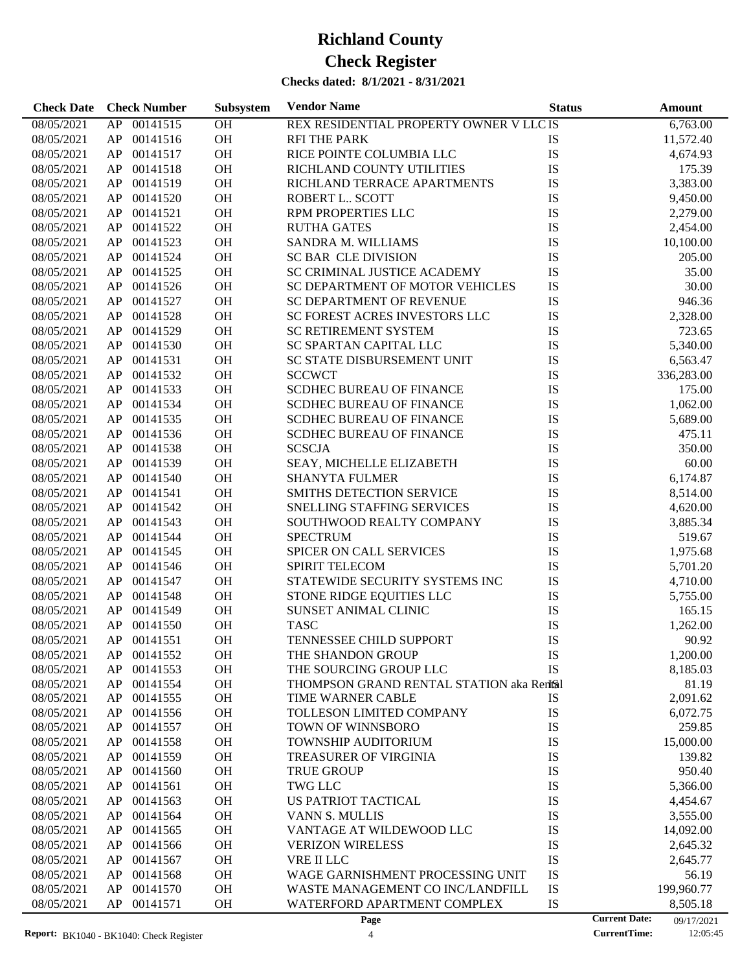| <b>Check Date</b> | <b>Check Number</b> | Subsystem | <b>Vendor Name</b>                        | <b>Status</b> | <b>Amount</b>                      |
|-------------------|---------------------|-----------|-------------------------------------------|---------------|------------------------------------|
| 08/05/2021        | 00141515<br>AP      | OH        | REX RESIDENTIAL PROPERTY OWNER V LLC IS   |               | 6,763.00                           |
| 08/05/2021        | 00141516<br>AP      | OH        | <b>RFI THE PARK</b>                       | IS            | 11,572.40                          |
| 08/05/2021        | AP<br>00141517      | OH        | RICE POINTE COLUMBIA LLC                  | IS            | 4,674.93                           |
| 08/05/2021        | AP<br>00141518      | OH        | RICHLAND COUNTY UTILITIES                 | IS            | 175.39                             |
| 08/05/2021        | AP<br>00141519      | OH        | RICHLAND TERRACE APARTMENTS               | IS            | 3,383.00                           |
| 08/05/2021        | AP<br>00141520      | OH        | ROBERT L SCOTT                            | IS            | 9,450.00                           |
| 08/05/2021        | AP<br>00141521      | OH        | RPM PROPERTIES LLC                        | IS            | 2,279.00                           |
| 08/05/2021        | AP<br>00141522      | OH        | <b>RUTHA GATES</b>                        | IS            | 2,454.00                           |
| 08/05/2021        | AP<br>00141523      | OH        | <b>SANDRA M. WILLIAMS</b>                 | IS            | 10,100.00                          |
| 08/05/2021        | AP<br>00141524      | OH        | <b>SC BAR CLE DIVISION</b>                | IS            | 205.00                             |
| 08/05/2021        | AP<br>00141525      | OH        | SC CRIMINAL JUSTICE ACADEMY               | IS            | 35.00                              |
| 08/05/2021        | AP<br>00141526      | OH        | SC DEPARTMENT OF MOTOR VEHICLES           | IS            | 30.00                              |
| 08/05/2021        | AP<br>00141527      | OH        | SC DEPARTMENT OF REVENUE                  | IS            | 946.36                             |
| 08/05/2021        | AP<br>00141528      | OH        | SC FOREST ACRES INVESTORS LLC             | IS            | 2,328.00                           |
| 08/05/2021        | AP<br>00141529      | OH        | SC RETIREMENT SYSTEM                      | IS            | 723.65                             |
| 08/05/2021        | AP<br>00141530      | OH        | SC SPARTAN CAPITAL LLC                    | IS            | 5,340.00                           |
| 08/05/2021        | AP<br>00141531      | OH        | SC STATE DISBURSEMENT UNIT                | IS            | 6,563.47                           |
| 08/05/2021        | AP<br>00141532      | OH        | <b>SCCWCT</b>                             | IS            | 336,283.00                         |
| 08/05/2021        | AP<br>00141533      | OH        | <b>SCDHEC BUREAU OF FINANCE</b>           | IS            | 175.00                             |
| 08/05/2021        | AP<br>00141534      | OH        | <b>SCDHEC BUREAU OF FINANCE</b>           | IS            | 1,062.00                           |
| 08/05/2021        | AP<br>00141535      | OH        | <b>SCDHEC BUREAU OF FINANCE</b>           | IS            | 5,689.00                           |
| 08/05/2021        | AP<br>00141536      | OH        | SCDHEC BUREAU OF FINANCE                  | IS            | 475.11                             |
| 08/05/2021        | AP<br>00141538      | OH        | <b>SCSCJA</b>                             | IS            | 350.00                             |
| 08/05/2021        | AP<br>00141539      | OH        | SEAY, MICHELLE ELIZABETH                  | IS            | 60.00                              |
| 08/05/2021        | AP<br>00141540      | OH        | <b>SHANYTA FULMER</b>                     | IS            | 6,174.87                           |
| 08/05/2021        | AP<br>00141541      | OH        | SMITHS DETECTION SERVICE                  | IS            | 8,514.00                           |
| 08/05/2021        | AP<br>00141542      | OH        | SNELLING STAFFING SERVICES                | IS            | 4,620.00                           |
| 08/05/2021        | AP<br>00141543      | OH        | SOUTHWOOD REALTY COMPANY                  | IS            | 3,885.34                           |
| 08/05/2021        | AP<br>00141544      | OH        | <b>SPECTRUM</b>                           | IS            | 519.67                             |
| 08/05/2021        | AP<br>00141545      | OH        | SPICER ON CALL SERVICES                   | IS            | 1,975.68                           |
| 08/05/2021        | AP<br>00141546      | OH        | SPIRIT TELECOM                            | IS            | 5,701.20                           |
| 08/05/2021        | 00141547<br>AP      | OH        | STATEWIDE SECURITY SYSTEMS INC            | IS            | 4,710.00                           |
| 08/05/2021        | 00141548<br>AP      | OH        | STONE RIDGE EQUITIES LLC                  | IS            | 5,755.00                           |
| 08/05/2021        | AP<br>00141549      | OH        | SUNSET ANIMAL CLINIC                      | IS            | 165.15                             |
| 08/05/2021        | AP<br>00141550      | OH        | <b>TASC</b>                               | IS            | 1,262.00                           |
| 08/05/2021        | AP<br>00141551      | OH        | TENNESSEE CHILD SUPPORT                   | IS            | 90.92                              |
| 08/05/2021        | 00141552<br>AP      | OH        | THE SHANDON GROUP                         | IS            | 1,200.00                           |
| 08/05/2021        | 00141553<br>AP      | OH        | THE SOURCING GROUP LLC                    | IS            | 8,185.03                           |
| 08/05/2021        | AP<br>00141554      | <b>OH</b> | THOMPSON GRAND RENTAL STATION aka Rentsil |               | 81.19                              |
| 08/05/2021        | 00141555<br>AP      | <b>OH</b> | TIME WARNER CABLE                         | IS            | 2,091.62                           |
| 08/05/2021        | AP<br>00141556      | OH        | TOLLESON LIMITED COMPANY                  | IS            | 6,072.75                           |
| 08/05/2021        | AP<br>00141557      | OH        | <b>TOWN OF WINNSBORO</b>                  | IS            | 259.85                             |
| 08/05/2021        | AP<br>00141558      | OH        | TOWNSHIP AUDITORIUM                       | IS            | 15,000.00                          |
| 08/05/2021        | AP<br>00141559      | OH        | <b>TREASURER OF VIRGINIA</b>              | IS            | 139.82                             |
| 08/05/2021        | AP<br>00141560      | OH        | <b>TRUE GROUP</b>                         | IS            | 950.40                             |
| 08/05/2021        | AP<br>00141561      | OH        | <b>TWG LLC</b>                            | IS            | 5,366.00                           |
| 08/05/2021        | AP<br>00141563      | OH        | US PATRIOT TACTICAL                       | IS            | 4,454.67                           |
| 08/05/2021        | AP<br>00141564      | OH        | <b>VANN S. MULLIS</b>                     | IS            | 3,555.00                           |
| 08/05/2021        | 00141565<br>AP      | OH        | VANTAGE AT WILDEWOOD LLC                  | IS            | 14,092.00                          |
| 08/05/2021        | AP<br>00141566      | OH        | <b>VERIZON WIRELESS</b>                   | IS            | 2,645.32                           |
| 08/05/2021        | AP<br>00141567      | OH        | VRE II LLC                                | IS            | 2,645.77                           |
| 08/05/2021        | AP<br>00141568      | OH        | WAGE GARNISHMENT PROCESSING UNIT          | IS            | 56.19                              |
| 08/05/2021        | 00141570<br>AP      | OH        | WASTE MANAGEMENT CO INC/LANDFILL          | IS            | 199,960.77                         |
| 08/05/2021        | AP<br>00141571      | OH        | WATERFORD APARTMENT COMPLEX               | IS            | 8,505.18                           |
|                   |                     |           | Page                                      |               | <b>Current Date:</b><br>09/17/2021 |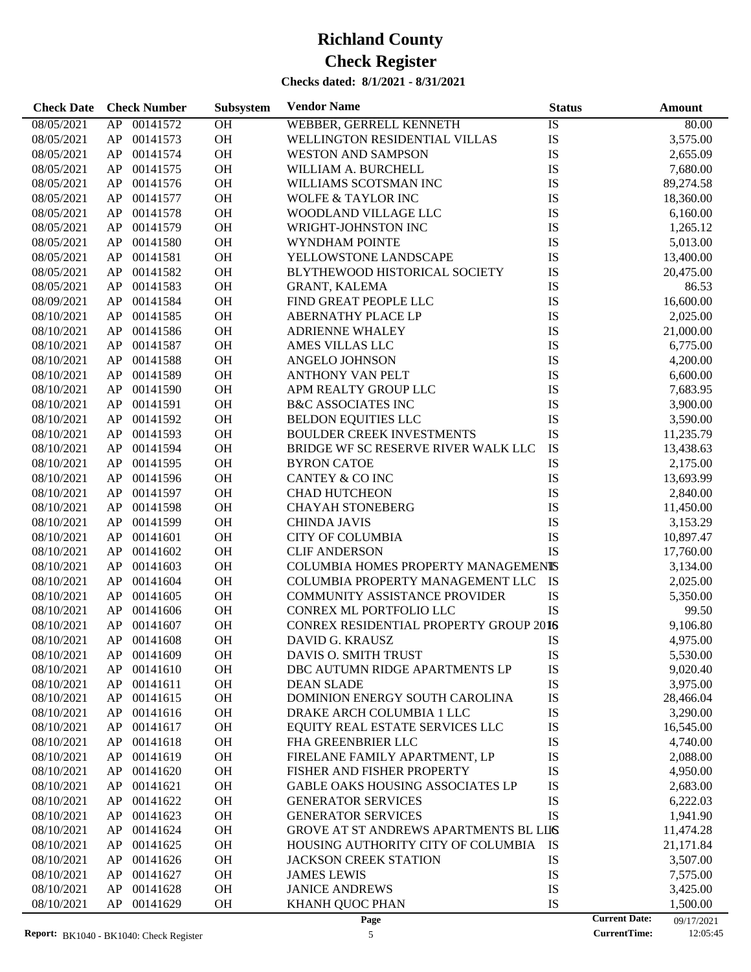| <b>Check Date</b>        | <b>Check Number</b>              | Subsystem | <b>Vendor Name</b>                                          | <b>Status</b> | Amount                             |
|--------------------------|----------------------------------|-----------|-------------------------------------------------------------|---------------|------------------------------------|
| 08/05/2021               | 00141572<br>AP                   | OH        | WEBBER, GERRELL KENNETH                                     | IS            | 80.00                              |
| 08/05/2021               | 00141573<br>AP                   | OH        | WELLINGTON RESIDENTIAL VILLAS                               | IS            | 3,575.00                           |
| 08/05/2021               | 00141574<br>AP                   | OH        | <b>WESTON AND SAMPSON</b>                                   | IS            | 2,655.09                           |
| 08/05/2021               | 00141575<br>AP                   | OH        | WILLIAM A. BURCHELL                                         | IS            | 7,680.00                           |
| 08/05/2021               | 00141576<br>AP                   | OH        | WILLIAMS SCOTSMAN INC                                       | IS            | 89,274.58                          |
| 08/05/2021               | 00141577<br>AP                   | OH        | <b>WOLFE &amp; TAYLOR INC</b>                               | IS            | 18,360.00                          |
| 08/05/2021               | 00141578<br>AP                   | OH        | WOODLAND VILLAGE LLC                                        | IS            | 6,160.00                           |
| 08/05/2021               | 00141579<br>AP                   | OH        | WRIGHT-JOHNSTON INC                                         | IS            | 1,265.12                           |
| 08/05/2021               | 00141580<br>AP                   | OH        | WYNDHAM POINTE                                              | IS            | 5,013.00                           |
| 08/05/2021               | 00141581<br>AP                   | OH        | YELLOWSTONE LANDSCAPE                                       | IS            | 13,400.00                          |
| 08/05/2021               | 00141582<br>AP                   | OH        | BLYTHEWOOD HISTORICAL SOCIETY                               | IS            | 20,475.00                          |
| 08/05/2021               | 00141583<br>AP                   | OH        | <b>GRANT, KALEMA</b>                                        | IS            | 86.53                              |
| 08/09/2021               | 00141584<br>AP                   | OH        | FIND GREAT PEOPLE LLC                                       | IS            | 16,600.00                          |
| 08/10/2021               | 00141585<br>AP                   | OH        | ABERNATHY PLACE LP                                          | IS            | 2,025.00                           |
| 08/10/2021               | 00141586<br>AP                   | OH        | <b>ADRIENNE WHALEY</b>                                      | IS            | 21,000.00                          |
| 08/10/2021               | 00141587<br>AP                   | OH        | AMES VILLAS LLC                                             | IS            | 6,775.00                           |
| 08/10/2021               | 00141588<br>AP                   | OH        | <b>ANGELO JOHNSON</b>                                       | IS            | 4,200.00                           |
| 08/10/2021               | 00141589<br>AP                   | OH        | ANTHONY VAN PELT                                            | IS            | 6,600.00                           |
| 08/10/2021               | 00141590<br>AP                   | OH        | APM REALTY GROUP LLC                                        | IS            | 7,683.95                           |
| 08/10/2021               | 00141591<br>AP                   | OH        | <b>B&amp;C ASSOCIATES INC</b>                               | IS            | 3,900.00                           |
| 08/10/2021               | 00141592<br>AP                   | OH        | <b>BELDON EQUITIES LLC</b>                                  | IS            | 3,590.00                           |
| 08/10/2021               | 00141593<br>AP                   | OH        | <b>BOULDER CREEK INVESTMENTS</b>                            | IS            | 11,235.79                          |
| 08/10/2021               | 00141594<br>AP                   | OH        | BRIDGE WF SC RESERVE RIVER WALK LLC                         | IS            | 13,438.63                          |
| 08/10/2021               | 00141595<br>AP                   | OH        | <b>BYRON CATOE</b>                                          | IS            | 2,175.00                           |
| 08/10/2021               | 00141596<br>AP                   | OH        | CANTEY & CO INC                                             | IS            | 13,693.99                          |
| 08/10/2021               | 00141597<br>AP                   | OH        | <b>CHAD HUTCHEON</b>                                        | IS            | 2,840.00                           |
| 08/10/2021               | 00141598<br>AP                   | OH        | <b>CHAYAH STONEBERG</b>                                     | IS            | 11,450.00                          |
| 08/10/2021               | 00141599<br>AP                   | OH        | <b>CHINDA JAVIS</b>                                         | IS            | 3,153.29                           |
| 08/10/2021               | 00141601<br>AP                   | OH        | <b>CITY OF COLUMBIA</b>                                     | IS            | 10,897.47                          |
| 08/10/2021               | 00141602<br>AP                   | OH        | <b>CLIF ANDERSON</b>                                        | IS            | 17,760.00                          |
| 08/10/2021               | 00141603<br>AP                   | OH        | COLUMBIA HOMES PROPERTY MANAGEMENTS                         |               | 3,134.00                           |
| 08/10/2021               | 00141604<br>AP                   | OH        | COLUMBIA PROPERTY MANAGEMENT LLC                            | IS            |                                    |
|                          | 00141605                         | OH        |                                                             | IS            | 2,025.00                           |
| 08/10/2021               | AP<br>00141606                   | OH        | <b>COMMUNITY ASSISTANCE PROVIDER</b>                        | IS            | 5,350.00                           |
| 08/10/2021               | AP                               |           | CONREX ML PORTFOLIO LLC                                     |               | 99.50                              |
| 08/10/2021               | 00141607<br>AP                   | OH        | CONREX RESIDENTIAL PROPERTY GROUP 2016                      |               | 9,106.80                           |
| 08/10/2021               | AP<br>00141608                   | OH        | DAVID G. KRAUSZ                                             | IS            | 4,975.00                           |
| 08/10/2021               | AP<br>00141609                   | OН        | DAVIS O. SMITH TRUST                                        | IS            | 5,530.00                           |
| 08/10/2021               | 00141610<br>AP                   | OH        | DBC AUTUMN RIDGE APARTMENTS LP                              | IS            | 9,020.40                           |
| 08/10/2021               | 00141611<br>AP                   | OH        | <b>DEAN SLADE</b>                                           | IS            | 3,975.00                           |
| 08/10/2021<br>08/10/2021 | AP<br>00141615<br>AP<br>00141616 | OH<br>OH  | DOMINION ENERGY SOUTH CAROLINA<br>DRAKE ARCH COLUMBIA 1 LLC | IS<br>IS      | 28,466.04<br>3,290.00              |
|                          |                                  |           |                                                             |               |                                    |
| 08/10/2021               | 00141617<br>AP                   | OH        | EQUITY REAL ESTATE SERVICES LLC                             | IS            | 16,545.00                          |
| 08/10/2021               | 00141618<br>AP                   | OH        | FHA GREENBRIER LLC                                          | IS            | 4,740.00                           |
| 08/10/2021               | 00141619<br>AP                   | OH        | FIRELANE FAMILY APARTMENT, LP                               | IS            | 2,088.00                           |
| 08/10/2021               | 00141620<br>AP                   | OH        | FISHER AND FISHER PROPERTY                                  | IS            | 4,950.00                           |
| 08/10/2021               | 00141621<br>AP                   | OH        | GABLE OAKS HOUSING ASSOCIATES LP                            | IS            | 2,683.00                           |
| 08/10/2021               | 00141622<br>AP                   | OH        | <b>GENERATOR SERVICES</b>                                   | IS            | 6,222.03                           |
| 08/10/2021               | AP<br>00141623                   | OH        | <b>GENERATOR SERVICES</b>                                   | IS            | 1,941.90                           |
| 08/10/2021               | AP<br>00141624                   | OH        | <b>GROVE AT ST ANDREWS APARTMENTS BL LIIS</b>               |               | 11,474.28                          |
| 08/10/2021               | 00141625<br>AP                   | OH        | HOUSING AUTHORITY CITY OF COLUMBIA                          | IS            | 21,171.84                          |
| 08/10/2021               | AP<br>00141626                   | OH        | <b>JACKSON CREEK STATION</b>                                | IS            | 3,507.00                           |
| 08/10/2021               | 00141627<br>AP                   | OH        | <b>JAMES LEWIS</b>                                          | IS            | 7,575.00                           |
| 08/10/2021               | AP<br>00141628                   | OH        | <b>JANICE ANDREWS</b>                                       | IS            | 3,425.00                           |
| 08/10/2021               | 00141629<br>AP                   | OH        | KHANH QUOC PHAN                                             | IS            | 1,500.00                           |
|                          |                                  |           | Page                                                        |               | <b>Current Date:</b><br>09/17/2021 |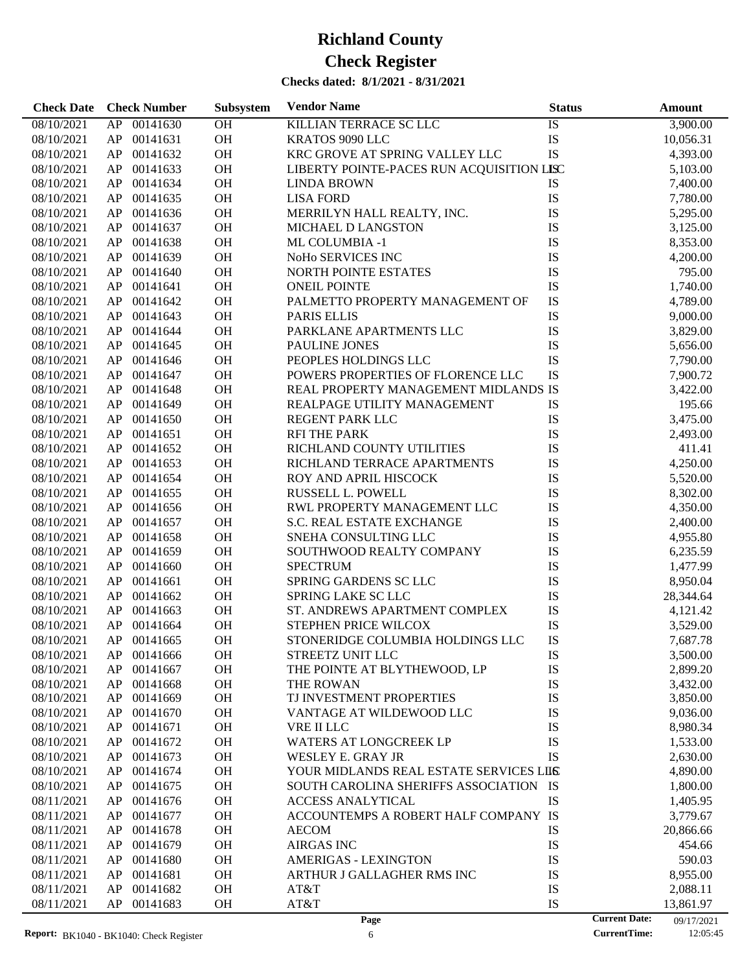| <b>Check Date</b> | <b>Check Number</b> | Subsystem | <b>Vendor Name</b>                        | <b>Status</b>        | <b>Amount</b> |
|-------------------|---------------------|-----------|-------------------------------------------|----------------------|---------------|
| 08/10/2021        | 00141630<br>AP      | OH        | KILLIAN TERRACE SC LLC                    | IS                   | 3,900.00      |
| 08/10/2021        | 00141631<br>AP      | OH        | KRATOS 9090 LLC                           | IS                   | 10,056.31     |
| 08/10/2021        | 00141632<br>AP      | <b>OH</b> | KRC GROVE AT SPRING VALLEY LLC            | IS                   | 4,393.00      |
| 08/10/2021        | 00141633<br>AP      | <b>OH</b> | LIBERTY POINTE-PACES RUN ACQUISITION LISC |                      | 5,103.00      |
| 08/10/2021        | 00141634<br>AP      | OH        | <b>LINDA BROWN</b>                        | IS                   | 7,400.00      |
| 08/10/2021        | 00141635<br>AP      | OH        | <b>LISA FORD</b>                          | IS                   | 7,780.00      |
| 08/10/2021        | 00141636<br>AP      | OH        | MERRILYN HALL REALTY, INC.                | IS                   | 5,295.00      |
| 08/10/2021        | 00141637<br>AP      | OH        | MICHAEL D LANGSTON                        | IS                   | 3,125.00      |
| 08/10/2021        | 00141638<br>AP      | OH        | ML COLUMBIA -1                            | IS                   | 8,353.00      |
| 08/10/2021        | 00141639<br>AP      | OH        | NoHo SERVICES INC                         | IS                   | 4,200.00      |
| 08/10/2021        | AP<br>00141640      | <b>OH</b> | NORTH POINTE ESTATES                      | IS                   | 795.00        |
| 08/10/2021        | 00141641<br>AP      | <b>OH</b> | <b>ONEIL POINTE</b>                       | IS                   | 1,740.00      |
| 08/10/2021        | 00141642<br>AP      | OH        | PALMETTO PROPERTY MANAGEMENT OF           | IS                   | 4,789.00      |
| 08/10/2021        | 00141643<br>AP      | OH        | <b>PARIS ELLIS</b>                        | IS                   | 9,000.00      |
| 08/10/2021        | 00141644<br>AP      | <b>OH</b> | PARKLANE APARTMENTS LLC                   | IS                   | 3,829.00      |
| 08/10/2021        | 00141645<br>AP      | <b>OH</b> | PAULINE JONES                             | IS                   | 5,656.00      |
| 08/10/2021        | 00141646<br>AP      | OH        | PEOPLES HOLDINGS LLC                      | IS                   | 7,790.00      |
| 08/10/2021        | 00141647<br>AP      | OH        | POWERS PROPERTIES OF FLORENCE LLC         | IS                   | 7,900.72      |
| 08/10/2021        | 00141648<br>AP      | <b>OH</b> | REAL PROPERTY MANAGEMENT MIDLANDS IS      |                      | 3,422.00      |
| 08/10/2021        | 00141649<br>AP      | OH        | REALPAGE UTILITY MANAGEMENT               | IS                   | 195.66        |
| 08/10/2021        | 00141650<br>AP      | OH        | <b>REGENT PARK LLC</b>                    | IS                   | 3,475.00      |
| 08/10/2021        | 00141651<br>AP      | OH        | <b>RFI THE PARK</b>                       | IS                   | 2,493.00      |
| 08/10/2021        | 00141652<br>AP      | <b>OH</b> | RICHLAND COUNTY UTILITIES                 | IS                   | 411.41        |
| 08/10/2021        | 00141653<br>AP      | <b>OH</b> | RICHLAND TERRACE APARTMENTS               | IS                   | 4,250.00      |
| 08/10/2021        | 00141654<br>AP      | OH        | ROY AND APRIL HISCOCK                     | IS                   | 5,520.00      |
| 08/10/2021        | 00141655<br>AP      | OH        | RUSSELL L. POWELL                         | IS                   | 8,302.00      |
| 08/10/2021        | 00141656<br>AP      | <b>OH</b> | RWL PROPERTY MANAGEMENT LLC               | IS                   | 4,350.00      |
| 08/10/2021        | 00141657<br>AP      | OH        | S.C. REAL ESTATE EXCHANGE                 | IS                   | 2,400.00      |
| 08/10/2021        | 00141658<br>AP      | OH        | SNEHA CONSULTING LLC                      | IS                   | 4,955.80      |
| 08/10/2021        | 00141659<br>AP      | OH        | SOUTHWOOD REALTY COMPANY                  | IS                   | 6,235.59      |
| 08/10/2021        | 00141660<br>AP      | <b>OH</b> | <b>SPECTRUM</b>                           | IS                   | 1,477.99      |
| 08/10/2021        | 00141661<br>AP      | OH        | SPRING GARDENS SC LLC                     | IS                   | 8,950.04      |
| 08/10/2021        | 00141662<br>AP      | OH        | SPRING LAKE SC LLC                        | IS                   | 28,344.64     |
| 08/10/2021        | AP<br>00141663      | OH        | ST. ANDREWS APARTMENT COMPLEX             | IS                   | 4,121.42      |
| 08/10/2021        | AP<br>00141664      | OH        | STEPHEN PRICE WILCOX                      | IS                   | 3,529.00      |
| 08/10/2021        | AP 00141665         | OH        | STONERIDGE COLUMBIA HOLDINGS LLC          | IS                   | 7,687.78      |
| 08/10/2021        | AP<br>00141666      | <b>OH</b> | STREETZ UNIT LLC                          | IS                   | 3,500.00      |
| 08/10/2021        | AP<br>00141667      | OH        | THE POINTE AT BLYTHEWOOD, LP              | IS                   | 2,899.20      |
| 08/10/2021        | AP<br>00141668      | OH        | THE ROWAN                                 | IS                   | 3,432.00      |
| 08/10/2021        | AP<br>00141669      | OH        | TJ INVESTMENT PROPERTIES                  | IS                   | 3,850.00      |
| 08/10/2021        | AP<br>00141670      | OH        | VANTAGE AT WILDEWOOD LLC                  | IS                   | 9,036.00      |
| 08/10/2021        | 00141671<br>AP      | OH        | VRE II LLC                                | IS                   | 8,980.34      |
| 08/10/2021        | 00141672<br>AP      | OH        | <b>WATERS AT LONGCREEK LP</b>             | IS                   | 1,533.00      |
| 08/10/2021        | 00141673<br>AP      | OH        | WESLEY E. GRAY JR                         | IS                   | 2,630.00      |
| 08/10/2021        | 00141674<br>AP      | OH        | YOUR MIDLANDS REAL ESTATE SERVICES LILS   |                      | 4,890.00      |
| 08/10/2021        | 00141675<br>AP      | OH        | SOUTH CAROLINA SHERIFFS ASSOCIATION IS    |                      | 1,800.00      |
| 08/11/2021        | 00141676<br>AP      | OH        | <b>ACCESS ANALYTICAL</b>                  | IS                   | 1,405.95      |
| 08/11/2021        | AP<br>00141677      | OH        | ACCOUNTEMPS A ROBERT HALF COMPANY IS      |                      | 3,779.67      |
| 08/11/2021        | AP<br>00141678      | OH        | <b>AECOM</b>                              | IS                   | 20,866.66     |
| 08/11/2021        | 00141679<br>AP      | OH        | <b>AIRGAS INC</b>                         | IS                   | 454.66        |
| 08/11/2021        | 00141680<br>AP      | OH        | <b>AMERIGAS - LEXINGTON</b>               | IS                   | 590.03        |
| 08/11/2021        | AP<br>00141681      | OH        | ARTHUR J GALLAGHER RMS INC                | IS                   | 8,955.00      |
| 08/11/2021        | AP<br>00141682      | OH        | AT&T                                      | IS                   | 2,088.11      |
| 08/11/2021        | AP<br>00141683      | OH        | AT&T                                      | IS                   | 13,861.97     |
|                   |                     |           | Page                                      | <b>Current Date:</b> | 09/17/2021    |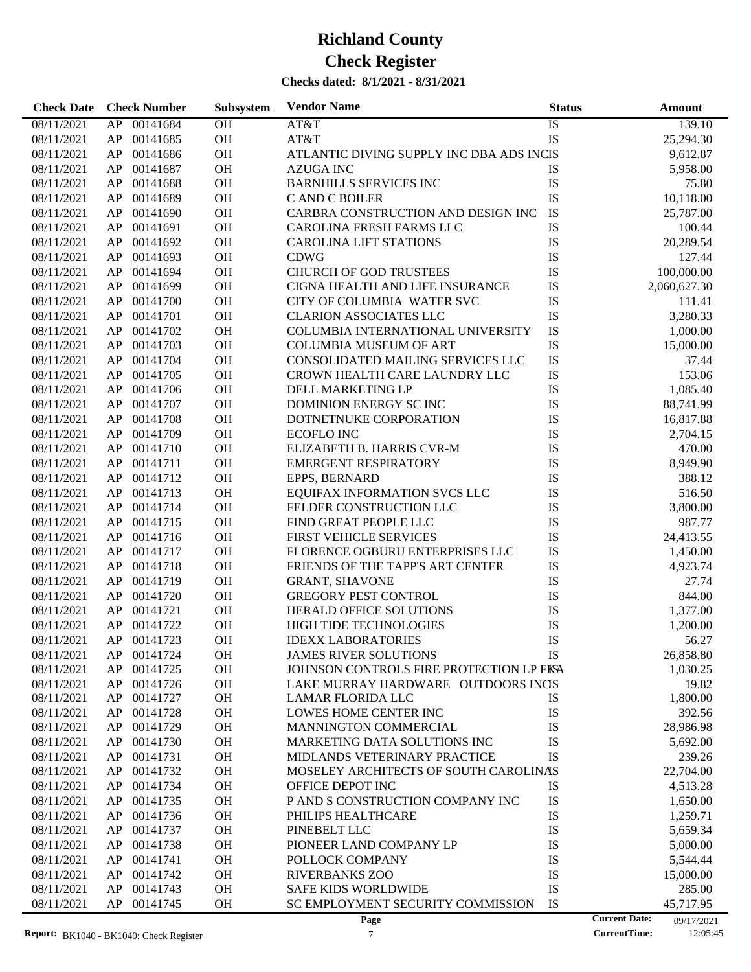| <b>Check Date</b> | <b>Check Number</b> | Subsystem | <b>Vendor Name</b>                       | <b>Status</b> | Amount                             |
|-------------------|---------------------|-----------|------------------------------------------|---------------|------------------------------------|
| 08/11/2021        | AP<br>00141684      | OH        | AT&T                                     | IS            | 139.10                             |
| 08/11/2021        | AP<br>00141685      | OH        | AT&T                                     | IS            | 25,294.30                          |
| 08/11/2021        | 00141686<br>AP      | OH        | ATLANTIC DIVING SUPPLY INC DBA ADS INCIS |               | 9,612.87                           |
| 08/11/2021        | 00141687<br>AP      | OH        | <b>AZUGA INC</b>                         | IS            | 5,958.00                           |
| 08/11/2021        | 00141688<br>AP      | OH        | <b>BARNHILLS SERVICES INC</b>            | IS            | 75.80                              |
| 08/11/2021        | 00141689<br>AP      | OH        | C AND C BOILER                           | IS            | 10,118.00                          |
| 08/11/2021        | 00141690<br>AP      | OH        | CARBRA CONSTRUCTION AND DESIGN INC       | IS            | 25,787.00                          |
| 08/11/2021        | 00141691<br>AP      | OH        | <b>CAROLINA FRESH FARMS LLC</b>          | IS            | 100.44                             |
| 08/11/2021        | 00141692<br>AP      | OH        | <b>CAROLINA LIFT STATIONS</b>            | IS            | 20,289.54                          |
| 08/11/2021        | 00141693<br>AP      | OH        | <b>CDWG</b>                              | IS            | 127.44                             |
| 08/11/2021        | 00141694<br>AP      | OH        | <b>CHURCH OF GOD TRUSTEES</b>            | IS            | 100,000.00                         |
| 08/11/2021        | 00141699<br>AP      | OH        | CIGNA HEALTH AND LIFE INSURANCE          | IS            | 2,060,627.30                       |
| 08/11/2021        | 00141700<br>AP      | OH        | CITY OF COLUMBIA WATER SVC               | IS            | 111.41                             |
| 08/11/2021        | 00141701<br>AP      | OH        | <b>CLARION ASSOCIATES LLC</b>            | IS            | 3,280.33                           |
| 08/11/2021        | 00141702<br>AP      | OH        | COLUMBIA INTERNATIONAL UNIVERSITY        | IS            | 1,000.00                           |
| 08/11/2021        | 00141703<br>AP      | OH        | <b>COLUMBIA MUSEUM OF ART</b>            | IS            | 15,000.00                          |
| 08/11/2021        | 00141704<br>AP      | OH        | CONSOLIDATED MAILING SERVICES LLC        | IS            | 37.44                              |
| 08/11/2021        | 00141705<br>AP      | OH        | CROWN HEALTH CARE LAUNDRY LLC            | IS            | 153.06                             |
| 08/11/2021        | 00141706<br>AP      | OH        | DELL MARKETING LP                        | IS            | 1,085.40                           |
| 08/11/2021        | 00141707<br>AP      | OH        | DOMINION ENERGY SCINC                    | IS            | 88,741.99                          |
| 08/11/2021        | 00141708<br>AP      | OH        | DOTNETNUKE CORPORATION                   | IS            | 16,817.88                          |
| 08/11/2021        | 00141709<br>AP      | OH        | <b>ECOFLO INC</b>                        | IS            | 2,704.15                           |
| 08/11/2021        | 00141710<br>AP      | OH        | ELIZABETH B. HARRIS CVR-M                | IS            | 470.00                             |
| 08/11/2021        | 00141711<br>AP      | OH        | <b>EMERGENT RESPIRATORY</b>              | IS            | 8,949.90                           |
| 08/11/2021        | 00141712<br>AP      | OH        | EPPS, BERNARD                            | IS            | 388.12                             |
| 08/11/2021        | 00141713<br>AP      | OH        | EQUIFAX INFORMATION SVCS LLC             | IS            | 516.50                             |
| 08/11/2021        | 00141714<br>AP      | OH        | FELDER CONSTRUCTION LLC                  | IS            | 3,800.00                           |
| 08/11/2021        | 00141715<br>AP      | OH        | FIND GREAT PEOPLE LLC                    | IS            | 987.77                             |
| 08/11/2021        | 00141716<br>AP      | OH        | FIRST VEHICLE SERVICES                   | IS            | 24,413.55                          |
| 08/11/2021        | 00141717<br>AP      | OH        | FLORENCE OGBURU ENTERPRISES LLC          | IS            | 1,450.00                           |
| 08/11/2021        | 00141718<br>AP      | OH        | FRIENDS OF THE TAPP'S ART CENTER         | IS            | 4,923.74                           |
| 08/11/2021        | 00141719<br>AP      | OH        | <b>GRANT, SHAVONE</b>                    | IS            | 27.74                              |
| 08/11/2021        | 00141720<br>AP      | OH        | <b>GREGORY PEST CONTROL</b>              | IS            | 844.00                             |
| 08/11/2021        | 00141721<br>AP      | <b>OH</b> | HERALD OFFICE SOLUTIONS                  | IS            | 1,377.00                           |
| 08/11/2021        | AP<br>00141722      | OH        | HIGH TIDE TECHNOLOGIES                   | IS            | 1,200.00                           |
| 08/11/2021        | AP 00141723         | <b>OH</b> | <b>IDEXX LABORATORIES</b>                | IS            | 56.27                              |
| 08/11/2021        | 00141724<br>AP      | <b>OH</b> | <b>JAMES RIVER SOLUTIONS</b>             | IS            | 26,858.80                          |
| 08/11/2021        | 00141725<br>AP      | OH        | JOHNSON CONTROLS FIRE PROTECTION LP FISA |               | 1,030.25                           |
| 08/11/2021        | 00141726<br>AP      | <b>OH</b> | LAKE MURRAY HARDWARE OUTDOORS INGS       |               | 19.82                              |
| 08/11/2021        | 00141727<br>AP      | <b>OH</b> | LAMAR FLORIDA LLC                        | IS            | 1,800.00                           |
| 08/11/2021        | 00141728<br>AP      | OH        | LOWES HOME CENTER INC                    | IS            | 392.56                             |
| 08/11/2021        | 00141729<br>AP      | OH        | MANNINGTON COMMERCIAL                    | IS            | 28,986.98                          |
| 08/11/2021        | 00141730<br>AP      | OH        | MARKETING DATA SOLUTIONS INC             | IS            | 5,692.00                           |
| 08/11/2021        | 00141731<br>AP      | OH        | MIDLANDS VETERINARY PRACTICE             | IS            | 239.26                             |
| 08/11/2021        | 00141732<br>AP      | OH        | MOSELEY ARCHITECTS OF SOUTH CAROLINAS    |               | 22,704.00                          |
| 08/11/2021        | 00141734<br>AP      | OH        | OFFICE DEPOT INC                         | IS            | 4,513.28                           |
| 08/11/2021        | 00141735<br>AP      | OH        | P AND S CONSTRUCTION COMPANY INC         | IS            | 1,650.00                           |
| 08/11/2021        | 00141736<br>AP      | OH        | PHILIPS HEALTHCARE                       | IS            | 1,259.71                           |
| 08/11/2021        | 00141737<br>AP      | OH        | PINEBELT LLC                             | IS            | 5,659.34                           |
| 08/11/2021        | 00141738<br>AP      | OH        | PIONEER LAND COMPANY LP                  | IS            | 5,000.00                           |
| 08/11/2021        | 00141741<br>AP      | OH        | POLLOCK COMPANY                          | IS            | 5,544.44                           |
| 08/11/2021        | 00141742<br>AP      | OH        | <b>RIVERBANKS ZOO</b>                    | IS            | 15,000.00                          |
| 08/11/2021        | 00141743<br>AP      | OH        | <b>SAFE KIDS WORLDWIDE</b>               | IS            | 285.00                             |
| 08/11/2021        | 00141745<br>AP      | <b>OH</b> | SC EMPLOYMENT SECURITY COMMISSION        | IS            | 45,717.95                          |
|                   |                     |           | Page                                     |               | <b>Current Date:</b><br>09/17/2021 |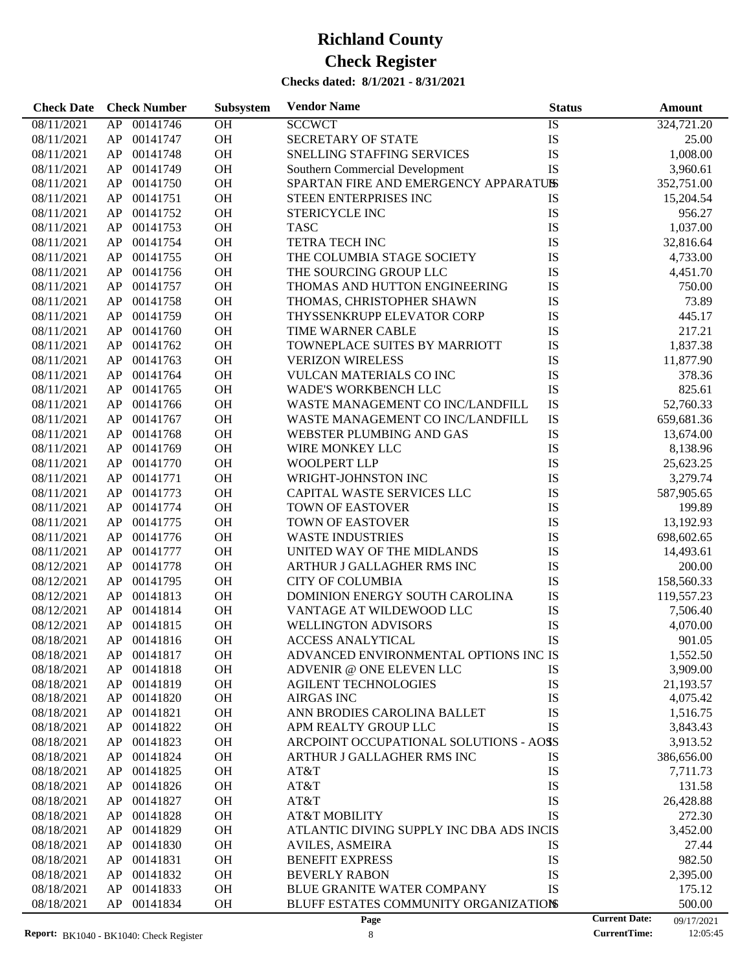| <b>Check Date</b> | <b>Check Number</b> | Subsystem | <b>Vendor Name</b>                       | <b>Status</b>   | <b>Amount</b>                      |
|-------------------|---------------------|-----------|------------------------------------------|-----------------|------------------------------------|
| 08/11/2021        | 00141746<br>AP      | OH        | <b>SCCWCT</b>                            | $\overline{IS}$ | 324,721.20                         |
| 08/11/2021        | AP<br>00141747      | OH        | SECRETARY OF STATE                       | IS              | 25.00                              |
| 08/11/2021        | AP<br>00141748      | OH        | SNELLING STAFFING SERVICES               | IS              | 1,008.00                           |
| 08/11/2021        | AP<br>00141749      | OH        | Southern Commercial Development          | <b>IS</b>       | 3,960.61                           |
| 08/11/2021        | AP<br>00141750      | OH        | SPARTAN FIRE AND EMERGENCY APPARATUSS    |                 | 352,751.00                         |
| 08/11/2021        | AP<br>00141751      | OH        | STEEN ENTERPRISES INC                    | IS              | 15,204.54                          |
| 08/11/2021        | AP<br>00141752      | OH        | STERICYCLE INC                           | IS              | 956.27                             |
| 08/11/2021        | AP<br>00141753      | OH        | <b>TASC</b>                              | IS              | 1,037.00                           |
| 08/11/2021        | AP<br>00141754      | OH        | TETRA TECH INC                           | IS              | 32,816.64                          |
| 08/11/2021        | AP<br>00141755      | OH        | THE COLUMBIA STAGE SOCIETY               | IS              | 4,733.00                           |
| 08/11/2021        | AP<br>00141756      | OH        | THE SOURCING GROUP LLC                   | IS              | 4,451.70                           |
| 08/11/2021        | AP<br>00141757      | OH        | THOMAS AND HUTTON ENGINEERING            | IS              | 750.00                             |
| 08/11/2021        | AP<br>00141758      | OH        | THOMAS, CHRISTOPHER SHAWN                | IS              | 73.89                              |
| 08/11/2021        | AP<br>00141759      | OH        | THYSSENKRUPP ELEVATOR CORP               | IS              | 445.17                             |
| 08/11/2021        | AP<br>00141760      | OH        | TIME WARNER CABLE                        | IS              | 217.21                             |
| 08/11/2021        | AP<br>00141762      | OH        | TOWNEPLACE SUITES BY MARRIOTT            | IS              | 1,837.38                           |
| 08/11/2021        | AP<br>00141763      | OH        | <b>VERIZON WIRELESS</b>                  | IS              | 11,877.90                          |
| 08/11/2021        | AP<br>00141764      | OH        | VULCAN MATERIALS CO INC                  | IS              | 378.36                             |
| 08/11/2021        | AP<br>00141765      | OH        | <b>WADE'S WORKBENCH LLC</b>              | IS              | 825.61                             |
| 08/11/2021        | AP<br>00141766      | OH        | WASTE MANAGEMENT CO INC/LANDFILL         | IS              | 52,760.33                          |
| 08/11/2021        | AP<br>00141767      | OH        | WASTE MANAGEMENT CO INC/LANDFILL         | IS              | 659,681.36                         |
| 08/11/2021        | AP<br>00141768      | OH        | WEBSTER PLUMBING AND GAS                 | IS              | 13,674.00                          |
| 08/11/2021        | AP<br>00141769      | OH        | WIRE MONKEY LLC                          | IS              | 8,138.96                           |
| 08/11/2021        | AP<br>00141770      | OH        | <b>WOOLPERT LLP</b>                      | IS              | 25,623.25                          |
| 08/11/2021        | AP<br>00141771      | OH        | WRIGHT-JOHNSTON INC                      | IS              | 3,279.74                           |
| 08/11/2021        | AP<br>00141773      | OH        | CAPITAL WASTE SERVICES LLC               | IS              | 587,905.65                         |
| 08/11/2021        | AP<br>00141774      | OH        | <b>TOWN OF EASTOVER</b>                  | <b>IS</b>       | 199.89                             |
|                   | AP<br>00141775      | OH        | <b>TOWN OF EASTOVER</b>                  | IS              |                                    |
| 08/11/2021        |                     | OH        |                                          |                 | 13,192.93                          |
| 08/11/2021        | AP<br>00141776      |           | <b>WASTE INDUSTRIES</b>                  | IS              | 698,602.65                         |
| 08/11/2021        | AP<br>00141777      | OH        | UNITED WAY OF THE MIDLANDS               | IS              | 14,493.61                          |
| 08/12/2021        | AP<br>00141778      | OH        | ARTHUR J GALLAGHER RMS INC               | IS              | 200.00                             |
| 08/12/2021        | AP<br>00141795      | OH        | <b>CITY OF COLUMBIA</b>                  | IS              | 158,560.33                         |
| 08/12/2021        | AP<br>00141813      | OH        | DOMINION ENERGY SOUTH CAROLINA           | IS              | 119,557.23                         |
| 08/12/2021        | AP<br>00141814      | <b>OH</b> | VANTAGE AT WILDEWOOD LLC                 | IS              | 7,506.40                           |
| 08/12/2021        | AP<br>00141815      | <b>OH</b> | <b>WELLINGTON ADVISORS</b>               | IS              | 4,070.00                           |
| 08/18/2021        | AP<br>00141816      | <b>OH</b> | <b>ACCESS ANALYTICAL</b>                 | IS              | 901.05                             |
| 08/18/2021        | 00141817<br>AP      | OH        | ADVANCED ENVIRONMENTAL OPTIONS INC IS    |                 | 1,552.50                           |
| 08/18/2021        | 00141818<br>AP      | OH        | ADVENIR @ ONE ELEVEN LLC                 | IS              | 3,909.00                           |
| 08/18/2021        | AP<br>00141819      | <b>OH</b> | <b>AGILENT TECHNOLOGIES</b>              | IS              | 21,193.57                          |
| 08/18/2021        | AP<br>00141820      | OH        | <b>AIRGAS INC</b>                        | IS              | 4,075.42                           |
| 08/18/2021        | 00141821<br>AP      | OH        | ANN BRODIES CAROLINA BALLET              | IS              | 1,516.75                           |
| 08/18/2021        | AP<br>00141822      | OH        | APM REALTY GROUP LLC                     | IS              | 3,843.43                           |
| 08/18/2021        | 00141823<br>AP      | OH        | ARCPOINT OCCUPATIONAL SOLUTIONS - AOSS   |                 | 3,913.52                           |
| 08/18/2021        | 00141824<br>AP      | OH        | ARTHUR J GALLAGHER RMS INC               | IS              | 386,656.00                         |
| 08/18/2021        | AP<br>00141825      | OH        | AT&T                                     | IS              | 7,711.73                           |
| 08/18/2021        | AP<br>00141826      | OH        | AT&T                                     | IS              | 131.58                             |
| 08/18/2021        | AP<br>00141827      | OH        | AT&T                                     | IS              | 26,428.88                          |
| 08/18/2021        | AP<br>00141828      | OH        | <b>AT&amp;T MOBILITY</b>                 | IS              | 272.30                             |
| 08/18/2021        | AP<br>00141829      | OH        | ATLANTIC DIVING SUPPLY INC DBA ADS INCIS |                 | 3,452.00                           |
| 08/18/2021        | AP<br>00141830      | OH        | <b>AVILES, ASMEIRA</b>                   | IS              | 27.44                              |
| 08/18/2021        | AP<br>00141831      | OH        | <b>BENEFIT EXPRESS</b>                   | IS              | 982.50                             |
| 08/18/2021        | AP<br>00141832      | <b>OH</b> | <b>BEVERLY RABON</b>                     | IS              | 2,395.00                           |
| 08/18/2021        | 00141833<br>AP      | <b>OH</b> | <b>BLUE GRANITE WATER COMPANY</b>        | IS              | 175.12                             |
| 08/18/2021        | AP<br>00141834      | <b>OH</b> | BLUFF ESTATES COMMUNITY ORGANIZATIONS    |                 | 500.00                             |
|                   |                     |           | Page                                     |                 | <b>Current Date:</b><br>09/17/2021 |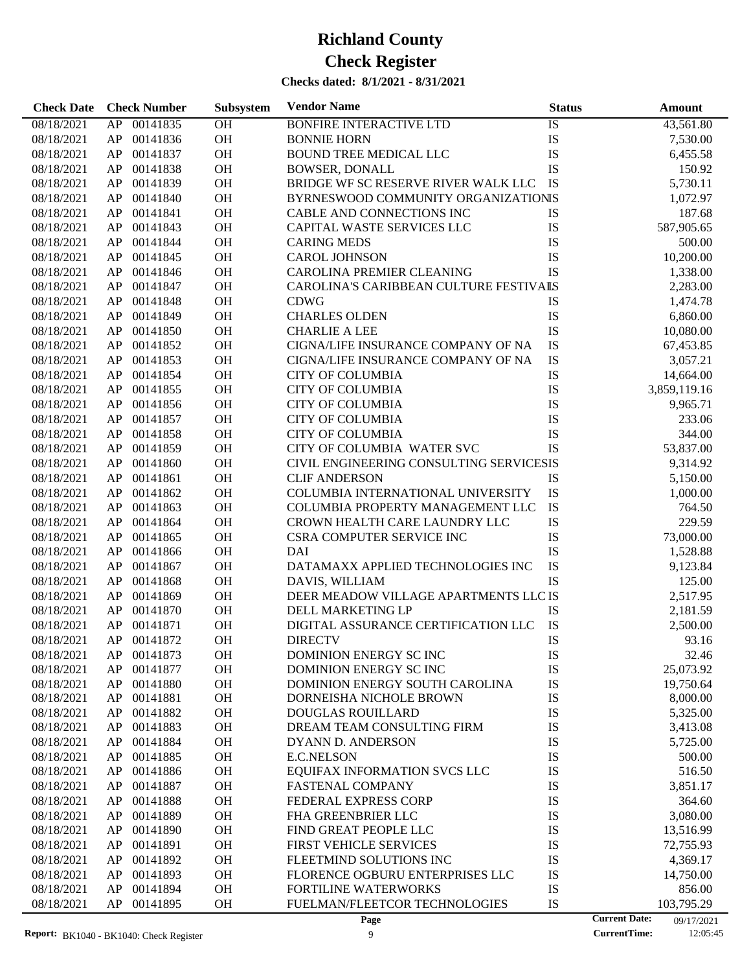| <b>Check Date</b> | <b>Check Number</b> | Subsystem | <b>Vendor Name</b>                      | <b>Status</b> | Amount                             |
|-------------------|---------------------|-----------|-----------------------------------------|---------------|------------------------------------|
| 08/18/2021        | 00141835<br>AP      | <b>OH</b> | <b>BONFIRE INTERACTIVE LTD</b>          | IS            | 43,561.80                          |
| 08/18/2021        | AP<br>00141836      | OH        | <b>BONNIE HORN</b>                      | IS            | 7,530.00                           |
| 08/18/2021        | 00141837<br>AP      | OH        | <b>BOUND TREE MEDICAL LLC</b>           | IS            | 6,455.58                           |
| 08/18/2021        | 00141838<br>AP      | OH        | <b>BOWSER, DONALL</b>                   | IS            | 150.92                             |
| 08/18/2021        | 00141839<br>AP      | OH        | BRIDGE WF SC RESERVE RIVER WALK LLC     | IS            | 5,730.11                           |
| 08/18/2021        | 00141840<br>AP      | OH        | BYRNESWOOD COMMUNITY ORGANIZATIONIS     |               | 1,072.97                           |
| 08/18/2021        | 00141841<br>AP      | OH        | CABLE AND CONNECTIONS INC               | IS            | 187.68                             |
| 08/18/2021        | 00141843<br>AP      | <b>OH</b> | CAPITAL WASTE SERVICES LLC              | IS            | 587,905.65                         |
| 08/18/2021        | 00141844<br>AP      | OH        | <b>CARING MEDS</b>                      | IS            | 500.00                             |
| 08/18/2021        | 00141845<br>AP      | OH        | <b>CAROL JOHNSON</b>                    | IS            | 10,200.00                          |
| 08/18/2021        | 00141846<br>AP      | OH        | CAROLINA PREMIER CLEANING               | IS            | 1,338.00                           |
| 08/18/2021        | 00141847<br>AP      | <b>OH</b> | CAROLINA'S CARIBBEAN CULTURE FESTIVALS  |               | 2,283.00                           |
| 08/18/2021        | 00141848<br>AP      | OH        | <b>CDWG</b>                             | IS            | 1,474.78                           |
|                   | 00141849            | OH        | <b>CHARLES OLDEN</b>                    | IS            |                                    |
| 08/18/2021        | AP                  | OH        |                                         |               | 6,860.00                           |
| 08/18/2021        | 00141850<br>AP      |           | <b>CHARLIE A LEE</b>                    | IS            | 10,080.00                          |
| 08/18/2021        | 00141852<br>AP      | <b>OH</b> | CIGNA/LIFE INSURANCE COMPANY OF NA      | IS            | 67,453.85                          |
| 08/18/2021        | 00141853<br>AP      | OH        | CIGNA/LIFE INSURANCE COMPANY OF NA      | IS            | 3,057.21                           |
| 08/18/2021        | 00141854<br>AP      | OH        | <b>CITY OF COLUMBIA</b>                 | IS            | 14,664.00                          |
| 08/18/2021        | 00141855<br>AP      | OH        | <b>CITY OF COLUMBIA</b>                 | IS            | 3,859,119.16                       |
| 08/18/2021        | 00141856<br>AP      | <b>OH</b> | <b>CITY OF COLUMBIA</b>                 | IS            | 9,965.71                           |
| 08/18/2021        | 00141857<br>AP      | OH        | <b>CITY OF COLUMBIA</b>                 | IS            | 233.06                             |
| 08/18/2021        | 00141858<br>AP      | OH        | <b>CITY OF COLUMBIA</b>                 | IS            | 344.00                             |
| 08/18/2021        | 00141859<br>AP      | OH        | CITY OF COLUMBIA WATER SVC              | <b>IS</b>     | 53,837.00                          |
| 08/18/2021        | 00141860<br>AP      | OH        | CIVIL ENGINEERING CONSULTING SERVICESIS |               | 9,314.92                           |
| 08/18/2021        | 00141861<br>AP      | OH        | <b>CLIF ANDERSON</b>                    | IS            | 5,150.00                           |
| 08/18/2021        | 00141862<br>AP      | OH        | COLUMBIA INTERNATIONAL UNIVERSITY       | IS            | 1,000.00                           |
| 08/18/2021        | 00141863<br>AP      | OH        | COLUMBIA PROPERTY MANAGEMENT LLC        | IS            | 764.50                             |
| 08/18/2021        | 00141864<br>AP      | <b>OH</b> | CROWN HEALTH CARE LAUNDRY LLC           | IS            | 229.59                             |
| 08/18/2021        | 00141865<br>AP      | OH        | CSRA COMPUTER SERVICE INC               | IS            | 73,000.00                          |
| 08/18/2021        | 00141866<br>AP      | OH        | DAI                                     | IS            | 1,528.88                           |
| 08/18/2021        | 00141867<br>AP      | OH        | DATAMAXX APPLIED TECHNOLOGIES INC       | <b>IS</b>     | 9,123.84                           |
| 08/18/2021        | 00141868<br>AP      | <b>OH</b> | DAVIS, WILLIAM                          | IS            | 125.00                             |
| 08/18/2021        | 00141869<br>AP      | <b>OH</b> | DEER MEADOW VILLAGE APARTMENTS LLC IS   |               | 2,517.95                           |
| 08/18/2021        | 00141870<br>AP      | OH        | DELL MARKETING LP                       | IS            | 2,181.59                           |
| 08/18/2021        | 00141871<br>AP      | <b>OH</b> | DIGITAL ASSURANCE CERTIFICATION LLC     | IS            | 2,500.00                           |
| 08/18/2021        | 00141872<br>AP      | <b>OH</b> | <b>DIRECTV</b>                          | IS            | 93.16                              |
| 08/18/2021        | AP<br>00141873      | <b>OH</b> | DOMINION ENERGY SC INC                  | IS            | 32.46                              |
| 08/18/2021        | 00141877<br>AP      | OH        | DOMINION ENERGY SC INC                  | IS            | 25,073.92                          |
| 08/18/2021        | 00141880<br>AP      | OH        | DOMINION ENERGY SOUTH CAROLINA          | IS            | 19,750.64                          |
| 08/18/2021        | AP<br>00141881      | OH        | DORNEISHA NICHOLE BROWN                 | IS            | 8,000.00                           |
| 08/18/2021        | 00141882<br>AP      | OH        | DOUGLAS ROUILLARD                       | IS            | 5,325.00                           |
| 08/18/2021        | 00141883<br>AP      | OH        | DREAM TEAM CONSULTING FIRM              | IS            | 3,413.08                           |
| 08/18/2021        | 00141884<br>AP      | OH        | DYANN D. ANDERSON                       | IS            | 5,725.00                           |
| 08/18/2021        | 00141885<br>AP      | OH        | <b>E.C.NELSON</b>                       | IS            | 500.00                             |
| 08/18/2021        | 00141886<br>AP      | OH        | EQUIFAX INFORMATION SVCS LLC            | IS            | 516.50                             |
| 08/18/2021        | 00141887<br>AP      | OH        | FASTENAL COMPANY                        | IS            | 3,851.17                           |
| 08/18/2021        | 00141888<br>AP      | OH        | FEDERAL EXPRESS CORP                    | IS            | 364.60                             |
| 08/18/2021        | 00141889<br>AP      | OH        | FHA GREENBRIER LLC                      | IS            | 3,080.00                           |
| 08/18/2021        | 00141890<br>AP      | OH        | FIND GREAT PEOPLE LLC                   | IS            | 13,516.99                          |
| 08/18/2021        | 00141891<br>AP      | OH        | FIRST VEHICLE SERVICES                  | IS            | 72,755.93                          |
| 08/18/2021        | 00141892<br>AP      | OH        | FLEETMIND SOLUTIONS INC                 | IS            | 4,369.17                           |
| 08/18/2021        | 00141893<br>AP      | OH        | FLORENCE OGBURU ENTERPRISES LLC         | IS            | 14,750.00                          |
| 08/18/2021        | AP<br>00141894      | OH        | FORTILINE WATERWORKS                    | IS            | 856.00                             |
| 08/18/2021        | AP<br>00141895      | OH        | FUELMAN/FLEETCOR TECHNOLOGIES           | IS            | 103,795.29                         |
|                   |                     |           | Page                                    |               | <b>Current Date:</b><br>09/17/2021 |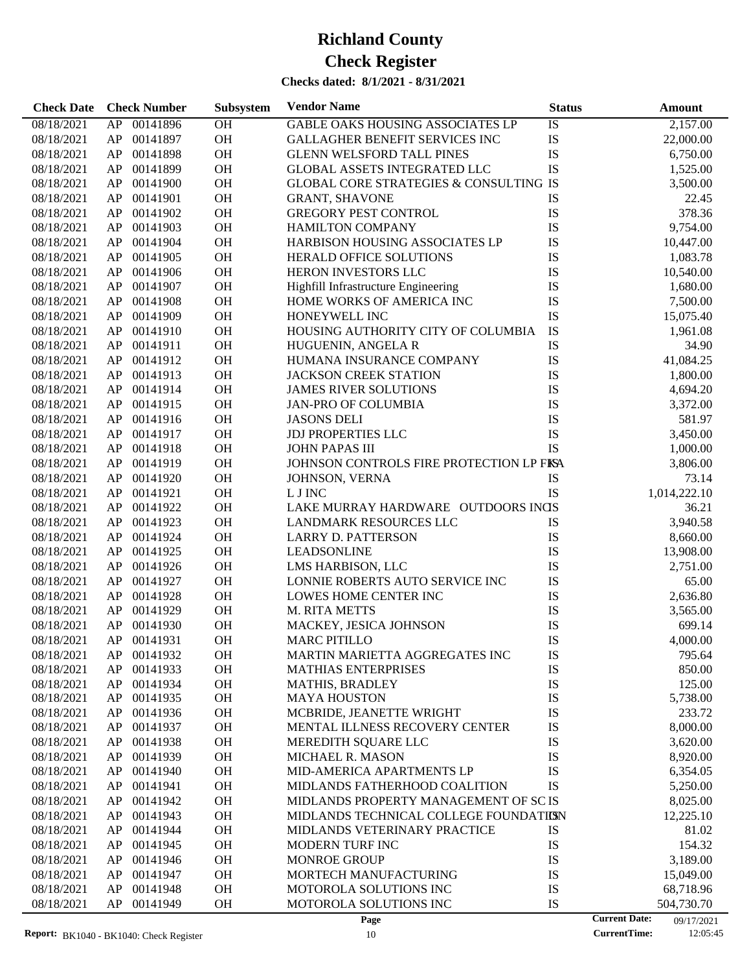#### **Checks dated: 8/1/2021 - 8/31/2021**

| <b>Check Date</b> | <b>Check Number</b> | Subsystem | <b>Vendor Name</b>                                | <b>Status</b> | <b>Amount</b> |
|-------------------|---------------------|-----------|---------------------------------------------------|---------------|---------------|
| 08/18/2021        | 00141896<br>AP      | <b>OH</b> | GABLE OAKS HOUSING ASSOCIATES LP                  | IS            | 2,157.00      |
| 08/18/2021        | 00141897<br>AP      | OH        | <b>GALLAGHER BENEFIT SERVICES INC</b>             | IS            | 22,000.00     |
| 08/18/2021        | 00141898<br>AP      | <b>OH</b> | <b>GLENN WELSFORD TALL PINES</b>                  | IS            | 6,750.00      |
| 08/18/2021        | 00141899<br>AP      | <b>OH</b> | <b>GLOBAL ASSETS INTEGRATED LLC</b>               | IS            | 1,525.00      |
| 08/18/2021        | 00141900<br>AP      | OH        | <b>GLOBAL CORE STRATEGIES &amp; CONSULTING IS</b> |               | 3,500.00      |
| 08/18/2021        | 00141901<br>AP      | OH        | <b>GRANT, SHAVONE</b>                             | IS            | 22.45         |
| 08/18/2021        | 00141902<br>AP      | <b>OH</b> | <b>GREGORY PEST CONTROL</b>                       | IS            | 378.36        |
| 08/18/2021        | 00141903<br>AP      | <b>OH</b> | <b>HAMILTON COMPANY</b>                           | IS            | 9,754.00      |
| 08/18/2021        | 00141904<br>AP      | OH        | HARBISON HOUSING ASSOCIATES LP                    | IS            | 10,447.00     |
| 08/18/2021        | 00141905<br>AP      | OH        | <b>HERALD OFFICE SOLUTIONS</b>                    | IS            | 1,083.78      |
| 08/18/2021        | 00141906<br>AP      | <b>OH</b> | HERON INVESTORS LLC                               | IS            | 10,540.00     |
| 08/18/2021        | 00141907<br>AP      | OH        | Highfill Infrastructure Engineering               | IS            | 1,680.00      |
| 08/18/2021        | 00141908<br>AP      | OH        | HOME WORKS OF AMERICA INC                         | IS            | 7,500.00      |
| 08/18/2021        | 00141909<br>AP      | OH        | HONEYWELL INC                                     | IS            | 15,075.40     |
| 08/18/2021        | AP<br>00141910      | <b>OH</b> | HOUSING AUTHORITY CITY OF COLUMBIA                | IS            | 1,961.08      |
| 08/18/2021        | 00141911<br>AP      | <b>OH</b> | HUGUENIN, ANGELA R                                | IS            | 34.90         |
| 08/18/2021        | 00141912<br>AP      | OH        | HUMANA INSURANCE COMPANY                          | IS            | 41,084.25     |
| 08/18/2021        | 00141913<br>AP      | <b>OH</b> | <b>JACKSON CREEK STATION</b>                      | IS            | 1,800.00      |
| 08/18/2021        | AP<br>00141914      | <b>OH</b> | <b>JAMES RIVER SOLUTIONS</b>                      | IS            | 4,694.20      |
| 08/18/2021        | 00141915<br>AP      | <b>OH</b> | <b>JAN-PRO OF COLUMBIA</b>                        | IS            | 3,372.00      |
| 08/18/2021        | 00141916<br>AP      | OH        | <b>JASONS DELI</b>                                | IS            | 581.97        |
| 08/18/2021        | 00141917<br>AP      | <b>OH</b> | <b>JDJ PROPERTIES LLC</b>                         | IS            | 3,450.00      |
| 08/18/2021        | AP<br>00141918      | <b>OH</b> | <b>JOHN PAPAS III</b>                             | <b>IS</b>     | 1,000.00      |
| 08/18/2021        | 00141919<br>AP      | <b>OH</b> | JOHNSON CONTROLS FIRE PROTECTION LP FKA           |               | 3,806.00      |
| 08/18/2021        | 00141920<br>AP      | OH        | JOHNSON, VERNA                                    | IS            | 73.14         |
| 08/18/2021        | 00141921<br>AP      | <b>OH</b> | L J INC                                           | IS            | 1,014,222.10  |
| 08/18/2021        | 00141922<br>AP      | <b>OH</b> | LAKE MURRAY HARDWARE OUTDOORS INGS                |               | 36.21         |
| 08/18/2021        | 00141923<br>AP      | <b>OH</b> | LANDMARK RESOURCES LLC                            | IS            | 3,940.58      |
| 08/18/2021        | 00141924<br>AP      | OH        | <b>LARRY D. PATTERSON</b>                         | IS            | 8,660.00      |
| 08/18/2021        | 00141925<br>AP      | <b>OH</b> | <b>LEADSONLINE</b>                                | IS            | 13,908.00     |
| 08/18/2021        | AP<br>00141926      | <b>OH</b> | LMS HARBISON, LLC                                 | IS            | 2,751.00      |
| 08/18/2021        | 00141927<br>AP      | <b>OH</b> | LONNIE ROBERTS AUTO SERVICE INC                   | IS            | 65.00         |
| 08/18/2021        | 00141928<br>AP      | <b>OH</b> | LOWES HOME CENTER INC                             | IS            | 2,636.80      |
| 08/18/2021        | 00141929<br>AP      | <b>OH</b> | M. RITA METTS                                     | IS            | 3,565.00      |
| 08/18/2021        | AP<br>00141930      | <b>OH</b> | MACKEY, JESICA JOHNSON                            | IS            | 699.14        |
| 08/18/2021        | AP 00141931         | OH        | <b>MARC PITILLO</b>                               | IS            | 4,000.00      |
| 08/18/2021        | AP<br>00141932      | <b>OH</b> | MARTIN MARIETTA AGGREGATES INC                    | IS            | 795.64        |
| 08/18/2021        | 00141933<br>AP      | OH        | <b>MATHIAS ENTERPRISES</b>                        | IS            | 850.00        |
| 08/18/2021        | 00141934<br>AP      | OH        | <b>MATHIS, BRADLEY</b>                            | IS            | 125.00        |
| 08/18/2021        | AP<br>00141935      | OH        | <b>MAYA HOUSTON</b>                               | IS            | 5,738.00      |
| 08/18/2021        | 00141936<br>AP      | OH        | MCBRIDE, JEANETTE WRIGHT                          | IS            | 233.72        |
| 08/18/2021        | 00141937<br>AP      | OH        | MENTAL ILLNESS RECOVERY CENTER                    | IS            | 8,000.00      |
| 08/18/2021        | AP<br>00141938      | OH        | MEREDITH SQUARE LLC                               | IS            | 3,620.00      |
| 08/18/2021        | AP<br>00141939      | OH        | MICHAEL R. MASON                                  | IS            | 8,920.00      |
| 08/18/2021        | AP<br>00141940      | OH        | MID-AMERICA APARTMENTS LP                         | IS            | 6,354.05      |
| 08/18/2021        | 00141941<br>AP      | OH        | MIDLANDS FATHERHOOD COALITION                     | IS            | 5,250.00      |
| 08/18/2021        | AP<br>00141942      | OH        | MIDLANDS PROPERTY MANAGEMENT OF SC IS             |               | 8,025.00      |
| 08/18/2021        | AP<br>00141943      | OH        | MIDLANDS TECHNICAL COLLEGE FOUNDATION             |               | 12,225.10     |
| 08/18/2021        | AP<br>00141944      | OH        | MIDLANDS VETERINARY PRACTICE                      | IS            | 81.02         |
| 08/18/2021        | 00141945<br>AP      | OH        | MODERN TURF INC                                   | IS            | 154.32        |
| 08/18/2021        | AP<br>00141946      | OH        | <b>MONROE GROUP</b>                               | IS            | 3,189.00      |
| 08/18/2021        | AP<br>00141947      | OH        | MORTECH MANUFACTURING                             | IS            | 15,049.00     |
| 08/18/2021        | AP<br>00141948      | OH        | MOTOROLA SOLUTIONS INC                            | IS            | 68,718.96     |
| 08/18/2021        | AP<br>00141949      | OH        | MOTOROLA SOLUTIONS INC                            | IS            | 504,730.70    |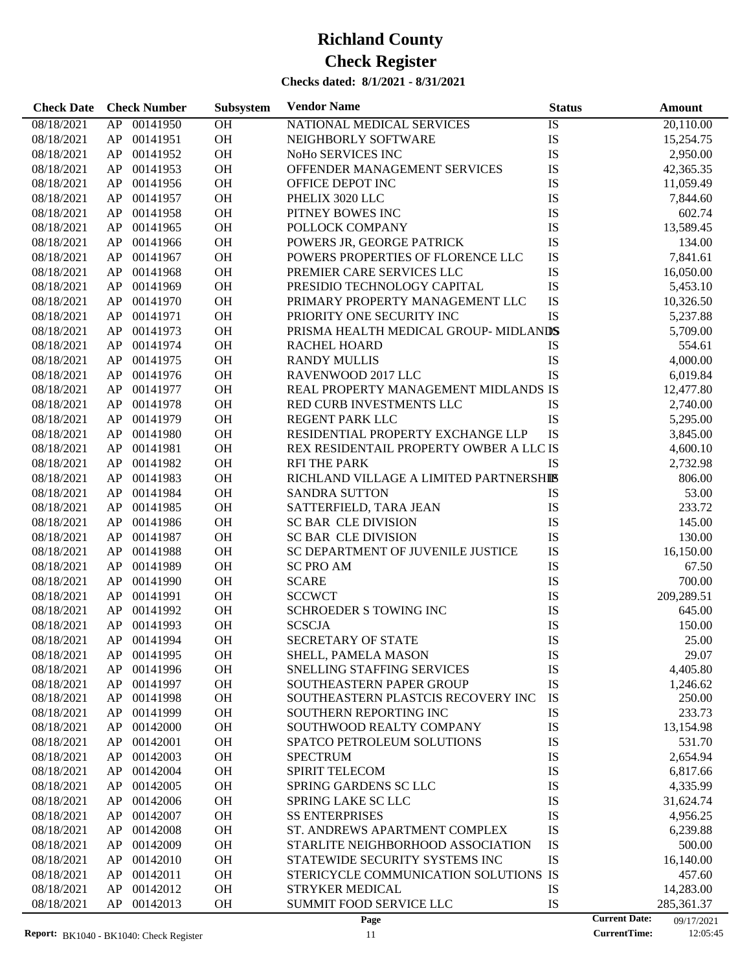| OH<br>08/18/2021<br>00141950<br>NATIONAL MEDICAL SERVICES<br>IS<br>20,110.00<br>AP<br>OH<br>IS<br>08/18/2021<br>AP<br>00141951<br>NEIGHBORLY SOFTWARE<br>15,254.75<br>IS<br>OH<br>08/18/2021<br>AP<br>00141952<br>NoHo SERVICES INC<br>2,950.00<br>IS<br>00141953<br><b>OH</b><br>OFFENDER MANAGEMENT SERVICES<br>08/18/2021<br>AP<br>42,365.35<br>IS<br>00141956<br><b>OH</b><br>08/18/2021<br>AP<br>OFFICE DEPOT INC<br>11,059.49<br>IS<br>00141957<br>OH<br>08/18/2021<br>AP<br>PHELIX 3020 LLC<br>7,844.60<br>OH<br>IS<br>08/18/2021<br>AP<br>00141958<br>PITNEY BOWES INC<br>602.74<br>IS<br>00141965<br>OH<br>13,589.45<br>08/18/2021<br>AP<br>POLLOCK COMPANY<br>IS<br>00141966<br>OH<br>08/18/2021<br>AP<br>POWERS JR, GEORGE PATRICK<br>134.00<br>IS<br>00141967<br>OH<br>08/18/2021<br>AP<br>POWERS PROPERTIES OF FLORENCE LLC<br>7,841.61<br>IS<br>00141968<br>OH<br>08/18/2021<br>AP<br>PREMIER CARE SERVICES LLC<br>16,050.00<br>OH<br>IS<br>00141969<br>08/18/2021<br>AP<br>PRESIDIO TECHNOLOGY CAPITAL<br>5,453.10<br>IS<br>00141970<br>OH<br>08/18/2021<br>AP<br>PRIMARY PROPERTY MANAGEMENT LLC<br>10,326.50<br>00141971<br>OH<br>IS<br>08/18/2021<br>AP<br>PRIORITY ONE SECURITY INC<br>5,237.88<br>00141973<br><b>OH</b><br>08/18/2021<br>AP<br>PRISMA HEALTH MEDICAL GROUP-MIDLANDS<br>5,709.00<br>00141974<br><b>OH</b><br>08/18/2021<br>AP<br><b>RACHEL HOARD</b><br>IS<br>554.61<br>00141975<br>OH<br>IS<br>4,000.00<br>08/18/2021<br>AP<br><b>RANDY MULLIS</b><br>IS<br>00141976<br><b>OH</b><br>08/18/2021<br>AP<br>RAVENWOOD 2017 LLC<br>6,019.84<br>REAL PROPERTY MANAGEMENT MIDLANDS IS<br>00141977<br><b>OH</b><br>08/18/2021<br>AP<br>12,477.80<br>00141978<br>OH<br>08/18/2021<br>AP<br>RED CURB INVESTMENTS LLC<br>IS<br>2,740.00<br>00141979<br>OH<br>IS<br>08/18/2021<br>AP<br><b>REGENT PARK LLC</b><br>5,295.00<br>IS<br>00141980<br><b>OH</b><br>08/18/2021<br>AP<br>RESIDENTIAL PROPERTY EXCHANGE LLP<br>3,845.00<br>00141981<br><b>OH</b><br>REX RESIDENTAIL PROPERTY OWBER A LLC IS<br>08/18/2021<br>AP<br>4,600.10<br>00141982<br>OH<br>IS<br>08/18/2021<br>AP<br><b>RFI THE PARK</b><br>2,732.98<br>00141983<br>OH<br>08/18/2021<br>AP<br>RICHLAND VILLAGE A LIMITED PARTNERSHIS<br>806.00<br>00141984<br>OH<br>53.00<br>08/18/2021<br>AP<br><b>SANDRA SUTTON</b><br>IS<br>00141985<br>OH<br>IS<br>233.72<br>08/18/2021<br>AP<br>SATTERFIELD, TARA JEAN<br>00141986<br>OH<br>IS<br>08/18/2021<br>AP<br><b>SC BAR CLE DIVISION</b><br>145.00<br>IS<br>00141987<br>OH<br>08/18/2021<br>AP<br>SC BAR CLE DIVISION<br>130.00<br>IS<br>00141988<br><b>OH</b><br>SC DEPARTMENT OF JUVENILE JUSTICE<br>16,150.00<br>08/18/2021<br>AP<br>00141989<br><b>OH</b><br>IS<br>08/18/2021<br>AP<br><b>SC PRO AM</b><br>67.50<br>OH<br>IS<br>08/18/2021<br>AP<br>00141990<br><b>SCARE</b><br>700.00<br>IS<br>OH<br><b>SCCWCT</b><br>08/18/2021<br>AP<br>00141991<br>209,289.51<br>IS<br>00141992<br>OH<br>SCHROEDER S TOWING INC<br>08/18/2021<br>AP<br>645.00<br>OH<br>IS<br>08/18/2021<br>AP<br>00141993<br><b>SCSCJA</b><br>150.00<br><b>OH</b><br><b>SECRETARY OF STATE</b><br>IS<br>08/18/2021<br>AP 00141994<br>25.00<br>08/18/2021<br>AP<br>00141995<br><b>OH</b><br>SHELL, PAMELA MASON<br>IS<br>29.07<br>OH<br><b>SNELLING STAFFING SERVICES</b><br>IS<br>08/18/2021<br>00141996<br>4,405.80<br>AP<br>IS<br>00141997<br>OH<br>SOUTHEASTERN PAPER GROUP<br>08/18/2021<br>AP<br>1,246.62<br><b>OH</b><br>IS<br>08/18/2021<br>AP<br>00141998<br>SOUTHEASTERN PLASTCIS RECOVERY INC<br>250.00<br>00141999<br>OH<br>IS<br>233.73<br>08/18/2021<br>AP<br>SOUTHERN REPORTING INC<br>IS<br>00142000<br>OH<br>08/18/2021<br>AP<br>SOUTHWOOD REALTY COMPANY<br>13,154.98<br>IS<br>00142001<br>OH<br>531.70<br>08/18/2021<br>AP<br>SPATCO PETROLEUM SOLUTIONS<br>IS<br>00142003<br>OH<br>2,654.94<br>08/18/2021<br>AP<br><b>SPECTRUM</b><br>00142004<br>OH<br>SPIRIT TELECOM<br>IS<br>08/18/2021<br>AP<br>6,817.66<br>IS<br>00142005<br>OH<br>4,335.99<br>08/18/2021<br>AP<br><b>SPRING GARDENS SC LLC</b><br>IS<br>00142006<br>OH<br>08/18/2021<br>AP<br><b>SPRING LAKE SC LLC</b><br>31,624.74<br>IS<br>00142007<br>OH<br><b>SS ENTERPRISES</b><br>08/18/2021<br>AP<br>4,956.25<br>IS<br>00142008<br>OH<br>08/18/2021<br>AP<br>ST. ANDREWS APARTMENT COMPLEX<br>6,239.88<br>IS<br>00142009<br>OH<br>500.00<br>08/18/2021<br>AP<br>STARLITE NEIGHBORHOOD ASSOCIATION<br>IS<br>00142010<br>OH<br>16,140.00<br>08/18/2021<br>AP<br>STATEWIDE SECURITY SYSTEMS INC<br>00142011<br>OH<br>STERICYCLE COMMUNICATION SOLUTIONS IS<br>08/18/2021<br>AP<br>457.60<br>00142012<br>OH<br><b>STRYKER MEDICAL</b><br>IS<br>08/18/2021<br>AP<br>14,283.00<br>IS<br>08/18/2021<br>AP<br>00142013<br><b>OH</b><br>SUMMIT FOOD SERVICE LLC<br>285,361.37<br><b>Current Date:</b><br>Page<br>09/17/2021 | <b>Check Date</b> | <b>Check Number</b> | Subsystem | <b>Vendor Name</b> | <b>Status</b> | Amount |
|----------------------------------------------------------------------------------------------------------------------------------------------------------------------------------------------------------------------------------------------------------------------------------------------------------------------------------------------------------------------------------------------------------------------------------------------------------------------------------------------------------------------------------------------------------------------------------------------------------------------------------------------------------------------------------------------------------------------------------------------------------------------------------------------------------------------------------------------------------------------------------------------------------------------------------------------------------------------------------------------------------------------------------------------------------------------------------------------------------------------------------------------------------------------------------------------------------------------------------------------------------------------------------------------------------------------------------------------------------------------------------------------------------------------------------------------------------------------------------------------------------------------------------------------------------------------------------------------------------------------------------------------------------------------------------------------------------------------------------------------------------------------------------------------------------------------------------------------------------------------------------------------------------------------------------------------------------------------------------------------------------------------------------------------------------------------------------------------------------------------------------------------------------------------------------------------------------------------------------------------------------------------------------------------------------------------------------------------------------------------------------------------------------------------------------------------------------------------------------------------------------------------------------------------------------------------------------------------------------------------------------------------------------------------------------------------------------------------------------------------------------------------------------------------------------------------------------------------------------------------------------------------------------------------------------------------------------------------------------------------------------------------------------------------------------------------------------------------------------------------------------------------------------------------------------------------------------------------------------------------------------------------------------------------------------------------------------------------------------------------------------------------------------------------------------------------------------------------------------------------------------------------------------------------------------------------------------------------------------------------------------------------------------------------------------------------------------------------------------------------------------------------------------------------------------------------------------------------------------------------------------------------------------------------------------------------------------------------------------------------------------------------------------------------------------------------------------------------------------------------------------------------------------------------------------------------------------------------------------------------------------------------------------------------------------------------------------------------------------------------------------------------------------------------------------------------------------------------------------------------------------------------------------------------------------------------------------------------------------------------------------------------------------------------------------------------------------------------------------------------------------------------------------------------------------------|-------------------|---------------------|-----------|--------------------|---------------|--------|
|                                                                                                                                                                                                                                                                                                                                                                                                                                                                                                                                                                                                                                                                                                                                                                                                                                                                                                                                                                                                                                                                                                                                                                                                                                                                                                                                                                                                                                                                                                                                                                                                                                                                                                                                                                                                                                                                                                                                                                                                                                                                                                                                                                                                                                                                                                                                                                                                                                                                                                                                                                                                                                                                                                                                                                                                                                                                                                                                                                                                                                                                                                                                                                                                                                                                                                                                                                                                                                                                                                                                                                                                                                                                                                                                                                                                                                                                                                                                                                                                                                                                                                                                                                                                                                                                                                                                                                                                                                                                                                                                                                                                                                                                                                                                                                                                                |                   |                     |           |                    |               |        |
|                                                                                                                                                                                                                                                                                                                                                                                                                                                                                                                                                                                                                                                                                                                                                                                                                                                                                                                                                                                                                                                                                                                                                                                                                                                                                                                                                                                                                                                                                                                                                                                                                                                                                                                                                                                                                                                                                                                                                                                                                                                                                                                                                                                                                                                                                                                                                                                                                                                                                                                                                                                                                                                                                                                                                                                                                                                                                                                                                                                                                                                                                                                                                                                                                                                                                                                                                                                                                                                                                                                                                                                                                                                                                                                                                                                                                                                                                                                                                                                                                                                                                                                                                                                                                                                                                                                                                                                                                                                                                                                                                                                                                                                                                                                                                                                                                |                   |                     |           |                    |               |        |
|                                                                                                                                                                                                                                                                                                                                                                                                                                                                                                                                                                                                                                                                                                                                                                                                                                                                                                                                                                                                                                                                                                                                                                                                                                                                                                                                                                                                                                                                                                                                                                                                                                                                                                                                                                                                                                                                                                                                                                                                                                                                                                                                                                                                                                                                                                                                                                                                                                                                                                                                                                                                                                                                                                                                                                                                                                                                                                                                                                                                                                                                                                                                                                                                                                                                                                                                                                                                                                                                                                                                                                                                                                                                                                                                                                                                                                                                                                                                                                                                                                                                                                                                                                                                                                                                                                                                                                                                                                                                                                                                                                                                                                                                                                                                                                                                                |                   |                     |           |                    |               |        |
|                                                                                                                                                                                                                                                                                                                                                                                                                                                                                                                                                                                                                                                                                                                                                                                                                                                                                                                                                                                                                                                                                                                                                                                                                                                                                                                                                                                                                                                                                                                                                                                                                                                                                                                                                                                                                                                                                                                                                                                                                                                                                                                                                                                                                                                                                                                                                                                                                                                                                                                                                                                                                                                                                                                                                                                                                                                                                                                                                                                                                                                                                                                                                                                                                                                                                                                                                                                                                                                                                                                                                                                                                                                                                                                                                                                                                                                                                                                                                                                                                                                                                                                                                                                                                                                                                                                                                                                                                                                                                                                                                                                                                                                                                                                                                                                                                |                   |                     |           |                    |               |        |
|                                                                                                                                                                                                                                                                                                                                                                                                                                                                                                                                                                                                                                                                                                                                                                                                                                                                                                                                                                                                                                                                                                                                                                                                                                                                                                                                                                                                                                                                                                                                                                                                                                                                                                                                                                                                                                                                                                                                                                                                                                                                                                                                                                                                                                                                                                                                                                                                                                                                                                                                                                                                                                                                                                                                                                                                                                                                                                                                                                                                                                                                                                                                                                                                                                                                                                                                                                                                                                                                                                                                                                                                                                                                                                                                                                                                                                                                                                                                                                                                                                                                                                                                                                                                                                                                                                                                                                                                                                                                                                                                                                                                                                                                                                                                                                                                                |                   |                     |           |                    |               |        |
|                                                                                                                                                                                                                                                                                                                                                                                                                                                                                                                                                                                                                                                                                                                                                                                                                                                                                                                                                                                                                                                                                                                                                                                                                                                                                                                                                                                                                                                                                                                                                                                                                                                                                                                                                                                                                                                                                                                                                                                                                                                                                                                                                                                                                                                                                                                                                                                                                                                                                                                                                                                                                                                                                                                                                                                                                                                                                                                                                                                                                                                                                                                                                                                                                                                                                                                                                                                                                                                                                                                                                                                                                                                                                                                                                                                                                                                                                                                                                                                                                                                                                                                                                                                                                                                                                                                                                                                                                                                                                                                                                                                                                                                                                                                                                                                                                |                   |                     |           |                    |               |        |
|                                                                                                                                                                                                                                                                                                                                                                                                                                                                                                                                                                                                                                                                                                                                                                                                                                                                                                                                                                                                                                                                                                                                                                                                                                                                                                                                                                                                                                                                                                                                                                                                                                                                                                                                                                                                                                                                                                                                                                                                                                                                                                                                                                                                                                                                                                                                                                                                                                                                                                                                                                                                                                                                                                                                                                                                                                                                                                                                                                                                                                                                                                                                                                                                                                                                                                                                                                                                                                                                                                                                                                                                                                                                                                                                                                                                                                                                                                                                                                                                                                                                                                                                                                                                                                                                                                                                                                                                                                                                                                                                                                                                                                                                                                                                                                                                                |                   |                     |           |                    |               |        |
|                                                                                                                                                                                                                                                                                                                                                                                                                                                                                                                                                                                                                                                                                                                                                                                                                                                                                                                                                                                                                                                                                                                                                                                                                                                                                                                                                                                                                                                                                                                                                                                                                                                                                                                                                                                                                                                                                                                                                                                                                                                                                                                                                                                                                                                                                                                                                                                                                                                                                                                                                                                                                                                                                                                                                                                                                                                                                                                                                                                                                                                                                                                                                                                                                                                                                                                                                                                                                                                                                                                                                                                                                                                                                                                                                                                                                                                                                                                                                                                                                                                                                                                                                                                                                                                                                                                                                                                                                                                                                                                                                                                                                                                                                                                                                                                                                |                   |                     |           |                    |               |        |
|                                                                                                                                                                                                                                                                                                                                                                                                                                                                                                                                                                                                                                                                                                                                                                                                                                                                                                                                                                                                                                                                                                                                                                                                                                                                                                                                                                                                                                                                                                                                                                                                                                                                                                                                                                                                                                                                                                                                                                                                                                                                                                                                                                                                                                                                                                                                                                                                                                                                                                                                                                                                                                                                                                                                                                                                                                                                                                                                                                                                                                                                                                                                                                                                                                                                                                                                                                                                                                                                                                                                                                                                                                                                                                                                                                                                                                                                                                                                                                                                                                                                                                                                                                                                                                                                                                                                                                                                                                                                                                                                                                                                                                                                                                                                                                                                                |                   |                     |           |                    |               |        |
|                                                                                                                                                                                                                                                                                                                                                                                                                                                                                                                                                                                                                                                                                                                                                                                                                                                                                                                                                                                                                                                                                                                                                                                                                                                                                                                                                                                                                                                                                                                                                                                                                                                                                                                                                                                                                                                                                                                                                                                                                                                                                                                                                                                                                                                                                                                                                                                                                                                                                                                                                                                                                                                                                                                                                                                                                                                                                                                                                                                                                                                                                                                                                                                                                                                                                                                                                                                                                                                                                                                                                                                                                                                                                                                                                                                                                                                                                                                                                                                                                                                                                                                                                                                                                                                                                                                                                                                                                                                                                                                                                                                                                                                                                                                                                                                                                |                   |                     |           |                    |               |        |
|                                                                                                                                                                                                                                                                                                                                                                                                                                                                                                                                                                                                                                                                                                                                                                                                                                                                                                                                                                                                                                                                                                                                                                                                                                                                                                                                                                                                                                                                                                                                                                                                                                                                                                                                                                                                                                                                                                                                                                                                                                                                                                                                                                                                                                                                                                                                                                                                                                                                                                                                                                                                                                                                                                                                                                                                                                                                                                                                                                                                                                                                                                                                                                                                                                                                                                                                                                                                                                                                                                                                                                                                                                                                                                                                                                                                                                                                                                                                                                                                                                                                                                                                                                                                                                                                                                                                                                                                                                                                                                                                                                                                                                                                                                                                                                                                                |                   |                     |           |                    |               |        |
|                                                                                                                                                                                                                                                                                                                                                                                                                                                                                                                                                                                                                                                                                                                                                                                                                                                                                                                                                                                                                                                                                                                                                                                                                                                                                                                                                                                                                                                                                                                                                                                                                                                                                                                                                                                                                                                                                                                                                                                                                                                                                                                                                                                                                                                                                                                                                                                                                                                                                                                                                                                                                                                                                                                                                                                                                                                                                                                                                                                                                                                                                                                                                                                                                                                                                                                                                                                                                                                                                                                                                                                                                                                                                                                                                                                                                                                                                                                                                                                                                                                                                                                                                                                                                                                                                                                                                                                                                                                                                                                                                                                                                                                                                                                                                                                                                |                   |                     |           |                    |               |        |
|                                                                                                                                                                                                                                                                                                                                                                                                                                                                                                                                                                                                                                                                                                                                                                                                                                                                                                                                                                                                                                                                                                                                                                                                                                                                                                                                                                                                                                                                                                                                                                                                                                                                                                                                                                                                                                                                                                                                                                                                                                                                                                                                                                                                                                                                                                                                                                                                                                                                                                                                                                                                                                                                                                                                                                                                                                                                                                                                                                                                                                                                                                                                                                                                                                                                                                                                                                                                                                                                                                                                                                                                                                                                                                                                                                                                                                                                                                                                                                                                                                                                                                                                                                                                                                                                                                                                                                                                                                                                                                                                                                                                                                                                                                                                                                                                                |                   |                     |           |                    |               |        |
|                                                                                                                                                                                                                                                                                                                                                                                                                                                                                                                                                                                                                                                                                                                                                                                                                                                                                                                                                                                                                                                                                                                                                                                                                                                                                                                                                                                                                                                                                                                                                                                                                                                                                                                                                                                                                                                                                                                                                                                                                                                                                                                                                                                                                                                                                                                                                                                                                                                                                                                                                                                                                                                                                                                                                                                                                                                                                                                                                                                                                                                                                                                                                                                                                                                                                                                                                                                                                                                                                                                                                                                                                                                                                                                                                                                                                                                                                                                                                                                                                                                                                                                                                                                                                                                                                                                                                                                                                                                                                                                                                                                                                                                                                                                                                                                                                |                   |                     |           |                    |               |        |
|                                                                                                                                                                                                                                                                                                                                                                                                                                                                                                                                                                                                                                                                                                                                                                                                                                                                                                                                                                                                                                                                                                                                                                                                                                                                                                                                                                                                                                                                                                                                                                                                                                                                                                                                                                                                                                                                                                                                                                                                                                                                                                                                                                                                                                                                                                                                                                                                                                                                                                                                                                                                                                                                                                                                                                                                                                                                                                                                                                                                                                                                                                                                                                                                                                                                                                                                                                                                                                                                                                                                                                                                                                                                                                                                                                                                                                                                                                                                                                                                                                                                                                                                                                                                                                                                                                                                                                                                                                                                                                                                                                                                                                                                                                                                                                                                                |                   |                     |           |                    |               |        |
|                                                                                                                                                                                                                                                                                                                                                                                                                                                                                                                                                                                                                                                                                                                                                                                                                                                                                                                                                                                                                                                                                                                                                                                                                                                                                                                                                                                                                                                                                                                                                                                                                                                                                                                                                                                                                                                                                                                                                                                                                                                                                                                                                                                                                                                                                                                                                                                                                                                                                                                                                                                                                                                                                                                                                                                                                                                                                                                                                                                                                                                                                                                                                                                                                                                                                                                                                                                                                                                                                                                                                                                                                                                                                                                                                                                                                                                                                                                                                                                                                                                                                                                                                                                                                                                                                                                                                                                                                                                                                                                                                                                                                                                                                                                                                                                                                |                   |                     |           |                    |               |        |
|                                                                                                                                                                                                                                                                                                                                                                                                                                                                                                                                                                                                                                                                                                                                                                                                                                                                                                                                                                                                                                                                                                                                                                                                                                                                                                                                                                                                                                                                                                                                                                                                                                                                                                                                                                                                                                                                                                                                                                                                                                                                                                                                                                                                                                                                                                                                                                                                                                                                                                                                                                                                                                                                                                                                                                                                                                                                                                                                                                                                                                                                                                                                                                                                                                                                                                                                                                                                                                                                                                                                                                                                                                                                                                                                                                                                                                                                                                                                                                                                                                                                                                                                                                                                                                                                                                                                                                                                                                                                                                                                                                                                                                                                                                                                                                                                                |                   |                     |           |                    |               |        |
|                                                                                                                                                                                                                                                                                                                                                                                                                                                                                                                                                                                                                                                                                                                                                                                                                                                                                                                                                                                                                                                                                                                                                                                                                                                                                                                                                                                                                                                                                                                                                                                                                                                                                                                                                                                                                                                                                                                                                                                                                                                                                                                                                                                                                                                                                                                                                                                                                                                                                                                                                                                                                                                                                                                                                                                                                                                                                                                                                                                                                                                                                                                                                                                                                                                                                                                                                                                                                                                                                                                                                                                                                                                                                                                                                                                                                                                                                                                                                                                                                                                                                                                                                                                                                                                                                                                                                                                                                                                                                                                                                                                                                                                                                                                                                                                                                |                   |                     |           |                    |               |        |
|                                                                                                                                                                                                                                                                                                                                                                                                                                                                                                                                                                                                                                                                                                                                                                                                                                                                                                                                                                                                                                                                                                                                                                                                                                                                                                                                                                                                                                                                                                                                                                                                                                                                                                                                                                                                                                                                                                                                                                                                                                                                                                                                                                                                                                                                                                                                                                                                                                                                                                                                                                                                                                                                                                                                                                                                                                                                                                                                                                                                                                                                                                                                                                                                                                                                                                                                                                                                                                                                                                                                                                                                                                                                                                                                                                                                                                                                                                                                                                                                                                                                                                                                                                                                                                                                                                                                                                                                                                                                                                                                                                                                                                                                                                                                                                                                                |                   |                     |           |                    |               |        |
|                                                                                                                                                                                                                                                                                                                                                                                                                                                                                                                                                                                                                                                                                                                                                                                                                                                                                                                                                                                                                                                                                                                                                                                                                                                                                                                                                                                                                                                                                                                                                                                                                                                                                                                                                                                                                                                                                                                                                                                                                                                                                                                                                                                                                                                                                                                                                                                                                                                                                                                                                                                                                                                                                                                                                                                                                                                                                                                                                                                                                                                                                                                                                                                                                                                                                                                                                                                                                                                                                                                                                                                                                                                                                                                                                                                                                                                                                                                                                                                                                                                                                                                                                                                                                                                                                                                                                                                                                                                                                                                                                                                                                                                                                                                                                                                                                |                   |                     |           |                    |               |        |
|                                                                                                                                                                                                                                                                                                                                                                                                                                                                                                                                                                                                                                                                                                                                                                                                                                                                                                                                                                                                                                                                                                                                                                                                                                                                                                                                                                                                                                                                                                                                                                                                                                                                                                                                                                                                                                                                                                                                                                                                                                                                                                                                                                                                                                                                                                                                                                                                                                                                                                                                                                                                                                                                                                                                                                                                                                                                                                                                                                                                                                                                                                                                                                                                                                                                                                                                                                                                                                                                                                                                                                                                                                                                                                                                                                                                                                                                                                                                                                                                                                                                                                                                                                                                                                                                                                                                                                                                                                                                                                                                                                                                                                                                                                                                                                                                                |                   |                     |           |                    |               |        |
|                                                                                                                                                                                                                                                                                                                                                                                                                                                                                                                                                                                                                                                                                                                                                                                                                                                                                                                                                                                                                                                                                                                                                                                                                                                                                                                                                                                                                                                                                                                                                                                                                                                                                                                                                                                                                                                                                                                                                                                                                                                                                                                                                                                                                                                                                                                                                                                                                                                                                                                                                                                                                                                                                                                                                                                                                                                                                                                                                                                                                                                                                                                                                                                                                                                                                                                                                                                                                                                                                                                                                                                                                                                                                                                                                                                                                                                                                                                                                                                                                                                                                                                                                                                                                                                                                                                                                                                                                                                                                                                                                                                                                                                                                                                                                                                                                |                   |                     |           |                    |               |        |
|                                                                                                                                                                                                                                                                                                                                                                                                                                                                                                                                                                                                                                                                                                                                                                                                                                                                                                                                                                                                                                                                                                                                                                                                                                                                                                                                                                                                                                                                                                                                                                                                                                                                                                                                                                                                                                                                                                                                                                                                                                                                                                                                                                                                                                                                                                                                                                                                                                                                                                                                                                                                                                                                                                                                                                                                                                                                                                                                                                                                                                                                                                                                                                                                                                                                                                                                                                                                                                                                                                                                                                                                                                                                                                                                                                                                                                                                                                                                                                                                                                                                                                                                                                                                                                                                                                                                                                                                                                                                                                                                                                                                                                                                                                                                                                                                                |                   |                     |           |                    |               |        |
|                                                                                                                                                                                                                                                                                                                                                                                                                                                                                                                                                                                                                                                                                                                                                                                                                                                                                                                                                                                                                                                                                                                                                                                                                                                                                                                                                                                                                                                                                                                                                                                                                                                                                                                                                                                                                                                                                                                                                                                                                                                                                                                                                                                                                                                                                                                                                                                                                                                                                                                                                                                                                                                                                                                                                                                                                                                                                                                                                                                                                                                                                                                                                                                                                                                                                                                                                                                                                                                                                                                                                                                                                                                                                                                                                                                                                                                                                                                                                                                                                                                                                                                                                                                                                                                                                                                                                                                                                                                                                                                                                                                                                                                                                                                                                                                                                |                   |                     |           |                    |               |        |
|                                                                                                                                                                                                                                                                                                                                                                                                                                                                                                                                                                                                                                                                                                                                                                                                                                                                                                                                                                                                                                                                                                                                                                                                                                                                                                                                                                                                                                                                                                                                                                                                                                                                                                                                                                                                                                                                                                                                                                                                                                                                                                                                                                                                                                                                                                                                                                                                                                                                                                                                                                                                                                                                                                                                                                                                                                                                                                                                                                                                                                                                                                                                                                                                                                                                                                                                                                                                                                                                                                                                                                                                                                                                                                                                                                                                                                                                                                                                                                                                                                                                                                                                                                                                                                                                                                                                                                                                                                                                                                                                                                                                                                                                                                                                                                                                                |                   |                     |           |                    |               |        |
|                                                                                                                                                                                                                                                                                                                                                                                                                                                                                                                                                                                                                                                                                                                                                                                                                                                                                                                                                                                                                                                                                                                                                                                                                                                                                                                                                                                                                                                                                                                                                                                                                                                                                                                                                                                                                                                                                                                                                                                                                                                                                                                                                                                                                                                                                                                                                                                                                                                                                                                                                                                                                                                                                                                                                                                                                                                                                                                                                                                                                                                                                                                                                                                                                                                                                                                                                                                                                                                                                                                                                                                                                                                                                                                                                                                                                                                                                                                                                                                                                                                                                                                                                                                                                                                                                                                                                                                                                                                                                                                                                                                                                                                                                                                                                                                                                |                   |                     |           |                    |               |        |
|                                                                                                                                                                                                                                                                                                                                                                                                                                                                                                                                                                                                                                                                                                                                                                                                                                                                                                                                                                                                                                                                                                                                                                                                                                                                                                                                                                                                                                                                                                                                                                                                                                                                                                                                                                                                                                                                                                                                                                                                                                                                                                                                                                                                                                                                                                                                                                                                                                                                                                                                                                                                                                                                                                                                                                                                                                                                                                                                                                                                                                                                                                                                                                                                                                                                                                                                                                                                                                                                                                                                                                                                                                                                                                                                                                                                                                                                                                                                                                                                                                                                                                                                                                                                                                                                                                                                                                                                                                                                                                                                                                                                                                                                                                                                                                                                                |                   |                     |           |                    |               |        |
|                                                                                                                                                                                                                                                                                                                                                                                                                                                                                                                                                                                                                                                                                                                                                                                                                                                                                                                                                                                                                                                                                                                                                                                                                                                                                                                                                                                                                                                                                                                                                                                                                                                                                                                                                                                                                                                                                                                                                                                                                                                                                                                                                                                                                                                                                                                                                                                                                                                                                                                                                                                                                                                                                                                                                                                                                                                                                                                                                                                                                                                                                                                                                                                                                                                                                                                                                                                                                                                                                                                                                                                                                                                                                                                                                                                                                                                                                                                                                                                                                                                                                                                                                                                                                                                                                                                                                                                                                                                                                                                                                                                                                                                                                                                                                                                                                |                   |                     |           |                    |               |        |
|                                                                                                                                                                                                                                                                                                                                                                                                                                                                                                                                                                                                                                                                                                                                                                                                                                                                                                                                                                                                                                                                                                                                                                                                                                                                                                                                                                                                                                                                                                                                                                                                                                                                                                                                                                                                                                                                                                                                                                                                                                                                                                                                                                                                                                                                                                                                                                                                                                                                                                                                                                                                                                                                                                                                                                                                                                                                                                                                                                                                                                                                                                                                                                                                                                                                                                                                                                                                                                                                                                                                                                                                                                                                                                                                                                                                                                                                                                                                                                                                                                                                                                                                                                                                                                                                                                                                                                                                                                                                                                                                                                                                                                                                                                                                                                                                                |                   |                     |           |                    |               |        |
|                                                                                                                                                                                                                                                                                                                                                                                                                                                                                                                                                                                                                                                                                                                                                                                                                                                                                                                                                                                                                                                                                                                                                                                                                                                                                                                                                                                                                                                                                                                                                                                                                                                                                                                                                                                                                                                                                                                                                                                                                                                                                                                                                                                                                                                                                                                                                                                                                                                                                                                                                                                                                                                                                                                                                                                                                                                                                                                                                                                                                                                                                                                                                                                                                                                                                                                                                                                                                                                                                                                                                                                                                                                                                                                                                                                                                                                                                                                                                                                                                                                                                                                                                                                                                                                                                                                                                                                                                                                                                                                                                                                                                                                                                                                                                                                                                |                   |                     |           |                    |               |        |
|                                                                                                                                                                                                                                                                                                                                                                                                                                                                                                                                                                                                                                                                                                                                                                                                                                                                                                                                                                                                                                                                                                                                                                                                                                                                                                                                                                                                                                                                                                                                                                                                                                                                                                                                                                                                                                                                                                                                                                                                                                                                                                                                                                                                                                                                                                                                                                                                                                                                                                                                                                                                                                                                                                                                                                                                                                                                                                                                                                                                                                                                                                                                                                                                                                                                                                                                                                                                                                                                                                                                                                                                                                                                                                                                                                                                                                                                                                                                                                                                                                                                                                                                                                                                                                                                                                                                                                                                                                                                                                                                                                                                                                                                                                                                                                                                                |                   |                     |           |                    |               |        |
|                                                                                                                                                                                                                                                                                                                                                                                                                                                                                                                                                                                                                                                                                                                                                                                                                                                                                                                                                                                                                                                                                                                                                                                                                                                                                                                                                                                                                                                                                                                                                                                                                                                                                                                                                                                                                                                                                                                                                                                                                                                                                                                                                                                                                                                                                                                                                                                                                                                                                                                                                                                                                                                                                                                                                                                                                                                                                                                                                                                                                                                                                                                                                                                                                                                                                                                                                                                                                                                                                                                                                                                                                                                                                                                                                                                                                                                                                                                                                                                                                                                                                                                                                                                                                                                                                                                                                                                                                                                                                                                                                                                                                                                                                                                                                                                                                |                   |                     |           |                    |               |        |
|                                                                                                                                                                                                                                                                                                                                                                                                                                                                                                                                                                                                                                                                                                                                                                                                                                                                                                                                                                                                                                                                                                                                                                                                                                                                                                                                                                                                                                                                                                                                                                                                                                                                                                                                                                                                                                                                                                                                                                                                                                                                                                                                                                                                                                                                                                                                                                                                                                                                                                                                                                                                                                                                                                                                                                                                                                                                                                                                                                                                                                                                                                                                                                                                                                                                                                                                                                                                                                                                                                                                                                                                                                                                                                                                                                                                                                                                                                                                                                                                                                                                                                                                                                                                                                                                                                                                                                                                                                                                                                                                                                                                                                                                                                                                                                                                                |                   |                     |           |                    |               |        |
|                                                                                                                                                                                                                                                                                                                                                                                                                                                                                                                                                                                                                                                                                                                                                                                                                                                                                                                                                                                                                                                                                                                                                                                                                                                                                                                                                                                                                                                                                                                                                                                                                                                                                                                                                                                                                                                                                                                                                                                                                                                                                                                                                                                                                                                                                                                                                                                                                                                                                                                                                                                                                                                                                                                                                                                                                                                                                                                                                                                                                                                                                                                                                                                                                                                                                                                                                                                                                                                                                                                                                                                                                                                                                                                                                                                                                                                                                                                                                                                                                                                                                                                                                                                                                                                                                                                                                                                                                                                                                                                                                                                                                                                                                                                                                                                                                |                   |                     |           |                    |               |        |
|                                                                                                                                                                                                                                                                                                                                                                                                                                                                                                                                                                                                                                                                                                                                                                                                                                                                                                                                                                                                                                                                                                                                                                                                                                                                                                                                                                                                                                                                                                                                                                                                                                                                                                                                                                                                                                                                                                                                                                                                                                                                                                                                                                                                                                                                                                                                                                                                                                                                                                                                                                                                                                                                                                                                                                                                                                                                                                                                                                                                                                                                                                                                                                                                                                                                                                                                                                                                                                                                                                                                                                                                                                                                                                                                                                                                                                                                                                                                                                                                                                                                                                                                                                                                                                                                                                                                                                                                                                                                                                                                                                                                                                                                                                                                                                                                                |                   |                     |           |                    |               |        |
|                                                                                                                                                                                                                                                                                                                                                                                                                                                                                                                                                                                                                                                                                                                                                                                                                                                                                                                                                                                                                                                                                                                                                                                                                                                                                                                                                                                                                                                                                                                                                                                                                                                                                                                                                                                                                                                                                                                                                                                                                                                                                                                                                                                                                                                                                                                                                                                                                                                                                                                                                                                                                                                                                                                                                                                                                                                                                                                                                                                                                                                                                                                                                                                                                                                                                                                                                                                                                                                                                                                                                                                                                                                                                                                                                                                                                                                                                                                                                                                                                                                                                                                                                                                                                                                                                                                                                                                                                                                                                                                                                                                                                                                                                                                                                                                                                |                   |                     |           |                    |               |        |
|                                                                                                                                                                                                                                                                                                                                                                                                                                                                                                                                                                                                                                                                                                                                                                                                                                                                                                                                                                                                                                                                                                                                                                                                                                                                                                                                                                                                                                                                                                                                                                                                                                                                                                                                                                                                                                                                                                                                                                                                                                                                                                                                                                                                                                                                                                                                                                                                                                                                                                                                                                                                                                                                                                                                                                                                                                                                                                                                                                                                                                                                                                                                                                                                                                                                                                                                                                                                                                                                                                                                                                                                                                                                                                                                                                                                                                                                                                                                                                                                                                                                                                                                                                                                                                                                                                                                                                                                                                                                                                                                                                                                                                                                                                                                                                                                                |                   |                     |           |                    |               |        |
|                                                                                                                                                                                                                                                                                                                                                                                                                                                                                                                                                                                                                                                                                                                                                                                                                                                                                                                                                                                                                                                                                                                                                                                                                                                                                                                                                                                                                                                                                                                                                                                                                                                                                                                                                                                                                                                                                                                                                                                                                                                                                                                                                                                                                                                                                                                                                                                                                                                                                                                                                                                                                                                                                                                                                                                                                                                                                                                                                                                                                                                                                                                                                                                                                                                                                                                                                                                                                                                                                                                                                                                                                                                                                                                                                                                                                                                                                                                                                                                                                                                                                                                                                                                                                                                                                                                                                                                                                                                                                                                                                                                                                                                                                                                                                                                                                |                   |                     |           |                    |               |        |
|                                                                                                                                                                                                                                                                                                                                                                                                                                                                                                                                                                                                                                                                                                                                                                                                                                                                                                                                                                                                                                                                                                                                                                                                                                                                                                                                                                                                                                                                                                                                                                                                                                                                                                                                                                                                                                                                                                                                                                                                                                                                                                                                                                                                                                                                                                                                                                                                                                                                                                                                                                                                                                                                                                                                                                                                                                                                                                                                                                                                                                                                                                                                                                                                                                                                                                                                                                                                                                                                                                                                                                                                                                                                                                                                                                                                                                                                                                                                                                                                                                                                                                                                                                                                                                                                                                                                                                                                                                                                                                                                                                                                                                                                                                                                                                                                                |                   |                     |           |                    |               |        |
|                                                                                                                                                                                                                                                                                                                                                                                                                                                                                                                                                                                                                                                                                                                                                                                                                                                                                                                                                                                                                                                                                                                                                                                                                                                                                                                                                                                                                                                                                                                                                                                                                                                                                                                                                                                                                                                                                                                                                                                                                                                                                                                                                                                                                                                                                                                                                                                                                                                                                                                                                                                                                                                                                                                                                                                                                                                                                                                                                                                                                                                                                                                                                                                                                                                                                                                                                                                                                                                                                                                                                                                                                                                                                                                                                                                                                                                                                                                                                                                                                                                                                                                                                                                                                                                                                                                                                                                                                                                                                                                                                                                                                                                                                                                                                                                                                |                   |                     |           |                    |               |        |
|                                                                                                                                                                                                                                                                                                                                                                                                                                                                                                                                                                                                                                                                                                                                                                                                                                                                                                                                                                                                                                                                                                                                                                                                                                                                                                                                                                                                                                                                                                                                                                                                                                                                                                                                                                                                                                                                                                                                                                                                                                                                                                                                                                                                                                                                                                                                                                                                                                                                                                                                                                                                                                                                                                                                                                                                                                                                                                                                                                                                                                                                                                                                                                                                                                                                                                                                                                                                                                                                                                                                                                                                                                                                                                                                                                                                                                                                                                                                                                                                                                                                                                                                                                                                                                                                                                                                                                                                                                                                                                                                                                                                                                                                                                                                                                                                                |                   |                     |           |                    |               |        |
|                                                                                                                                                                                                                                                                                                                                                                                                                                                                                                                                                                                                                                                                                                                                                                                                                                                                                                                                                                                                                                                                                                                                                                                                                                                                                                                                                                                                                                                                                                                                                                                                                                                                                                                                                                                                                                                                                                                                                                                                                                                                                                                                                                                                                                                                                                                                                                                                                                                                                                                                                                                                                                                                                                                                                                                                                                                                                                                                                                                                                                                                                                                                                                                                                                                                                                                                                                                                                                                                                                                                                                                                                                                                                                                                                                                                                                                                                                                                                                                                                                                                                                                                                                                                                                                                                                                                                                                                                                                                                                                                                                                                                                                                                                                                                                                                                |                   |                     |           |                    |               |        |
|                                                                                                                                                                                                                                                                                                                                                                                                                                                                                                                                                                                                                                                                                                                                                                                                                                                                                                                                                                                                                                                                                                                                                                                                                                                                                                                                                                                                                                                                                                                                                                                                                                                                                                                                                                                                                                                                                                                                                                                                                                                                                                                                                                                                                                                                                                                                                                                                                                                                                                                                                                                                                                                                                                                                                                                                                                                                                                                                                                                                                                                                                                                                                                                                                                                                                                                                                                                                                                                                                                                                                                                                                                                                                                                                                                                                                                                                                                                                                                                                                                                                                                                                                                                                                                                                                                                                                                                                                                                                                                                                                                                                                                                                                                                                                                                                                |                   |                     |           |                    |               |        |
|                                                                                                                                                                                                                                                                                                                                                                                                                                                                                                                                                                                                                                                                                                                                                                                                                                                                                                                                                                                                                                                                                                                                                                                                                                                                                                                                                                                                                                                                                                                                                                                                                                                                                                                                                                                                                                                                                                                                                                                                                                                                                                                                                                                                                                                                                                                                                                                                                                                                                                                                                                                                                                                                                                                                                                                                                                                                                                                                                                                                                                                                                                                                                                                                                                                                                                                                                                                                                                                                                                                                                                                                                                                                                                                                                                                                                                                                                                                                                                                                                                                                                                                                                                                                                                                                                                                                                                                                                                                                                                                                                                                                                                                                                                                                                                                                                |                   |                     |           |                    |               |        |
|                                                                                                                                                                                                                                                                                                                                                                                                                                                                                                                                                                                                                                                                                                                                                                                                                                                                                                                                                                                                                                                                                                                                                                                                                                                                                                                                                                                                                                                                                                                                                                                                                                                                                                                                                                                                                                                                                                                                                                                                                                                                                                                                                                                                                                                                                                                                                                                                                                                                                                                                                                                                                                                                                                                                                                                                                                                                                                                                                                                                                                                                                                                                                                                                                                                                                                                                                                                                                                                                                                                                                                                                                                                                                                                                                                                                                                                                                                                                                                                                                                                                                                                                                                                                                                                                                                                                                                                                                                                                                                                                                                                                                                                                                                                                                                                                                |                   |                     |           |                    |               |        |
|                                                                                                                                                                                                                                                                                                                                                                                                                                                                                                                                                                                                                                                                                                                                                                                                                                                                                                                                                                                                                                                                                                                                                                                                                                                                                                                                                                                                                                                                                                                                                                                                                                                                                                                                                                                                                                                                                                                                                                                                                                                                                                                                                                                                                                                                                                                                                                                                                                                                                                                                                                                                                                                                                                                                                                                                                                                                                                                                                                                                                                                                                                                                                                                                                                                                                                                                                                                                                                                                                                                                                                                                                                                                                                                                                                                                                                                                                                                                                                                                                                                                                                                                                                                                                                                                                                                                                                                                                                                                                                                                                                                                                                                                                                                                                                                                                |                   |                     |           |                    |               |        |
|                                                                                                                                                                                                                                                                                                                                                                                                                                                                                                                                                                                                                                                                                                                                                                                                                                                                                                                                                                                                                                                                                                                                                                                                                                                                                                                                                                                                                                                                                                                                                                                                                                                                                                                                                                                                                                                                                                                                                                                                                                                                                                                                                                                                                                                                                                                                                                                                                                                                                                                                                                                                                                                                                                                                                                                                                                                                                                                                                                                                                                                                                                                                                                                                                                                                                                                                                                                                                                                                                                                                                                                                                                                                                                                                                                                                                                                                                                                                                                                                                                                                                                                                                                                                                                                                                                                                                                                                                                                                                                                                                                                                                                                                                                                                                                                                                |                   |                     |           |                    |               |        |
|                                                                                                                                                                                                                                                                                                                                                                                                                                                                                                                                                                                                                                                                                                                                                                                                                                                                                                                                                                                                                                                                                                                                                                                                                                                                                                                                                                                                                                                                                                                                                                                                                                                                                                                                                                                                                                                                                                                                                                                                                                                                                                                                                                                                                                                                                                                                                                                                                                                                                                                                                                                                                                                                                                                                                                                                                                                                                                                                                                                                                                                                                                                                                                                                                                                                                                                                                                                                                                                                                                                                                                                                                                                                                                                                                                                                                                                                                                                                                                                                                                                                                                                                                                                                                                                                                                                                                                                                                                                                                                                                                                                                                                                                                                                                                                                                                |                   |                     |           |                    |               |        |
|                                                                                                                                                                                                                                                                                                                                                                                                                                                                                                                                                                                                                                                                                                                                                                                                                                                                                                                                                                                                                                                                                                                                                                                                                                                                                                                                                                                                                                                                                                                                                                                                                                                                                                                                                                                                                                                                                                                                                                                                                                                                                                                                                                                                                                                                                                                                                                                                                                                                                                                                                                                                                                                                                                                                                                                                                                                                                                                                                                                                                                                                                                                                                                                                                                                                                                                                                                                                                                                                                                                                                                                                                                                                                                                                                                                                                                                                                                                                                                                                                                                                                                                                                                                                                                                                                                                                                                                                                                                                                                                                                                                                                                                                                                                                                                                                                |                   |                     |           |                    |               |        |
|                                                                                                                                                                                                                                                                                                                                                                                                                                                                                                                                                                                                                                                                                                                                                                                                                                                                                                                                                                                                                                                                                                                                                                                                                                                                                                                                                                                                                                                                                                                                                                                                                                                                                                                                                                                                                                                                                                                                                                                                                                                                                                                                                                                                                                                                                                                                                                                                                                                                                                                                                                                                                                                                                                                                                                                                                                                                                                                                                                                                                                                                                                                                                                                                                                                                                                                                                                                                                                                                                                                                                                                                                                                                                                                                                                                                                                                                                                                                                                                                                                                                                                                                                                                                                                                                                                                                                                                                                                                                                                                                                                                                                                                                                                                                                                                                                |                   |                     |           |                    |               |        |
|                                                                                                                                                                                                                                                                                                                                                                                                                                                                                                                                                                                                                                                                                                                                                                                                                                                                                                                                                                                                                                                                                                                                                                                                                                                                                                                                                                                                                                                                                                                                                                                                                                                                                                                                                                                                                                                                                                                                                                                                                                                                                                                                                                                                                                                                                                                                                                                                                                                                                                                                                                                                                                                                                                                                                                                                                                                                                                                                                                                                                                                                                                                                                                                                                                                                                                                                                                                                                                                                                                                                                                                                                                                                                                                                                                                                                                                                                                                                                                                                                                                                                                                                                                                                                                                                                                                                                                                                                                                                                                                                                                                                                                                                                                                                                                                                                |                   |                     |           |                    |               |        |
|                                                                                                                                                                                                                                                                                                                                                                                                                                                                                                                                                                                                                                                                                                                                                                                                                                                                                                                                                                                                                                                                                                                                                                                                                                                                                                                                                                                                                                                                                                                                                                                                                                                                                                                                                                                                                                                                                                                                                                                                                                                                                                                                                                                                                                                                                                                                                                                                                                                                                                                                                                                                                                                                                                                                                                                                                                                                                                                                                                                                                                                                                                                                                                                                                                                                                                                                                                                                                                                                                                                                                                                                                                                                                                                                                                                                                                                                                                                                                                                                                                                                                                                                                                                                                                                                                                                                                                                                                                                                                                                                                                                                                                                                                                                                                                                                                |                   |                     |           |                    |               |        |
|                                                                                                                                                                                                                                                                                                                                                                                                                                                                                                                                                                                                                                                                                                                                                                                                                                                                                                                                                                                                                                                                                                                                                                                                                                                                                                                                                                                                                                                                                                                                                                                                                                                                                                                                                                                                                                                                                                                                                                                                                                                                                                                                                                                                                                                                                                                                                                                                                                                                                                                                                                                                                                                                                                                                                                                                                                                                                                                                                                                                                                                                                                                                                                                                                                                                                                                                                                                                                                                                                                                                                                                                                                                                                                                                                                                                                                                                                                                                                                                                                                                                                                                                                                                                                                                                                                                                                                                                                                                                                                                                                                                                                                                                                                                                                                                                                |                   |                     |           |                    |               |        |
|                                                                                                                                                                                                                                                                                                                                                                                                                                                                                                                                                                                                                                                                                                                                                                                                                                                                                                                                                                                                                                                                                                                                                                                                                                                                                                                                                                                                                                                                                                                                                                                                                                                                                                                                                                                                                                                                                                                                                                                                                                                                                                                                                                                                                                                                                                                                                                                                                                                                                                                                                                                                                                                                                                                                                                                                                                                                                                                                                                                                                                                                                                                                                                                                                                                                                                                                                                                                                                                                                                                                                                                                                                                                                                                                                                                                                                                                                                                                                                                                                                                                                                                                                                                                                                                                                                                                                                                                                                                                                                                                                                                                                                                                                                                                                                                                                |                   |                     |           |                    |               |        |
|                                                                                                                                                                                                                                                                                                                                                                                                                                                                                                                                                                                                                                                                                                                                                                                                                                                                                                                                                                                                                                                                                                                                                                                                                                                                                                                                                                                                                                                                                                                                                                                                                                                                                                                                                                                                                                                                                                                                                                                                                                                                                                                                                                                                                                                                                                                                                                                                                                                                                                                                                                                                                                                                                                                                                                                                                                                                                                                                                                                                                                                                                                                                                                                                                                                                                                                                                                                                                                                                                                                                                                                                                                                                                                                                                                                                                                                                                                                                                                                                                                                                                                                                                                                                                                                                                                                                                                                                                                                                                                                                                                                                                                                                                                                                                                                                                |                   |                     |           |                    |               |        |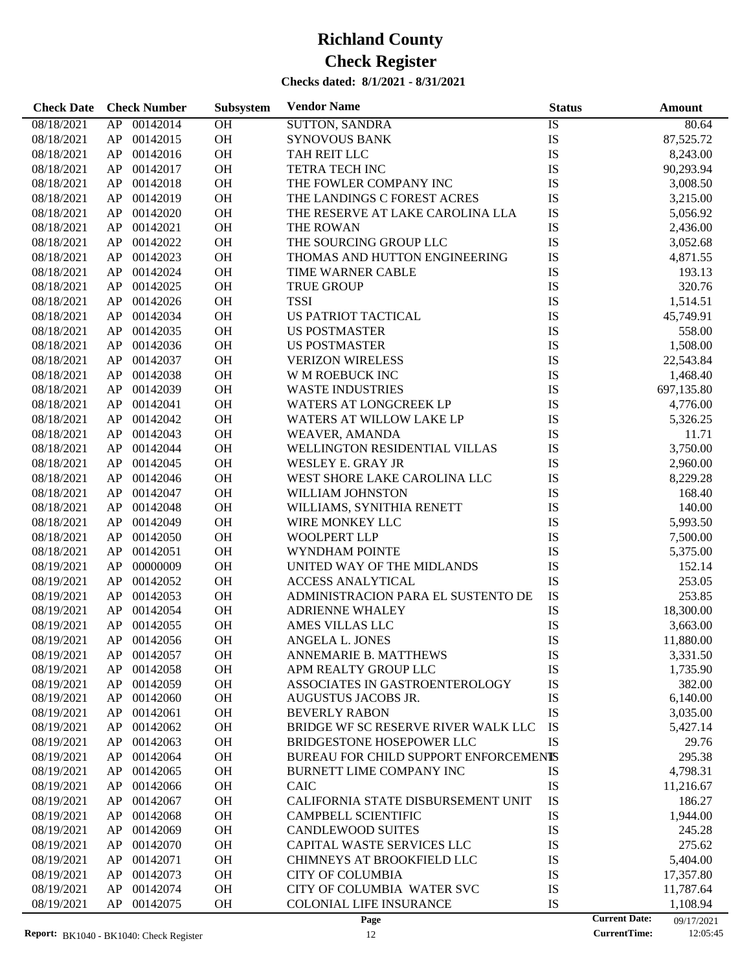| 00142014<br>OH<br><b>SUTTON, SANDRA</b><br>08/18/2021<br>AP<br>IS<br>80.64<br>OH<br>${\rm IS}$<br>00142015<br>87,525.72<br>08/18/2021<br>AP<br><b>SYNOVOUS BANK</b><br>IS<br>00142016<br>OH<br>08/18/2021<br>AP<br>TAH REIT LLC<br>8,243.00<br>00142017<br>OH<br><b>TETRA TECH INC</b><br>IS<br>08/18/2021<br>AP<br>90,293.94<br>IS<br>00142018<br>OH<br>THE FOWLER COMPANY INC<br>08/18/2021<br>AP<br>3,008.50<br>OH<br>IS<br>00142019<br>08/18/2021<br>AP<br>THE LANDINGS C FOREST ACRES<br>3,215.00<br>OH<br>IS<br>00142020<br>08/18/2021<br>AP<br>THE RESERVE AT LAKE CAROLINA LLA<br>5,056.92<br>IS<br>00142021<br>OH<br>08/18/2021<br>AP<br>THE ROWAN<br>2,436.00<br>IS<br>00142022<br>OH<br>THE SOURCING GROUP LLC<br>08/18/2021<br>AP<br>3,052.68<br>IS<br>00142023<br>OH<br>THOMAS AND HUTTON ENGINEERING<br>08/18/2021<br>AP<br>4,871.55<br>OH<br>IS<br>00142024<br>08/18/2021<br>AP<br>TIME WARNER CABLE<br>193.13<br>IS<br>00142025<br>OH<br>320.76<br>08/18/2021<br>AP<br><b>TRUE GROUP</b><br>IS<br>00142026<br>OH<br><b>TSSI</b><br>08/18/2021<br>AP<br>1,514.51<br>IS<br>00142034<br>OH<br>US PATRIOT TACTICAL<br>08/18/2021<br>AP<br>45,749.91<br>OH<br>IS<br>00142035<br>08/18/2021<br>AP<br><b>US POSTMASTER</b><br>558.00<br>IS<br>00142036<br>OH<br>08/18/2021<br>AP<br><b>US POSTMASTER</b><br>1,508.00<br>IS<br>00142037<br>OH<br>08/18/2021<br>AP<br><b>VERIZON WIRELESS</b><br>22,543.84<br>IS<br>00142038<br>OH<br>08/18/2021<br>AP<br>W M ROEBUCK INC<br>1,468.40<br>OH<br>IS<br>00142039<br>08/18/2021<br>AP<br><b>WASTE INDUSTRIES</b><br>697,135.80<br>OH<br>IS<br>00142041<br>08/18/2021<br>AP<br><b>WATERS AT LONGCREEK LP</b><br>4,776.00<br>IS<br>00142042<br>OH<br>08/18/2021<br>AP<br><b>WATERS AT WILLOW LAKE LP</b><br>5,326.25<br>00142043<br>OH<br>IS<br>08/18/2021<br>AP<br><b>WEAVER, AMANDA</b><br>11.71<br>OH<br>IS<br>00142044<br>WELLINGTON RESIDENTIAL VILLAS<br>3,750.00<br>08/18/2021<br>AP<br>OH<br>IS<br>00142045<br>08/18/2021<br>AP<br>WESLEY E. GRAY JR<br>2,960.00<br>IS<br>00142046<br>OH<br>WEST SHORE LAKE CAROLINA LLC<br>08/18/2021<br>AP<br>8,229.28<br>00142047<br>OH<br>IS<br>08/18/2021<br>AP<br>WILLIAM JOHNSTON<br>168.40<br>IS<br>00142048<br>OH<br>08/18/2021<br>AP<br>WILLIAMS, SYNITHIA RENETT<br>140.00<br>OH<br>IS<br>00142049<br>08/18/2021<br>AP<br>WIRE MONKEY LLC<br>5,993.50<br>OH<br>IS<br>00142050<br>08/18/2021<br>AP<br><b>WOOLPERT LLP</b><br>7,500.00<br>IS<br>00142051<br>OH<br>08/18/2021<br>AP<br>WYNDHAM POINTE<br>5,375.00<br>IS<br>00000009<br>OH<br>UNITED WAY OF THE MIDLANDS<br>08/19/2021<br>AP<br>152.14<br>IS<br>00142052<br>OH<br>253.05<br>08/19/2021<br>AP<br><b>ACCESS ANALYTICAL</b><br>IS<br>00142053<br>OH<br>ADMINISTRACION PARA EL SUSTENTO DE<br>08/19/2021<br>AP<br>253.85<br>00142054<br>OH<br>IS<br>08/19/2021<br>AP<br><b>ADRIENNE WHALEY</b><br>18,300.00<br>00142055<br>OH<br>IS<br>08/19/2021<br>AP<br>AMES VILLAS LLC<br>3,663.00<br>IS<br>OH<br>08/19/2021<br>AP 00142056<br>ANGELA L. JONES<br>11,880.00<br>08/19/2021<br>AP<br>00142057<br><b>OH</b><br><b>ANNEMARIE B. MATTHEWS</b><br>IS<br>3,331.50<br>00142058<br>OH<br>APM REALTY GROUP LLC<br>IS<br>08/19/2021<br>AP<br>1,735.90<br>00142059<br>OH<br>ASSOCIATES IN GASTROENTEROLOGY<br>IS<br>382.00<br>08/19/2021<br>AP<br>00142060<br>OH<br>IS<br>08/19/2021<br>AP<br>AUGUSTUS JACOBS JR.<br>6,140.00<br>IS<br>00142061<br>OH<br>08/19/2021<br>AP<br><b>BEVERLY RABON</b><br>3,035.00<br>00142062<br>OH<br>IS<br>08/19/2021<br>AP<br>BRIDGE WF SC RESERVE RIVER WALK LLC<br>5,427.14<br>00142063<br>OH<br>IS<br>08/19/2021<br>AP<br><b>BRIDGESTONE HOSEPOWER LLC</b><br>29.76<br>00142064<br>OH<br>BUREAU FOR CHILD SUPPORT ENFORCEMENTS<br>295.38<br>08/19/2021<br>AP<br>00142065<br>OH<br>IS<br>08/19/2021<br>AP<br>BURNETT LIME COMPANY INC<br>4,798.31<br>00142066<br>OH<br>IS<br>08/19/2021<br>AP<br>CAIC<br>11,216.67<br>00142067<br>OH<br>IS<br>08/19/2021<br>AP<br>CALIFORNIA STATE DISBURSEMENT UNIT<br>186.27<br>00142068<br>OH<br>IS<br>08/19/2021<br>AP<br><b>CAMPBELL SCIENTIFIC</b><br>1,944.00<br>IS<br>00142069<br>OH<br><b>CANDLEWOOD SUITES</b><br>08/19/2021<br>AP<br>245.28<br>00142070<br>OH<br>CAPITAL WASTE SERVICES LLC<br>IS<br>275.62<br>08/19/2021<br>AP<br>00142071<br>OH<br>IS<br>08/19/2021<br>AP<br>CHIMNEYS AT BROOKFIELD LLC<br>5,404.00<br>00142073<br>OH<br><b>CITY OF COLUMBIA</b><br>IS<br>08/19/2021<br>AP<br>17,357.80<br>IS<br>AP<br>00142074<br>OH<br>CITY OF COLUMBIA WATER SVC<br>08/19/2021<br>11,787.64<br>08/19/2021<br>AP<br>00142075<br>OH<br><b>COLONIAL LIFE INSURANCE</b><br>IS<br>1,108.94<br><b>Current Date:</b><br>Page<br>09/17/2021 | <b>Check Date</b> | <b>Check Number</b> | Subsystem | <b>Vendor Name</b> | <b>Status</b> | <b>Amount</b> |
|--------------------------------------------------------------------------------------------------------------------------------------------------------------------------------------------------------------------------------------------------------------------------------------------------------------------------------------------------------------------------------------------------------------------------------------------------------------------------------------------------------------------------------------------------------------------------------------------------------------------------------------------------------------------------------------------------------------------------------------------------------------------------------------------------------------------------------------------------------------------------------------------------------------------------------------------------------------------------------------------------------------------------------------------------------------------------------------------------------------------------------------------------------------------------------------------------------------------------------------------------------------------------------------------------------------------------------------------------------------------------------------------------------------------------------------------------------------------------------------------------------------------------------------------------------------------------------------------------------------------------------------------------------------------------------------------------------------------------------------------------------------------------------------------------------------------------------------------------------------------------------------------------------------------------------------------------------------------------------------------------------------------------------------------------------------------------------------------------------------------------------------------------------------------------------------------------------------------------------------------------------------------------------------------------------------------------------------------------------------------------------------------------------------------------------------------------------------------------------------------------------------------------------------------------------------------------------------------------------------------------------------------------------------------------------------------------------------------------------------------------------------------------------------------------------------------------------------------------------------------------------------------------------------------------------------------------------------------------------------------------------------------------------------------------------------------------------------------------------------------------------------------------------------------------------------------------------------------------------------------------------------------------------------------------------------------------------------------------------------------------------------------------------------------------------------------------------------------------------------------------------------------------------------------------------------------------------------------------------------------------------------------------------------------------------------------------------------------------------------------------------------------------------------------------------------------------------------------------------------------------------------------------------------------------------------------------------------------------------------------------------------------------------------------------------------------------------------------------------------------------------------------------------------------------------------------------------------------------------------------------------------------------------------------------------------------------------------------------------------------------------------------------------------------------------------------------------------------------------------------------------------------------------------------------------------------------------------------------------------------------------------------------------------------------|-------------------|---------------------|-----------|--------------------|---------------|---------------|
|                                                                                                                                                                                                                                                                                                                                                                                                                                                                                                                                                                                                                                                                                                                                                                                                                                                                                                                                                                                                                                                                                                                                                                                                                                                                                                                                                                                                                                                                                                                                                                                                                                                                                                                                                                                                                                                                                                                                                                                                                                                                                                                                                                                                                                                                                                                                                                                                                                                                                                                                                                                                                                                                                                                                                                                                                                                                                                                                                                                                                                                                                                                                                                                                                                                                                                                                                                                                                                                                                                                                                                                                                                                                                                                                                                                                                                                                                                                                                                                                                                                                                                                                                                                                                                                                                                                                                                                                                                                                                                                                                                                                                                                                          |                   |                     |           |                    |               |               |
|                                                                                                                                                                                                                                                                                                                                                                                                                                                                                                                                                                                                                                                                                                                                                                                                                                                                                                                                                                                                                                                                                                                                                                                                                                                                                                                                                                                                                                                                                                                                                                                                                                                                                                                                                                                                                                                                                                                                                                                                                                                                                                                                                                                                                                                                                                                                                                                                                                                                                                                                                                                                                                                                                                                                                                                                                                                                                                                                                                                                                                                                                                                                                                                                                                                                                                                                                                                                                                                                                                                                                                                                                                                                                                                                                                                                                                                                                                                                                                                                                                                                                                                                                                                                                                                                                                                                                                                                                                                                                                                                                                                                                                                                          |                   |                     |           |                    |               |               |
|                                                                                                                                                                                                                                                                                                                                                                                                                                                                                                                                                                                                                                                                                                                                                                                                                                                                                                                                                                                                                                                                                                                                                                                                                                                                                                                                                                                                                                                                                                                                                                                                                                                                                                                                                                                                                                                                                                                                                                                                                                                                                                                                                                                                                                                                                                                                                                                                                                                                                                                                                                                                                                                                                                                                                                                                                                                                                                                                                                                                                                                                                                                                                                                                                                                                                                                                                                                                                                                                                                                                                                                                                                                                                                                                                                                                                                                                                                                                                                                                                                                                                                                                                                                                                                                                                                                                                                                                                                                                                                                                                                                                                                                                          |                   |                     |           |                    |               |               |
|                                                                                                                                                                                                                                                                                                                                                                                                                                                                                                                                                                                                                                                                                                                                                                                                                                                                                                                                                                                                                                                                                                                                                                                                                                                                                                                                                                                                                                                                                                                                                                                                                                                                                                                                                                                                                                                                                                                                                                                                                                                                                                                                                                                                                                                                                                                                                                                                                                                                                                                                                                                                                                                                                                                                                                                                                                                                                                                                                                                                                                                                                                                                                                                                                                                                                                                                                                                                                                                                                                                                                                                                                                                                                                                                                                                                                                                                                                                                                                                                                                                                                                                                                                                                                                                                                                                                                                                                                                                                                                                                                                                                                                                                          |                   |                     |           |                    |               |               |
|                                                                                                                                                                                                                                                                                                                                                                                                                                                                                                                                                                                                                                                                                                                                                                                                                                                                                                                                                                                                                                                                                                                                                                                                                                                                                                                                                                                                                                                                                                                                                                                                                                                                                                                                                                                                                                                                                                                                                                                                                                                                                                                                                                                                                                                                                                                                                                                                                                                                                                                                                                                                                                                                                                                                                                                                                                                                                                                                                                                                                                                                                                                                                                                                                                                                                                                                                                                                                                                                                                                                                                                                                                                                                                                                                                                                                                                                                                                                                                                                                                                                                                                                                                                                                                                                                                                                                                                                                                                                                                                                                                                                                                                                          |                   |                     |           |                    |               |               |
|                                                                                                                                                                                                                                                                                                                                                                                                                                                                                                                                                                                                                                                                                                                                                                                                                                                                                                                                                                                                                                                                                                                                                                                                                                                                                                                                                                                                                                                                                                                                                                                                                                                                                                                                                                                                                                                                                                                                                                                                                                                                                                                                                                                                                                                                                                                                                                                                                                                                                                                                                                                                                                                                                                                                                                                                                                                                                                                                                                                                                                                                                                                                                                                                                                                                                                                                                                                                                                                                                                                                                                                                                                                                                                                                                                                                                                                                                                                                                                                                                                                                                                                                                                                                                                                                                                                                                                                                                                                                                                                                                                                                                                                                          |                   |                     |           |                    |               |               |
|                                                                                                                                                                                                                                                                                                                                                                                                                                                                                                                                                                                                                                                                                                                                                                                                                                                                                                                                                                                                                                                                                                                                                                                                                                                                                                                                                                                                                                                                                                                                                                                                                                                                                                                                                                                                                                                                                                                                                                                                                                                                                                                                                                                                                                                                                                                                                                                                                                                                                                                                                                                                                                                                                                                                                                                                                                                                                                                                                                                                                                                                                                                                                                                                                                                                                                                                                                                                                                                                                                                                                                                                                                                                                                                                                                                                                                                                                                                                                                                                                                                                                                                                                                                                                                                                                                                                                                                                                                                                                                                                                                                                                                                                          |                   |                     |           |                    |               |               |
|                                                                                                                                                                                                                                                                                                                                                                                                                                                                                                                                                                                                                                                                                                                                                                                                                                                                                                                                                                                                                                                                                                                                                                                                                                                                                                                                                                                                                                                                                                                                                                                                                                                                                                                                                                                                                                                                                                                                                                                                                                                                                                                                                                                                                                                                                                                                                                                                                                                                                                                                                                                                                                                                                                                                                                                                                                                                                                                                                                                                                                                                                                                                                                                                                                                                                                                                                                                                                                                                                                                                                                                                                                                                                                                                                                                                                                                                                                                                                                                                                                                                                                                                                                                                                                                                                                                                                                                                                                                                                                                                                                                                                                                                          |                   |                     |           |                    |               |               |
|                                                                                                                                                                                                                                                                                                                                                                                                                                                                                                                                                                                                                                                                                                                                                                                                                                                                                                                                                                                                                                                                                                                                                                                                                                                                                                                                                                                                                                                                                                                                                                                                                                                                                                                                                                                                                                                                                                                                                                                                                                                                                                                                                                                                                                                                                                                                                                                                                                                                                                                                                                                                                                                                                                                                                                                                                                                                                                                                                                                                                                                                                                                                                                                                                                                                                                                                                                                                                                                                                                                                                                                                                                                                                                                                                                                                                                                                                                                                                                                                                                                                                                                                                                                                                                                                                                                                                                                                                                                                                                                                                                                                                                                                          |                   |                     |           |                    |               |               |
|                                                                                                                                                                                                                                                                                                                                                                                                                                                                                                                                                                                                                                                                                                                                                                                                                                                                                                                                                                                                                                                                                                                                                                                                                                                                                                                                                                                                                                                                                                                                                                                                                                                                                                                                                                                                                                                                                                                                                                                                                                                                                                                                                                                                                                                                                                                                                                                                                                                                                                                                                                                                                                                                                                                                                                                                                                                                                                                                                                                                                                                                                                                                                                                                                                                                                                                                                                                                                                                                                                                                                                                                                                                                                                                                                                                                                                                                                                                                                                                                                                                                                                                                                                                                                                                                                                                                                                                                                                                                                                                                                                                                                                                                          |                   |                     |           |                    |               |               |
|                                                                                                                                                                                                                                                                                                                                                                                                                                                                                                                                                                                                                                                                                                                                                                                                                                                                                                                                                                                                                                                                                                                                                                                                                                                                                                                                                                                                                                                                                                                                                                                                                                                                                                                                                                                                                                                                                                                                                                                                                                                                                                                                                                                                                                                                                                                                                                                                                                                                                                                                                                                                                                                                                                                                                                                                                                                                                                                                                                                                                                                                                                                                                                                                                                                                                                                                                                                                                                                                                                                                                                                                                                                                                                                                                                                                                                                                                                                                                                                                                                                                                                                                                                                                                                                                                                                                                                                                                                                                                                                                                                                                                                                                          |                   |                     |           |                    |               |               |
|                                                                                                                                                                                                                                                                                                                                                                                                                                                                                                                                                                                                                                                                                                                                                                                                                                                                                                                                                                                                                                                                                                                                                                                                                                                                                                                                                                                                                                                                                                                                                                                                                                                                                                                                                                                                                                                                                                                                                                                                                                                                                                                                                                                                                                                                                                                                                                                                                                                                                                                                                                                                                                                                                                                                                                                                                                                                                                                                                                                                                                                                                                                                                                                                                                                                                                                                                                                                                                                                                                                                                                                                                                                                                                                                                                                                                                                                                                                                                                                                                                                                                                                                                                                                                                                                                                                                                                                                                                                                                                                                                                                                                                                                          |                   |                     |           |                    |               |               |
|                                                                                                                                                                                                                                                                                                                                                                                                                                                                                                                                                                                                                                                                                                                                                                                                                                                                                                                                                                                                                                                                                                                                                                                                                                                                                                                                                                                                                                                                                                                                                                                                                                                                                                                                                                                                                                                                                                                                                                                                                                                                                                                                                                                                                                                                                                                                                                                                                                                                                                                                                                                                                                                                                                                                                                                                                                                                                                                                                                                                                                                                                                                                                                                                                                                                                                                                                                                                                                                                                                                                                                                                                                                                                                                                                                                                                                                                                                                                                                                                                                                                                                                                                                                                                                                                                                                                                                                                                                                                                                                                                                                                                                                                          |                   |                     |           |                    |               |               |
|                                                                                                                                                                                                                                                                                                                                                                                                                                                                                                                                                                                                                                                                                                                                                                                                                                                                                                                                                                                                                                                                                                                                                                                                                                                                                                                                                                                                                                                                                                                                                                                                                                                                                                                                                                                                                                                                                                                                                                                                                                                                                                                                                                                                                                                                                                                                                                                                                                                                                                                                                                                                                                                                                                                                                                                                                                                                                                                                                                                                                                                                                                                                                                                                                                                                                                                                                                                                                                                                                                                                                                                                                                                                                                                                                                                                                                                                                                                                                                                                                                                                                                                                                                                                                                                                                                                                                                                                                                                                                                                                                                                                                                                                          |                   |                     |           |                    |               |               |
|                                                                                                                                                                                                                                                                                                                                                                                                                                                                                                                                                                                                                                                                                                                                                                                                                                                                                                                                                                                                                                                                                                                                                                                                                                                                                                                                                                                                                                                                                                                                                                                                                                                                                                                                                                                                                                                                                                                                                                                                                                                                                                                                                                                                                                                                                                                                                                                                                                                                                                                                                                                                                                                                                                                                                                                                                                                                                                                                                                                                                                                                                                                                                                                                                                                                                                                                                                                                                                                                                                                                                                                                                                                                                                                                                                                                                                                                                                                                                                                                                                                                                                                                                                                                                                                                                                                                                                                                                                                                                                                                                                                                                                                                          |                   |                     |           |                    |               |               |
|                                                                                                                                                                                                                                                                                                                                                                                                                                                                                                                                                                                                                                                                                                                                                                                                                                                                                                                                                                                                                                                                                                                                                                                                                                                                                                                                                                                                                                                                                                                                                                                                                                                                                                                                                                                                                                                                                                                                                                                                                                                                                                                                                                                                                                                                                                                                                                                                                                                                                                                                                                                                                                                                                                                                                                                                                                                                                                                                                                                                                                                                                                                                                                                                                                                                                                                                                                                                                                                                                                                                                                                                                                                                                                                                                                                                                                                                                                                                                                                                                                                                                                                                                                                                                                                                                                                                                                                                                                                                                                                                                                                                                                                                          |                   |                     |           |                    |               |               |
|                                                                                                                                                                                                                                                                                                                                                                                                                                                                                                                                                                                                                                                                                                                                                                                                                                                                                                                                                                                                                                                                                                                                                                                                                                                                                                                                                                                                                                                                                                                                                                                                                                                                                                                                                                                                                                                                                                                                                                                                                                                                                                                                                                                                                                                                                                                                                                                                                                                                                                                                                                                                                                                                                                                                                                                                                                                                                                                                                                                                                                                                                                                                                                                                                                                                                                                                                                                                                                                                                                                                                                                                                                                                                                                                                                                                                                                                                                                                                                                                                                                                                                                                                                                                                                                                                                                                                                                                                                                                                                                                                                                                                                                                          |                   |                     |           |                    |               |               |
|                                                                                                                                                                                                                                                                                                                                                                                                                                                                                                                                                                                                                                                                                                                                                                                                                                                                                                                                                                                                                                                                                                                                                                                                                                                                                                                                                                                                                                                                                                                                                                                                                                                                                                                                                                                                                                                                                                                                                                                                                                                                                                                                                                                                                                                                                                                                                                                                                                                                                                                                                                                                                                                                                                                                                                                                                                                                                                                                                                                                                                                                                                                                                                                                                                                                                                                                                                                                                                                                                                                                                                                                                                                                                                                                                                                                                                                                                                                                                                                                                                                                                                                                                                                                                                                                                                                                                                                                                                                                                                                                                                                                                                                                          |                   |                     |           |                    |               |               |
|                                                                                                                                                                                                                                                                                                                                                                                                                                                                                                                                                                                                                                                                                                                                                                                                                                                                                                                                                                                                                                                                                                                                                                                                                                                                                                                                                                                                                                                                                                                                                                                                                                                                                                                                                                                                                                                                                                                                                                                                                                                                                                                                                                                                                                                                                                                                                                                                                                                                                                                                                                                                                                                                                                                                                                                                                                                                                                                                                                                                                                                                                                                                                                                                                                                                                                                                                                                                                                                                                                                                                                                                                                                                                                                                                                                                                                                                                                                                                                                                                                                                                                                                                                                                                                                                                                                                                                                                                                                                                                                                                                                                                                                                          |                   |                     |           |                    |               |               |
|                                                                                                                                                                                                                                                                                                                                                                                                                                                                                                                                                                                                                                                                                                                                                                                                                                                                                                                                                                                                                                                                                                                                                                                                                                                                                                                                                                                                                                                                                                                                                                                                                                                                                                                                                                                                                                                                                                                                                                                                                                                                                                                                                                                                                                                                                                                                                                                                                                                                                                                                                                                                                                                                                                                                                                                                                                                                                                                                                                                                                                                                                                                                                                                                                                                                                                                                                                                                                                                                                                                                                                                                                                                                                                                                                                                                                                                                                                                                                                                                                                                                                                                                                                                                                                                                                                                                                                                                                                                                                                                                                                                                                                                                          |                   |                     |           |                    |               |               |
|                                                                                                                                                                                                                                                                                                                                                                                                                                                                                                                                                                                                                                                                                                                                                                                                                                                                                                                                                                                                                                                                                                                                                                                                                                                                                                                                                                                                                                                                                                                                                                                                                                                                                                                                                                                                                                                                                                                                                                                                                                                                                                                                                                                                                                                                                                                                                                                                                                                                                                                                                                                                                                                                                                                                                                                                                                                                                                                                                                                                                                                                                                                                                                                                                                                                                                                                                                                                                                                                                                                                                                                                                                                                                                                                                                                                                                                                                                                                                                                                                                                                                                                                                                                                                                                                                                                                                                                                                                                                                                                                                                                                                                                                          |                   |                     |           |                    |               |               |
|                                                                                                                                                                                                                                                                                                                                                                                                                                                                                                                                                                                                                                                                                                                                                                                                                                                                                                                                                                                                                                                                                                                                                                                                                                                                                                                                                                                                                                                                                                                                                                                                                                                                                                                                                                                                                                                                                                                                                                                                                                                                                                                                                                                                                                                                                                                                                                                                                                                                                                                                                                                                                                                                                                                                                                                                                                                                                                                                                                                                                                                                                                                                                                                                                                                                                                                                                                                                                                                                                                                                                                                                                                                                                                                                                                                                                                                                                                                                                                                                                                                                                                                                                                                                                                                                                                                                                                                                                                                                                                                                                                                                                                                                          |                   |                     |           |                    |               |               |
|                                                                                                                                                                                                                                                                                                                                                                                                                                                                                                                                                                                                                                                                                                                                                                                                                                                                                                                                                                                                                                                                                                                                                                                                                                                                                                                                                                                                                                                                                                                                                                                                                                                                                                                                                                                                                                                                                                                                                                                                                                                                                                                                                                                                                                                                                                                                                                                                                                                                                                                                                                                                                                                                                                                                                                                                                                                                                                                                                                                                                                                                                                                                                                                                                                                                                                                                                                                                                                                                                                                                                                                                                                                                                                                                                                                                                                                                                                                                                                                                                                                                                                                                                                                                                                                                                                                                                                                                                                                                                                                                                                                                                                                                          |                   |                     |           |                    |               |               |
|                                                                                                                                                                                                                                                                                                                                                                                                                                                                                                                                                                                                                                                                                                                                                                                                                                                                                                                                                                                                                                                                                                                                                                                                                                                                                                                                                                                                                                                                                                                                                                                                                                                                                                                                                                                                                                                                                                                                                                                                                                                                                                                                                                                                                                                                                                                                                                                                                                                                                                                                                                                                                                                                                                                                                                                                                                                                                                                                                                                                                                                                                                                                                                                                                                                                                                                                                                                                                                                                                                                                                                                                                                                                                                                                                                                                                                                                                                                                                                                                                                                                                                                                                                                                                                                                                                                                                                                                                                                                                                                                                                                                                                                                          |                   |                     |           |                    |               |               |
|                                                                                                                                                                                                                                                                                                                                                                                                                                                                                                                                                                                                                                                                                                                                                                                                                                                                                                                                                                                                                                                                                                                                                                                                                                                                                                                                                                                                                                                                                                                                                                                                                                                                                                                                                                                                                                                                                                                                                                                                                                                                                                                                                                                                                                                                                                                                                                                                                                                                                                                                                                                                                                                                                                                                                                                                                                                                                                                                                                                                                                                                                                                                                                                                                                                                                                                                                                                                                                                                                                                                                                                                                                                                                                                                                                                                                                                                                                                                                                                                                                                                                                                                                                                                                                                                                                                                                                                                                                                                                                                                                                                                                                                                          |                   |                     |           |                    |               |               |
|                                                                                                                                                                                                                                                                                                                                                                                                                                                                                                                                                                                                                                                                                                                                                                                                                                                                                                                                                                                                                                                                                                                                                                                                                                                                                                                                                                                                                                                                                                                                                                                                                                                                                                                                                                                                                                                                                                                                                                                                                                                                                                                                                                                                                                                                                                                                                                                                                                                                                                                                                                                                                                                                                                                                                                                                                                                                                                                                                                                                                                                                                                                                                                                                                                                                                                                                                                                                                                                                                                                                                                                                                                                                                                                                                                                                                                                                                                                                                                                                                                                                                                                                                                                                                                                                                                                                                                                                                                                                                                                                                                                                                                                                          |                   |                     |           |                    |               |               |
|                                                                                                                                                                                                                                                                                                                                                                                                                                                                                                                                                                                                                                                                                                                                                                                                                                                                                                                                                                                                                                                                                                                                                                                                                                                                                                                                                                                                                                                                                                                                                                                                                                                                                                                                                                                                                                                                                                                                                                                                                                                                                                                                                                                                                                                                                                                                                                                                                                                                                                                                                                                                                                                                                                                                                                                                                                                                                                                                                                                                                                                                                                                                                                                                                                                                                                                                                                                                                                                                                                                                                                                                                                                                                                                                                                                                                                                                                                                                                                                                                                                                                                                                                                                                                                                                                                                                                                                                                                                                                                                                                                                                                                                                          |                   |                     |           |                    |               |               |
|                                                                                                                                                                                                                                                                                                                                                                                                                                                                                                                                                                                                                                                                                                                                                                                                                                                                                                                                                                                                                                                                                                                                                                                                                                                                                                                                                                                                                                                                                                                                                                                                                                                                                                                                                                                                                                                                                                                                                                                                                                                                                                                                                                                                                                                                                                                                                                                                                                                                                                                                                                                                                                                                                                                                                                                                                                                                                                                                                                                                                                                                                                                                                                                                                                                                                                                                                                                                                                                                                                                                                                                                                                                                                                                                                                                                                                                                                                                                                                                                                                                                                                                                                                                                                                                                                                                                                                                                                                                                                                                                                                                                                                                                          |                   |                     |           |                    |               |               |
|                                                                                                                                                                                                                                                                                                                                                                                                                                                                                                                                                                                                                                                                                                                                                                                                                                                                                                                                                                                                                                                                                                                                                                                                                                                                                                                                                                                                                                                                                                                                                                                                                                                                                                                                                                                                                                                                                                                                                                                                                                                                                                                                                                                                                                                                                                                                                                                                                                                                                                                                                                                                                                                                                                                                                                                                                                                                                                                                                                                                                                                                                                                                                                                                                                                                                                                                                                                                                                                                                                                                                                                                                                                                                                                                                                                                                                                                                                                                                                                                                                                                                                                                                                                                                                                                                                                                                                                                                                                                                                                                                                                                                                                                          |                   |                     |           |                    |               |               |
|                                                                                                                                                                                                                                                                                                                                                                                                                                                                                                                                                                                                                                                                                                                                                                                                                                                                                                                                                                                                                                                                                                                                                                                                                                                                                                                                                                                                                                                                                                                                                                                                                                                                                                                                                                                                                                                                                                                                                                                                                                                                                                                                                                                                                                                                                                                                                                                                                                                                                                                                                                                                                                                                                                                                                                                                                                                                                                                                                                                                                                                                                                                                                                                                                                                                                                                                                                                                                                                                                                                                                                                                                                                                                                                                                                                                                                                                                                                                                                                                                                                                                                                                                                                                                                                                                                                                                                                                                                                                                                                                                                                                                                                                          |                   |                     |           |                    |               |               |
|                                                                                                                                                                                                                                                                                                                                                                                                                                                                                                                                                                                                                                                                                                                                                                                                                                                                                                                                                                                                                                                                                                                                                                                                                                                                                                                                                                                                                                                                                                                                                                                                                                                                                                                                                                                                                                                                                                                                                                                                                                                                                                                                                                                                                                                                                                                                                                                                                                                                                                                                                                                                                                                                                                                                                                                                                                                                                                                                                                                                                                                                                                                                                                                                                                                                                                                                                                                                                                                                                                                                                                                                                                                                                                                                                                                                                                                                                                                                                                                                                                                                                                                                                                                                                                                                                                                                                                                                                                                                                                                                                                                                                                                                          |                   |                     |           |                    |               |               |
|                                                                                                                                                                                                                                                                                                                                                                                                                                                                                                                                                                                                                                                                                                                                                                                                                                                                                                                                                                                                                                                                                                                                                                                                                                                                                                                                                                                                                                                                                                                                                                                                                                                                                                                                                                                                                                                                                                                                                                                                                                                                                                                                                                                                                                                                                                                                                                                                                                                                                                                                                                                                                                                                                                                                                                                                                                                                                                                                                                                                                                                                                                                                                                                                                                                                                                                                                                                                                                                                                                                                                                                                                                                                                                                                                                                                                                                                                                                                                                                                                                                                                                                                                                                                                                                                                                                                                                                                                                                                                                                                                                                                                                                                          |                   |                     |           |                    |               |               |
|                                                                                                                                                                                                                                                                                                                                                                                                                                                                                                                                                                                                                                                                                                                                                                                                                                                                                                                                                                                                                                                                                                                                                                                                                                                                                                                                                                                                                                                                                                                                                                                                                                                                                                                                                                                                                                                                                                                                                                                                                                                                                                                                                                                                                                                                                                                                                                                                                                                                                                                                                                                                                                                                                                                                                                                                                                                                                                                                                                                                                                                                                                                                                                                                                                                                                                                                                                                                                                                                                                                                                                                                                                                                                                                                                                                                                                                                                                                                                                                                                                                                                                                                                                                                                                                                                                                                                                                                                                                                                                                                                                                                                                                                          |                   |                     |           |                    |               |               |
|                                                                                                                                                                                                                                                                                                                                                                                                                                                                                                                                                                                                                                                                                                                                                                                                                                                                                                                                                                                                                                                                                                                                                                                                                                                                                                                                                                                                                                                                                                                                                                                                                                                                                                                                                                                                                                                                                                                                                                                                                                                                                                                                                                                                                                                                                                                                                                                                                                                                                                                                                                                                                                                                                                                                                                                                                                                                                                                                                                                                                                                                                                                                                                                                                                                                                                                                                                                                                                                                                                                                                                                                                                                                                                                                                                                                                                                                                                                                                                                                                                                                                                                                                                                                                                                                                                                                                                                                                                                                                                                                                                                                                                                                          |                   |                     |           |                    |               |               |
|                                                                                                                                                                                                                                                                                                                                                                                                                                                                                                                                                                                                                                                                                                                                                                                                                                                                                                                                                                                                                                                                                                                                                                                                                                                                                                                                                                                                                                                                                                                                                                                                                                                                                                                                                                                                                                                                                                                                                                                                                                                                                                                                                                                                                                                                                                                                                                                                                                                                                                                                                                                                                                                                                                                                                                                                                                                                                                                                                                                                                                                                                                                                                                                                                                                                                                                                                                                                                                                                                                                                                                                                                                                                                                                                                                                                                                                                                                                                                                                                                                                                                                                                                                                                                                                                                                                                                                                                                                                                                                                                                                                                                                                                          |                   |                     |           |                    |               |               |
|                                                                                                                                                                                                                                                                                                                                                                                                                                                                                                                                                                                                                                                                                                                                                                                                                                                                                                                                                                                                                                                                                                                                                                                                                                                                                                                                                                                                                                                                                                                                                                                                                                                                                                                                                                                                                                                                                                                                                                                                                                                                                                                                                                                                                                                                                                                                                                                                                                                                                                                                                                                                                                                                                                                                                                                                                                                                                                                                                                                                                                                                                                                                                                                                                                                                                                                                                                                                                                                                                                                                                                                                                                                                                                                                                                                                                                                                                                                                                                                                                                                                                                                                                                                                                                                                                                                                                                                                                                                                                                                                                                                                                                                                          |                   |                     |           |                    |               |               |
|                                                                                                                                                                                                                                                                                                                                                                                                                                                                                                                                                                                                                                                                                                                                                                                                                                                                                                                                                                                                                                                                                                                                                                                                                                                                                                                                                                                                                                                                                                                                                                                                                                                                                                                                                                                                                                                                                                                                                                                                                                                                                                                                                                                                                                                                                                                                                                                                                                                                                                                                                                                                                                                                                                                                                                                                                                                                                                                                                                                                                                                                                                                                                                                                                                                                                                                                                                                                                                                                                                                                                                                                                                                                                                                                                                                                                                                                                                                                                                                                                                                                                                                                                                                                                                                                                                                                                                                                                                                                                                                                                                                                                                                                          |                   |                     |           |                    |               |               |
|                                                                                                                                                                                                                                                                                                                                                                                                                                                                                                                                                                                                                                                                                                                                                                                                                                                                                                                                                                                                                                                                                                                                                                                                                                                                                                                                                                                                                                                                                                                                                                                                                                                                                                                                                                                                                                                                                                                                                                                                                                                                                                                                                                                                                                                                                                                                                                                                                                                                                                                                                                                                                                                                                                                                                                                                                                                                                                                                                                                                                                                                                                                                                                                                                                                                                                                                                                                                                                                                                                                                                                                                                                                                                                                                                                                                                                                                                                                                                                                                                                                                                                                                                                                                                                                                                                                                                                                                                                                                                                                                                                                                                                                                          |                   |                     |           |                    |               |               |
|                                                                                                                                                                                                                                                                                                                                                                                                                                                                                                                                                                                                                                                                                                                                                                                                                                                                                                                                                                                                                                                                                                                                                                                                                                                                                                                                                                                                                                                                                                                                                                                                                                                                                                                                                                                                                                                                                                                                                                                                                                                                                                                                                                                                                                                                                                                                                                                                                                                                                                                                                                                                                                                                                                                                                                                                                                                                                                                                                                                                                                                                                                                                                                                                                                                                                                                                                                                                                                                                                                                                                                                                                                                                                                                                                                                                                                                                                                                                                                                                                                                                                                                                                                                                                                                                                                                                                                                                                                                                                                                                                                                                                                                                          |                   |                     |           |                    |               |               |
|                                                                                                                                                                                                                                                                                                                                                                                                                                                                                                                                                                                                                                                                                                                                                                                                                                                                                                                                                                                                                                                                                                                                                                                                                                                                                                                                                                                                                                                                                                                                                                                                                                                                                                                                                                                                                                                                                                                                                                                                                                                                                                                                                                                                                                                                                                                                                                                                                                                                                                                                                                                                                                                                                                                                                                                                                                                                                                                                                                                                                                                                                                                                                                                                                                                                                                                                                                                                                                                                                                                                                                                                                                                                                                                                                                                                                                                                                                                                                                                                                                                                                                                                                                                                                                                                                                                                                                                                                                                                                                                                                                                                                                                                          |                   |                     |           |                    |               |               |
|                                                                                                                                                                                                                                                                                                                                                                                                                                                                                                                                                                                                                                                                                                                                                                                                                                                                                                                                                                                                                                                                                                                                                                                                                                                                                                                                                                                                                                                                                                                                                                                                                                                                                                                                                                                                                                                                                                                                                                                                                                                                                                                                                                                                                                                                                                                                                                                                                                                                                                                                                                                                                                                                                                                                                                                                                                                                                                                                                                                                                                                                                                                                                                                                                                                                                                                                                                                                                                                                                                                                                                                                                                                                                                                                                                                                                                                                                                                                                                                                                                                                                                                                                                                                                                                                                                                                                                                                                                                                                                                                                                                                                                                                          |                   |                     |           |                    |               |               |
|                                                                                                                                                                                                                                                                                                                                                                                                                                                                                                                                                                                                                                                                                                                                                                                                                                                                                                                                                                                                                                                                                                                                                                                                                                                                                                                                                                                                                                                                                                                                                                                                                                                                                                                                                                                                                                                                                                                                                                                                                                                                                                                                                                                                                                                                                                                                                                                                                                                                                                                                                                                                                                                                                                                                                                                                                                                                                                                                                                                                                                                                                                                                                                                                                                                                                                                                                                                                                                                                                                                                                                                                                                                                                                                                                                                                                                                                                                                                                                                                                                                                                                                                                                                                                                                                                                                                                                                                                                                                                                                                                                                                                                                                          |                   |                     |           |                    |               |               |
|                                                                                                                                                                                                                                                                                                                                                                                                                                                                                                                                                                                                                                                                                                                                                                                                                                                                                                                                                                                                                                                                                                                                                                                                                                                                                                                                                                                                                                                                                                                                                                                                                                                                                                                                                                                                                                                                                                                                                                                                                                                                                                                                                                                                                                                                                                                                                                                                                                                                                                                                                                                                                                                                                                                                                                                                                                                                                                                                                                                                                                                                                                                                                                                                                                                                                                                                                                                                                                                                                                                                                                                                                                                                                                                                                                                                                                                                                                                                                                                                                                                                                                                                                                                                                                                                                                                                                                                                                                                                                                                                                                                                                                                                          |                   |                     |           |                    |               |               |
|                                                                                                                                                                                                                                                                                                                                                                                                                                                                                                                                                                                                                                                                                                                                                                                                                                                                                                                                                                                                                                                                                                                                                                                                                                                                                                                                                                                                                                                                                                                                                                                                                                                                                                                                                                                                                                                                                                                                                                                                                                                                                                                                                                                                                                                                                                                                                                                                                                                                                                                                                                                                                                                                                                                                                                                                                                                                                                                                                                                                                                                                                                                                                                                                                                                                                                                                                                                                                                                                                                                                                                                                                                                                                                                                                                                                                                                                                                                                                                                                                                                                                                                                                                                                                                                                                                                                                                                                                                                                                                                                                                                                                                                                          |                   |                     |           |                    |               |               |
|                                                                                                                                                                                                                                                                                                                                                                                                                                                                                                                                                                                                                                                                                                                                                                                                                                                                                                                                                                                                                                                                                                                                                                                                                                                                                                                                                                                                                                                                                                                                                                                                                                                                                                                                                                                                                                                                                                                                                                                                                                                                                                                                                                                                                                                                                                                                                                                                                                                                                                                                                                                                                                                                                                                                                                                                                                                                                                                                                                                                                                                                                                                                                                                                                                                                                                                                                                                                                                                                                                                                                                                                                                                                                                                                                                                                                                                                                                                                                                                                                                                                                                                                                                                                                                                                                                                                                                                                                                                                                                                                                                                                                                                                          |                   |                     |           |                    |               |               |
|                                                                                                                                                                                                                                                                                                                                                                                                                                                                                                                                                                                                                                                                                                                                                                                                                                                                                                                                                                                                                                                                                                                                                                                                                                                                                                                                                                                                                                                                                                                                                                                                                                                                                                                                                                                                                                                                                                                                                                                                                                                                                                                                                                                                                                                                                                                                                                                                                                                                                                                                                                                                                                                                                                                                                                                                                                                                                                                                                                                                                                                                                                                                                                                                                                                                                                                                                                                                                                                                                                                                                                                                                                                                                                                                                                                                                                                                                                                                                                                                                                                                                                                                                                                                                                                                                                                                                                                                                                                                                                                                                                                                                                                                          |                   |                     |           |                    |               |               |
|                                                                                                                                                                                                                                                                                                                                                                                                                                                                                                                                                                                                                                                                                                                                                                                                                                                                                                                                                                                                                                                                                                                                                                                                                                                                                                                                                                                                                                                                                                                                                                                                                                                                                                                                                                                                                                                                                                                                                                                                                                                                                                                                                                                                                                                                                                                                                                                                                                                                                                                                                                                                                                                                                                                                                                                                                                                                                                                                                                                                                                                                                                                                                                                                                                                                                                                                                                                                                                                                                                                                                                                                                                                                                                                                                                                                                                                                                                                                                                                                                                                                                                                                                                                                                                                                                                                                                                                                                                                                                                                                                                                                                                                                          |                   |                     |           |                    |               |               |
|                                                                                                                                                                                                                                                                                                                                                                                                                                                                                                                                                                                                                                                                                                                                                                                                                                                                                                                                                                                                                                                                                                                                                                                                                                                                                                                                                                                                                                                                                                                                                                                                                                                                                                                                                                                                                                                                                                                                                                                                                                                                                                                                                                                                                                                                                                                                                                                                                                                                                                                                                                                                                                                                                                                                                                                                                                                                                                                                                                                                                                                                                                                                                                                                                                                                                                                                                                                                                                                                                                                                                                                                                                                                                                                                                                                                                                                                                                                                                                                                                                                                                                                                                                                                                                                                                                                                                                                                                                                                                                                                                                                                                                                                          |                   |                     |           |                    |               |               |
|                                                                                                                                                                                                                                                                                                                                                                                                                                                                                                                                                                                                                                                                                                                                                                                                                                                                                                                                                                                                                                                                                                                                                                                                                                                                                                                                                                                                                                                                                                                                                                                                                                                                                                                                                                                                                                                                                                                                                                                                                                                                                                                                                                                                                                                                                                                                                                                                                                                                                                                                                                                                                                                                                                                                                                                                                                                                                                                                                                                                                                                                                                                                                                                                                                                                                                                                                                                                                                                                                                                                                                                                                                                                                                                                                                                                                                                                                                                                                                                                                                                                                                                                                                                                                                                                                                                                                                                                                                                                                                                                                                                                                                                                          |                   |                     |           |                    |               |               |
|                                                                                                                                                                                                                                                                                                                                                                                                                                                                                                                                                                                                                                                                                                                                                                                                                                                                                                                                                                                                                                                                                                                                                                                                                                                                                                                                                                                                                                                                                                                                                                                                                                                                                                                                                                                                                                                                                                                                                                                                                                                                                                                                                                                                                                                                                                                                                                                                                                                                                                                                                                                                                                                                                                                                                                                                                                                                                                                                                                                                                                                                                                                                                                                                                                                                                                                                                                                                                                                                                                                                                                                                                                                                                                                                                                                                                                                                                                                                                                                                                                                                                                                                                                                                                                                                                                                                                                                                                                                                                                                                                                                                                                                                          |                   |                     |           |                    |               |               |
|                                                                                                                                                                                                                                                                                                                                                                                                                                                                                                                                                                                                                                                                                                                                                                                                                                                                                                                                                                                                                                                                                                                                                                                                                                                                                                                                                                                                                                                                                                                                                                                                                                                                                                                                                                                                                                                                                                                                                                                                                                                                                                                                                                                                                                                                                                                                                                                                                                                                                                                                                                                                                                                                                                                                                                                                                                                                                                                                                                                                                                                                                                                                                                                                                                                                                                                                                                                                                                                                                                                                                                                                                                                                                                                                                                                                                                                                                                                                                                                                                                                                                                                                                                                                                                                                                                                                                                                                                                                                                                                                                                                                                                                                          |                   |                     |           |                    |               |               |
|                                                                                                                                                                                                                                                                                                                                                                                                                                                                                                                                                                                                                                                                                                                                                                                                                                                                                                                                                                                                                                                                                                                                                                                                                                                                                                                                                                                                                                                                                                                                                                                                                                                                                                                                                                                                                                                                                                                                                                                                                                                                                                                                                                                                                                                                                                                                                                                                                                                                                                                                                                                                                                                                                                                                                                                                                                                                                                                                                                                                                                                                                                                                                                                                                                                                                                                                                                                                                                                                                                                                                                                                                                                                                                                                                                                                                                                                                                                                                                                                                                                                                                                                                                                                                                                                                                                                                                                                                                                                                                                                                                                                                                                                          |                   |                     |           |                    |               |               |
|                                                                                                                                                                                                                                                                                                                                                                                                                                                                                                                                                                                                                                                                                                                                                                                                                                                                                                                                                                                                                                                                                                                                                                                                                                                                                                                                                                                                                                                                                                                                                                                                                                                                                                                                                                                                                                                                                                                                                                                                                                                                                                                                                                                                                                                                                                                                                                                                                                                                                                                                                                                                                                                                                                                                                                                                                                                                                                                                                                                                                                                                                                                                                                                                                                                                                                                                                                                                                                                                                                                                                                                                                                                                                                                                                                                                                                                                                                                                                                                                                                                                                                                                                                                                                                                                                                                                                                                                                                                                                                                                                                                                                                                                          |                   |                     |           |                    |               |               |
|                                                                                                                                                                                                                                                                                                                                                                                                                                                                                                                                                                                                                                                                                                                                                                                                                                                                                                                                                                                                                                                                                                                                                                                                                                                                                                                                                                                                                                                                                                                                                                                                                                                                                                                                                                                                                                                                                                                                                                                                                                                                                                                                                                                                                                                                                                                                                                                                                                                                                                                                                                                                                                                                                                                                                                                                                                                                                                                                                                                                                                                                                                                                                                                                                                                                                                                                                                                                                                                                                                                                                                                                                                                                                                                                                                                                                                                                                                                                                                                                                                                                                                                                                                                                                                                                                                                                                                                                                                                                                                                                                                                                                                                                          |                   |                     |           |                    |               |               |
|                                                                                                                                                                                                                                                                                                                                                                                                                                                                                                                                                                                                                                                                                                                                                                                                                                                                                                                                                                                                                                                                                                                                                                                                                                                                                                                                                                                                                                                                                                                                                                                                                                                                                                                                                                                                                                                                                                                                                                                                                                                                                                                                                                                                                                                                                                                                                                                                                                                                                                                                                                                                                                                                                                                                                                                                                                                                                                                                                                                                                                                                                                                                                                                                                                                                                                                                                                                                                                                                                                                                                                                                                                                                                                                                                                                                                                                                                                                                                                                                                                                                                                                                                                                                                                                                                                                                                                                                                                                                                                                                                                                                                                                                          |                   |                     |           |                    |               |               |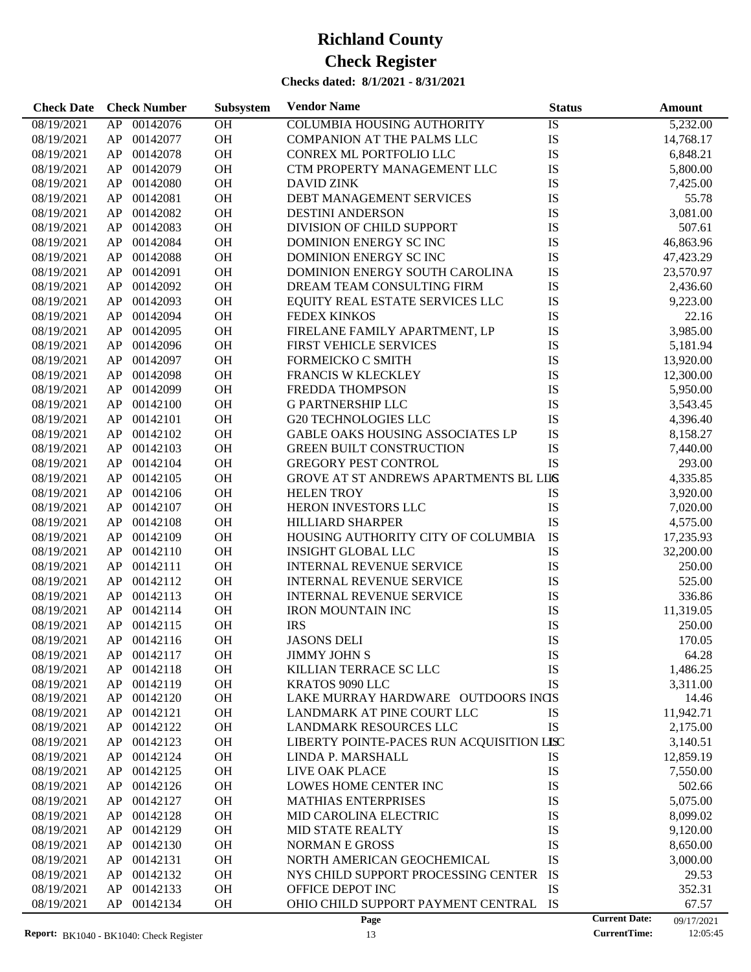| <b>Check Date</b> | <b>Check Number</b> | Subsystem | <b>Vendor Name</b>                        | <b>Status</b> | Amount                             |
|-------------------|---------------------|-----------|-------------------------------------------|---------------|------------------------------------|
| 08/19/2021        | 00142076<br>AP      | OH        | <b>COLUMBIA HOUSING AUTHORITY</b>         | IS            | 5,232.00                           |
| 08/19/2021        | 00142077<br>AP      | OH        | COMPANION AT THE PALMS LLC                | IS            | 14,768.17                          |
| 08/19/2021        | 00142078<br>AP      | OH        | CONREX ML PORTFOLIO LLC                   | IS            | 6,848.21                           |
| 08/19/2021        | 00142079<br>AP      | OH        | CTM PROPERTY MANAGEMENT LLC               | IS            | 5,800.00                           |
| 08/19/2021        | 00142080<br>AP      | OH        | <b>DAVID ZINK</b>                         | IS            | 7,425.00                           |
| 08/19/2021        | 00142081<br>AP      | OH        | DEBT MANAGEMENT SERVICES                  | IS            | 55.78                              |
| 08/19/2021        | 00142082<br>AP      | OH        | <b>DESTINI ANDERSON</b>                   | IS            | 3,081.00                           |
| 08/19/2021        | 00142083<br>AP      | OH        | DIVISION OF CHILD SUPPORT                 | IS            | 507.61                             |
| 08/19/2021        | 00142084<br>AP      | OH        | DOMINION ENERGY SC INC                    | IS            | 46,863.96                          |
| 08/19/2021        | 00142088<br>AP      | OH        | DOMINION ENERGY SC INC                    | IS            | 47,423.29                          |
| 08/19/2021        | 00142091<br>AP      | OH        | DOMINION ENERGY SOUTH CAROLINA            | IS            | 23,570.97                          |
| 08/19/2021        | 00142092<br>AP      | OH        | DREAM TEAM CONSULTING FIRM                | IS            | 2,436.60                           |
| 08/19/2021        | 00142093<br>AP      | OH        | EQUITY REAL ESTATE SERVICES LLC           | IS            | 9,223.00                           |
| 08/19/2021        | 00142094<br>AP      | OH        | FEDEX KINKOS                              | IS            | 22.16                              |
| 08/19/2021        | 00142095<br>AP      | OH        | FIRELANE FAMILY APARTMENT, LP             | IS            | 3,985.00                           |
| 08/19/2021        | 00142096<br>AP      | OH        | <b>FIRST VEHICLE SERVICES</b>             | IS            | 5,181.94                           |
| 08/19/2021        | 00142097<br>AP      | OH        | FORMEICKO C SMITH                         | IS            | 13,920.00                          |
| 08/19/2021        | 00142098<br>AP      | OH        | FRANCIS W KLECKLEY                        | IS            | 12,300.00                          |
| 08/19/2021        | 00142099<br>AP      | OH        | FREDDA THOMPSON                           | IS            | 5,950.00                           |
| 08/19/2021        | 00142100<br>AP      | OH        | <b>G PARTNERSHIP LLC</b>                  | IS            | 3,543.45                           |
| 08/19/2021        | 00142101<br>AP      | OH        | <b>G20 TECHNOLOGIES LLC</b>               | IS            | 4,396.40                           |
| 08/19/2021        | 00142102<br>AP      | OH        | GABLE OAKS HOUSING ASSOCIATES LP          | IS            | 8,158.27                           |
| 08/19/2021        | 00142103<br>AP      | OH        | <b>GREEN BUILT CONSTRUCTION</b>           | IS            | 7,440.00                           |
| 08/19/2021        | 00142104<br>AP      | OH        | GREGORY PEST CONTROL                      | IS            | 293.00                             |
| 08/19/2021        | 00142105<br>AP      | OH        | GROVE AT ST ANDREWS APARTMENTS BL LIIS    |               | 4,335.85                           |
| 08/19/2021        | 00142106<br>AP      | OH        | <b>HELEN TROY</b>                         | IS            | 3,920.00                           |
| 08/19/2021        | 00142107<br>AP      | OH        | HERON INVESTORS LLC                       | IS            | 7,020.00                           |
| 08/19/2021        | 00142108<br>AP      | OH        | HILLIARD SHARPER                          | IS            | 4,575.00                           |
| 08/19/2021        | 00142109<br>AP      | OH        | HOUSING AUTHORITY CITY OF COLUMBIA        | IS            | 17,235.93                          |
| 08/19/2021        | 00142110<br>AP      | OH        | <b>INSIGHT GLOBAL LLC</b>                 | ${\rm IS}$    | 32,200.00                          |
| 08/19/2021        | 00142111<br>AP      | OH        | <b>INTERNAL REVENUE SERVICE</b>           | IS            | 250.00                             |
| 08/19/2021        | 00142112<br>AP      | OH        | <b>INTERNAL REVENUE SERVICE</b>           | IS            | 525.00                             |
| 08/19/2021        | 00142113<br>AP      | OH        | <b>INTERNAL REVENUE SERVICE</b>           | IS            | 336.86                             |
| 08/19/2021        | 00142114<br>AP      | OH        | IRON MOUNTAIN INC                         | IS            | 11,319.05                          |
| 08/19/2021        | AP<br>00142115      | OH        | <b>IRS</b>                                | IS            | 250.00                             |
| 08/19/2021        | AP 00142116         | OH        | <b>JASONS DELI</b>                        | IS            | 170.05                             |
| 08/19/2021        | 00142117<br>AP      | <b>OH</b> | <b>JIMMY JOHN S</b>                       | IS            | 64.28                              |
| 08/19/2021        | 00142118<br>AP      | OH        | KILLIAN TERRACE SC LLC                    | IS            | 1,486.25                           |
| 08/19/2021        | 00142119<br>AP      | OH        | KRATOS 9090 LLC                           | IS            | 3,311.00                           |
| 08/19/2021        | AP<br>00142120      | <b>OH</b> | LAKE MURRAY HARDWARE OUTDOORS INGS        |               | 14.46                              |
| 08/19/2021        | AP<br>00142121      | <b>OH</b> | LANDMARK AT PINE COURT LLC                | IS            | 11,942.71                          |
| 08/19/2021        | AP<br>00142122      | OH        | LANDMARK RESOURCES LLC                    | IS            | 2,175.00                           |
| 08/19/2021        | 00142123<br>AP      | OH        | LIBERTY POINTE-PACES RUN ACQUISITION LISC |               | 3,140.51                           |
| 08/19/2021        | 00142124<br>AP      | OH        | LINDA P. MARSHALL                         | IS            | 12,859.19                          |
| 08/19/2021        | AP<br>00142125      | OH        | LIVE OAK PLACE                            | IS            | 7,550.00                           |
| 08/19/2021        | AP<br>00142126      | OH        | <b>LOWES HOME CENTER INC</b>              | IS            | 502.66                             |
| 08/19/2021        | AP<br>00142127      | OH        | <b>MATHIAS ENTERPRISES</b>                | IS            | 5,075.00                           |
| 08/19/2021        | AP<br>00142128      | OH        | MID CAROLINA ELECTRIC                     | IS            | 8,099.02                           |
| 08/19/2021        | AP<br>00142129      | OH        | <b>MID STATE REALTY</b>                   | IS            | 9,120.00                           |
| 08/19/2021        | AP<br>00142130      | OH        | <b>NORMAN E GROSS</b>                     | IS            | 8,650.00                           |
| 08/19/2021        | 00142131<br>AP      | OH        | NORTH AMERICAN GEOCHEMICAL                | IS            | 3,000.00                           |
| 08/19/2021        | AP<br>00142132      | OH        | NYS CHILD SUPPORT PROCESSING CENTER       | IS            | 29.53                              |
| 08/19/2021        | 00142133<br>AP      | <b>OH</b> | OFFICE DEPOT INC                          | IS            | 352.31                             |
| 08/19/2021        | AP<br>00142134      | <b>OH</b> | OHIO CHILD SUPPORT PAYMENT CENTRAL        | IS            | 67.57                              |
|                   |                     |           | Page                                      |               | <b>Current Date:</b><br>09/17/2021 |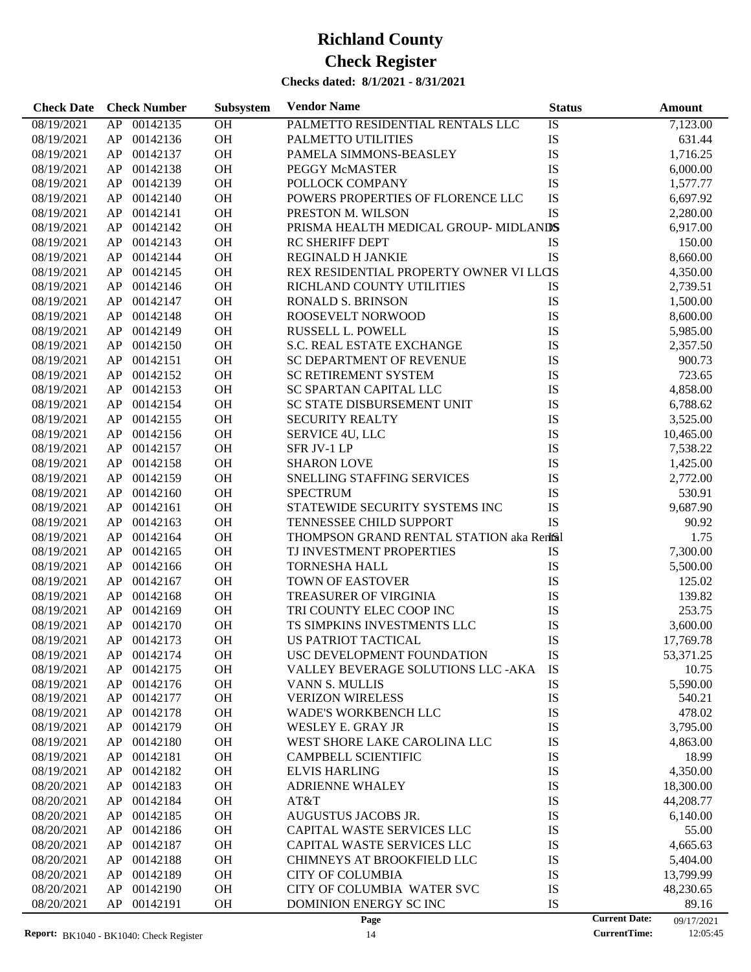| <b>Check Date</b> | <b>Check Number</b> | Subsystem | <b>Vendor Name</b>                        | <b>Status</b> | <b>Amount</b>                      |
|-------------------|---------------------|-----------|-------------------------------------------|---------------|------------------------------------|
| 08/19/2021        | AP<br>00142135      | OH        | PALMETTO RESIDENTIAL RENTALS LLC          | IS            | 7,123.00                           |
| 08/19/2021        | AP<br>00142136      | OH        | PALMETTO UTILITIES                        | IS            | 631.44                             |
| 08/19/2021        | AP<br>00142137      | OH        | PAMELA SIMMONS-BEASLEY                    | IS            | 1,716.25                           |
| 08/19/2021        | 00142138<br>AP      | OH        | PEGGY McMASTER                            | IS            | 6,000.00                           |
| 08/19/2021        | AP<br>00142139      | OH        | POLLOCK COMPANY                           | IS            | 1,577.77                           |
| 08/19/2021        | AP<br>00142140      | OH        | POWERS PROPERTIES OF FLORENCE LLC         | IS            | 6,697.92                           |
| 08/19/2021        | AP<br>00142141      | OH        | PRESTON M. WILSON                         | IS            | 2,280.00                           |
| 08/19/2021        | 00142142<br>AP      | OH        | PRISMA HEALTH MEDICAL GROUP-MIDLANDS      |               | 6,917.00                           |
| 08/19/2021        | AP<br>00142143      | OH        | <b>RC SHERIFF DEPT</b>                    | IS            | 150.00                             |
| 08/19/2021        | AP<br>00142144      | <b>OH</b> | <b>REGINALD H JANKIE</b>                  | IS            | 8,660.00                           |
| 08/19/2021        | AP<br>00142145      | OH        | REX RESIDENTIAL PROPERTY OWNER VI LLCIS   |               | 4,350.00                           |
| 08/19/2021        | AP<br>00142146      | OH        | RICHLAND COUNTY UTILITIES                 | IS            | 2,739.51                           |
| 08/19/2021        | AP<br>00142147      | OH        | <b>RONALD S. BRINSON</b>                  | IS            | 1,500.00                           |
| 08/19/2021        | AP<br>00142148      | <b>OH</b> | ROOSEVELT NORWOOD                         | IS            | 8,600.00                           |
| 08/19/2021        | AP<br>00142149      | OH        | RUSSELL L. POWELL                         | IS            | 5,985.00                           |
|                   | AP<br>00142150      | OH        | S.C. REAL ESTATE EXCHANGE                 | IS            |                                    |
| 08/19/2021        |                     | OH        |                                           | IS            | 2,357.50                           |
| 08/19/2021        | AP<br>00142151      |           | <b>SC DEPARTMENT OF REVENUE</b>           |               | 900.73                             |
| 08/19/2021        | AP<br>00142152      | <b>OH</b> | SC RETIREMENT SYSTEM                      | IS            | 723.65                             |
| 08/19/2021        | AP<br>00142153      | OH        | SC SPARTAN CAPITAL LLC                    | IS            | 4,858.00                           |
| 08/19/2021        | AP<br>00142154      | OH        | SC STATE DISBURSEMENT UNIT                | IS            | 6,788.62                           |
| 08/19/2021        | AP<br>00142155      | OH        | <b>SECURITY REALTY</b>                    | IS            | 3,525.00                           |
| 08/19/2021        | AP<br>00142156      | <b>OH</b> | SERVICE 4U, LLC                           | IS            | 10,465.00                          |
| 08/19/2021        | AP<br>00142157      | OH        | SFR JV-1 LP                               | IS            | 7,538.22                           |
| 08/19/2021        | AP<br>00142158      | OH        | <b>SHARON LOVE</b>                        | IS            | 1,425.00                           |
| 08/19/2021        | AP<br>00142159      | OH        | SNELLING STAFFING SERVICES                | IS            | 2,772.00                           |
| 08/19/2021        | AP<br>00142160      | OH        | <b>SPECTRUM</b>                           | IS            | 530.91                             |
| 08/19/2021        | AP<br>00142161      | OH        | STATEWIDE SECURITY SYSTEMS INC            | IS            | 9,687.90                           |
| 08/19/2021        | AP<br>00142163      | OH        | TENNESSEE CHILD SUPPORT                   | <b>IS</b>     | 90.92                              |
| 08/19/2021        | AP<br>00142164      | OH        | THOMPSON GRAND RENTAL STATION aka Rentsil |               | 1.75                               |
| 08/19/2021        | AP<br>00142165      | <b>OH</b> | TJ INVESTMENT PROPERTIES                  | IS            | 7,300.00                           |
| 08/19/2021        | AP<br>00142166      | OH        | <b>TORNESHA HALL</b>                      | IS            | 5,500.00                           |
| 08/19/2021        | AP<br>00142167      | OH        | <b>TOWN OF EASTOVER</b>                   | IS            | 125.02                             |
| 08/19/2021        | AP<br>00142168      | <b>OH</b> | TREASURER OF VIRGINIA                     | IS            | 139.82                             |
| 08/19/2021        | AP<br>00142169      | <b>OH</b> | TRI COUNTY ELEC COOP INC                  | IS            | 253.75                             |
| 08/19/2021        | AP<br>00142170      | <b>OH</b> | TS SIMPKINS INVESTMENTS LLC               | IS            | 3,600.00                           |
| 08/19/2021        | AP 00142173         | <b>OH</b> | <b>US PATRIOT TACTICAL</b>                | IS            | 17,769.78                          |
| 08/19/2021        | AP 00142174         | OH        | USC DEVELOPMENT FOUNDATION                | IS            | 53,371.25                          |
| 08/19/2021        | 00142175<br>AP      | <b>OH</b> | VALLEY BEVERAGE SOLUTIONS LLC - AKA       | IS            | 10.75                              |
| 08/19/2021        | AP<br>00142176      | OH        | <b>VANN S. MULLIS</b>                     | IS            | 5,590.00                           |
| 08/19/2021        | AP<br>00142177      | OH        | <b>VERIZON WIRELESS</b>                   | IS            | 540.21                             |
| 08/19/2021        | 00142178<br>AP      | <b>OH</b> | <b>WADE'S WORKBENCH LLC</b>               | IS            | 478.02                             |
| 08/19/2021        | AP<br>00142179      | <b>OH</b> | WESLEY E. GRAY JR                         | IS            | 3,795.00                           |
| 08/19/2021        | AP<br>00142180      | <b>OH</b> | WEST SHORE LAKE CAROLINA LLC              | IS            | 4,863.00                           |
| 08/19/2021        | AP<br>00142181      | <b>OH</b> | <b>CAMPBELL SCIENTIFIC</b>                | IS            | 18.99                              |
| 08/19/2021        | AP<br>00142182      | <b>OH</b> | <b>ELVIS HARLING</b>                      | IS            | 4,350.00                           |
| 08/20/2021        | AP<br>00142183      | <b>OH</b> | <b>ADRIENNE WHALEY</b>                    | IS            | 18,300.00                          |
| 08/20/2021        | AP<br>00142184      | OH        | AT&T                                      | IS            | 44,208.77                          |
| 08/20/2021        | AP<br>00142185      | OH        | AUGUSTUS JACOBS JR.                       | IS            | 6,140.00                           |
| 08/20/2021        | AP<br>00142186      | <b>OH</b> | CAPITAL WASTE SERVICES LLC                | IS            | 55.00                              |
| 08/20/2021        | AP<br>00142187      | <b>OH</b> | CAPITAL WASTE SERVICES LLC                | IS            | 4,665.63                           |
| 08/20/2021        | AP<br>00142188      | OH        | CHIMNEYS AT BROOKFIELD LLC                | IS            | 5,404.00                           |
| 08/20/2021        | AP<br>00142189      | <b>OH</b> | <b>CITY OF COLUMBIA</b>                   | IS            | 13,799.99                          |
| 08/20/2021        | AP<br>00142190      | <b>OH</b> | CITY OF COLUMBIA WATER SVC                | IS            | 48,230.65                          |
| 08/20/2021        | AP<br>00142191      | OH        | DOMINION ENERGY SC INC                    | IS            | 89.16                              |
|                   |                     |           | Page                                      |               | <b>Current Date:</b><br>09/17/2021 |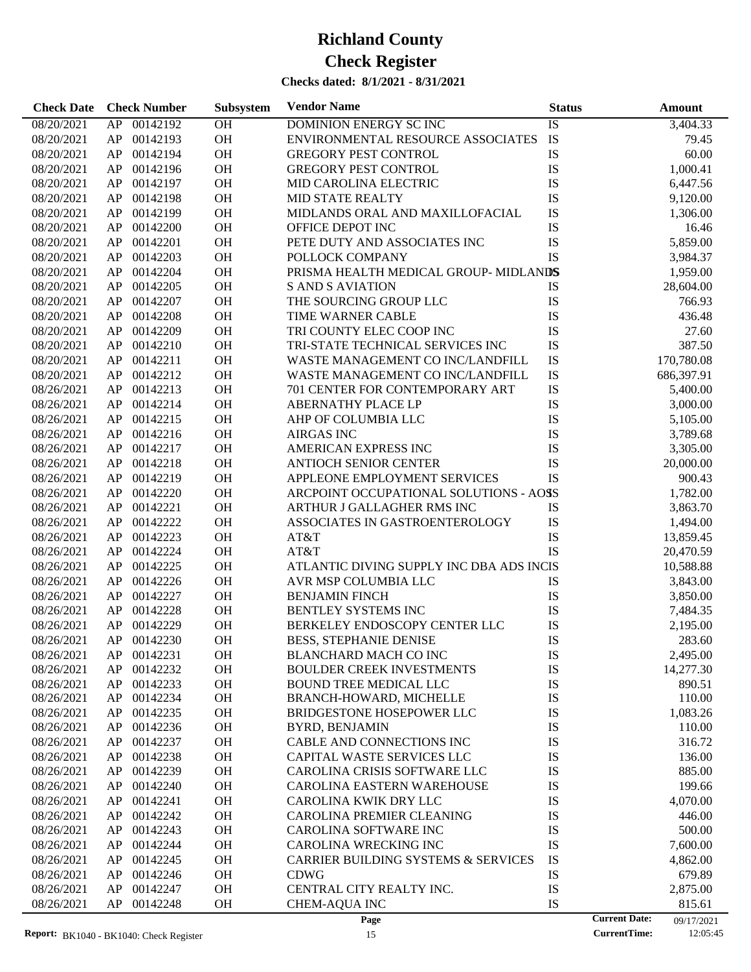| 00142192<br>08/20/2021<br>OH<br>DOMINION ENERGY SC INC<br>3,404.33<br>AP<br>IS<br>${\rm IS}$<br>OH<br>00142193<br>ENVIRONMENTAL RESOURCE ASSOCIATES<br>08/20/2021<br>AP<br>79.45<br>OH<br>IS<br>00142194<br>60.00<br>08/20/2021<br>AP<br><b>GREGORY PEST CONTROL</b><br>00142196<br>OH<br><b>GREGORY PEST CONTROL</b><br>IS<br>08/20/2021<br>AP<br>1,000.41<br>00142197<br>OH<br>IS<br>08/20/2021<br>AP<br>MID CAROLINA ELECTRIC<br>6,447.56<br>IS<br>00142198<br>OH<br>08/20/2021<br>AP<br><b>MID STATE REALTY</b><br>9,120.00<br>IS<br>00142199<br>OH<br>MIDLANDS ORAL AND MAXILLOFACIAL<br>08/20/2021<br>AP<br>1,306.00<br>IS<br>00142200<br>OH<br>08/20/2021<br>AP<br>OFFICE DEPOT INC<br>16.46<br>IS<br>00142201<br>OH<br>PETE DUTY AND ASSOCIATES INC<br>08/20/2021<br>AP<br>5,859.00<br>IS<br>00142203<br>OH<br>08/20/2021<br>AP<br>POLLOCK COMPANY<br>3,984.37<br>00142204<br>OH<br>PRISMA HEALTH MEDICAL GROUP-MIDLANDS<br>08/20/2021<br>AP<br>1,959.00<br>00142205<br>OH<br>08/20/2021<br>AP<br><b>S AND S AVIATION</b><br>IS<br>28,604.00<br>00142207<br>OH<br>THE SOURCING GROUP LLC<br>IS<br>08/20/2021<br>AP<br>766.93<br>00142208<br>OH<br>IS<br>08/20/2021<br>AP<br>TIME WARNER CABLE<br>436.48<br>IS<br>00142209<br>OH<br>TRI COUNTY ELEC COOP INC<br>08/20/2021<br>AP<br>27.60<br>IS<br>00142210<br>OH<br>387.50<br>08/20/2021<br>AP<br>TRI-STATE TECHNICAL SERVICES INC<br>IS<br>00142211<br>OH<br>WASTE MANAGEMENT CO INC/LANDFILL<br>170,780.08<br>08/20/2021<br>AP<br>IS<br>00142212<br>OH<br>WASTE MANAGEMENT CO INC/LANDFILL<br>08/20/2021<br>AP<br>686,397.91<br>00142213<br>OH<br>IS<br>08/26/2021<br>AP<br>701 CENTER FOR CONTEMPORARY ART<br>5,400.00<br>00142214<br>OH<br>IS<br>08/26/2021<br>AP<br><b>ABERNATHY PLACE LP</b><br>3,000.00<br>00142215<br>OH<br>IS<br>08/26/2021<br>AP<br>AHP OF COLUMBIA LLC<br>5,105.00<br>00142216<br>OH<br><b>AIRGAS INC</b><br>IS<br>08/26/2021<br>AP<br>3,789.68<br>IS<br>00142217<br>OH<br>AMERICAN EXPRESS INC<br>08/26/2021<br>AP<br>3,305.00<br>00142218<br>OH<br>IS<br>08/26/2021<br>AP<br><b>ANTIOCH SENIOR CENTER</b><br>20,000.00<br>00142219<br>OH<br>IS<br>08/26/2021<br>AP<br>APPLEONE EMPLOYMENT SERVICES<br>900.43<br>00142220<br>OH<br>ARCPOINT OCCUPATIONAL SOLUTIONS - AOSS<br>08/26/2021<br>AP<br>1,782.00<br>00142221<br>OH<br>08/26/2021<br>AP<br>ARTHUR J GALLAGHER RMS INC<br>IS<br>3,863.70<br>00142222<br>OH<br>IS<br>08/26/2021<br>AP<br>ASSOCIATES IN GASTROENTEROLOGY<br>1,494.00<br>00142223<br>OH<br>IS<br>08/26/2021<br>AP<br>AT&T<br>13,859.45<br>IS<br>00142224<br>OH<br>AT&T<br>08/26/2021<br>AP<br>20,470.59<br>00142225<br>OH<br>ATLANTIC DIVING SUPPLY INC DBA ADS INCIS<br>08/26/2021<br>AP<br>10,588.88<br>00142226<br>OH<br>AVR MSP COLUMBIA LLC<br>08/26/2021<br>AP<br>IS<br>3,843.00<br>00142227<br>OH<br>IS<br>08/26/2021<br>AP<br><b>BENJAMIN FINCH</b><br>3,850.00<br>00142228<br>OH<br>IS<br>08/26/2021<br>AP<br>BENTLEY SYSTEMS INC<br>7,484.35<br>00142229<br>OH<br>IS<br>08/26/2021<br>AP<br>BERKELEY ENDOSCOPY CENTER LLC<br>2,195.00<br>IS<br>AP 00142230<br>OH<br>08/26/2021<br><b>BESS, STEPHANIE DENISE</b><br>283.60<br>08/26/2021<br>AP<br>00142231<br>ОH<br><b>BLANCHARD MACH CO INC</b><br>IS<br>2,495.00<br>00142232<br>OH<br><b>BOULDER CREEK INVESTMENTS</b><br>IS<br>14,277.30<br>08/26/2021<br>AP<br>00142233<br>OH<br><b>BOUND TREE MEDICAL LLC</b><br>IS<br>08/26/2021<br>AP<br>890.51<br>00142234<br>OH<br>IS<br>110.00<br>AP<br>BRANCH-HOWARD, MICHELLE<br>08/26/2021<br>IS<br>AP<br>00142235<br>OH<br>08/26/2021<br>BRIDGESTONE HOSEPOWER LLC<br>1,083.26<br>IS<br>00142236<br>OH<br>08/26/2021<br>AP<br><b>BYRD, BENJAMIN</b><br>110.00<br>00142237<br>OH<br>IS<br>08/26/2021<br>AP<br>CABLE AND CONNECTIONS INC<br>316.72<br>00142238<br>OH<br>IS<br>08/26/2021<br>AP<br>CAPITAL WASTE SERVICES LLC<br>136.00<br>IS<br>AP<br>00142239<br>OH<br>CAROLINA CRISIS SOFTWARE LLC<br>885.00<br>08/26/2021<br>IS<br>AP<br>00142240<br>OH<br>199.66<br>08/26/2021<br><b>CAROLINA EASTERN WAREHOUSE</b><br>AP<br>00142241<br>OH<br>IS<br>08/26/2021<br>CAROLINA KWIK DRY LLC<br>4,070.00<br>00142242<br>OH<br>IS<br>08/26/2021<br>AP<br><b>CAROLINA PREMIER CLEANING</b><br>446.00<br>IS<br>00142243<br>OH<br>08/26/2021<br>AP<br>CAROLINA SOFTWARE INC<br>500.00<br>IS<br>AP<br>00142244<br>OH<br>CAROLINA WRECKING INC<br>08/26/2021<br>7,600.00<br>IS<br>AP<br>00142245<br>OH<br>08/26/2021<br><b>CARRIER BUILDING SYSTEMS &amp; SERVICES</b><br>4,862.00<br>AP<br>00142246<br>OH<br>IS<br>08/26/2021<br><b>CDWG</b><br>679.89<br>AP<br>00142247<br>OH<br>IS<br>08/26/2021<br>CENTRAL CITY REALTY INC.<br>2,875.00<br>IS<br>AP<br>00142248<br>OH<br><b>CHEM-AQUA INC</b><br>08/26/2021<br>815.61<br><b>Current Date:</b><br>Page<br>09/17/2021 | <b>Check Date</b> | <b>Check Number</b> | Subsystem | <b>Vendor Name</b> | <b>Status</b> | Amount |
|--------------------------------------------------------------------------------------------------------------------------------------------------------------------------------------------------------------------------------------------------------------------------------------------------------------------------------------------------------------------------------------------------------------------------------------------------------------------------------------------------------------------------------------------------------------------------------------------------------------------------------------------------------------------------------------------------------------------------------------------------------------------------------------------------------------------------------------------------------------------------------------------------------------------------------------------------------------------------------------------------------------------------------------------------------------------------------------------------------------------------------------------------------------------------------------------------------------------------------------------------------------------------------------------------------------------------------------------------------------------------------------------------------------------------------------------------------------------------------------------------------------------------------------------------------------------------------------------------------------------------------------------------------------------------------------------------------------------------------------------------------------------------------------------------------------------------------------------------------------------------------------------------------------------------------------------------------------------------------------------------------------------------------------------------------------------------------------------------------------------------------------------------------------------------------------------------------------------------------------------------------------------------------------------------------------------------------------------------------------------------------------------------------------------------------------------------------------------------------------------------------------------------------------------------------------------------------------------------------------------------------------------------------------------------------------------------------------------------------------------------------------------------------------------------------------------------------------------------------------------------------------------------------------------------------------------------------------------------------------------------------------------------------------------------------------------------------------------------------------------------------------------------------------------------------------------------------------------------------------------------------------------------------------------------------------------------------------------------------------------------------------------------------------------------------------------------------------------------------------------------------------------------------------------------------------------------------------------------------------------------------------------------------------------------------------------------------------------------------------------------------------------------------------------------------------------------------------------------------------------------------------------------------------------------------------------------------------------------------------------------------------------------------------------------------------------------------------------------------------------------------------------------------------------------------------------------------------------------------------------------------------------------------------------------------------------------------------------------------------------------------------------------------------------------------------------------------------------------------------------------------------------------------------------------------------------------------------------------------------------------------------------------------------------------------------------------------------------------------------------------------------------------------|-------------------|---------------------|-----------|--------------------|---------------|--------|
|                                                                                                                                                                                                                                                                                                                                                                                                                                                                                                                                                                                                                                                                                                                                                                                                                                                                                                                                                                                                                                                                                                                                                                                                                                                                                                                                                                                                                                                                                                                                                                                                                                                                                                                                                                                                                                                                                                                                                                                                                                                                                                                                                                                                                                                                                                                                                                                                                                                                                                                                                                                                                                                                                                                                                                                                                                                                                                                                                                                                                                                                                                                                                                                                                                                                                                                                                                                                                                                                                                                                                                                                                                                                                                                                                                                                                                                                                                                                                                                                                                                                                                                                                                                                                                                                                                                                                                                                                                                                                                                                                                                                                                                                                                                                                                                |                   |                     |           |                    |               |        |
|                                                                                                                                                                                                                                                                                                                                                                                                                                                                                                                                                                                                                                                                                                                                                                                                                                                                                                                                                                                                                                                                                                                                                                                                                                                                                                                                                                                                                                                                                                                                                                                                                                                                                                                                                                                                                                                                                                                                                                                                                                                                                                                                                                                                                                                                                                                                                                                                                                                                                                                                                                                                                                                                                                                                                                                                                                                                                                                                                                                                                                                                                                                                                                                                                                                                                                                                                                                                                                                                                                                                                                                                                                                                                                                                                                                                                                                                                                                                                                                                                                                                                                                                                                                                                                                                                                                                                                                                                                                                                                                                                                                                                                                                                                                                                                                |                   |                     |           |                    |               |        |
|                                                                                                                                                                                                                                                                                                                                                                                                                                                                                                                                                                                                                                                                                                                                                                                                                                                                                                                                                                                                                                                                                                                                                                                                                                                                                                                                                                                                                                                                                                                                                                                                                                                                                                                                                                                                                                                                                                                                                                                                                                                                                                                                                                                                                                                                                                                                                                                                                                                                                                                                                                                                                                                                                                                                                                                                                                                                                                                                                                                                                                                                                                                                                                                                                                                                                                                                                                                                                                                                                                                                                                                                                                                                                                                                                                                                                                                                                                                                                                                                                                                                                                                                                                                                                                                                                                                                                                                                                                                                                                                                                                                                                                                                                                                                                                                |                   |                     |           |                    |               |        |
|                                                                                                                                                                                                                                                                                                                                                                                                                                                                                                                                                                                                                                                                                                                                                                                                                                                                                                                                                                                                                                                                                                                                                                                                                                                                                                                                                                                                                                                                                                                                                                                                                                                                                                                                                                                                                                                                                                                                                                                                                                                                                                                                                                                                                                                                                                                                                                                                                                                                                                                                                                                                                                                                                                                                                                                                                                                                                                                                                                                                                                                                                                                                                                                                                                                                                                                                                                                                                                                                                                                                                                                                                                                                                                                                                                                                                                                                                                                                                                                                                                                                                                                                                                                                                                                                                                                                                                                                                                                                                                                                                                                                                                                                                                                                                                                |                   |                     |           |                    |               |        |
|                                                                                                                                                                                                                                                                                                                                                                                                                                                                                                                                                                                                                                                                                                                                                                                                                                                                                                                                                                                                                                                                                                                                                                                                                                                                                                                                                                                                                                                                                                                                                                                                                                                                                                                                                                                                                                                                                                                                                                                                                                                                                                                                                                                                                                                                                                                                                                                                                                                                                                                                                                                                                                                                                                                                                                                                                                                                                                                                                                                                                                                                                                                                                                                                                                                                                                                                                                                                                                                                                                                                                                                                                                                                                                                                                                                                                                                                                                                                                                                                                                                                                                                                                                                                                                                                                                                                                                                                                                                                                                                                                                                                                                                                                                                                                                                |                   |                     |           |                    |               |        |
|                                                                                                                                                                                                                                                                                                                                                                                                                                                                                                                                                                                                                                                                                                                                                                                                                                                                                                                                                                                                                                                                                                                                                                                                                                                                                                                                                                                                                                                                                                                                                                                                                                                                                                                                                                                                                                                                                                                                                                                                                                                                                                                                                                                                                                                                                                                                                                                                                                                                                                                                                                                                                                                                                                                                                                                                                                                                                                                                                                                                                                                                                                                                                                                                                                                                                                                                                                                                                                                                                                                                                                                                                                                                                                                                                                                                                                                                                                                                                                                                                                                                                                                                                                                                                                                                                                                                                                                                                                                                                                                                                                                                                                                                                                                                                                                |                   |                     |           |                    |               |        |
|                                                                                                                                                                                                                                                                                                                                                                                                                                                                                                                                                                                                                                                                                                                                                                                                                                                                                                                                                                                                                                                                                                                                                                                                                                                                                                                                                                                                                                                                                                                                                                                                                                                                                                                                                                                                                                                                                                                                                                                                                                                                                                                                                                                                                                                                                                                                                                                                                                                                                                                                                                                                                                                                                                                                                                                                                                                                                                                                                                                                                                                                                                                                                                                                                                                                                                                                                                                                                                                                                                                                                                                                                                                                                                                                                                                                                                                                                                                                                                                                                                                                                                                                                                                                                                                                                                                                                                                                                                                                                                                                                                                                                                                                                                                                                                                |                   |                     |           |                    |               |        |
|                                                                                                                                                                                                                                                                                                                                                                                                                                                                                                                                                                                                                                                                                                                                                                                                                                                                                                                                                                                                                                                                                                                                                                                                                                                                                                                                                                                                                                                                                                                                                                                                                                                                                                                                                                                                                                                                                                                                                                                                                                                                                                                                                                                                                                                                                                                                                                                                                                                                                                                                                                                                                                                                                                                                                                                                                                                                                                                                                                                                                                                                                                                                                                                                                                                                                                                                                                                                                                                                                                                                                                                                                                                                                                                                                                                                                                                                                                                                                                                                                                                                                                                                                                                                                                                                                                                                                                                                                                                                                                                                                                                                                                                                                                                                                                                |                   |                     |           |                    |               |        |
|                                                                                                                                                                                                                                                                                                                                                                                                                                                                                                                                                                                                                                                                                                                                                                                                                                                                                                                                                                                                                                                                                                                                                                                                                                                                                                                                                                                                                                                                                                                                                                                                                                                                                                                                                                                                                                                                                                                                                                                                                                                                                                                                                                                                                                                                                                                                                                                                                                                                                                                                                                                                                                                                                                                                                                                                                                                                                                                                                                                                                                                                                                                                                                                                                                                                                                                                                                                                                                                                                                                                                                                                                                                                                                                                                                                                                                                                                                                                                                                                                                                                                                                                                                                                                                                                                                                                                                                                                                                                                                                                                                                                                                                                                                                                                                                |                   |                     |           |                    |               |        |
|                                                                                                                                                                                                                                                                                                                                                                                                                                                                                                                                                                                                                                                                                                                                                                                                                                                                                                                                                                                                                                                                                                                                                                                                                                                                                                                                                                                                                                                                                                                                                                                                                                                                                                                                                                                                                                                                                                                                                                                                                                                                                                                                                                                                                                                                                                                                                                                                                                                                                                                                                                                                                                                                                                                                                                                                                                                                                                                                                                                                                                                                                                                                                                                                                                                                                                                                                                                                                                                                                                                                                                                                                                                                                                                                                                                                                                                                                                                                                                                                                                                                                                                                                                                                                                                                                                                                                                                                                                                                                                                                                                                                                                                                                                                                                                                |                   |                     |           |                    |               |        |
|                                                                                                                                                                                                                                                                                                                                                                                                                                                                                                                                                                                                                                                                                                                                                                                                                                                                                                                                                                                                                                                                                                                                                                                                                                                                                                                                                                                                                                                                                                                                                                                                                                                                                                                                                                                                                                                                                                                                                                                                                                                                                                                                                                                                                                                                                                                                                                                                                                                                                                                                                                                                                                                                                                                                                                                                                                                                                                                                                                                                                                                                                                                                                                                                                                                                                                                                                                                                                                                                                                                                                                                                                                                                                                                                                                                                                                                                                                                                                                                                                                                                                                                                                                                                                                                                                                                                                                                                                                                                                                                                                                                                                                                                                                                                                                                |                   |                     |           |                    |               |        |
|                                                                                                                                                                                                                                                                                                                                                                                                                                                                                                                                                                                                                                                                                                                                                                                                                                                                                                                                                                                                                                                                                                                                                                                                                                                                                                                                                                                                                                                                                                                                                                                                                                                                                                                                                                                                                                                                                                                                                                                                                                                                                                                                                                                                                                                                                                                                                                                                                                                                                                                                                                                                                                                                                                                                                                                                                                                                                                                                                                                                                                                                                                                                                                                                                                                                                                                                                                                                                                                                                                                                                                                                                                                                                                                                                                                                                                                                                                                                                                                                                                                                                                                                                                                                                                                                                                                                                                                                                                                                                                                                                                                                                                                                                                                                                                                |                   |                     |           |                    |               |        |
|                                                                                                                                                                                                                                                                                                                                                                                                                                                                                                                                                                                                                                                                                                                                                                                                                                                                                                                                                                                                                                                                                                                                                                                                                                                                                                                                                                                                                                                                                                                                                                                                                                                                                                                                                                                                                                                                                                                                                                                                                                                                                                                                                                                                                                                                                                                                                                                                                                                                                                                                                                                                                                                                                                                                                                                                                                                                                                                                                                                                                                                                                                                                                                                                                                                                                                                                                                                                                                                                                                                                                                                                                                                                                                                                                                                                                                                                                                                                                                                                                                                                                                                                                                                                                                                                                                                                                                                                                                                                                                                                                                                                                                                                                                                                                                                |                   |                     |           |                    |               |        |
|                                                                                                                                                                                                                                                                                                                                                                                                                                                                                                                                                                                                                                                                                                                                                                                                                                                                                                                                                                                                                                                                                                                                                                                                                                                                                                                                                                                                                                                                                                                                                                                                                                                                                                                                                                                                                                                                                                                                                                                                                                                                                                                                                                                                                                                                                                                                                                                                                                                                                                                                                                                                                                                                                                                                                                                                                                                                                                                                                                                                                                                                                                                                                                                                                                                                                                                                                                                                                                                                                                                                                                                                                                                                                                                                                                                                                                                                                                                                                                                                                                                                                                                                                                                                                                                                                                                                                                                                                                                                                                                                                                                                                                                                                                                                                                                |                   |                     |           |                    |               |        |
|                                                                                                                                                                                                                                                                                                                                                                                                                                                                                                                                                                                                                                                                                                                                                                                                                                                                                                                                                                                                                                                                                                                                                                                                                                                                                                                                                                                                                                                                                                                                                                                                                                                                                                                                                                                                                                                                                                                                                                                                                                                                                                                                                                                                                                                                                                                                                                                                                                                                                                                                                                                                                                                                                                                                                                                                                                                                                                                                                                                                                                                                                                                                                                                                                                                                                                                                                                                                                                                                                                                                                                                                                                                                                                                                                                                                                                                                                                                                                                                                                                                                                                                                                                                                                                                                                                                                                                                                                                                                                                                                                                                                                                                                                                                                                                                |                   |                     |           |                    |               |        |
|                                                                                                                                                                                                                                                                                                                                                                                                                                                                                                                                                                                                                                                                                                                                                                                                                                                                                                                                                                                                                                                                                                                                                                                                                                                                                                                                                                                                                                                                                                                                                                                                                                                                                                                                                                                                                                                                                                                                                                                                                                                                                                                                                                                                                                                                                                                                                                                                                                                                                                                                                                                                                                                                                                                                                                                                                                                                                                                                                                                                                                                                                                                                                                                                                                                                                                                                                                                                                                                                                                                                                                                                                                                                                                                                                                                                                                                                                                                                                                                                                                                                                                                                                                                                                                                                                                                                                                                                                                                                                                                                                                                                                                                                                                                                                                                |                   |                     |           |                    |               |        |
|                                                                                                                                                                                                                                                                                                                                                                                                                                                                                                                                                                                                                                                                                                                                                                                                                                                                                                                                                                                                                                                                                                                                                                                                                                                                                                                                                                                                                                                                                                                                                                                                                                                                                                                                                                                                                                                                                                                                                                                                                                                                                                                                                                                                                                                                                                                                                                                                                                                                                                                                                                                                                                                                                                                                                                                                                                                                                                                                                                                                                                                                                                                                                                                                                                                                                                                                                                                                                                                                                                                                                                                                                                                                                                                                                                                                                                                                                                                                                                                                                                                                                                                                                                                                                                                                                                                                                                                                                                                                                                                                                                                                                                                                                                                                                                                |                   |                     |           |                    |               |        |
|                                                                                                                                                                                                                                                                                                                                                                                                                                                                                                                                                                                                                                                                                                                                                                                                                                                                                                                                                                                                                                                                                                                                                                                                                                                                                                                                                                                                                                                                                                                                                                                                                                                                                                                                                                                                                                                                                                                                                                                                                                                                                                                                                                                                                                                                                                                                                                                                                                                                                                                                                                                                                                                                                                                                                                                                                                                                                                                                                                                                                                                                                                                                                                                                                                                                                                                                                                                                                                                                                                                                                                                                                                                                                                                                                                                                                                                                                                                                                                                                                                                                                                                                                                                                                                                                                                                                                                                                                                                                                                                                                                                                                                                                                                                                                                                |                   |                     |           |                    |               |        |
|                                                                                                                                                                                                                                                                                                                                                                                                                                                                                                                                                                                                                                                                                                                                                                                                                                                                                                                                                                                                                                                                                                                                                                                                                                                                                                                                                                                                                                                                                                                                                                                                                                                                                                                                                                                                                                                                                                                                                                                                                                                                                                                                                                                                                                                                                                                                                                                                                                                                                                                                                                                                                                                                                                                                                                                                                                                                                                                                                                                                                                                                                                                                                                                                                                                                                                                                                                                                                                                                                                                                                                                                                                                                                                                                                                                                                                                                                                                                                                                                                                                                                                                                                                                                                                                                                                                                                                                                                                                                                                                                                                                                                                                                                                                                                                                |                   |                     |           |                    |               |        |
|                                                                                                                                                                                                                                                                                                                                                                                                                                                                                                                                                                                                                                                                                                                                                                                                                                                                                                                                                                                                                                                                                                                                                                                                                                                                                                                                                                                                                                                                                                                                                                                                                                                                                                                                                                                                                                                                                                                                                                                                                                                                                                                                                                                                                                                                                                                                                                                                                                                                                                                                                                                                                                                                                                                                                                                                                                                                                                                                                                                                                                                                                                                                                                                                                                                                                                                                                                                                                                                                                                                                                                                                                                                                                                                                                                                                                                                                                                                                                                                                                                                                                                                                                                                                                                                                                                                                                                                                                                                                                                                                                                                                                                                                                                                                                                                |                   |                     |           |                    |               |        |
|                                                                                                                                                                                                                                                                                                                                                                                                                                                                                                                                                                                                                                                                                                                                                                                                                                                                                                                                                                                                                                                                                                                                                                                                                                                                                                                                                                                                                                                                                                                                                                                                                                                                                                                                                                                                                                                                                                                                                                                                                                                                                                                                                                                                                                                                                                                                                                                                                                                                                                                                                                                                                                                                                                                                                                                                                                                                                                                                                                                                                                                                                                                                                                                                                                                                                                                                                                                                                                                                                                                                                                                                                                                                                                                                                                                                                                                                                                                                                                                                                                                                                                                                                                                                                                                                                                                                                                                                                                                                                                                                                                                                                                                                                                                                                                                |                   |                     |           |                    |               |        |
|                                                                                                                                                                                                                                                                                                                                                                                                                                                                                                                                                                                                                                                                                                                                                                                                                                                                                                                                                                                                                                                                                                                                                                                                                                                                                                                                                                                                                                                                                                                                                                                                                                                                                                                                                                                                                                                                                                                                                                                                                                                                                                                                                                                                                                                                                                                                                                                                                                                                                                                                                                                                                                                                                                                                                                                                                                                                                                                                                                                                                                                                                                                                                                                                                                                                                                                                                                                                                                                                                                                                                                                                                                                                                                                                                                                                                                                                                                                                                                                                                                                                                                                                                                                                                                                                                                                                                                                                                                                                                                                                                                                                                                                                                                                                                                                |                   |                     |           |                    |               |        |
|                                                                                                                                                                                                                                                                                                                                                                                                                                                                                                                                                                                                                                                                                                                                                                                                                                                                                                                                                                                                                                                                                                                                                                                                                                                                                                                                                                                                                                                                                                                                                                                                                                                                                                                                                                                                                                                                                                                                                                                                                                                                                                                                                                                                                                                                                                                                                                                                                                                                                                                                                                                                                                                                                                                                                                                                                                                                                                                                                                                                                                                                                                                                                                                                                                                                                                                                                                                                                                                                                                                                                                                                                                                                                                                                                                                                                                                                                                                                                                                                                                                                                                                                                                                                                                                                                                                                                                                                                                                                                                                                                                                                                                                                                                                                                                                |                   |                     |           |                    |               |        |
|                                                                                                                                                                                                                                                                                                                                                                                                                                                                                                                                                                                                                                                                                                                                                                                                                                                                                                                                                                                                                                                                                                                                                                                                                                                                                                                                                                                                                                                                                                                                                                                                                                                                                                                                                                                                                                                                                                                                                                                                                                                                                                                                                                                                                                                                                                                                                                                                                                                                                                                                                                                                                                                                                                                                                                                                                                                                                                                                                                                                                                                                                                                                                                                                                                                                                                                                                                                                                                                                                                                                                                                                                                                                                                                                                                                                                                                                                                                                                                                                                                                                                                                                                                                                                                                                                                                                                                                                                                                                                                                                                                                                                                                                                                                                                                                |                   |                     |           |                    |               |        |
|                                                                                                                                                                                                                                                                                                                                                                                                                                                                                                                                                                                                                                                                                                                                                                                                                                                                                                                                                                                                                                                                                                                                                                                                                                                                                                                                                                                                                                                                                                                                                                                                                                                                                                                                                                                                                                                                                                                                                                                                                                                                                                                                                                                                                                                                                                                                                                                                                                                                                                                                                                                                                                                                                                                                                                                                                                                                                                                                                                                                                                                                                                                                                                                                                                                                                                                                                                                                                                                                                                                                                                                                                                                                                                                                                                                                                                                                                                                                                                                                                                                                                                                                                                                                                                                                                                                                                                                                                                                                                                                                                                                                                                                                                                                                                                                |                   |                     |           |                    |               |        |
|                                                                                                                                                                                                                                                                                                                                                                                                                                                                                                                                                                                                                                                                                                                                                                                                                                                                                                                                                                                                                                                                                                                                                                                                                                                                                                                                                                                                                                                                                                                                                                                                                                                                                                                                                                                                                                                                                                                                                                                                                                                                                                                                                                                                                                                                                                                                                                                                                                                                                                                                                                                                                                                                                                                                                                                                                                                                                                                                                                                                                                                                                                                                                                                                                                                                                                                                                                                                                                                                                                                                                                                                                                                                                                                                                                                                                                                                                                                                                                                                                                                                                                                                                                                                                                                                                                                                                                                                                                                                                                                                                                                                                                                                                                                                                                                |                   |                     |           |                    |               |        |
|                                                                                                                                                                                                                                                                                                                                                                                                                                                                                                                                                                                                                                                                                                                                                                                                                                                                                                                                                                                                                                                                                                                                                                                                                                                                                                                                                                                                                                                                                                                                                                                                                                                                                                                                                                                                                                                                                                                                                                                                                                                                                                                                                                                                                                                                                                                                                                                                                                                                                                                                                                                                                                                                                                                                                                                                                                                                                                                                                                                                                                                                                                                                                                                                                                                                                                                                                                                                                                                                                                                                                                                                                                                                                                                                                                                                                                                                                                                                                                                                                                                                                                                                                                                                                                                                                                                                                                                                                                                                                                                                                                                                                                                                                                                                                                                |                   |                     |           |                    |               |        |
|                                                                                                                                                                                                                                                                                                                                                                                                                                                                                                                                                                                                                                                                                                                                                                                                                                                                                                                                                                                                                                                                                                                                                                                                                                                                                                                                                                                                                                                                                                                                                                                                                                                                                                                                                                                                                                                                                                                                                                                                                                                                                                                                                                                                                                                                                                                                                                                                                                                                                                                                                                                                                                                                                                                                                                                                                                                                                                                                                                                                                                                                                                                                                                                                                                                                                                                                                                                                                                                                                                                                                                                                                                                                                                                                                                                                                                                                                                                                                                                                                                                                                                                                                                                                                                                                                                                                                                                                                                                                                                                                                                                                                                                                                                                                                                                |                   |                     |           |                    |               |        |
|                                                                                                                                                                                                                                                                                                                                                                                                                                                                                                                                                                                                                                                                                                                                                                                                                                                                                                                                                                                                                                                                                                                                                                                                                                                                                                                                                                                                                                                                                                                                                                                                                                                                                                                                                                                                                                                                                                                                                                                                                                                                                                                                                                                                                                                                                                                                                                                                                                                                                                                                                                                                                                                                                                                                                                                                                                                                                                                                                                                                                                                                                                                                                                                                                                                                                                                                                                                                                                                                                                                                                                                                                                                                                                                                                                                                                                                                                                                                                                                                                                                                                                                                                                                                                                                                                                                                                                                                                                                                                                                                                                                                                                                                                                                                                                                |                   |                     |           |                    |               |        |
|                                                                                                                                                                                                                                                                                                                                                                                                                                                                                                                                                                                                                                                                                                                                                                                                                                                                                                                                                                                                                                                                                                                                                                                                                                                                                                                                                                                                                                                                                                                                                                                                                                                                                                                                                                                                                                                                                                                                                                                                                                                                                                                                                                                                                                                                                                                                                                                                                                                                                                                                                                                                                                                                                                                                                                                                                                                                                                                                                                                                                                                                                                                                                                                                                                                                                                                                                                                                                                                                                                                                                                                                                                                                                                                                                                                                                                                                                                                                                                                                                                                                                                                                                                                                                                                                                                                                                                                                                                                                                                                                                                                                                                                                                                                                                                                |                   |                     |           |                    |               |        |
|                                                                                                                                                                                                                                                                                                                                                                                                                                                                                                                                                                                                                                                                                                                                                                                                                                                                                                                                                                                                                                                                                                                                                                                                                                                                                                                                                                                                                                                                                                                                                                                                                                                                                                                                                                                                                                                                                                                                                                                                                                                                                                                                                                                                                                                                                                                                                                                                                                                                                                                                                                                                                                                                                                                                                                                                                                                                                                                                                                                                                                                                                                                                                                                                                                                                                                                                                                                                                                                                                                                                                                                                                                                                                                                                                                                                                                                                                                                                                                                                                                                                                                                                                                                                                                                                                                                                                                                                                                                                                                                                                                                                                                                                                                                                                                                |                   |                     |           |                    |               |        |
|                                                                                                                                                                                                                                                                                                                                                                                                                                                                                                                                                                                                                                                                                                                                                                                                                                                                                                                                                                                                                                                                                                                                                                                                                                                                                                                                                                                                                                                                                                                                                                                                                                                                                                                                                                                                                                                                                                                                                                                                                                                                                                                                                                                                                                                                                                                                                                                                                                                                                                                                                                                                                                                                                                                                                                                                                                                                                                                                                                                                                                                                                                                                                                                                                                                                                                                                                                                                                                                                                                                                                                                                                                                                                                                                                                                                                                                                                                                                                                                                                                                                                                                                                                                                                                                                                                                                                                                                                                                                                                                                                                                                                                                                                                                                                                                |                   |                     |           |                    |               |        |
|                                                                                                                                                                                                                                                                                                                                                                                                                                                                                                                                                                                                                                                                                                                                                                                                                                                                                                                                                                                                                                                                                                                                                                                                                                                                                                                                                                                                                                                                                                                                                                                                                                                                                                                                                                                                                                                                                                                                                                                                                                                                                                                                                                                                                                                                                                                                                                                                                                                                                                                                                                                                                                                                                                                                                                                                                                                                                                                                                                                                                                                                                                                                                                                                                                                                                                                                                                                                                                                                                                                                                                                                                                                                                                                                                                                                                                                                                                                                                                                                                                                                                                                                                                                                                                                                                                                                                                                                                                                                                                                                                                                                                                                                                                                                                                                |                   |                     |           |                    |               |        |
|                                                                                                                                                                                                                                                                                                                                                                                                                                                                                                                                                                                                                                                                                                                                                                                                                                                                                                                                                                                                                                                                                                                                                                                                                                                                                                                                                                                                                                                                                                                                                                                                                                                                                                                                                                                                                                                                                                                                                                                                                                                                                                                                                                                                                                                                                                                                                                                                                                                                                                                                                                                                                                                                                                                                                                                                                                                                                                                                                                                                                                                                                                                                                                                                                                                                                                                                                                                                                                                                                                                                                                                                                                                                                                                                                                                                                                                                                                                                                                                                                                                                                                                                                                                                                                                                                                                                                                                                                                                                                                                                                                                                                                                                                                                                                                                |                   |                     |           |                    |               |        |
|                                                                                                                                                                                                                                                                                                                                                                                                                                                                                                                                                                                                                                                                                                                                                                                                                                                                                                                                                                                                                                                                                                                                                                                                                                                                                                                                                                                                                                                                                                                                                                                                                                                                                                                                                                                                                                                                                                                                                                                                                                                                                                                                                                                                                                                                                                                                                                                                                                                                                                                                                                                                                                                                                                                                                                                                                                                                                                                                                                                                                                                                                                                                                                                                                                                                                                                                                                                                                                                                                                                                                                                                                                                                                                                                                                                                                                                                                                                                                                                                                                                                                                                                                                                                                                                                                                                                                                                                                                                                                                                                                                                                                                                                                                                                                                                |                   |                     |           |                    |               |        |
|                                                                                                                                                                                                                                                                                                                                                                                                                                                                                                                                                                                                                                                                                                                                                                                                                                                                                                                                                                                                                                                                                                                                                                                                                                                                                                                                                                                                                                                                                                                                                                                                                                                                                                                                                                                                                                                                                                                                                                                                                                                                                                                                                                                                                                                                                                                                                                                                                                                                                                                                                                                                                                                                                                                                                                                                                                                                                                                                                                                                                                                                                                                                                                                                                                                                                                                                                                                                                                                                                                                                                                                                                                                                                                                                                                                                                                                                                                                                                                                                                                                                                                                                                                                                                                                                                                                                                                                                                                                                                                                                                                                                                                                                                                                                                                                |                   |                     |           |                    |               |        |
|                                                                                                                                                                                                                                                                                                                                                                                                                                                                                                                                                                                                                                                                                                                                                                                                                                                                                                                                                                                                                                                                                                                                                                                                                                                                                                                                                                                                                                                                                                                                                                                                                                                                                                                                                                                                                                                                                                                                                                                                                                                                                                                                                                                                                                                                                                                                                                                                                                                                                                                                                                                                                                                                                                                                                                                                                                                                                                                                                                                                                                                                                                                                                                                                                                                                                                                                                                                                                                                                                                                                                                                                                                                                                                                                                                                                                                                                                                                                                                                                                                                                                                                                                                                                                                                                                                                                                                                                                                                                                                                                                                                                                                                                                                                                                                                |                   |                     |           |                    |               |        |
|                                                                                                                                                                                                                                                                                                                                                                                                                                                                                                                                                                                                                                                                                                                                                                                                                                                                                                                                                                                                                                                                                                                                                                                                                                                                                                                                                                                                                                                                                                                                                                                                                                                                                                                                                                                                                                                                                                                                                                                                                                                                                                                                                                                                                                                                                                                                                                                                                                                                                                                                                                                                                                                                                                                                                                                                                                                                                                                                                                                                                                                                                                                                                                                                                                                                                                                                                                                                                                                                                                                                                                                                                                                                                                                                                                                                                                                                                                                                                                                                                                                                                                                                                                                                                                                                                                                                                                                                                                                                                                                                                                                                                                                                                                                                                                                |                   |                     |           |                    |               |        |
|                                                                                                                                                                                                                                                                                                                                                                                                                                                                                                                                                                                                                                                                                                                                                                                                                                                                                                                                                                                                                                                                                                                                                                                                                                                                                                                                                                                                                                                                                                                                                                                                                                                                                                                                                                                                                                                                                                                                                                                                                                                                                                                                                                                                                                                                                                                                                                                                                                                                                                                                                                                                                                                                                                                                                                                                                                                                                                                                                                                                                                                                                                                                                                                                                                                                                                                                                                                                                                                                                                                                                                                                                                                                                                                                                                                                                                                                                                                                                                                                                                                                                                                                                                                                                                                                                                                                                                                                                                                                                                                                                                                                                                                                                                                                                                                |                   |                     |           |                    |               |        |
|                                                                                                                                                                                                                                                                                                                                                                                                                                                                                                                                                                                                                                                                                                                                                                                                                                                                                                                                                                                                                                                                                                                                                                                                                                                                                                                                                                                                                                                                                                                                                                                                                                                                                                                                                                                                                                                                                                                                                                                                                                                                                                                                                                                                                                                                                                                                                                                                                                                                                                                                                                                                                                                                                                                                                                                                                                                                                                                                                                                                                                                                                                                                                                                                                                                                                                                                                                                                                                                                                                                                                                                                                                                                                                                                                                                                                                                                                                                                                                                                                                                                                                                                                                                                                                                                                                                                                                                                                                                                                                                                                                                                                                                                                                                                                                                |                   |                     |           |                    |               |        |
|                                                                                                                                                                                                                                                                                                                                                                                                                                                                                                                                                                                                                                                                                                                                                                                                                                                                                                                                                                                                                                                                                                                                                                                                                                                                                                                                                                                                                                                                                                                                                                                                                                                                                                                                                                                                                                                                                                                                                                                                                                                                                                                                                                                                                                                                                                                                                                                                                                                                                                                                                                                                                                                                                                                                                                                                                                                                                                                                                                                                                                                                                                                                                                                                                                                                                                                                                                                                                                                                                                                                                                                                                                                                                                                                                                                                                                                                                                                                                                                                                                                                                                                                                                                                                                                                                                                                                                                                                                                                                                                                                                                                                                                                                                                                                                                |                   |                     |           |                    |               |        |
|                                                                                                                                                                                                                                                                                                                                                                                                                                                                                                                                                                                                                                                                                                                                                                                                                                                                                                                                                                                                                                                                                                                                                                                                                                                                                                                                                                                                                                                                                                                                                                                                                                                                                                                                                                                                                                                                                                                                                                                                                                                                                                                                                                                                                                                                                                                                                                                                                                                                                                                                                                                                                                                                                                                                                                                                                                                                                                                                                                                                                                                                                                                                                                                                                                                                                                                                                                                                                                                                                                                                                                                                                                                                                                                                                                                                                                                                                                                                                                                                                                                                                                                                                                                                                                                                                                                                                                                                                                                                                                                                                                                                                                                                                                                                                                                |                   |                     |           |                    |               |        |
|                                                                                                                                                                                                                                                                                                                                                                                                                                                                                                                                                                                                                                                                                                                                                                                                                                                                                                                                                                                                                                                                                                                                                                                                                                                                                                                                                                                                                                                                                                                                                                                                                                                                                                                                                                                                                                                                                                                                                                                                                                                                                                                                                                                                                                                                                                                                                                                                                                                                                                                                                                                                                                                                                                                                                                                                                                                                                                                                                                                                                                                                                                                                                                                                                                                                                                                                                                                                                                                                                                                                                                                                                                                                                                                                                                                                                                                                                                                                                                                                                                                                                                                                                                                                                                                                                                                                                                                                                                                                                                                                                                                                                                                                                                                                                                                |                   |                     |           |                    |               |        |
|                                                                                                                                                                                                                                                                                                                                                                                                                                                                                                                                                                                                                                                                                                                                                                                                                                                                                                                                                                                                                                                                                                                                                                                                                                                                                                                                                                                                                                                                                                                                                                                                                                                                                                                                                                                                                                                                                                                                                                                                                                                                                                                                                                                                                                                                                                                                                                                                                                                                                                                                                                                                                                                                                                                                                                                                                                                                                                                                                                                                                                                                                                                                                                                                                                                                                                                                                                                                                                                                                                                                                                                                                                                                                                                                                                                                                                                                                                                                                                                                                                                                                                                                                                                                                                                                                                                                                                                                                                                                                                                                                                                                                                                                                                                                                                                |                   |                     |           |                    |               |        |
|                                                                                                                                                                                                                                                                                                                                                                                                                                                                                                                                                                                                                                                                                                                                                                                                                                                                                                                                                                                                                                                                                                                                                                                                                                                                                                                                                                                                                                                                                                                                                                                                                                                                                                                                                                                                                                                                                                                                                                                                                                                                                                                                                                                                                                                                                                                                                                                                                                                                                                                                                                                                                                                                                                                                                                                                                                                                                                                                                                                                                                                                                                                                                                                                                                                                                                                                                                                                                                                                                                                                                                                                                                                                                                                                                                                                                                                                                                                                                                                                                                                                                                                                                                                                                                                                                                                                                                                                                                                                                                                                                                                                                                                                                                                                                                                |                   |                     |           |                    |               |        |
|                                                                                                                                                                                                                                                                                                                                                                                                                                                                                                                                                                                                                                                                                                                                                                                                                                                                                                                                                                                                                                                                                                                                                                                                                                                                                                                                                                                                                                                                                                                                                                                                                                                                                                                                                                                                                                                                                                                                                                                                                                                                                                                                                                                                                                                                                                                                                                                                                                                                                                                                                                                                                                                                                                                                                                                                                                                                                                                                                                                                                                                                                                                                                                                                                                                                                                                                                                                                                                                                                                                                                                                                                                                                                                                                                                                                                                                                                                                                                                                                                                                                                                                                                                                                                                                                                                                                                                                                                                                                                                                                                                                                                                                                                                                                                                                |                   |                     |           |                    |               |        |
|                                                                                                                                                                                                                                                                                                                                                                                                                                                                                                                                                                                                                                                                                                                                                                                                                                                                                                                                                                                                                                                                                                                                                                                                                                                                                                                                                                                                                                                                                                                                                                                                                                                                                                                                                                                                                                                                                                                                                                                                                                                                                                                                                                                                                                                                                                                                                                                                                                                                                                                                                                                                                                                                                                                                                                                                                                                                                                                                                                                                                                                                                                                                                                                                                                                                                                                                                                                                                                                                                                                                                                                                                                                                                                                                                                                                                                                                                                                                                                                                                                                                                                                                                                                                                                                                                                                                                                                                                                                                                                                                                                                                                                                                                                                                                                                |                   |                     |           |                    |               |        |
|                                                                                                                                                                                                                                                                                                                                                                                                                                                                                                                                                                                                                                                                                                                                                                                                                                                                                                                                                                                                                                                                                                                                                                                                                                                                                                                                                                                                                                                                                                                                                                                                                                                                                                                                                                                                                                                                                                                                                                                                                                                                                                                                                                                                                                                                                                                                                                                                                                                                                                                                                                                                                                                                                                                                                                                                                                                                                                                                                                                                                                                                                                                                                                                                                                                                                                                                                                                                                                                                                                                                                                                                                                                                                                                                                                                                                                                                                                                                                                                                                                                                                                                                                                                                                                                                                                                                                                                                                                                                                                                                                                                                                                                                                                                                                                                |                   |                     |           |                    |               |        |
|                                                                                                                                                                                                                                                                                                                                                                                                                                                                                                                                                                                                                                                                                                                                                                                                                                                                                                                                                                                                                                                                                                                                                                                                                                                                                                                                                                                                                                                                                                                                                                                                                                                                                                                                                                                                                                                                                                                                                                                                                                                                                                                                                                                                                                                                                                                                                                                                                                                                                                                                                                                                                                                                                                                                                                                                                                                                                                                                                                                                                                                                                                                                                                                                                                                                                                                                                                                                                                                                                                                                                                                                                                                                                                                                                                                                                                                                                                                                                                                                                                                                                                                                                                                                                                                                                                                                                                                                                                                                                                                                                                                                                                                                                                                                                                                |                   |                     |           |                    |               |        |
|                                                                                                                                                                                                                                                                                                                                                                                                                                                                                                                                                                                                                                                                                                                                                                                                                                                                                                                                                                                                                                                                                                                                                                                                                                                                                                                                                                                                                                                                                                                                                                                                                                                                                                                                                                                                                                                                                                                                                                                                                                                                                                                                                                                                                                                                                                                                                                                                                                                                                                                                                                                                                                                                                                                                                                                                                                                                                                                                                                                                                                                                                                                                                                                                                                                                                                                                                                                                                                                                                                                                                                                                                                                                                                                                                                                                                                                                                                                                                                                                                                                                                                                                                                                                                                                                                                                                                                                                                                                                                                                                                                                                                                                                                                                                                                                |                   |                     |           |                    |               |        |
|                                                                                                                                                                                                                                                                                                                                                                                                                                                                                                                                                                                                                                                                                                                                                                                                                                                                                                                                                                                                                                                                                                                                                                                                                                                                                                                                                                                                                                                                                                                                                                                                                                                                                                                                                                                                                                                                                                                                                                                                                                                                                                                                                                                                                                                                                                                                                                                                                                                                                                                                                                                                                                                                                                                                                                                                                                                                                                                                                                                                                                                                                                                                                                                                                                                                                                                                                                                                                                                                                                                                                                                                                                                                                                                                                                                                                                                                                                                                                                                                                                                                                                                                                                                                                                                                                                                                                                                                                                                                                                                                                                                                                                                                                                                                                                                |                   |                     |           |                    |               |        |
|                                                                                                                                                                                                                                                                                                                                                                                                                                                                                                                                                                                                                                                                                                                                                                                                                                                                                                                                                                                                                                                                                                                                                                                                                                                                                                                                                                                                                                                                                                                                                                                                                                                                                                                                                                                                                                                                                                                                                                                                                                                                                                                                                                                                                                                                                                                                                                                                                                                                                                                                                                                                                                                                                                                                                                                                                                                                                                                                                                                                                                                                                                                                                                                                                                                                                                                                                                                                                                                                                                                                                                                                                                                                                                                                                                                                                                                                                                                                                                                                                                                                                                                                                                                                                                                                                                                                                                                                                                                                                                                                                                                                                                                                                                                                                                                |                   |                     |           |                    |               |        |
|                                                                                                                                                                                                                                                                                                                                                                                                                                                                                                                                                                                                                                                                                                                                                                                                                                                                                                                                                                                                                                                                                                                                                                                                                                                                                                                                                                                                                                                                                                                                                                                                                                                                                                                                                                                                                                                                                                                                                                                                                                                                                                                                                                                                                                                                                                                                                                                                                                                                                                                                                                                                                                                                                                                                                                                                                                                                                                                                                                                                                                                                                                                                                                                                                                                                                                                                                                                                                                                                                                                                                                                                                                                                                                                                                                                                                                                                                                                                                                                                                                                                                                                                                                                                                                                                                                                                                                                                                                                                                                                                                                                                                                                                                                                                                                                |                   |                     |           |                    |               |        |
|                                                                                                                                                                                                                                                                                                                                                                                                                                                                                                                                                                                                                                                                                                                                                                                                                                                                                                                                                                                                                                                                                                                                                                                                                                                                                                                                                                                                                                                                                                                                                                                                                                                                                                                                                                                                                                                                                                                                                                                                                                                                                                                                                                                                                                                                                                                                                                                                                                                                                                                                                                                                                                                                                                                                                                                                                                                                                                                                                                                                                                                                                                                                                                                                                                                                                                                                                                                                                                                                                                                                                                                                                                                                                                                                                                                                                                                                                                                                                                                                                                                                                                                                                                                                                                                                                                                                                                                                                                                                                                                                                                                                                                                                                                                                                                                |                   |                     |           |                    |               |        |
|                                                                                                                                                                                                                                                                                                                                                                                                                                                                                                                                                                                                                                                                                                                                                                                                                                                                                                                                                                                                                                                                                                                                                                                                                                                                                                                                                                                                                                                                                                                                                                                                                                                                                                                                                                                                                                                                                                                                                                                                                                                                                                                                                                                                                                                                                                                                                                                                                                                                                                                                                                                                                                                                                                                                                                                                                                                                                                                                                                                                                                                                                                                                                                                                                                                                                                                                                                                                                                                                                                                                                                                                                                                                                                                                                                                                                                                                                                                                                                                                                                                                                                                                                                                                                                                                                                                                                                                                                                                                                                                                                                                                                                                                                                                                                                                |                   |                     |           |                    |               |        |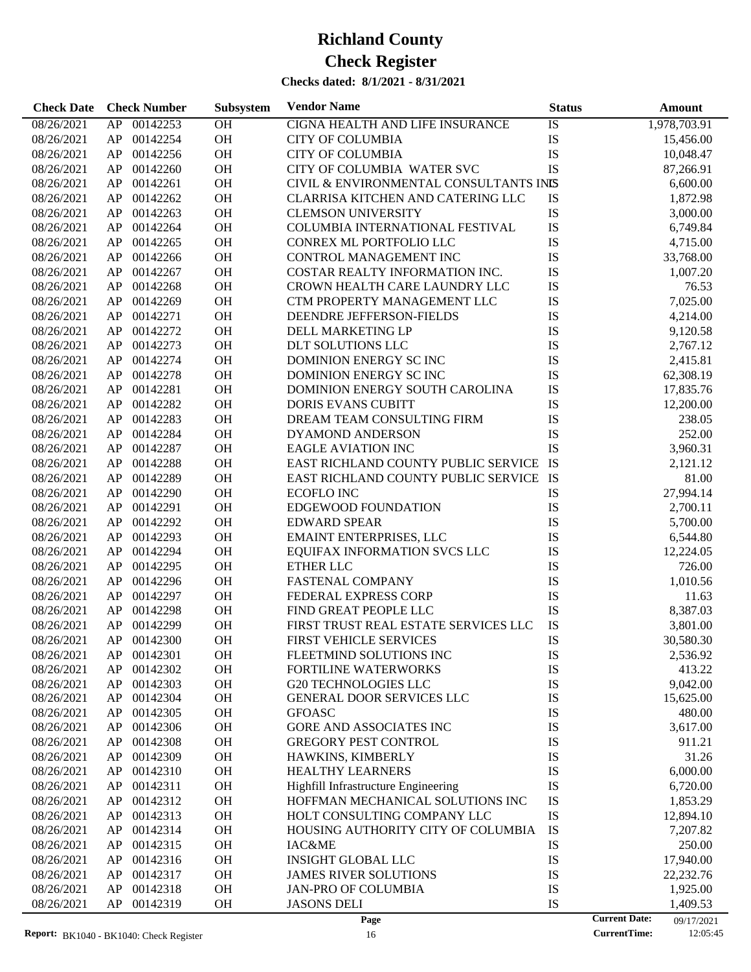| <b>Check Date</b> | <b>Check Number</b> | Subsystem       | <b>Vendor Name</b>                                       | <b>Status</b>        | Amount       |
|-------------------|---------------------|-----------------|----------------------------------------------------------|----------------------|--------------|
| 08/26/2021        | 00142253<br>AP      | <b>OH</b>       | CIGNA HEALTH AND LIFE INSURANCE                          | IS                   | 1,978,703.91 |
| 08/26/2021        | AP<br>00142254      | OH              | <b>CITY OF COLUMBIA</b>                                  | IS                   | 15,456.00    |
| 08/26/2021        | 00142256<br>AP      | OH              | <b>CITY OF COLUMBIA</b>                                  | IS                   | 10,048.47    |
| 08/26/2021        | 00142260<br>AP      | OH              | CITY OF COLUMBIA WATER SVC                               | <b>IS</b>            | 87,266.91    |
| 08/26/2021        | 00142261<br>AP      | OH              | CIVIL & ENVIRONMENTAL CONSULTANTS INIS                   |                      | 6,600.00     |
| 08/26/2021        | 00142262<br>AP      | OH              | CLARRISA KITCHEN AND CATERING LLC                        | IS                   | 1,872.98     |
| 08/26/2021        | 00142263<br>AP      | OH              | <b>CLEMSON UNIVERSITY</b>                                | IS                   | 3,000.00     |
| 08/26/2021        | 00142264<br>AP      | <b>OH</b>       | COLUMBIA INTERNATIONAL FESTIVAL                          | IS                   | 6,749.84     |
| 08/26/2021        | 00142265<br>AP      | OH              | CONREX ML PORTFOLIO LLC                                  | IS                   | 4,715.00     |
| 08/26/2021        | 00142266<br>AP      | OH              | <b>CONTROL MANAGEMENT INC</b>                            | IS                   | 33,768.00    |
| 08/26/2021        | 00142267<br>AP      | OH              | COSTAR REALTY INFORMATION INC.                           | IS                   | 1,007.20     |
| 08/26/2021        | 00142268<br>AP      | OH              | CROWN HEALTH CARE LAUNDRY LLC                            | IS                   | 76.53        |
| 08/26/2021        | 00142269<br>AP      | OH              | CTM PROPERTY MANAGEMENT LLC                              | IS                   | 7,025.00     |
| 08/26/2021        | 00142271<br>AP      | OH              | DEENDRE JEFFERSON-FIELDS                                 | IS                   | 4,214.00     |
| 08/26/2021        | 00142272<br>AP      | OH              | DELL MARKETING LP                                        | IS                   | 9,120.58     |
| 08/26/2021        | 00142273<br>AP      | <b>OH</b>       | <b>DLT SOLUTIONS LLC</b>                                 | IS                   | 2,767.12     |
| 08/26/2021        | 00142274<br>AP      | OH              | DOMINION ENERGY SC INC                                   | IS                   | 2,415.81     |
| 08/26/2021        | 00142278<br>AP      | OH              | DOMINION ENERGY SCINC                                    | IS                   | 62,308.19    |
| 08/26/2021        | 00142281<br>AP      | OH              | DOMINION ENERGY SOUTH CAROLINA                           | IS                   | 17,835.76    |
| 08/26/2021        | 00142282<br>AP      | <b>OH</b>       | <b>DORIS EVANS CUBITT</b>                                | IS                   | 12,200.00    |
| 08/26/2021        | 00142283<br>AP      | OH              | DREAM TEAM CONSULTING FIRM                               | IS                   | 238.05       |
| 08/26/2021        | 00142284<br>AP      | OH              | DYAMOND ANDERSON                                         | IS                   | 252.00       |
| 08/26/2021        | 00142287<br>AP      | OH              | <b>EAGLE AVIATION INC</b>                                | <b>IS</b>            | 3,960.31     |
| 08/26/2021        | 00142288<br>AP      | <b>OH</b>       | EAST RICHLAND COUNTY PUBLIC SERVICE IS                   |                      | 2,121.12     |
| 08/26/2021        | 00142289<br>AP      | OH              | EAST RICHLAND COUNTY PUBLIC SERVICE IS                   |                      | 81.00        |
| 08/26/2021        | 00142290<br>AP      | OH              | <b>ECOFLO INC</b>                                        | IS                   | 27,994.14    |
| 08/26/2021        | 00142291<br>AP      | OH              | EDGEWOOD FOUNDATION                                      | IS                   | 2,700.11     |
| 08/26/2021        | 00142292<br>AP      | <b>OH</b>       | <b>EDWARD SPEAR</b>                                      | IS                   | 5,700.00     |
| 08/26/2021        | 00142293<br>AP      | OH              | <b>EMAINT ENTERPRISES, LLC</b>                           | IS                   | 6,544.80     |
| 08/26/2021        | 00142294<br>AP      | OH              | EQUIFAX INFORMATION SVCS LLC                             | IS                   | 12,224.05    |
| 08/26/2021        | 00142295<br>AP      | OH              | ETHER LLC                                                | IS                   | 726.00       |
| 08/26/2021        | 00142296<br>AP      | <b>OH</b>       | <b>FASTENAL COMPANY</b>                                  | IS                   |              |
|                   | 00142297            | OH              | FEDERAL EXPRESS CORP                                     | IS                   | 1,010.56     |
| 08/26/2021        | AP<br>00142298      | OH              |                                                          | IS                   | 11.63        |
| 08/26/2021        | AP<br>00142299      |                 | FIND GREAT PEOPLE LLC                                    |                      | 8,387.03     |
| 08/26/2021        | AP                  | OH              | FIRST TRUST REAL ESTATE SERVICES LLC                     | IS                   | 3,801.00     |
| 08/26/2021        | AP<br>00142300      | <b>OH</b>       | <b>FIRST VEHICLE SERVICES</b>                            | IS                   | 30,580.30    |
| 08/26/2021        | AP.<br>00142301     | OН              | FLEETMIND SOLUTIONS INC                                  | IS                   | 2,536.92     |
| 08/26/2021        | 00142302<br>AP      | OH              | FORTILINE WATERWORKS                                     | IS                   | 413.22       |
| 08/26/2021        | 00142303<br>AP      | OH<br><b>OH</b> | <b>G20 TECHNOLOGIES LLC</b><br>GENERAL DOOR SERVICES LLC | IS<br>IS             | 9,042.00     |
| 08/26/2021        | 00142304<br>AP      |                 |                                                          | IS                   | 15,625.00    |
| 08/26/2021        | 00142305<br>AP      | OH              | <b>GFOASC</b>                                            |                      | 480.00       |
| 08/26/2021        | 00142306<br>AP      | OH              | GORE AND ASSOCIATES INC                                  | IS                   | 3,617.00     |
| 08/26/2021        | 00142308<br>AP      | OH              | GREGORY PEST CONTROL                                     | IS                   | 911.21       |
| 08/26/2021        | 00142309<br>AP      | OH              | HAWKINS, KIMBERLY                                        | IS                   | 31.26        |
| 08/26/2021        | AP<br>00142310      | OH              | <b>HEALTHY LEARNERS</b>                                  | IS                   | 6,000.00     |
| 08/26/2021        | 00142311<br>AP      | <b>OH</b>       | Highfill Infrastructure Engineering                      | IS                   | 6,720.00     |
| 08/26/2021        | 00142312<br>AP      | <b>OH</b>       | HOFFMAN MECHANICAL SOLUTIONS INC                         | IS                   | 1,853.29     |
| 08/26/2021        | 00142313<br>AP      | OH              | HOLT CONSULTING COMPANY LLC                              | IS                   | 12,894.10    |
| 08/26/2021        | AP<br>00142314      | <b>OH</b>       | HOUSING AUTHORITY CITY OF COLUMBIA                       | IS                   | 7,207.82     |
| 08/26/2021        | 00142315<br>AP      | OH              | IAC&ME                                                   | IS                   | 250.00       |
| 08/26/2021        | 00142316<br>AP      | <b>OH</b>       | <b>INSIGHT GLOBAL LLC</b>                                | IS                   | 17,940.00    |
| 08/26/2021        | AP<br>00142317      | <b>OH</b>       | <b>JAMES RIVER SOLUTIONS</b>                             | IS                   | 22,232.76    |
| 08/26/2021        | AP<br>00142318      | <b>OH</b>       | <b>JAN-PRO OF COLUMBIA</b>                               | IS                   | 1,925.00     |
| 08/26/2021        | AP<br>00142319      | <b>OH</b>       | <b>JASONS DELI</b>                                       | IS                   | 1,409.53     |
|                   |                     |                 | Page                                                     | <b>Current Date:</b> | 09/17/2021   |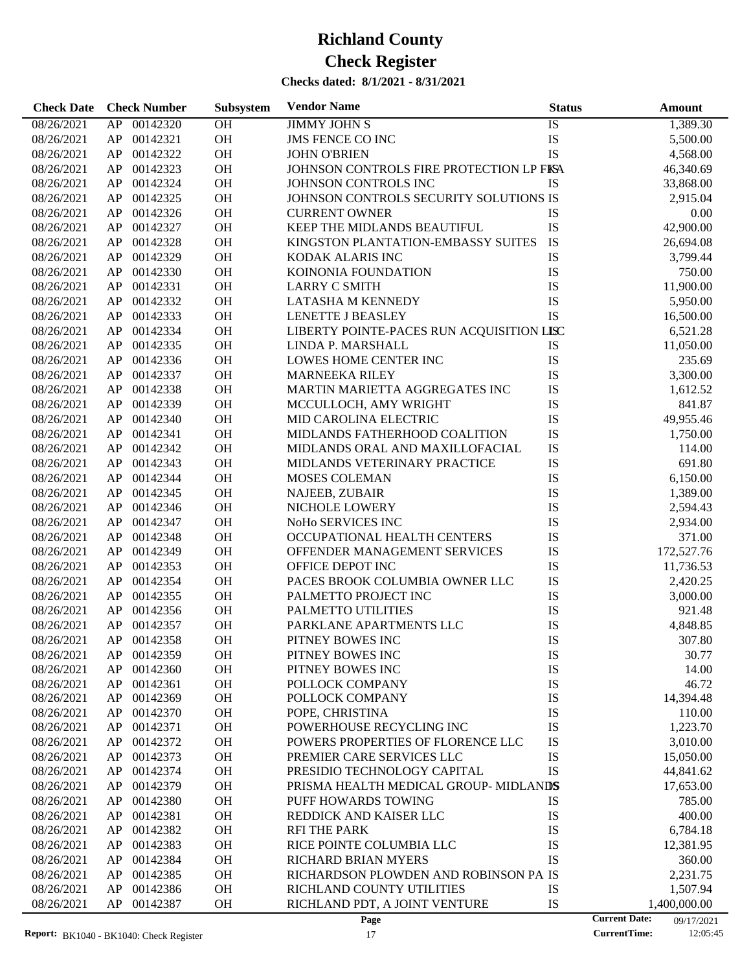| <b>Check Date</b> | <b>Check Number</b> | Subsystem | <b>Vendor Name</b>                        | <b>Status</b> | Amount                             |
|-------------------|---------------------|-----------|-------------------------------------------|---------------|------------------------------------|
| 08/26/2021        | 00142320<br>AP      | OH        | <b>JIMMY JOHN S</b>                       | IS            | 1,389.30                           |
| 08/26/2021        | 00142321<br>AP      | OH        | <b>JMS FENCE CO INC</b>                   | IS            | 5,500.00                           |
| 08/26/2021        | 00142322<br>AP      | OH        | <b>JOHN O'BRIEN</b>                       | <b>IS</b>     | 4,568.00                           |
| 08/26/2021        | 00142323<br>AP      | OH        | JOHNSON CONTROLS FIRE PROTECTION LP FISA  |               | 46,340.69                          |
| 08/26/2021        | 00142324<br>AP      | OH        | JOHNSON CONTROLS INC                      | IS            | 33,868.00                          |
| 08/26/2021        | 00142325<br>AP      | OH        | JOHNSON CONTROLS SECURITY SOLUTIONS IS    |               | 2,915.04                           |
| 08/26/2021        | 00142326<br>AP      | OH        | <b>CURRENT OWNER</b>                      | IS            | 0.00                               |
| 08/26/2021        | 00142327<br>AP      | OH        | KEEP THE MIDLANDS BEAUTIFUL               | IS            | 42,900.00                          |
| 08/26/2021        | 00142328<br>AP      | OH        | KINGSTON PLANTATION-EMBASSY SUITES        | IS            | 26,694.08                          |
| 08/26/2021        | 00142329<br>AP      | OH        | KODAK ALARIS INC                          | IS            | 3,799.44                           |
| 08/26/2021        | 00142330<br>AP      | OH        | KOINONIA FOUNDATION                       | IS            | 750.00                             |
| 08/26/2021        | 00142331<br>AP      | OH        | <b>LARRY C SMITH</b>                      | IS            | 11,900.00                          |
| 08/26/2021        | 00142332<br>AP      | OH        | LATASHA M KENNEDY                         | IS            | 5,950.00                           |
| 08/26/2021        | 00142333<br>AP      | OH        | <b>LENETTE J BEASLEY</b>                  | <b>IS</b>     | 16,500.00                          |
| 08/26/2021        | 00142334<br>AP      | OH        | LIBERTY POINTE-PACES RUN ACQUISITION LISC |               | 6,521.28                           |
| 08/26/2021        | 00142335<br>AP      | OH        | LINDA P. MARSHALL                         | IS            | 11,050.00                          |
| 08/26/2021        | 00142336<br>AP      | OH        | LOWES HOME CENTER INC                     | IS            | 235.69                             |
| 08/26/2021        | 00142337<br>AP      | OH        | <b>MARNEEKA RILEY</b>                     | IS            | 3,300.00                           |
| 08/26/2021        | 00142338<br>AP      | OH        | MARTIN MARIETTA AGGREGATES INC            | IS            | 1,612.52                           |
| 08/26/2021        | 00142339<br>AP      | OH        | MCCULLOCH, AMY WRIGHT                     | IS            | 841.87                             |
| 08/26/2021        | 00142340<br>AP      | OH        | MID CAROLINA ELECTRIC                     | IS            | 49,955.46                          |
| 08/26/2021        | 00142341<br>AP      | OH        | MIDLANDS FATHERHOOD COALITION             | IS            | 1,750.00                           |
| 08/26/2021        | 00142342<br>AP      | OH        | MIDLANDS ORAL AND MAXILLOFACIAL           | IS            | 114.00                             |
| 08/26/2021        | 00142343<br>AP      | OH        | MIDLANDS VETERINARY PRACTICE              | IS            | 691.80                             |
| 08/26/2021        | 00142344<br>AP      | OH        | MOSES COLEMAN                             | IS            | 6,150.00                           |
| 08/26/2021        | 00142345<br>AP      | OH        | <b>NAJEEB, ZUBAIR</b>                     | IS            | 1,389.00                           |
| 08/26/2021        | 00142346<br>AP      | OH        | NICHOLE LOWERY                            | IS            | 2,594.43                           |
| 08/26/2021        | 00142347<br>AP      | OH        | NoHo SERVICES INC                         | IS            | 2,934.00                           |
| 08/26/2021        | 00142348<br>AP      | OH        | OCCUPATIONAL HEALTH CENTERS               | IS            | 371.00                             |
| 08/26/2021        | 00142349<br>AP      | OH        | OFFENDER MANAGEMENT SERVICES              | IS            | 172,527.76                         |
| 08/26/2021        | AP<br>00142353      | OH        | OFFICE DEPOT INC                          | IS            | 11,736.53                          |
| 08/26/2021        | 00142354<br>AP      | OH        | PACES BROOK COLUMBIA OWNER LLC            | IS            | 2,420.25                           |
| 08/26/2021        | 00142355<br>AP      | OH        | PALMETTO PROJECT INC                      | IS            | 3,000.00                           |
| 08/26/2021        | AP<br>00142356      | OH        | PALMETTO UTILITIES                        | IS            | 921.48                             |
| 08/26/2021        | AP<br>00142357      | OH        | PARKLANE APARTMENTS LLC                   | IS            | 4,848.85                           |
| 08/26/2021        | AP<br>00142358      | <b>OH</b> | PITNEY BOWES INC                          | IS            | 307.80                             |
| 08/26/2021        | 00142359<br>AP      | OH        | PITNEY BOWES INC                          | IS            | 30.77                              |
| 08/26/2021        | 00142360<br>AP      | OH        | PITNEY BOWES INC                          | IS            | 14.00                              |
| 08/26/2021        | AP<br>00142361      | OH        | POLLOCK COMPANY                           | IS            | 46.72                              |
| 08/26/2021        | 00142369<br>AP      | <b>OH</b> | POLLOCK COMPANY                           | IS            | 14,394.48                          |
| 08/26/2021        | AP<br>00142370      | OH        | POPE, CHRISTINA                           | IS            | 110.00                             |
| 08/26/2021        | 00142371<br>AP      | OH        | POWERHOUSE RECYCLING INC                  | IS            | 1,223.70                           |
| 08/26/2021        | 00142372<br>AP      | OH        | POWERS PROPERTIES OF FLORENCE LLC         | IS            | 3,010.00                           |
| 08/26/2021        | 00142373<br>AP      | OH        | PREMIER CARE SERVICES LLC                 | IS            | 15,050.00                          |
| 08/26/2021        | 00142374<br>AP      | OH        | PRESIDIO TECHNOLOGY CAPITAL               | IS            | 44,841.62                          |
| 08/26/2021        | 00142379<br>AP      | OH        | PRISMA HEALTH MEDICAL GROUP-MIDLANDS      |               | 17,653.00                          |
| 08/26/2021        | 00142380<br>AP      | OH        | PUFF HOWARDS TOWING                       | IS            | 785.00                             |
| 08/26/2021        | 00142381<br>AP      | OH        | REDDICK AND KAISER LLC                    | IS            | 400.00                             |
| 08/26/2021        | 00142382<br>AP      | OH        | <b>RFI THE PARK</b>                       | IS            | 6,784.18                           |
| 08/26/2021        | 00142383<br>AP      | OH        | RICE POINTE COLUMBIA LLC                  | IS            | 12,381.95                          |
| 08/26/2021        | 00142384<br>AP      | OH        | RICHARD BRIAN MYERS                       | IS            | 360.00                             |
| 08/26/2021        | 00142385<br>AP      | OH        | RICHARDSON PLOWDEN AND ROBINSON PA IS     |               | 2,231.75                           |
| 08/26/2021        | 00142386<br>AP      | OH        | RICHLAND COUNTY UTILITIES                 | IS            | 1,507.94                           |
| 08/26/2021        | AP<br>00142387      | OH        | RICHLAND PDT, A JOINT VENTURE             | IS            | 1,400,000.00                       |
|                   |                     |           | Page                                      |               | <b>Current Date:</b><br>09/17/2021 |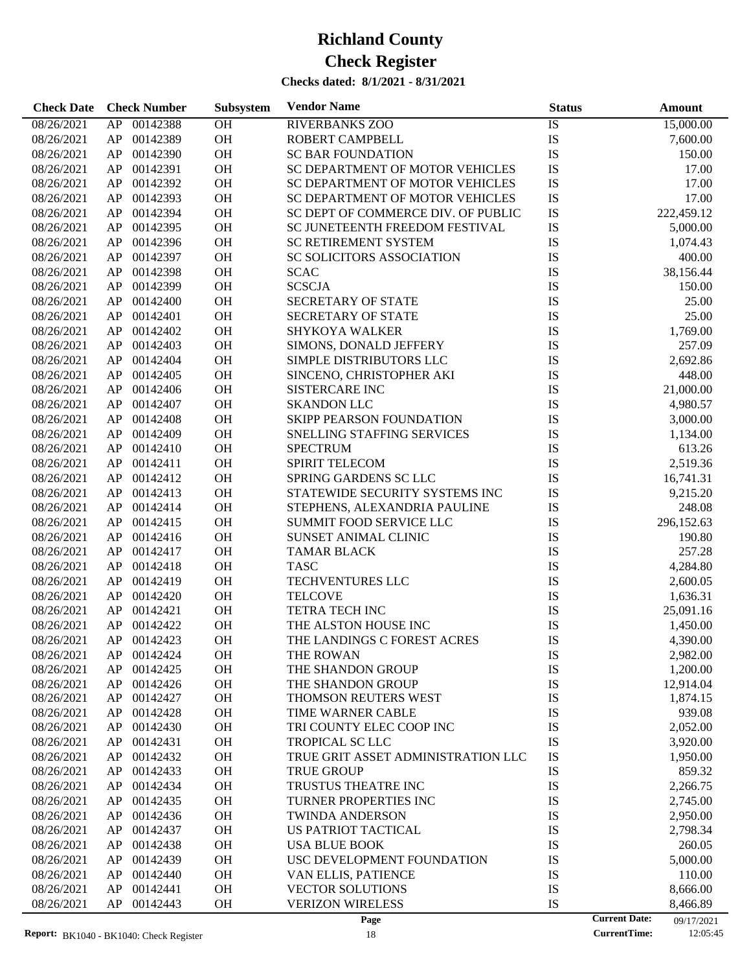| 00142388<br>OH<br><b>RIVERBANKS ZOO</b><br>08/26/2021<br>AP<br>IS<br>15,000.00<br>OH<br>IS<br>08/26/2021<br>00142389<br>ROBERT CAMPBELL<br>AP<br>7,600.00<br>OH<br>IS<br>00142390<br><b>SC BAR FOUNDATION</b><br>150.00<br>08/26/2021<br>AP<br>OH<br>IS<br>00142391<br>SC DEPARTMENT OF MOTOR VEHICLES<br>17.00<br>08/26/2021<br>AP<br>OH<br>IS<br>AP<br>00142392<br>SC DEPARTMENT OF MOTOR VEHICLES<br>17.00<br>08/26/2021<br>OH<br>IS<br>00142393<br>SC DEPARTMENT OF MOTOR VEHICLES<br>17.00<br>08/26/2021<br>AP<br>OH<br>IS<br>00142394<br>SC DEPT OF COMMERCE DIV. OF PUBLIC<br>222,459.12<br>08/26/2021<br>AP<br>OH<br>IS<br>00142395<br>SC JUNETEENTH FREEDOM FESTIVAL<br>5,000.00<br>08/26/2021<br>AP<br>OH<br>IS<br>00142396<br>SC RETIREMENT SYSTEM<br>1,074.43<br>08/26/2021<br>AP<br>OH<br>IS<br>AP<br>00142397<br>SC SOLICITORS ASSOCIATION<br>400.00<br>08/26/2021<br>OH<br>IS<br>00142398<br><b>SCAC</b><br>38,156.44<br>08/26/2021<br>AP<br>OH<br>IS<br>00142399<br><b>SCSCJA</b><br>08/26/2021<br>AP<br>150.00<br>OH<br>IS<br>00142400<br>SECRETARY OF STATE<br>25.00<br>08/26/2021<br>AP<br>OH<br>IS<br>00142401<br>SECRETARY OF STATE<br>25.00<br>08/26/2021<br>AP<br>OH<br>IS<br>AP<br>00142402<br><b>SHYKOYA WALKER</b><br>1,769.00<br>08/26/2021<br>OH<br>IS<br>00142403<br>SIMONS, DONALD JEFFERY<br>257.09<br>08/26/2021<br>AP<br>OH<br>IS<br>00142404<br>SIMPLE DISTRIBUTORS LLC<br>2,692.86<br>08/26/2021<br>AP<br>OH<br>00142405<br>SINCENO, CHRISTOPHER AKI<br>IS<br>448.00<br>08/26/2021<br>AP<br>OH<br>IS<br>00142406<br>21,000.00<br>08/26/2021<br>AP<br><b>SISTERCARE INC</b><br>OH<br>IS<br>00142407<br><b>SKANDON LLC</b><br>4,980.57<br>08/26/2021<br>AP<br>OH<br>IS<br>00142408<br><b>SKIPP PEARSON FOUNDATION</b><br>3,000.00<br>08/26/2021<br>AP<br>OH<br>00142409<br>SNELLING STAFFING SERVICES<br>IS<br>08/26/2021<br>AP<br>1,134.00<br>OH<br>00142410<br><b>SPECTRUM</b><br>IS<br>613.26<br>08/26/2021<br>AP<br>OH<br>IS<br>00142411<br><b>SPIRIT TELECOM</b><br>2,519.36<br>08/26/2021<br>AP<br>OH<br>IS<br>AP<br>00142412<br>SPRING GARDENS SC LLC<br>08/26/2021<br>16,741.31<br>OH<br>IS<br>00142413<br>STATEWIDE SECURITY SYSTEMS INC<br>9,215.20<br>08/26/2021<br>AP<br>OH<br>IS<br>00142414<br>STEPHENS, ALEXANDRIA PAULINE<br>248.08<br>08/26/2021<br>AP<br>OH<br>IS<br>00142415<br>SUMMIT FOOD SERVICE LLC<br>296,152.63<br>08/26/2021<br>AP<br>OH<br>00142416<br>SUNSET ANIMAL CLINIC<br>IS<br>08/26/2021<br>AP<br>190.80<br>OH<br>IS<br>AP<br>00142417<br><b>TAMAR BLACK</b><br>257.28<br>08/26/2021<br>OH<br>IS<br>00142418<br><b>TASC</b><br>4,284.80<br>08/26/2021<br>AP<br>OH<br>IS<br>00142419<br>TECHVENTURES LLC<br>08/26/2021<br>AP<br>2,600.05<br>OH<br>IS<br>00142420<br><b>TELCOVE</b><br>08/26/2021<br>AP<br>1,636.31<br>IS<br>00142421<br><b>OH</b><br><b>TETRA TECH INC</b><br>08/26/2021<br>AP<br>25,091.16<br>IS<br>AP<br>00142422<br>OH<br>THE ALSTON HOUSE INC<br>08/26/2021<br>1,450.00<br>IS<br>AP 00142423<br><b>OH</b><br>THE LANDINGS C FOREST ACRES<br>08/26/2021<br>4,390.00<br>08/26/2021<br>AP<br>00142424<br><b>OH</b><br>THE ROWAN<br>IS<br>2,982.00<br>08/26/2021<br>00142425<br>OH<br>THE SHANDON GROUP<br>IS<br>1,200.00<br>AP<br>AP<br>00142426<br><b>OH</b><br>THE SHANDON GROUP<br>IS<br>12,914.04<br>08/26/2021<br>IS<br>00142427<br>OH<br>THOMSON REUTERS WEST<br>08/26/2021<br>AP<br>1,874.15 | <b>Check Date</b> | <b>Check Number</b> | Subsystem | <b>Vendor Name</b> | <b>Status</b> | Amount |
|----------------------------------------------------------------------------------------------------------------------------------------------------------------------------------------------------------------------------------------------------------------------------------------------------------------------------------------------------------------------------------------------------------------------------------------------------------------------------------------------------------------------------------------------------------------------------------------------------------------------------------------------------------------------------------------------------------------------------------------------------------------------------------------------------------------------------------------------------------------------------------------------------------------------------------------------------------------------------------------------------------------------------------------------------------------------------------------------------------------------------------------------------------------------------------------------------------------------------------------------------------------------------------------------------------------------------------------------------------------------------------------------------------------------------------------------------------------------------------------------------------------------------------------------------------------------------------------------------------------------------------------------------------------------------------------------------------------------------------------------------------------------------------------------------------------------------------------------------------------------------------------------------------------------------------------------------------------------------------------------------------------------------------------------------------------------------------------------------------------------------------------------------------------------------------------------------------------------------------------------------------------------------------------------------------------------------------------------------------------------------------------------------------------------------------------------------------------------------------------------------------------------------------------------------------------------------------------------------------------------------------------------------------------------------------------------------------------------------------------------------------------------------------------------------------------------------------------------------------------------------------------------------------------------------------------------------------------------------------------------------------------------------------------------------------------------------------------------------------------------------------------------------------------------------------------------------------------------------------------------------------------------------------------------------------------------------------------------------------------------------------------|-------------------|---------------------|-----------|--------------------|---------------|--------|
|                                                                                                                                                                                                                                                                                                                                                                                                                                                                                                                                                                                                                                                                                                                                                                                                                                                                                                                                                                                                                                                                                                                                                                                                                                                                                                                                                                                                                                                                                                                                                                                                                                                                                                                                                                                                                                                                                                                                                                                                                                                                                                                                                                                                                                                                                                                                                                                                                                                                                                                                                                                                                                                                                                                                                                                                                                                                                                                                                                                                                                                                                                                                                                                                                                                                                                                                                                                        |                   |                     |           |                    |               |        |
|                                                                                                                                                                                                                                                                                                                                                                                                                                                                                                                                                                                                                                                                                                                                                                                                                                                                                                                                                                                                                                                                                                                                                                                                                                                                                                                                                                                                                                                                                                                                                                                                                                                                                                                                                                                                                                                                                                                                                                                                                                                                                                                                                                                                                                                                                                                                                                                                                                                                                                                                                                                                                                                                                                                                                                                                                                                                                                                                                                                                                                                                                                                                                                                                                                                                                                                                                                                        |                   |                     |           |                    |               |        |
|                                                                                                                                                                                                                                                                                                                                                                                                                                                                                                                                                                                                                                                                                                                                                                                                                                                                                                                                                                                                                                                                                                                                                                                                                                                                                                                                                                                                                                                                                                                                                                                                                                                                                                                                                                                                                                                                                                                                                                                                                                                                                                                                                                                                                                                                                                                                                                                                                                                                                                                                                                                                                                                                                                                                                                                                                                                                                                                                                                                                                                                                                                                                                                                                                                                                                                                                                                                        |                   |                     |           |                    |               |        |
|                                                                                                                                                                                                                                                                                                                                                                                                                                                                                                                                                                                                                                                                                                                                                                                                                                                                                                                                                                                                                                                                                                                                                                                                                                                                                                                                                                                                                                                                                                                                                                                                                                                                                                                                                                                                                                                                                                                                                                                                                                                                                                                                                                                                                                                                                                                                                                                                                                                                                                                                                                                                                                                                                                                                                                                                                                                                                                                                                                                                                                                                                                                                                                                                                                                                                                                                                                                        |                   |                     |           |                    |               |        |
|                                                                                                                                                                                                                                                                                                                                                                                                                                                                                                                                                                                                                                                                                                                                                                                                                                                                                                                                                                                                                                                                                                                                                                                                                                                                                                                                                                                                                                                                                                                                                                                                                                                                                                                                                                                                                                                                                                                                                                                                                                                                                                                                                                                                                                                                                                                                                                                                                                                                                                                                                                                                                                                                                                                                                                                                                                                                                                                                                                                                                                                                                                                                                                                                                                                                                                                                                                                        |                   |                     |           |                    |               |        |
|                                                                                                                                                                                                                                                                                                                                                                                                                                                                                                                                                                                                                                                                                                                                                                                                                                                                                                                                                                                                                                                                                                                                                                                                                                                                                                                                                                                                                                                                                                                                                                                                                                                                                                                                                                                                                                                                                                                                                                                                                                                                                                                                                                                                                                                                                                                                                                                                                                                                                                                                                                                                                                                                                                                                                                                                                                                                                                                                                                                                                                                                                                                                                                                                                                                                                                                                                                                        |                   |                     |           |                    |               |        |
|                                                                                                                                                                                                                                                                                                                                                                                                                                                                                                                                                                                                                                                                                                                                                                                                                                                                                                                                                                                                                                                                                                                                                                                                                                                                                                                                                                                                                                                                                                                                                                                                                                                                                                                                                                                                                                                                                                                                                                                                                                                                                                                                                                                                                                                                                                                                                                                                                                                                                                                                                                                                                                                                                                                                                                                                                                                                                                                                                                                                                                                                                                                                                                                                                                                                                                                                                                                        |                   |                     |           |                    |               |        |
|                                                                                                                                                                                                                                                                                                                                                                                                                                                                                                                                                                                                                                                                                                                                                                                                                                                                                                                                                                                                                                                                                                                                                                                                                                                                                                                                                                                                                                                                                                                                                                                                                                                                                                                                                                                                                                                                                                                                                                                                                                                                                                                                                                                                                                                                                                                                                                                                                                                                                                                                                                                                                                                                                                                                                                                                                                                                                                                                                                                                                                                                                                                                                                                                                                                                                                                                                                                        |                   |                     |           |                    |               |        |
|                                                                                                                                                                                                                                                                                                                                                                                                                                                                                                                                                                                                                                                                                                                                                                                                                                                                                                                                                                                                                                                                                                                                                                                                                                                                                                                                                                                                                                                                                                                                                                                                                                                                                                                                                                                                                                                                                                                                                                                                                                                                                                                                                                                                                                                                                                                                                                                                                                                                                                                                                                                                                                                                                                                                                                                                                                                                                                                                                                                                                                                                                                                                                                                                                                                                                                                                                                                        |                   |                     |           |                    |               |        |
|                                                                                                                                                                                                                                                                                                                                                                                                                                                                                                                                                                                                                                                                                                                                                                                                                                                                                                                                                                                                                                                                                                                                                                                                                                                                                                                                                                                                                                                                                                                                                                                                                                                                                                                                                                                                                                                                                                                                                                                                                                                                                                                                                                                                                                                                                                                                                                                                                                                                                                                                                                                                                                                                                                                                                                                                                                                                                                                                                                                                                                                                                                                                                                                                                                                                                                                                                                                        |                   |                     |           |                    |               |        |
|                                                                                                                                                                                                                                                                                                                                                                                                                                                                                                                                                                                                                                                                                                                                                                                                                                                                                                                                                                                                                                                                                                                                                                                                                                                                                                                                                                                                                                                                                                                                                                                                                                                                                                                                                                                                                                                                                                                                                                                                                                                                                                                                                                                                                                                                                                                                                                                                                                                                                                                                                                                                                                                                                                                                                                                                                                                                                                                                                                                                                                                                                                                                                                                                                                                                                                                                                                                        |                   |                     |           |                    |               |        |
|                                                                                                                                                                                                                                                                                                                                                                                                                                                                                                                                                                                                                                                                                                                                                                                                                                                                                                                                                                                                                                                                                                                                                                                                                                                                                                                                                                                                                                                                                                                                                                                                                                                                                                                                                                                                                                                                                                                                                                                                                                                                                                                                                                                                                                                                                                                                                                                                                                                                                                                                                                                                                                                                                                                                                                                                                                                                                                                                                                                                                                                                                                                                                                                                                                                                                                                                                                                        |                   |                     |           |                    |               |        |
|                                                                                                                                                                                                                                                                                                                                                                                                                                                                                                                                                                                                                                                                                                                                                                                                                                                                                                                                                                                                                                                                                                                                                                                                                                                                                                                                                                                                                                                                                                                                                                                                                                                                                                                                                                                                                                                                                                                                                                                                                                                                                                                                                                                                                                                                                                                                                                                                                                                                                                                                                                                                                                                                                                                                                                                                                                                                                                                                                                                                                                                                                                                                                                                                                                                                                                                                                                                        |                   |                     |           |                    |               |        |
|                                                                                                                                                                                                                                                                                                                                                                                                                                                                                                                                                                                                                                                                                                                                                                                                                                                                                                                                                                                                                                                                                                                                                                                                                                                                                                                                                                                                                                                                                                                                                                                                                                                                                                                                                                                                                                                                                                                                                                                                                                                                                                                                                                                                                                                                                                                                                                                                                                                                                                                                                                                                                                                                                                                                                                                                                                                                                                                                                                                                                                                                                                                                                                                                                                                                                                                                                                                        |                   |                     |           |                    |               |        |
|                                                                                                                                                                                                                                                                                                                                                                                                                                                                                                                                                                                                                                                                                                                                                                                                                                                                                                                                                                                                                                                                                                                                                                                                                                                                                                                                                                                                                                                                                                                                                                                                                                                                                                                                                                                                                                                                                                                                                                                                                                                                                                                                                                                                                                                                                                                                                                                                                                                                                                                                                                                                                                                                                                                                                                                                                                                                                                                                                                                                                                                                                                                                                                                                                                                                                                                                                                                        |                   |                     |           |                    |               |        |
|                                                                                                                                                                                                                                                                                                                                                                                                                                                                                                                                                                                                                                                                                                                                                                                                                                                                                                                                                                                                                                                                                                                                                                                                                                                                                                                                                                                                                                                                                                                                                                                                                                                                                                                                                                                                                                                                                                                                                                                                                                                                                                                                                                                                                                                                                                                                                                                                                                                                                                                                                                                                                                                                                                                                                                                                                                                                                                                                                                                                                                                                                                                                                                                                                                                                                                                                                                                        |                   |                     |           |                    |               |        |
|                                                                                                                                                                                                                                                                                                                                                                                                                                                                                                                                                                                                                                                                                                                                                                                                                                                                                                                                                                                                                                                                                                                                                                                                                                                                                                                                                                                                                                                                                                                                                                                                                                                                                                                                                                                                                                                                                                                                                                                                                                                                                                                                                                                                                                                                                                                                                                                                                                                                                                                                                                                                                                                                                                                                                                                                                                                                                                                                                                                                                                                                                                                                                                                                                                                                                                                                                                                        |                   |                     |           |                    |               |        |
|                                                                                                                                                                                                                                                                                                                                                                                                                                                                                                                                                                                                                                                                                                                                                                                                                                                                                                                                                                                                                                                                                                                                                                                                                                                                                                                                                                                                                                                                                                                                                                                                                                                                                                                                                                                                                                                                                                                                                                                                                                                                                                                                                                                                                                                                                                                                                                                                                                                                                                                                                                                                                                                                                                                                                                                                                                                                                                                                                                                                                                                                                                                                                                                                                                                                                                                                                                                        |                   |                     |           |                    |               |        |
|                                                                                                                                                                                                                                                                                                                                                                                                                                                                                                                                                                                                                                                                                                                                                                                                                                                                                                                                                                                                                                                                                                                                                                                                                                                                                                                                                                                                                                                                                                                                                                                                                                                                                                                                                                                                                                                                                                                                                                                                                                                                                                                                                                                                                                                                                                                                                                                                                                                                                                                                                                                                                                                                                                                                                                                                                                                                                                                                                                                                                                                                                                                                                                                                                                                                                                                                                                                        |                   |                     |           |                    |               |        |
|                                                                                                                                                                                                                                                                                                                                                                                                                                                                                                                                                                                                                                                                                                                                                                                                                                                                                                                                                                                                                                                                                                                                                                                                                                                                                                                                                                                                                                                                                                                                                                                                                                                                                                                                                                                                                                                                                                                                                                                                                                                                                                                                                                                                                                                                                                                                                                                                                                                                                                                                                                                                                                                                                                                                                                                                                                                                                                                                                                                                                                                                                                                                                                                                                                                                                                                                                                                        |                   |                     |           |                    |               |        |
|                                                                                                                                                                                                                                                                                                                                                                                                                                                                                                                                                                                                                                                                                                                                                                                                                                                                                                                                                                                                                                                                                                                                                                                                                                                                                                                                                                                                                                                                                                                                                                                                                                                                                                                                                                                                                                                                                                                                                                                                                                                                                                                                                                                                                                                                                                                                                                                                                                                                                                                                                                                                                                                                                                                                                                                                                                                                                                                                                                                                                                                                                                                                                                                                                                                                                                                                                                                        |                   |                     |           |                    |               |        |
|                                                                                                                                                                                                                                                                                                                                                                                                                                                                                                                                                                                                                                                                                                                                                                                                                                                                                                                                                                                                                                                                                                                                                                                                                                                                                                                                                                                                                                                                                                                                                                                                                                                                                                                                                                                                                                                                                                                                                                                                                                                                                                                                                                                                                                                                                                                                                                                                                                                                                                                                                                                                                                                                                                                                                                                                                                                                                                                                                                                                                                                                                                                                                                                                                                                                                                                                                                                        |                   |                     |           |                    |               |        |
|                                                                                                                                                                                                                                                                                                                                                                                                                                                                                                                                                                                                                                                                                                                                                                                                                                                                                                                                                                                                                                                                                                                                                                                                                                                                                                                                                                                                                                                                                                                                                                                                                                                                                                                                                                                                                                                                                                                                                                                                                                                                                                                                                                                                                                                                                                                                                                                                                                                                                                                                                                                                                                                                                                                                                                                                                                                                                                                                                                                                                                                                                                                                                                                                                                                                                                                                                                                        |                   |                     |           |                    |               |        |
|                                                                                                                                                                                                                                                                                                                                                                                                                                                                                                                                                                                                                                                                                                                                                                                                                                                                                                                                                                                                                                                                                                                                                                                                                                                                                                                                                                                                                                                                                                                                                                                                                                                                                                                                                                                                                                                                                                                                                                                                                                                                                                                                                                                                                                                                                                                                                                                                                                                                                                                                                                                                                                                                                                                                                                                                                                                                                                                                                                                                                                                                                                                                                                                                                                                                                                                                                                                        |                   |                     |           |                    |               |        |
|                                                                                                                                                                                                                                                                                                                                                                                                                                                                                                                                                                                                                                                                                                                                                                                                                                                                                                                                                                                                                                                                                                                                                                                                                                                                                                                                                                                                                                                                                                                                                                                                                                                                                                                                                                                                                                                                                                                                                                                                                                                                                                                                                                                                                                                                                                                                                                                                                                                                                                                                                                                                                                                                                                                                                                                                                                                                                                                                                                                                                                                                                                                                                                                                                                                                                                                                                                                        |                   |                     |           |                    |               |        |
|                                                                                                                                                                                                                                                                                                                                                                                                                                                                                                                                                                                                                                                                                                                                                                                                                                                                                                                                                                                                                                                                                                                                                                                                                                                                                                                                                                                                                                                                                                                                                                                                                                                                                                                                                                                                                                                                                                                                                                                                                                                                                                                                                                                                                                                                                                                                                                                                                                                                                                                                                                                                                                                                                                                                                                                                                                                                                                                                                                                                                                                                                                                                                                                                                                                                                                                                                                                        |                   |                     |           |                    |               |        |
|                                                                                                                                                                                                                                                                                                                                                                                                                                                                                                                                                                                                                                                                                                                                                                                                                                                                                                                                                                                                                                                                                                                                                                                                                                                                                                                                                                                                                                                                                                                                                                                                                                                                                                                                                                                                                                                                                                                                                                                                                                                                                                                                                                                                                                                                                                                                                                                                                                                                                                                                                                                                                                                                                                                                                                                                                                                                                                                                                                                                                                                                                                                                                                                                                                                                                                                                                                                        |                   |                     |           |                    |               |        |
|                                                                                                                                                                                                                                                                                                                                                                                                                                                                                                                                                                                                                                                                                                                                                                                                                                                                                                                                                                                                                                                                                                                                                                                                                                                                                                                                                                                                                                                                                                                                                                                                                                                                                                                                                                                                                                                                                                                                                                                                                                                                                                                                                                                                                                                                                                                                                                                                                                                                                                                                                                                                                                                                                                                                                                                                                                                                                                                                                                                                                                                                                                                                                                                                                                                                                                                                                                                        |                   |                     |           |                    |               |        |
|                                                                                                                                                                                                                                                                                                                                                                                                                                                                                                                                                                                                                                                                                                                                                                                                                                                                                                                                                                                                                                                                                                                                                                                                                                                                                                                                                                                                                                                                                                                                                                                                                                                                                                                                                                                                                                                                                                                                                                                                                                                                                                                                                                                                                                                                                                                                                                                                                                                                                                                                                                                                                                                                                                                                                                                                                                                                                                                                                                                                                                                                                                                                                                                                                                                                                                                                                                                        |                   |                     |           |                    |               |        |
|                                                                                                                                                                                                                                                                                                                                                                                                                                                                                                                                                                                                                                                                                                                                                                                                                                                                                                                                                                                                                                                                                                                                                                                                                                                                                                                                                                                                                                                                                                                                                                                                                                                                                                                                                                                                                                                                                                                                                                                                                                                                                                                                                                                                                                                                                                                                                                                                                                                                                                                                                                                                                                                                                                                                                                                                                                                                                                                                                                                                                                                                                                                                                                                                                                                                                                                                                                                        |                   |                     |           |                    |               |        |
|                                                                                                                                                                                                                                                                                                                                                                                                                                                                                                                                                                                                                                                                                                                                                                                                                                                                                                                                                                                                                                                                                                                                                                                                                                                                                                                                                                                                                                                                                                                                                                                                                                                                                                                                                                                                                                                                                                                                                                                                                                                                                                                                                                                                                                                                                                                                                                                                                                                                                                                                                                                                                                                                                                                                                                                                                                                                                                                                                                                                                                                                                                                                                                                                                                                                                                                                                                                        |                   |                     |           |                    |               |        |
|                                                                                                                                                                                                                                                                                                                                                                                                                                                                                                                                                                                                                                                                                                                                                                                                                                                                                                                                                                                                                                                                                                                                                                                                                                                                                                                                                                                                                                                                                                                                                                                                                                                                                                                                                                                                                                                                                                                                                                                                                                                                                                                                                                                                                                                                                                                                                                                                                                                                                                                                                                                                                                                                                                                                                                                                                                                                                                                                                                                                                                                                                                                                                                                                                                                                                                                                                                                        |                   |                     |           |                    |               |        |
|                                                                                                                                                                                                                                                                                                                                                                                                                                                                                                                                                                                                                                                                                                                                                                                                                                                                                                                                                                                                                                                                                                                                                                                                                                                                                                                                                                                                                                                                                                                                                                                                                                                                                                                                                                                                                                                                                                                                                                                                                                                                                                                                                                                                                                                                                                                                                                                                                                                                                                                                                                                                                                                                                                                                                                                                                                                                                                                                                                                                                                                                                                                                                                                                                                                                                                                                                                                        |                   |                     |           |                    |               |        |
|                                                                                                                                                                                                                                                                                                                                                                                                                                                                                                                                                                                                                                                                                                                                                                                                                                                                                                                                                                                                                                                                                                                                                                                                                                                                                                                                                                                                                                                                                                                                                                                                                                                                                                                                                                                                                                                                                                                                                                                                                                                                                                                                                                                                                                                                                                                                                                                                                                                                                                                                                                                                                                                                                                                                                                                                                                                                                                                                                                                                                                                                                                                                                                                                                                                                                                                                                                                        |                   |                     |           |                    |               |        |
|                                                                                                                                                                                                                                                                                                                                                                                                                                                                                                                                                                                                                                                                                                                                                                                                                                                                                                                                                                                                                                                                                                                                                                                                                                                                                                                                                                                                                                                                                                                                                                                                                                                                                                                                                                                                                                                                                                                                                                                                                                                                                                                                                                                                                                                                                                                                                                                                                                                                                                                                                                                                                                                                                                                                                                                                                                                                                                                                                                                                                                                                                                                                                                                                                                                                                                                                                                                        |                   |                     |           |                    |               |        |
|                                                                                                                                                                                                                                                                                                                                                                                                                                                                                                                                                                                                                                                                                                                                                                                                                                                                                                                                                                                                                                                                                                                                                                                                                                                                                                                                                                                                                                                                                                                                                                                                                                                                                                                                                                                                                                                                                                                                                                                                                                                                                                                                                                                                                                                                                                                                                                                                                                                                                                                                                                                                                                                                                                                                                                                                                                                                                                                                                                                                                                                                                                                                                                                                                                                                                                                                                                                        |                   |                     |           |                    |               |        |
|                                                                                                                                                                                                                                                                                                                                                                                                                                                                                                                                                                                                                                                                                                                                                                                                                                                                                                                                                                                                                                                                                                                                                                                                                                                                                                                                                                                                                                                                                                                                                                                                                                                                                                                                                                                                                                                                                                                                                                                                                                                                                                                                                                                                                                                                                                                                                                                                                                                                                                                                                                                                                                                                                                                                                                                                                                                                                                                                                                                                                                                                                                                                                                                                                                                                                                                                                                                        |                   |                     |           |                    |               |        |
|                                                                                                                                                                                                                                                                                                                                                                                                                                                                                                                                                                                                                                                                                                                                                                                                                                                                                                                                                                                                                                                                                                                                                                                                                                                                                                                                                                                                                                                                                                                                                                                                                                                                                                                                                                                                                                                                                                                                                                                                                                                                                                                                                                                                                                                                                                                                                                                                                                                                                                                                                                                                                                                                                                                                                                                                                                                                                                                                                                                                                                                                                                                                                                                                                                                                                                                                                                                        |                   |                     |           |                    |               |        |
|                                                                                                                                                                                                                                                                                                                                                                                                                                                                                                                                                                                                                                                                                                                                                                                                                                                                                                                                                                                                                                                                                                                                                                                                                                                                                                                                                                                                                                                                                                                                                                                                                                                                                                                                                                                                                                                                                                                                                                                                                                                                                                                                                                                                                                                                                                                                                                                                                                                                                                                                                                                                                                                                                                                                                                                                                                                                                                                                                                                                                                                                                                                                                                                                                                                                                                                                                                                        |                   |                     |           |                    |               |        |
|                                                                                                                                                                                                                                                                                                                                                                                                                                                                                                                                                                                                                                                                                                                                                                                                                                                                                                                                                                                                                                                                                                                                                                                                                                                                                                                                                                                                                                                                                                                                                                                                                                                                                                                                                                                                                                                                                                                                                                                                                                                                                                                                                                                                                                                                                                                                                                                                                                                                                                                                                                                                                                                                                                                                                                                                                                                                                                                                                                                                                                                                                                                                                                                                                                                                                                                                                                                        |                   |                     |           |                    |               |        |
| 00142428<br>OH<br>IS<br>08/26/2021<br>AP<br>TIME WARNER CABLE<br>939.08                                                                                                                                                                                                                                                                                                                                                                                                                                                                                                                                                                                                                                                                                                                                                                                                                                                                                                                                                                                                                                                                                                                                                                                                                                                                                                                                                                                                                                                                                                                                                                                                                                                                                                                                                                                                                                                                                                                                                                                                                                                                                                                                                                                                                                                                                                                                                                                                                                                                                                                                                                                                                                                                                                                                                                                                                                                                                                                                                                                                                                                                                                                                                                                                                                                                                                                |                   |                     |           |                    |               |        |
| IS<br>00142430<br>OH<br>TRI COUNTY ELEC COOP INC<br>08/26/2021<br>AP<br>2,052.00                                                                                                                                                                                                                                                                                                                                                                                                                                                                                                                                                                                                                                                                                                                                                                                                                                                                                                                                                                                                                                                                                                                                                                                                                                                                                                                                                                                                                                                                                                                                                                                                                                                                                                                                                                                                                                                                                                                                                                                                                                                                                                                                                                                                                                                                                                                                                                                                                                                                                                                                                                                                                                                                                                                                                                                                                                                                                                                                                                                                                                                                                                                                                                                                                                                                                                       |                   |                     |           |                    |               |        |
| IS<br>00142431<br>OH<br>08/26/2021<br>AP<br><b>TROPICAL SC LLC</b><br>3,920.00                                                                                                                                                                                                                                                                                                                                                                                                                                                                                                                                                                                                                                                                                                                                                                                                                                                                                                                                                                                                                                                                                                                                                                                                                                                                                                                                                                                                                                                                                                                                                                                                                                                                                                                                                                                                                                                                                                                                                                                                                                                                                                                                                                                                                                                                                                                                                                                                                                                                                                                                                                                                                                                                                                                                                                                                                                                                                                                                                                                                                                                                                                                                                                                                                                                                                                         |                   |                     |           |                    |               |        |
| IS<br>00142432<br>OH<br>TRUE GRIT ASSET ADMINISTRATION LLC<br>08/26/2021<br>AP<br>1,950.00                                                                                                                                                                                                                                                                                                                                                                                                                                                                                                                                                                                                                                                                                                                                                                                                                                                                                                                                                                                                                                                                                                                                                                                                                                                                                                                                                                                                                                                                                                                                                                                                                                                                                                                                                                                                                                                                                                                                                                                                                                                                                                                                                                                                                                                                                                                                                                                                                                                                                                                                                                                                                                                                                                                                                                                                                                                                                                                                                                                                                                                                                                                                                                                                                                                                                             |                   |                     |           |                    |               |        |
| 00142433<br>OH<br><b>TRUE GROUP</b><br>IS<br>08/26/2021<br>AP<br>859.32                                                                                                                                                                                                                                                                                                                                                                                                                                                                                                                                                                                                                                                                                                                                                                                                                                                                                                                                                                                                                                                                                                                                                                                                                                                                                                                                                                                                                                                                                                                                                                                                                                                                                                                                                                                                                                                                                                                                                                                                                                                                                                                                                                                                                                                                                                                                                                                                                                                                                                                                                                                                                                                                                                                                                                                                                                                                                                                                                                                                                                                                                                                                                                                                                                                                                                                |                   |                     |           |                    |               |        |
| 00142434<br>OH<br>TRUSTUS THEATRE INC<br>IS<br>08/26/2021<br>AP<br>2,266.75                                                                                                                                                                                                                                                                                                                                                                                                                                                                                                                                                                                                                                                                                                                                                                                                                                                                                                                                                                                                                                                                                                                                                                                                                                                                                                                                                                                                                                                                                                                                                                                                                                                                                                                                                                                                                                                                                                                                                                                                                                                                                                                                                                                                                                                                                                                                                                                                                                                                                                                                                                                                                                                                                                                                                                                                                                                                                                                                                                                                                                                                                                                                                                                                                                                                                                            |                   |                     |           |                    |               |        |
| 00142435<br>OH<br>IS<br>08/26/2021<br>AP<br>TURNER PROPERTIES INC<br>2,745.00                                                                                                                                                                                                                                                                                                                                                                                                                                                                                                                                                                                                                                                                                                                                                                                                                                                                                                                                                                                                                                                                                                                                                                                                                                                                                                                                                                                                                                                                                                                                                                                                                                                                                                                                                                                                                                                                                                                                                                                                                                                                                                                                                                                                                                                                                                                                                                                                                                                                                                                                                                                                                                                                                                                                                                                                                                                                                                                                                                                                                                                                                                                                                                                                                                                                                                          |                   |                     |           |                    |               |        |
| IS<br>00142436<br>OH<br>08/26/2021<br>AP<br><b>TWINDA ANDERSON</b><br>2,950.00                                                                                                                                                                                                                                                                                                                                                                                                                                                                                                                                                                                                                                                                                                                                                                                                                                                                                                                                                                                                                                                                                                                                                                                                                                                                                                                                                                                                                                                                                                                                                                                                                                                                                                                                                                                                                                                                                                                                                                                                                                                                                                                                                                                                                                                                                                                                                                                                                                                                                                                                                                                                                                                                                                                                                                                                                                                                                                                                                                                                                                                                                                                                                                                                                                                                                                         |                   |                     |           |                    |               |        |
| IS<br>00142437<br>OH<br>08/26/2021<br>AP<br>US PATRIOT TACTICAL<br>2,798.34                                                                                                                                                                                                                                                                                                                                                                                                                                                                                                                                                                                                                                                                                                                                                                                                                                                                                                                                                                                                                                                                                                                                                                                                                                                                                                                                                                                                                                                                                                                                                                                                                                                                                                                                                                                                                                                                                                                                                                                                                                                                                                                                                                                                                                                                                                                                                                                                                                                                                                                                                                                                                                                                                                                                                                                                                                                                                                                                                                                                                                                                                                                                                                                                                                                                                                            |                   |                     |           |                    |               |        |
| 00142438<br>OH<br>IS<br>08/26/2021<br>AP<br><b>USA BLUE BOOK</b><br>260.05                                                                                                                                                                                                                                                                                                                                                                                                                                                                                                                                                                                                                                                                                                                                                                                                                                                                                                                                                                                                                                                                                                                                                                                                                                                                                                                                                                                                                                                                                                                                                                                                                                                                                                                                                                                                                                                                                                                                                                                                                                                                                                                                                                                                                                                                                                                                                                                                                                                                                                                                                                                                                                                                                                                                                                                                                                                                                                                                                                                                                                                                                                                                                                                                                                                                                                             |                   |                     |           |                    |               |        |
| 00142439<br>OH<br>IS<br>08/26/2021<br>AP<br>USC DEVELOPMENT FOUNDATION<br>5,000.00                                                                                                                                                                                                                                                                                                                                                                                                                                                                                                                                                                                                                                                                                                                                                                                                                                                                                                                                                                                                                                                                                                                                                                                                                                                                                                                                                                                                                                                                                                                                                                                                                                                                                                                                                                                                                                                                                                                                                                                                                                                                                                                                                                                                                                                                                                                                                                                                                                                                                                                                                                                                                                                                                                                                                                                                                                                                                                                                                                                                                                                                                                                                                                                                                                                                                                     |                   |                     |           |                    |               |        |
| 00142440<br>OH<br>IS<br>08/26/2021<br>AP<br>VAN ELLIS, PATIENCE<br>110.00                                                                                                                                                                                                                                                                                                                                                                                                                                                                                                                                                                                                                                                                                                                                                                                                                                                                                                                                                                                                                                                                                                                                                                                                                                                                                                                                                                                                                                                                                                                                                                                                                                                                                                                                                                                                                                                                                                                                                                                                                                                                                                                                                                                                                                                                                                                                                                                                                                                                                                                                                                                                                                                                                                                                                                                                                                                                                                                                                                                                                                                                                                                                                                                                                                                                                                              |                   |                     |           |                    |               |        |
| IS<br>00142441<br>OH<br><b>VECTOR SOLUTIONS</b><br>08/26/2021<br>AP<br>8,666.00                                                                                                                                                                                                                                                                                                                                                                                                                                                                                                                                                                                                                                                                                                                                                                                                                                                                                                                                                                                                                                                                                                                                                                                                                                                                                                                                                                                                                                                                                                                                                                                                                                                                                                                                                                                                                                                                                                                                                                                                                                                                                                                                                                                                                                                                                                                                                                                                                                                                                                                                                                                                                                                                                                                                                                                                                                                                                                                                                                                                                                                                                                                                                                                                                                                                                                        |                   |                     |           |                    |               |        |
| IS<br>00142443<br>OH<br><b>VERIZON WIRELESS</b><br>08/26/2021<br>AP<br>8,466.89                                                                                                                                                                                                                                                                                                                                                                                                                                                                                                                                                                                                                                                                                                                                                                                                                                                                                                                                                                                                                                                                                                                                                                                                                                                                                                                                                                                                                                                                                                                                                                                                                                                                                                                                                                                                                                                                                                                                                                                                                                                                                                                                                                                                                                                                                                                                                                                                                                                                                                                                                                                                                                                                                                                                                                                                                                                                                                                                                                                                                                                                                                                                                                                                                                                                                                        |                   |                     |           |                    |               |        |
| <b>Current Date:</b><br>Page<br>09/17/2021                                                                                                                                                                                                                                                                                                                                                                                                                                                                                                                                                                                                                                                                                                                                                                                                                                                                                                                                                                                                                                                                                                                                                                                                                                                                                                                                                                                                                                                                                                                                                                                                                                                                                                                                                                                                                                                                                                                                                                                                                                                                                                                                                                                                                                                                                                                                                                                                                                                                                                                                                                                                                                                                                                                                                                                                                                                                                                                                                                                                                                                                                                                                                                                                                                                                                                                                             |                   |                     |           |                    |               |        |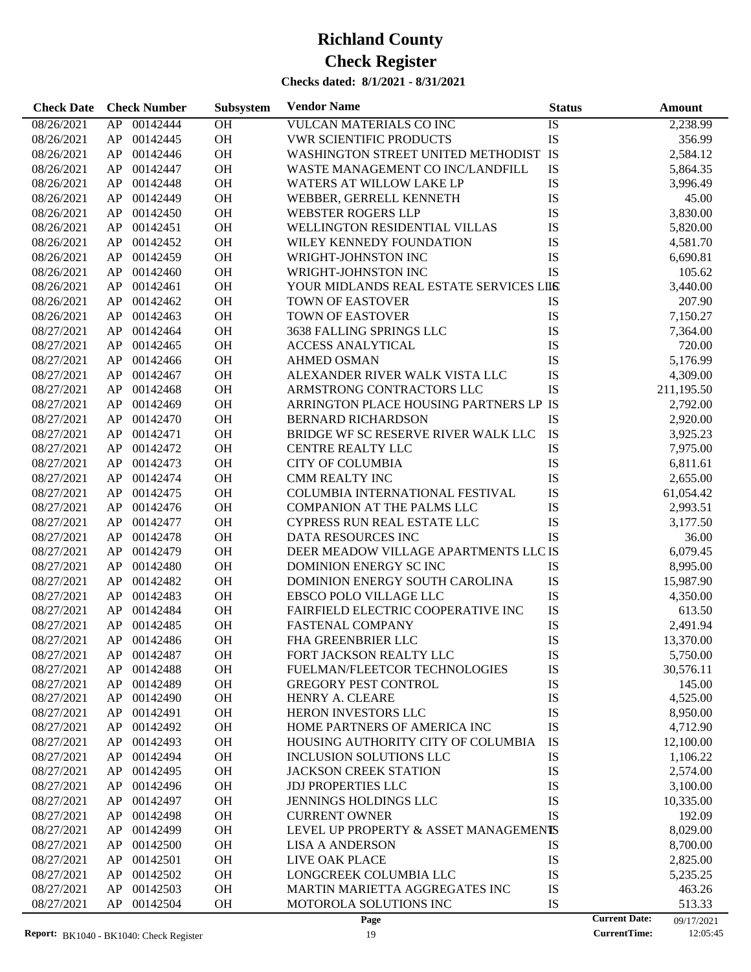| 00142444<br>OH<br>IS<br>2,238.99<br>08/26/2021<br>AP<br><b>VULCAN MATERIALS CO INC</b><br>OH<br>IS<br>00142445<br><b>VWR SCIENTIFIC PRODUCTS</b><br>356.99<br>08/26/2021<br>AP<br>OH<br>WASHINGTON STREET UNITED METHODIST IS<br>00142446<br>2,584.12<br>08/26/2021<br>AP<br>OH<br>$\mathbf{IS}$<br>00142447<br>WASTE MANAGEMENT CO INC/LANDFILL<br>5,864.35<br>08/26/2021<br>AP<br>OH<br>IS<br>00142448<br>WATERS AT WILLOW LAKE LP<br>3,996.49<br>08/26/2021<br>AP<br>OH<br>IS<br>00142449<br>45.00<br>08/26/2021<br>AP<br>WEBBER, GERRELL KENNETH<br>OH<br>IS<br>00142450<br>3,830.00<br>08/26/2021<br>AP<br><b>WEBSTER ROGERS LLP</b><br>OH<br>IS<br>00142451<br>08/26/2021<br>AP<br>WELLINGTON RESIDENTIAL VILLAS<br>5,820.00<br>OH<br>IS<br>00142452<br>4,581.70<br>08/26/2021<br>AP<br>WILEY KENNEDY FOUNDATION<br>OH<br>IS<br>00142459<br>WRIGHT-JOHNSTON INC<br>08/26/2021<br>AP<br>6,690.81<br>OH<br>IS<br>00142460<br>WRIGHT-JOHNSTON INC<br>105.62<br>08/26/2021<br>AP<br>OH<br>00142461<br>YOUR MIDLANDS REAL ESTATE SERVICES LILS<br>3,440.00<br>08/26/2021<br>AP<br>OH<br>00142462<br><b>TOWN OF EASTOVER</b><br>IS<br>207.90<br>08/26/2021<br>AP<br>OH<br>00142463<br><b>TOWN OF EASTOVER</b><br>IS<br>7,150.27<br>08/26/2021<br>AP<br>OH<br>IS<br>00142464<br>3638 FALLING SPRINGS LLC<br>7,364.00<br>08/27/2021<br>AP<br>OH<br>IS<br>00142465<br><b>ACCESS ANALYTICAL</b><br>720.00<br>08/27/2021<br>AP<br>OH<br>IS<br>00142466<br><b>AHMED OSMAN</b><br>5,176.99<br>08/27/2021<br>AP<br>OH<br>IS<br>00142467<br>ALEXANDER RIVER WALK VISTA LLC<br>4,309.00<br>08/27/2021<br>AP<br>OH<br>IS<br>00142468<br>ARMSTRONG CONTRACTORS LLC<br>08/27/2021<br>AP<br>211,195.50<br>OH<br>00142469<br>ARRINGTON PLACE HOUSING PARTNERS LP IS<br>08/27/2021<br>AP<br>2,792.00<br>OH<br>00142470<br>IS<br>2,920.00<br>08/27/2021<br>AP<br><b>BERNARD RICHARDSON</b><br>OH<br>IS<br>00142471<br>BRIDGE WF SC RESERVE RIVER WALK LLC<br>08/27/2021<br>AP<br>3,925.23<br>OH<br>IS<br>AP<br>00142472<br>7,975.00<br>08/27/2021<br><b>CENTRE REALTY LLC</b><br>OH<br>IS<br>00142473<br><b>CITY OF COLUMBIA</b><br>6,811.61<br>08/27/2021<br>AP<br>OH<br>IS<br>00142474<br>2,655.00<br>08/27/2021<br>AP<br>CMM REALTY INC<br>OH<br>IS<br>00142475<br>COLUMBIA INTERNATIONAL FESTIVAL<br>08/27/2021<br>AP<br>61,054.42<br>OH<br>IS<br>00142476<br>COMPANION AT THE PALMS LLC<br>2,993.51<br>08/27/2021<br>AP<br>OH<br>IS<br>00142477<br>CYPRESS RUN REAL ESTATE LLC<br>3,177.50<br>08/27/2021<br>AP<br>OH<br>IS<br>00142478<br>DATA RESOURCES INC<br>36.00<br>08/27/2021<br>AP<br>OH<br>00142479<br>DEER MEADOW VILLAGE APARTMENTS LLC IS<br>6,079.45<br>08/27/2021<br>AP<br>OH<br>08/27/2021<br>00142480<br>IS<br>8,995.00<br>AP<br>DOMINION ENERGY SCINC<br>OH<br>IS<br>00142482<br>08/27/2021<br>AP<br>DOMINION ENERGY SOUTH CAROLINA<br>15,987.90<br>OH<br>IS<br>00142483<br>4,350.00<br>08/27/2021<br>AP<br>EBSCO POLO VILLAGE LLC<br>$\mathbf{IS}$<br>00142484<br><b>OH</b><br>FAIRFIELD ELECTRIC COOPERATIVE INC<br>613.50<br>08/27/2021<br>AP<br>IS<br>AP<br>00142485<br><b>OH</b><br>2,491.94<br>08/27/2021<br><b>FASTENAL COMPANY</b><br>IS<br>AP 00142486<br><b>OH</b><br>FHA GREENBRIER LLC<br>13,370.00<br>08/27/2021<br>08/27/2021<br>00142487<br>OH<br>FORT JACKSON REALTY LLC<br>IS<br>5,750.00<br>AP<br>08/27/2021<br>00142488<br>OH<br>FUELMAN/FLEETCOR TECHNOLOGIES<br>IS<br>30,576.11<br>AP<br>08/27/2021<br>AP<br>00142489<br><b>OH</b><br><b>GREGORY PEST CONTROL</b><br>IS<br>145.00<br>IS<br>00142490<br><b>OH</b><br>HENRY A. CLEARE<br>4,525.00<br>08/27/2021<br>AP<br>IS<br>OH<br>08/27/2021<br>00142491<br>HERON INVESTORS LLC<br>8,950.00<br>AP<br>IS<br>00142492<br>OH<br>HOME PARTNERS OF AMERICA INC<br>08/27/2021<br>AP<br>4,712.90<br>IS<br>00142493<br>OH<br>08/27/2021<br>AP<br>HOUSING AUTHORITY CITY OF COLUMBIA<br>12,100.00<br>00142494<br>OH<br>IS<br>08/27/2021<br>AP<br>INCLUSION SOLUTIONS LLC<br>1,106.22<br>IS<br>00142495<br>OH<br>08/27/2021<br>AP<br><b>JACKSON CREEK STATION</b><br>2,574.00<br>IS<br>00142496<br>OH<br>08/27/2021<br>AP<br><b>JDJ PROPERTIES LLC</b><br>3,100.00<br>IS<br>00142497<br>OH<br>JENNINGS HOLDINGS LLC<br>08/27/2021<br>AP<br>10,335.00<br>IS<br>00142498<br>OH<br>08/27/2021<br>AP<br><b>CURRENT OWNER</b><br>192.09<br>00142499<br>OH<br>LEVEL UP PROPERTY & ASSET MANAGEMENTS<br>08/27/2021<br>AP<br>8,029.00<br>00142500<br>OH<br>IS<br>08/27/2021<br>AP<br><b>LISA A ANDERSON</b><br>8,700.00<br>IS<br>00142501<br>OH<br>08/27/2021<br>AP<br>LIVE OAK PLACE<br>2,825.00<br>IS<br>00142502<br>OH<br>08/27/2021<br>AP<br>LONGCREEK COLUMBIA LLC<br>5,235.25<br>IS<br>00142503<br>OH<br>08/27/2021<br>AP<br>MARTIN MARIETTA AGGREGATES INC<br>463.26<br>IS<br>08/27/2021<br>00142504<br><b>OH</b><br>AP<br>MOTOROLA SOLUTIONS INC<br>513.33<br><b>Current Date:</b><br>Page<br>09/17/2021 | <b>Check Date</b> | <b>Check Number</b> | Subsystem | <b>Vendor Name</b> | <b>Status</b> | <b>Amount</b> |
|--------------------------------------------------------------------------------------------------------------------------------------------------------------------------------------------------------------------------------------------------------------------------------------------------------------------------------------------------------------------------------------------------------------------------------------------------------------------------------------------------------------------------------------------------------------------------------------------------------------------------------------------------------------------------------------------------------------------------------------------------------------------------------------------------------------------------------------------------------------------------------------------------------------------------------------------------------------------------------------------------------------------------------------------------------------------------------------------------------------------------------------------------------------------------------------------------------------------------------------------------------------------------------------------------------------------------------------------------------------------------------------------------------------------------------------------------------------------------------------------------------------------------------------------------------------------------------------------------------------------------------------------------------------------------------------------------------------------------------------------------------------------------------------------------------------------------------------------------------------------------------------------------------------------------------------------------------------------------------------------------------------------------------------------------------------------------------------------------------------------------------------------------------------------------------------------------------------------------------------------------------------------------------------------------------------------------------------------------------------------------------------------------------------------------------------------------------------------------------------------------------------------------------------------------------------------------------------------------------------------------------------------------------------------------------------------------------------------------------------------------------------------------------------------------------------------------------------------------------------------------------------------------------------------------------------------------------------------------------------------------------------------------------------------------------------------------------------------------------------------------------------------------------------------------------------------------------------------------------------------------------------------------------------------------------------------------------------------------------------------------------------------------------------------------------------------------------------------------------------------------------------------------------------------------------------------------------------------------------------------------------------------------------------------------------------------------------------------------------------------------------------------------------------------------------------------------------------------------------------------------------------------------------------------------------------------------------------------------------------------------------------------------------------------------------------------------------------------------------------------------------------------------------------------------------------------------------------------------------------------------------------------------------------------------------------------------------------------------------------------------------------------------------------------------------------------------------------------------------------------------------------------------------------------------------------------------------------------------------------------------------------------------------------------------------------------------------------------------------------------------------------------------------------------------------------------------------------------------------------------------|-------------------|---------------------|-----------|--------------------|---------------|---------------|
|                                                                                                                                                                                                                                                                                                                                                                                                                                                                                                                                                                                                                                                                                                                                                                                                                                                                                                                                                                                                                                                                                                                                                                                                                                                                                                                                                                                                                                                                                                                                                                                                                                                                                                                                                                                                                                                                                                                                                                                                                                                                                                                                                                                                                                                                                                                                                                                                                                                                                                                                                                                                                                                                                                                                                                                                                                                                                                                                                                                                                                                                                                                                                                                                                                                                                                                                                                                                                                                                                                                                                                                                                                                                                                                                                                                                                                                                                                                                                                                                                                                                                                                                                                                                                                                                                                                                                                                                                                                                                                                                                                                                                                                                                                                                                                                                                                                                          |                   |                     |           |                    |               |               |
|                                                                                                                                                                                                                                                                                                                                                                                                                                                                                                                                                                                                                                                                                                                                                                                                                                                                                                                                                                                                                                                                                                                                                                                                                                                                                                                                                                                                                                                                                                                                                                                                                                                                                                                                                                                                                                                                                                                                                                                                                                                                                                                                                                                                                                                                                                                                                                                                                                                                                                                                                                                                                                                                                                                                                                                                                                                                                                                                                                                                                                                                                                                                                                                                                                                                                                                                                                                                                                                                                                                                                                                                                                                                                                                                                                                                                                                                                                                                                                                                                                                                                                                                                                                                                                                                                                                                                                                                                                                                                                                                                                                                                                                                                                                                                                                                                                                                          |                   |                     |           |                    |               |               |
|                                                                                                                                                                                                                                                                                                                                                                                                                                                                                                                                                                                                                                                                                                                                                                                                                                                                                                                                                                                                                                                                                                                                                                                                                                                                                                                                                                                                                                                                                                                                                                                                                                                                                                                                                                                                                                                                                                                                                                                                                                                                                                                                                                                                                                                                                                                                                                                                                                                                                                                                                                                                                                                                                                                                                                                                                                                                                                                                                                                                                                                                                                                                                                                                                                                                                                                                                                                                                                                                                                                                                                                                                                                                                                                                                                                                                                                                                                                                                                                                                                                                                                                                                                                                                                                                                                                                                                                                                                                                                                                                                                                                                                                                                                                                                                                                                                                                          |                   |                     |           |                    |               |               |
|                                                                                                                                                                                                                                                                                                                                                                                                                                                                                                                                                                                                                                                                                                                                                                                                                                                                                                                                                                                                                                                                                                                                                                                                                                                                                                                                                                                                                                                                                                                                                                                                                                                                                                                                                                                                                                                                                                                                                                                                                                                                                                                                                                                                                                                                                                                                                                                                                                                                                                                                                                                                                                                                                                                                                                                                                                                                                                                                                                                                                                                                                                                                                                                                                                                                                                                                                                                                                                                                                                                                                                                                                                                                                                                                                                                                                                                                                                                                                                                                                                                                                                                                                                                                                                                                                                                                                                                                                                                                                                                                                                                                                                                                                                                                                                                                                                                                          |                   |                     |           |                    |               |               |
|                                                                                                                                                                                                                                                                                                                                                                                                                                                                                                                                                                                                                                                                                                                                                                                                                                                                                                                                                                                                                                                                                                                                                                                                                                                                                                                                                                                                                                                                                                                                                                                                                                                                                                                                                                                                                                                                                                                                                                                                                                                                                                                                                                                                                                                                                                                                                                                                                                                                                                                                                                                                                                                                                                                                                                                                                                                                                                                                                                                                                                                                                                                                                                                                                                                                                                                                                                                                                                                                                                                                                                                                                                                                                                                                                                                                                                                                                                                                                                                                                                                                                                                                                                                                                                                                                                                                                                                                                                                                                                                                                                                                                                                                                                                                                                                                                                                                          |                   |                     |           |                    |               |               |
|                                                                                                                                                                                                                                                                                                                                                                                                                                                                                                                                                                                                                                                                                                                                                                                                                                                                                                                                                                                                                                                                                                                                                                                                                                                                                                                                                                                                                                                                                                                                                                                                                                                                                                                                                                                                                                                                                                                                                                                                                                                                                                                                                                                                                                                                                                                                                                                                                                                                                                                                                                                                                                                                                                                                                                                                                                                                                                                                                                                                                                                                                                                                                                                                                                                                                                                                                                                                                                                                                                                                                                                                                                                                                                                                                                                                                                                                                                                                                                                                                                                                                                                                                                                                                                                                                                                                                                                                                                                                                                                                                                                                                                                                                                                                                                                                                                                                          |                   |                     |           |                    |               |               |
|                                                                                                                                                                                                                                                                                                                                                                                                                                                                                                                                                                                                                                                                                                                                                                                                                                                                                                                                                                                                                                                                                                                                                                                                                                                                                                                                                                                                                                                                                                                                                                                                                                                                                                                                                                                                                                                                                                                                                                                                                                                                                                                                                                                                                                                                                                                                                                                                                                                                                                                                                                                                                                                                                                                                                                                                                                                                                                                                                                                                                                                                                                                                                                                                                                                                                                                                                                                                                                                                                                                                                                                                                                                                                                                                                                                                                                                                                                                                                                                                                                                                                                                                                                                                                                                                                                                                                                                                                                                                                                                                                                                                                                                                                                                                                                                                                                                                          |                   |                     |           |                    |               |               |
|                                                                                                                                                                                                                                                                                                                                                                                                                                                                                                                                                                                                                                                                                                                                                                                                                                                                                                                                                                                                                                                                                                                                                                                                                                                                                                                                                                                                                                                                                                                                                                                                                                                                                                                                                                                                                                                                                                                                                                                                                                                                                                                                                                                                                                                                                                                                                                                                                                                                                                                                                                                                                                                                                                                                                                                                                                                                                                                                                                                                                                                                                                                                                                                                                                                                                                                                                                                                                                                                                                                                                                                                                                                                                                                                                                                                                                                                                                                                                                                                                                                                                                                                                                                                                                                                                                                                                                                                                                                                                                                                                                                                                                                                                                                                                                                                                                                                          |                   |                     |           |                    |               |               |
|                                                                                                                                                                                                                                                                                                                                                                                                                                                                                                                                                                                                                                                                                                                                                                                                                                                                                                                                                                                                                                                                                                                                                                                                                                                                                                                                                                                                                                                                                                                                                                                                                                                                                                                                                                                                                                                                                                                                                                                                                                                                                                                                                                                                                                                                                                                                                                                                                                                                                                                                                                                                                                                                                                                                                                                                                                                                                                                                                                                                                                                                                                                                                                                                                                                                                                                                                                                                                                                                                                                                                                                                                                                                                                                                                                                                                                                                                                                                                                                                                                                                                                                                                                                                                                                                                                                                                                                                                                                                                                                                                                                                                                                                                                                                                                                                                                                                          |                   |                     |           |                    |               |               |
|                                                                                                                                                                                                                                                                                                                                                                                                                                                                                                                                                                                                                                                                                                                                                                                                                                                                                                                                                                                                                                                                                                                                                                                                                                                                                                                                                                                                                                                                                                                                                                                                                                                                                                                                                                                                                                                                                                                                                                                                                                                                                                                                                                                                                                                                                                                                                                                                                                                                                                                                                                                                                                                                                                                                                                                                                                                                                                                                                                                                                                                                                                                                                                                                                                                                                                                                                                                                                                                                                                                                                                                                                                                                                                                                                                                                                                                                                                                                                                                                                                                                                                                                                                                                                                                                                                                                                                                                                                                                                                                                                                                                                                                                                                                                                                                                                                                                          |                   |                     |           |                    |               |               |
|                                                                                                                                                                                                                                                                                                                                                                                                                                                                                                                                                                                                                                                                                                                                                                                                                                                                                                                                                                                                                                                                                                                                                                                                                                                                                                                                                                                                                                                                                                                                                                                                                                                                                                                                                                                                                                                                                                                                                                                                                                                                                                                                                                                                                                                                                                                                                                                                                                                                                                                                                                                                                                                                                                                                                                                                                                                                                                                                                                                                                                                                                                                                                                                                                                                                                                                                                                                                                                                                                                                                                                                                                                                                                                                                                                                                                                                                                                                                                                                                                                                                                                                                                                                                                                                                                                                                                                                                                                                                                                                                                                                                                                                                                                                                                                                                                                                                          |                   |                     |           |                    |               |               |
|                                                                                                                                                                                                                                                                                                                                                                                                                                                                                                                                                                                                                                                                                                                                                                                                                                                                                                                                                                                                                                                                                                                                                                                                                                                                                                                                                                                                                                                                                                                                                                                                                                                                                                                                                                                                                                                                                                                                                                                                                                                                                                                                                                                                                                                                                                                                                                                                                                                                                                                                                                                                                                                                                                                                                                                                                                                                                                                                                                                                                                                                                                                                                                                                                                                                                                                                                                                                                                                                                                                                                                                                                                                                                                                                                                                                                                                                                                                                                                                                                                                                                                                                                                                                                                                                                                                                                                                                                                                                                                                                                                                                                                                                                                                                                                                                                                                                          |                   |                     |           |                    |               |               |
|                                                                                                                                                                                                                                                                                                                                                                                                                                                                                                                                                                                                                                                                                                                                                                                                                                                                                                                                                                                                                                                                                                                                                                                                                                                                                                                                                                                                                                                                                                                                                                                                                                                                                                                                                                                                                                                                                                                                                                                                                                                                                                                                                                                                                                                                                                                                                                                                                                                                                                                                                                                                                                                                                                                                                                                                                                                                                                                                                                                                                                                                                                                                                                                                                                                                                                                                                                                                                                                                                                                                                                                                                                                                                                                                                                                                                                                                                                                                                                                                                                                                                                                                                                                                                                                                                                                                                                                                                                                                                                                                                                                                                                                                                                                                                                                                                                                                          |                   |                     |           |                    |               |               |
|                                                                                                                                                                                                                                                                                                                                                                                                                                                                                                                                                                                                                                                                                                                                                                                                                                                                                                                                                                                                                                                                                                                                                                                                                                                                                                                                                                                                                                                                                                                                                                                                                                                                                                                                                                                                                                                                                                                                                                                                                                                                                                                                                                                                                                                                                                                                                                                                                                                                                                                                                                                                                                                                                                                                                                                                                                                                                                                                                                                                                                                                                                                                                                                                                                                                                                                                                                                                                                                                                                                                                                                                                                                                                                                                                                                                                                                                                                                                                                                                                                                                                                                                                                                                                                                                                                                                                                                                                                                                                                                                                                                                                                                                                                                                                                                                                                                                          |                   |                     |           |                    |               |               |
|                                                                                                                                                                                                                                                                                                                                                                                                                                                                                                                                                                                                                                                                                                                                                                                                                                                                                                                                                                                                                                                                                                                                                                                                                                                                                                                                                                                                                                                                                                                                                                                                                                                                                                                                                                                                                                                                                                                                                                                                                                                                                                                                                                                                                                                                                                                                                                                                                                                                                                                                                                                                                                                                                                                                                                                                                                                                                                                                                                                                                                                                                                                                                                                                                                                                                                                                                                                                                                                                                                                                                                                                                                                                                                                                                                                                                                                                                                                                                                                                                                                                                                                                                                                                                                                                                                                                                                                                                                                                                                                                                                                                                                                                                                                                                                                                                                                                          |                   |                     |           |                    |               |               |
|                                                                                                                                                                                                                                                                                                                                                                                                                                                                                                                                                                                                                                                                                                                                                                                                                                                                                                                                                                                                                                                                                                                                                                                                                                                                                                                                                                                                                                                                                                                                                                                                                                                                                                                                                                                                                                                                                                                                                                                                                                                                                                                                                                                                                                                                                                                                                                                                                                                                                                                                                                                                                                                                                                                                                                                                                                                                                                                                                                                                                                                                                                                                                                                                                                                                                                                                                                                                                                                                                                                                                                                                                                                                                                                                                                                                                                                                                                                                                                                                                                                                                                                                                                                                                                                                                                                                                                                                                                                                                                                                                                                                                                                                                                                                                                                                                                                                          |                   |                     |           |                    |               |               |
|                                                                                                                                                                                                                                                                                                                                                                                                                                                                                                                                                                                                                                                                                                                                                                                                                                                                                                                                                                                                                                                                                                                                                                                                                                                                                                                                                                                                                                                                                                                                                                                                                                                                                                                                                                                                                                                                                                                                                                                                                                                                                                                                                                                                                                                                                                                                                                                                                                                                                                                                                                                                                                                                                                                                                                                                                                                                                                                                                                                                                                                                                                                                                                                                                                                                                                                                                                                                                                                                                                                                                                                                                                                                                                                                                                                                                                                                                                                                                                                                                                                                                                                                                                                                                                                                                                                                                                                                                                                                                                                                                                                                                                                                                                                                                                                                                                                                          |                   |                     |           |                    |               |               |
|                                                                                                                                                                                                                                                                                                                                                                                                                                                                                                                                                                                                                                                                                                                                                                                                                                                                                                                                                                                                                                                                                                                                                                                                                                                                                                                                                                                                                                                                                                                                                                                                                                                                                                                                                                                                                                                                                                                                                                                                                                                                                                                                                                                                                                                                                                                                                                                                                                                                                                                                                                                                                                                                                                                                                                                                                                                                                                                                                                                                                                                                                                                                                                                                                                                                                                                                                                                                                                                                                                                                                                                                                                                                                                                                                                                                                                                                                                                                                                                                                                                                                                                                                                                                                                                                                                                                                                                                                                                                                                                                                                                                                                                                                                                                                                                                                                                                          |                   |                     |           |                    |               |               |
|                                                                                                                                                                                                                                                                                                                                                                                                                                                                                                                                                                                                                                                                                                                                                                                                                                                                                                                                                                                                                                                                                                                                                                                                                                                                                                                                                                                                                                                                                                                                                                                                                                                                                                                                                                                                                                                                                                                                                                                                                                                                                                                                                                                                                                                                                                                                                                                                                                                                                                                                                                                                                                                                                                                                                                                                                                                                                                                                                                                                                                                                                                                                                                                                                                                                                                                                                                                                                                                                                                                                                                                                                                                                                                                                                                                                                                                                                                                                                                                                                                                                                                                                                                                                                                                                                                                                                                                                                                                                                                                                                                                                                                                                                                                                                                                                                                                                          |                   |                     |           |                    |               |               |
|                                                                                                                                                                                                                                                                                                                                                                                                                                                                                                                                                                                                                                                                                                                                                                                                                                                                                                                                                                                                                                                                                                                                                                                                                                                                                                                                                                                                                                                                                                                                                                                                                                                                                                                                                                                                                                                                                                                                                                                                                                                                                                                                                                                                                                                                                                                                                                                                                                                                                                                                                                                                                                                                                                                                                                                                                                                                                                                                                                                                                                                                                                                                                                                                                                                                                                                                                                                                                                                                                                                                                                                                                                                                                                                                                                                                                                                                                                                                                                                                                                                                                                                                                                                                                                                                                                                                                                                                                                                                                                                                                                                                                                                                                                                                                                                                                                                                          |                   |                     |           |                    |               |               |
|                                                                                                                                                                                                                                                                                                                                                                                                                                                                                                                                                                                                                                                                                                                                                                                                                                                                                                                                                                                                                                                                                                                                                                                                                                                                                                                                                                                                                                                                                                                                                                                                                                                                                                                                                                                                                                                                                                                                                                                                                                                                                                                                                                                                                                                                                                                                                                                                                                                                                                                                                                                                                                                                                                                                                                                                                                                                                                                                                                                                                                                                                                                                                                                                                                                                                                                                                                                                                                                                                                                                                                                                                                                                                                                                                                                                                                                                                                                                                                                                                                                                                                                                                                                                                                                                                                                                                                                                                                                                                                                                                                                                                                                                                                                                                                                                                                                                          |                   |                     |           |                    |               |               |
|                                                                                                                                                                                                                                                                                                                                                                                                                                                                                                                                                                                                                                                                                                                                                                                                                                                                                                                                                                                                                                                                                                                                                                                                                                                                                                                                                                                                                                                                                                                                                                                                                                                                                                                                                                                                                                                                                                                                                                                                                                                                                                                                                                                                                                                                                                                                                                                                                                                                                                                                                                                                                                                                                                                                                                                                                                                                                                                                                                                                                                                                                                                                                                                                                                                                                                                                                                                                                                                                                                                                                                                                                                                                                                                                                                                                                                                                                                                                                                                                                                                                                                                                                                                                                                                                                                                                                                                                                                                                                                                                                                                                                                                                                                                                                                                                                                                                          |                   |                     |           |                    |               |               |
|                                                                                                                                                                                                                                                                                                                                                                                                                                                                                                                                                                                                                                                                                                                                                                                                                                                                                                                                                                                                                                                                                                                                                                                                                                                                                                                                                                                                                                                                                                                                                                                                                                                                                                                                                                                                                                                                                                                                                                                                                                                                                                                                                                                                                                                                                                                                                                                                                                                                                                                                                                                                                                                                                                                                                                                                                                                                                                                                                                                                                                                                                                                                                                                                                                                                                                                                                                                                                                                                                                                                                                                                                                                                                                                                                                                                                                                                                                                                                                                                                                                                                                                                                                                                                                                                                                                                                                                                                                                                                                                                                                                                                                                                                                                                                                                                                                                                          |                   |                     |           |                    |               |               |
|                                                                                                                                                                                                                                                                                                                                                                                                                                                                                                                                                                                                                                                                                                                                                                                                                                                                                                                                                                                                                                                                                                                                                                                                                                                                                                                                                                                                                                                                                                                                                                                                                                                                                                                                                                                                                                                                                                                                                                                                                                                                                                                                                                                                                                                                                                                                                                                                                                                                                                                                                                                                                                                                                                                                                                                                                                                                                                                                                                                                                                                                                                                                                                                                                                                                                                                                                                                                                                                                                                                                                                                                                                                                                                                                                                                                                                                                                                                                                                                                                                                                                                                                                                                                                                                                                                                                                                                                                                                                                                                                                                                                                                                                                                                                                                                                                                                                          |                   |                     |           |                    |               |               |
|                                                                                                                                                                                                                                                                                                                                                                                                                                                                                                                                                                                                                                                                                                                                                                                                                                                                                                                                                                                                                                                                                                                                                                                                                                                                                                                                                                                                                                                                                                                                                                                                                                                                                                                                                                                                                                                                                                                                                                                                                                                                                                                                                                                                                                                                                                                                                                                                                                                                                                                                                                                                                                                                                                                                                                                                                                                                                                                                                                                                                                                                                                                                                                                                                                                                                                                                                                                                                                                                                                                                                                                                                                                                                                                                                                                                                                                                                                                                                                                                                                                                                                                                                                                                                                                                                                                                                                                                                                                                                                                                                                                                                                                                                                                                                                                                                                                                          |                   |                     |           |                    |               |               |
|                                                                                                                                                                                                                                                                                                                                                                                                                                                                                                                                                                                                                                                                                                                                                                                                                                                                                                                                                                                                                                                                                                                                                                                                                                                                                                                                                                                                                                                                                                                                                                                                                                                                                                                                                                                                                                                                                                                                                                                                                                                                                                                                                                                                                                                                                                                                                                                                                                                                                                                                                                                                                                                                                                                                                                                                                                                                                                                                                                                                                                                                                                                                                                                                                                                                                                                                                                                                                                                                                                                                                                                                                                                                                                                                                                                                                                                                                                                                                                                                                                                                                                                                                                                                                                                                                                                                                                                                                                                                                                                                                                                                                                                                                                                                                                                                                                                                          |                   |                     |           |                    |               |               |
|                                                                                                                                                                                                                                                                                                                                                                                                                                                                                                                                                                                                                                                                                                                                                                                                                                                                                                                                                                                                                                                                                                                                                                                                                                                                                                                                                                                                                                                                                                                                                                                                                                                                                                                                                                                                                                                                                                                                                                                                                                                                                                                                                                                                                                                                                                                                                                                                                                                                                                                                                                                                                                                                                                                                                                                                                                                                                                                                                                                                                                                                                                                                                                                                                                                                                                                                                                                                                                                                                                                                                                                                                                                                                                                                                                                                                                                                                                                                                                                                                                                                                                                                                                                                                                                                                                                                                                                                                                                                                                                                                                                                                                                                                                                                                                                                                                                                          |                   |                     |           |                    |               |               |
|                                                                                                                                                                                                                                                                                                                                                                                                                                                                                                                                                                                                                                                                                                                                                                                                                                                                                                                                                                                                                                                                                                                                                                                                                                                                                                                                                                                                                                                                                                                                                                                                                                                                                                                                                                                                                                                                                                                                                                                                                                                                                                                                                                                                                                                                                                                                                                                                                                                                                                                                                                                                                                                                                                                                                                                                                                                                                                                                                                                                                                                                                                                                                                                                                                                                                                                                                                                                                                                                                                                                                                                                                                                                                                                                                                                                                                                                                                                                                                                                                                                                                                                                                                                                                                                                                                                                                                                                                                                                                                                                                                                                                                                                                                                                                                                                                                                                          |                   |                     |           |                    |               |               |
|                                                                                                                                                                                                                                                                                                                                                                                                                                                                                                                                                                                                                                                                                                                                                                                                                                                                                                                                                                                                                                                                                                                                                                                                                                                                                                                                                                                                                                                                                                                                                                                                                                                                                                                                                                                                                                                                                                                                                                                                                                                                                                                                                                                                                                                                                                                                                                                                                                                                                                                                                                                                                                                                                                                                                                                                                                                                                                                                                                                                                                                                                                                                                                                                                                                                                                                                                                                                                                                                                                                                                                                                                                                                                                                                                                                                                                                                                                                                                                                                                                                                                                                                                                                                                                                                                                                                                                                                                                                                                                                                                                                                                                                                                                                                                                                                                                                                          |                   |                     |           |                    |               |               |
|                                                                                                                                                                                                                                                                                                                                                                                                                                                                                                                                                                                                                                                                                                                                                                                                                                                                                                                                                                                                                                                                                                                                                                                                                                                                                                                                                                                                                                                                                                                                                                                                                                                                                                                                                                                                                                                                                                                                                                                                                                                                                                                                                                                                                                                                                                                                                                                                                                                                                                                                                                                                                                                                                                                                                                                                                                                                                                                                                                                                                                                                                                                                                                                                                                                                                                                                                                                                                                                                                                                                                                                                                                                                                                                                                                                                                                                                                                                                                                                                                                                                                                                                                                                                                                                                                                                                                                                                                                                                                                                                                                                                                                                                                                                                                                                                                                                                          |                   |                     |           |                    |               |               |
|                                                                                                                                                                                                                                                                                                                                                                                                                                                                                                                                                                                                                                                                                                                                                                                                                                                                                                                                                                                                                                                                                                                                                                                                                                                                                                                                                                                                                                                                                                                                                                                                                                                                                                                                                                                                                                                                                                                                                                                                                                                                                                                                                                                                                                                                                                                                                                                                                                                                                                                                                                                                                                                                                                                                                                                                                                                                                                                                                                                                                                                                                                                                                                                                                                                                                                                                                                                                                                                                                                                                                                                                                                                                                                                                                                                                                                                                                                                                                                                                                                                                                                                                                                                                                                                                                                                                                                                                                                                                                                                                                                                                                                                                                                                                                                                                                                                                          |                   |                     |           |                    |               |               |
|                                                                                                                                                                                                                                                                                                                                                                                                                                                                                                                                                                                                                                                                                                                                                                                                                                                                                                                                                                                                                                                                                                                                                                                                                                                                                                                                                                                                                                                                                                                                                                                                                                                                                                                                                                                                                                                                                                                                                                                                                                                                                                                                                                                                                                                                                                                                                                                                                                                                                                                                                                                                                                                                                                                                                                                                                                                                                                                                                                                                                                                                                                                                                                                                                                                                                                                                                                                                                                                                                                                                                                                                                                                                                                                                                                                                                                                                                                                                                                                                                                                                                                                                                                                                                                                                                                                                                                                                                                                                                                                                                                                                                                                                                                                                                                                                                                                                          |                   |                     |           |                    |               |               |
|                                                                                                                                                                                                                                                                                                                                                                                                                                                                                                                                                                                                                                                                                                                                                                                                                                                                                                                                                                                                                                                                                                                                                                                                                                                                                                                                                                                                                                                                                                                                                                                                                                                                                                                                                                                                                                                                                                                                                                                                                                                                                                                                                                                                                                                                                                                                                                                                                                                                                                                                                                                                                                                                                                                                                                                                                                                                                                                                                                                                                                                                                                                                                                                                                                                                                                                                                                                                                                                                                                                                                                                                                                                                                                                                                                                                                                                                                                                                                                                                                                                                                                                                                                                                                                                                                                                                                                                                                                                                                                                                                                                                                                                                                                                                                                                                                                                                          |                   |                     |           |                    |               |               |
|                                                                                                                                                                                                                                                                                                                                                                                                                                                                                                                                                                                                                                                                                                                                                                                                                                                                                                                                                                                                                                                                                                                                                                                                                                                                                                                                                                                                                                                                                                                                                                                                                                                                                                                                                                                                                                                                                                                                                                                                                                                                                                                                                                                                                                                                                                                                                                                                                                                                                                                                                                                                                                                                                                                                                                                                                                                                                                                                                                                                                                                                                                                                                                                                                                                                                                                                                                                                                                                                                                                                                                                                                                                                                                                                                                                                                                                                                                                                                                                                                                                                                                                                                                                                                                                                                                                                                                                                                                                                                                                                                                                                                                                                                                                                                                                                                                                                          |                   |                     |           |                    |               |               |
|                                                                                                                                                                                                                                                                                                                                                                                                                                                                                                                                                                                                                                                                                                                                                                                                                                                                                                                                                                                                                                                                                                                                                                                                                                                                                                                                                                                                                                                                                                                                                                                                                                                                                                                                                                                                                                                                                                                                                                                                                                                                                                                                                                                                                                                                                                                                                                                                                                                                                                                                                                                                                                                                                                                                                                                                                                                                                                                                                                                                                                                                                                                                                                                                                                                                                                                                                                                                                                                                                                                                                                                                                                                                                                                                                                                                                                                                                                                                                                                                                                                                                                                                                                                                                                                                                                                                                                                                                                                                                                                                                                                                                                                                                                                                                                                                                                                                          |                   |                     |           |                    |               |               |
|                                                                                                                                                                                                                                                                                                                                                                                                                                                                                                                                                                                                                                                                                                                                                                                                                                                                                                                                                                                                                                                                                                                                                                                                                                                                                                                                                                                                                                                                                                                                                                                                                                                                                                                                                                                                                                                                                                                                                                                                                                                                                                                                                                                                                                                                                                                                                                                                                                                                                                                                                                                                                                                                                                                                                                                                                                                                                                                                                                                                                                                                                                                                                                                                                                                                                                                                                                                                                                                                                                                                                                                                                                                                                                                                                                                                                                                                                                                                                                                                                                                                                                                                                                                                                                                                                                                                                                                                                                                                                                                                                                                                                                                                                                                                                                                                                                                                          |                   |                     |           |                    |               |               |
|                                                                                                                                                                                                                                                                                                                                                                                                                                                                                                                                                                                                                                                                                                                                                                                                                                                                                                                                                                                                                                                                                                                                                                                                                                                                                                                                                                                                                                                                                                                                                                                                                                                                                                                                                                                                                                                                                                                                                                                                                                                                                                                                                                                                                                                                                                                                                                                                                                                                                                                                                                                                                                                                                                                                                                                                                                                                                                                                                                                                                                                                                                                                                                                                                                                                                                                                                                                                                                                                                                                                                                                                                                                                                                                                                                                                                                                                                                                                                                                                                                                                                                                                                                                                                                                                                                                                                                                                                                                                                                                                                                                                                                                                                                                                                                                                                                                                          |                   |                     |           |                    |               |               |
|                                                                                                                                                                                                                                                                                                                                                                                                                                                                                                                                                                                                                                                                                                                                                                                                                                                                                                                                                                                                                                                                                                                                                                                                                                                                                                                                                                                                                                                                                                                                                                                                                                                                                                                                                                                                                                                                                                                                                                                                                                                                                                                                                                                                                                                                                                                                                                                                                                                                                                                                                                                                                                                                                                                                                                                                                                                                                                                                                                                                                                                                                                                                                                                                                                                                                                                                                                                                                                                                                                                                                                                                                                                                                                                                                                                                                                                                                                                                                                                                                                                                                                                                                                                                                                                                                                                                                                                                                                                                                                                                                                                                                                                                                                                                                                                                                                                                          |                   |                     |           |                    |               |               |
|                                                                                                                                                                                                                                                                                                                                                                                                                                                                                                                                                                                                                                                                                                                                                                                                                                                                                                                                                                                                                                                                                                                                                                                                                                                                                                                                                                                                                                                                                                                                                                                                                                                                                                                                                                                                                                                                                                                                                                                                                                                                                                                                                                                                                                                                                                                                                                                                                                                                                                                                                                                                                                                                                                                                                                                                                                                                                                                                                                                                                                                                                                                                                                                                                                                                                                                                                                                                                                                                                                                                                                                                                                                                                                                                                                                                                                                                                                                                                                                                                                                                                                                                                                                                                                                                                                                                                                                                                                                                                                                                                                                                                                                                                                                                                                                                                                                                          |                   |                     |           |                    |               |               |
|                                                                                                                                                                                                                                                                                                                                                                                                                                                                                                                                                                                                                                                                                                                                                                                                                                                                                                                                                                                                                                                                                                                                                                                                                                                                                                                                                                                                                                                                                                                                                                                                                                                                                                                                                                                                                                                                                                                                                                                                                                                                                                                                                                                                                                                                                                                                                                                                                                                                                                                                                                                                                                                                                                                                                                                                                                                                                                                                                                                                                                                                                                                                                                                                                                                                                                                                                                                                                                                                                                                                                                                                                                                                                                                                                                                                                                                                                                                                                                                                                                                                                                                                                                                                                                                                                                                                                                                                                                                                                                                                                                                                                                                                                                                                                                                                                                                                          |                   |                     |           |                    |               |               |
|                                                                                                                                                                                                                                                                                                                                                                                                                                                                                                                                                                                                                                                                                                                                                                                                                                                                                                                                                                                                                                                                                                                                                                                                                                                                                                                                                                                                                                                                                                                                                                                                                                                                                                                                                                                                                                                                                                                                                                                                                                                                                                                                                                                                                                                                                                                                                                                                                                                                                                                                                                                                                                                                                                                                                                                                                                                                                                                                                                                                                                                                                                                                                                                                                                                                                                                                                                                                                                                                                                                                                                                                                                                                                                                                                                                                                                                                                                                                                                                                                                                                                                                                                                                                                                                                                                                                                                                                                                                                                                                                                                                                                                                                                                                                                                                                                                                                          |                   |                     |           |                    |               |               |
|                                                                                                                                                                                                                                                                                                                                                                                                                                                                                                                                                                                                                                                                                                                                                                                                                                                                                                                                                                                                                                                                                                                                                                                                                                                                                                                                                                                                                                                                                                                                                                                                                                                                                                                                                                                                                                                                                                                                                                                                                                                                                                                                                                                                                                                                                                                                                                                                                                                                                                                                                                                                                                                                                                                                                                                                                                                                                                                                                                                                                                                                                                                                                                                                                                                                                                                                                                                                                                                                                                                                                                                                                                                                                                                                                                                                                                                                                                                                                                                                                                                                                                                                                                                                                                                                                                                                                                                                                                                                                                                                                                                                                                                                                                                                                                                                                                                                          |                   |                     |           |                    |               |               |
|                                                                                                                                                                                                                                                                                                                                                                                                                                                                                                                                                                                                                                                                                                                                                                                                                                                                                                                                                                                                                                                                                                                                                                                                                                                                                                                                                                                                                                                                                                                                                                                                                                                                                                                                                                                                                                                                                                                                                                                                                                                                                                                                                                                                                                                                                                                                                                                                                                                                                                                                                                                                                                                                                                                                                                                                                                                                                                                                                                                                                                                                                                                                                                                                                                                                                                                                                                                                                                                                                                                                                                                                                                                                                                                                                                                                                                                                                                                                                                                                                                                                                                                                                                                                                                                                                                                                                                                                                                                                                                                                                                                                                                                                                                                                                                                                                                                                          |                   |                     |           |                    |               |               |
|                                                                                                                                                                                                                                                                                                                                                                                                                                                                                                                                                                                                                                                                                                                                                                                                                                                                                                                                                                                                                                                                                                                                                                                                                                                                                                                                                                                                                                                                                                                                                                                                                                                                                                                                                                                                                                                                                                                                                                                                                                                                                                                                                                                                                                                                                                                                                                                                                                                                                                                                                                                                                                                                                                                                                                                                                                                                                                                                                                                                                                                                                                                                                                                                                                                                                                                                                                                                                                                                                                                                                                                                                                                                                                                                                                                                                                                                                                                                                                                                                                                                                                                                                                                                                                                                                                                                                                                                                                                                                                                                                                                                                                                                                                                                                                                                                                                                          |                   |                     |           |                    |               |               |
|                                                                                                                                                                                                                                                                                                                                                                                                                                                                                                                                                                                                                                                                                                                                                                                                                                                                                                                                                                                                                                                                                                                                                                                                                                                                                                                                                                                                                                                                                                                                                                                                                                                                                                                                                                                                                                                                                                                                                                                                                                                                                                                                                                                                                                                                                                                                                                                                                                                                                                                                                                                                                                                                                                                                                                                                                                                                                                                                                                                                                                                                                                                                                                                                                                                                                                                                                                                                                                                                                                                                                                                                                                                                                                                                                                                                                                                                                                                                                                                                                                                                                                                                                                                                                                                                                                                                                                                                                                                                                                                                                                                                                                                                                                                                                                                                                                                                          |                   |                     |           |                    |               |               |
|                                                                                                                                                                                                                                                                                                                                                                                                                                                                                                                                                                                                                                                                                                                                                                                                                                                                                                                                                                                                                                                                                                                                                                                                                                                                                                                                                                                                                                                                                                                                                                                                                                                                                                                                                                                                                                                                                                                                                                                                                                                                                                                                                                                                                                                                                                                                                                                                                                                                                                                                                                                                                                                                                                                                                                                                                                                                                                                                                                                                                                                                                                                                                                                                                                                                                                                                                                                                                                                                                                                                                                                                                                                                                                                                                                                                                                                                                                                                                                                                                                                                                                                                                                                                                                                                                                                                                                                                                                                                                                                                                                                                                                                                                                                                                                                                                                                                          |                   |                     |           |                    |               |               |
|                                                                                                                                                                                                                                                                                                                                                                                                                                                                                                                                                                                                                                                                                                                                                                                                                                                                                                                                                                                                                                                                                                                                                                                                                                                                                                                                                                                                                                                                                                                                                                                                                                                                                                                                                                                                                                                                                                                                                                                                                                                                                                                                                                                                                                                                                                                                                                                                                                                                                                                                                                                                                                                                                                                                                                                                                                                                                                                                                                                                                                                                                                                                                                                                                                                                                                                                                                                                                                                                                                                                                                                                                                                                                                                                                                                                                                                                                                                                                                                                                                                                                                                                                                                                                                                                                                                                                                                                                                                                                                                                                                                                                                                                                                                                                                                                                                                                          |                   |                     |           |                    |               |               |
|                                                                                                                                                                                                                                                                                                                                                                                                                                                                                                                                                                                                                                                                                                                                                                                                                                                                                                                                                                                                                                                                                                                                                                                                                                                                                                                                                                                                                                                                                                                                                                                                                                                                                                                                                                                                                                                                                                                                                                                                                                                                                                                                                                                                                                                                                                                                                                                                                                                                                                                                                                                                                                                                                                                                                                                                                                                                                                                                                                                                                                                                                                                                                                                                                                                                                                                                                                                                                                                                                                                                                                                                                                                                                                                                                                                                                                                                                                                                                                                                                                                                                                                                                                                                                                                                                                                                                                                                                                                                                                                                                                                                                                                                                                                                                                                                                                                                          |                   |                     |           |                    |               |               |
|                                                                                                                                                                                                                                                                                                                                                                                                                                                                                                                                                                                                                                                                                                                                                                                                                                                                                                                                                                                                                                                                                                                                                                                                                                                                                                                                                                                                                                                                                                                                                                                                                                                                                                                                                                                                                                                                                                                                                                                                                                                                                                                                                                                                                                                                                                                                                                                                                                                                                                                                                                                                                                                                                                                                                                                                                                                                                                                                                                                                                                                                                                                                                                                                                                                                                                                                                                                                                                                                                                                                                                                                                                                                                                                                                                                                                                                                                                                                                                                                                                                                                                                                                                                                                                                                                                                                                                                                                                                                                                                                                                                                                                                                                                                                                                                                                                                                          |                   |                     |           |                    |               |               |
|                                                                                                                                                                                                                                                                                                                                                                                                                                                                                                                                                                                                                                                                                                                                                                                                                                                                                                                                                                                                                                                                                                                                                                                                                                                                                                                                                                                                                                                                                                                                                                                                                                                                                                                                                                                                                                                                                                                                                                                                                                                                                                                                                                                                                                                                                                                                                                                                                                                                                                                                                                                                                                                                                                                                                                                                                                                                                                                                                                                                                                                                                                                                                                                                                                                                                                                                                                                                                                                                                                                                                                                                                                                                                                                                                                                                                                                                                                                                                                                                                                                                                                                                                                                                                                                                                                                                                                                                                                                                                                                                                                                                                                                                                                                                                                                                                                                                          |                   |                     |           |                    |               |               |
|                                                                                                                                                                                                                                                                                                                                                                                                                                                                                                                                                                                                                                                                                                                                                                                                                                                                                                                                                                                                                                                                                                                                                                                                                                                                                                                                                                                                                                                                                                                                                                                                                                                                                                                                                                                                                                                                                                                                                                                                                                                                                                                                                                                                                                                                                                                                                                                                                                                                                                                                                                                                                                                                                                                                                                                                                                                                                                                                                                                                                                                                                                                                                                                                                                                                                                                                                                                                                                                                                                                                                                                                                                                                                                                                                                                                                                                                                                                                                                                                                                                                                                                                                                                                                                                                                                                                                                                                                                                                                                                                                                                                                                                                                                                                                                                                                                                                          |                   |                     |           |                    |               |               |
|                                                                                                                                                                                                                                                                                                                                                                                                                                                                                                                                                                                                                                                                                                                                                                                                                                                                                                                                                                                                                                                                                                                                                                                                                                                                                                                                                                                                                                                                                                                                                                                                                                                                                                                                                                                                                                                                                                                                                                                                                                                                                                                                                                                                                                                                                                                                                                                                                                                                                                                                                                                                                                                                                                                                                                                                                                                                                                                                                                                                                                                                                                                                                                                                                                                                                                                                                                                                                                                                                                                                                                                                                                                                                                                                                                                                                                                                                                                                                                                                                                                                                                                                                                                                                                                                                                                                                                                                                                                                                                                                                                                                                                                                                                                                                                                                                                                                          |                   |                     |           |                    |               |               |
|                                                                                                                                                                                                                                                                                                                                                                                                                                                                                                                                                                                                                                                                                                                                                                                                                                                                                                                                                                                                                                                                                                                                                                                                                                                                                                                                                                                                                                                                                                                                                                                                                                                                                                                                                                                                                                                                                                                                                                                                                                                                                                                                                                                                                                                                                                                                                                                                                                                                                                                                                                                                                                                                                                                                                                                                                                                                                                                                                                                                                                                                                                                                                                                                                                                                                                                                                                                                                                                                                                                                                                                                                                                                                                                                                                                                                                                                                                                                                                                                                                                                                                                                                                                                                                                                                                                                                                                                                                                                                                                                                                                                                                                                                                                                                                                                                                                                          |                   |                     |           |                    |               |               |
|                                                                                                                                                                                                                                                                                                                                                                                                                                                                                                                                                                                                                                                                                                                                                                                                                                                                                                                                                                                                                                                                                                                                                                                                                                                                                                                                                                                                                                                                                                                                                                                                                                                                                                                                                                                                                                                                                                                                                                                                                                                                                                                                                                                                                                                                                                                                                                                                                                                                                                                                                                                                                                                                                                                                                                                                                                                                                                                                                                                                                                                                                                                                                                                                                                                                                                                                                                                                                                                                                                                                                                                                                                                                                                                                                                                                                                                                                                                                                                                                                                                                                                                                                                                                                                                                                                                                                                                                                                                                                                                                                                                                                                                                                                                                                                                                                                                                          |                   |                     |           |                    |               |               |
|                                                                                                                                                                                                                                                                                                                                                                                                                                                                                                                                                                                                                                                                                                                                                                                                                                                                                                                                                                                                                                                                                                                                                                                                                                                                                                                                                                                                                                                                                                                                                                                                                                                                                                                                                                                                                                                                                                                                                                                                                                                                                                                                                                                                                                                                                                                                                                                                                                                                                                                                                                                                                                                                                                                                                                                                                                                                                                                                                                                                                                                                                                                                                                                                                                                                                                                                                                                                                                                                                                                                                                                                                                                                                                                                                                                                                                                                                                                                                                                                                                                                                                                                                                                                                                                                                                                                                                                                                                                                                                                                                                                                                                                                                                                                                                                                                                                                          |                   |                     |           |                    |               |               |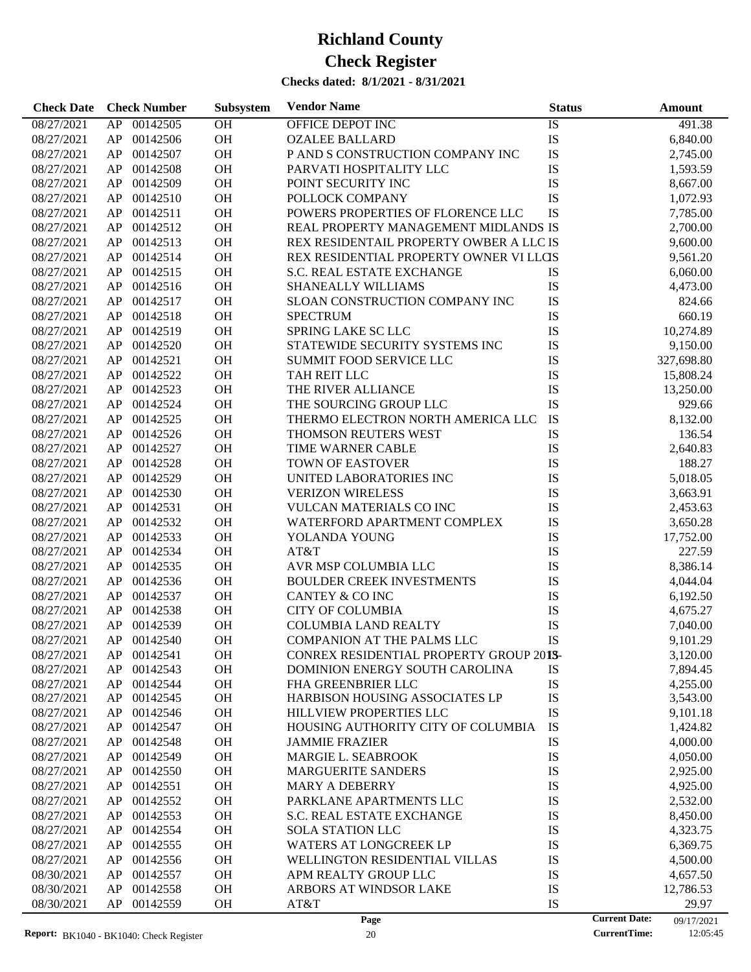| <b>Check Date</b> | <b>Check Number</b>  | Subsystem | <b>Vendor Name</b>                      | <b>Status</b>              | <b>Amount</b>       |
|-------------------|----------------------|-----------|-----------------------------------------|----------------------------|---------------------|
| 08/27/2021        | 00142505<br>AP       | OH        | OFFICE DEPOT INC                        | IS                         | 491.38              |
| 08/27/2021        | 00142506<br>AP       | OH        | <b>OZALEE BALLARD</b>                   | IS                         | 6,840.00            |
| 08/27/2021        | 00142507<br>AP       | <b>OH</b> | P AND S CONSTRUCTION COMPANY INC        | IS                         | 2,745.00            |
| 08/27/2021        | 00142508<br>AP       | <b>OH</b> | PARVATI HOSPITALITY LLC                 | IS                         | 1,593.59            |
| 08/27/2021        | 00142509<br>AP       | OH        | POINT SECURITY INC                      | IS                         | 8,667.00            |
| 08/27/2021        | 00142510<br>AP       | OH        | POLLOCK COMPANY                         | IS                         | 1,072.93            |
| 08/27/2021        | 00142511<br>AP       | <b>OH</b> | POWERS PROPERTIES OF FLORENCE LLC       | IS                         | 7,785.00            |
| 08/27/2021        | 00142512<br>AP       | <b>OH</b> | REAL PROPERTY MANAGEMENT MIDLANDS IS    |                            | 2,700.00            |
| 08/27/2021        | 00142513<br>AP       | OH        | REX RESIDENTAIL PROPERTY OWBER A LLC IS |                            | 9,600.00            |
| 08/27/2021        | 00142514<br>AP       | OH        | REX RESIDENTIAL PROPERTY OWNER VI LLCIS |                            | 9,561.20            |
| 08/27/2021        | 00142515<br>AP       | <b>OH</b> | S.C. REAL ESTATE EXCHANGE               | <b>IS</b>                  | 6,060.00            |
| 08/27/2021        | 00142516<br>AP       | <b>OH</b> | <b>SHANEALLY WILLIAMS</b>               | IS                         | 4,473.00            |
| 08/27/2021        | 00142517<br>AP       | OH        | SLOAN CONSTRUCTION COMPANY INC          | IS                         | 824.66              |
| 08/27/2021        | 00142518<br>AP       | <b>OH</b> | <b>SPECTRUM</b>                         | IS                         | 660.19              |
| 08/27/2021        | 00142519<br>AP       | <b>OH</b> | SPRING LAKE SC LLC                      | IS                         | 10,274.89           |
| 08/27/2021        | 00142520<br>AP       | <b>OH</b> | STATEWIDE SECURITY SYSTEMS INC          | IS                         | 9,150.00            |
| 08/27/2021        | 00142521<br>AP       | OH        | <b>SUMMIT FOOD SERVICE LLC</b>          | IS                         | 327,698.80          |
| 08/27/2021        | 00142522<br>AP       | <b>OH</b> | TAH REIT LLC                            | IS                         | 15,808.24           |
| 08/27/2021        | 00142523<br>AP       | <b>OH</b> | THE RIVER ALLIANCE                      | IS                         | 13,250.00           |
| 08/27/2021        | 00142524<br>AP       | <b>OH</b> | THE SOURCING GROUP LLC                  | IS                         | 929.66              |
| 08/27/2021        | 00142525<br>AP       | OH        | THERMO ELECTRON NORTH AMERICA LLC       | IS                         | 8,132.00            |
| 08/27/2021        | 00142526<br>AP       | <b>OH</b> | THOMSON REUTERS WEST                    | IS                         | 136.54              |
| 08/27/2021        | 00142527<br>AP       | <b>OH</b> | TIME WARNER CABLE                       | IS                         | 2,640.83            |
| 08/27/2021        | 00142528<br>AP       | <b>OH</b> | <b>TOWN OF EASTOVER</b>                 | IS                         | 188.27              |
| 08/27/2021        | 00142529<br>AP       | OH        | <b>UNITED LABORATORIES INC</b>          | IS                         | 5,018.05            |
| 08/27/2021        | 00142530<br>AP       | OH        | <b>VERIZON WIRELESS</b>                 | IS                         | 3,663.91            |
| 08/27/2021        | 00142531<br>AP       | <b>OH</b> | <b>VULCAN MATERIALS CO INC</b>          | IS                         | 2,453.63            |
| 08/27/2021        | 00142532<br>AP       | <b>OH</b> | WATERFORD APARTMENT COMPLEX             | IS                         | 3,650.28            |
| 08/27/2021        | 00142533<br>AP       | OH        | YOLANDA YOUNG                           | IS                         | 17,752.00           |
| 08/27/2021        | 00142534<br>AP       | <b>OH</b> | AT&T                                    | IS                         | 227.59              |
| 08/27/2021        | 00142535<br>AP       | <b>OH</b> | AVR MSP COLUMBIA LLC                    | IS                         | 8,386.14            |
| 08/27/2021        | 00142536<br>AP       | <b>OH</b> | <b>BOULDER CREEK INVESTMENTS</b>        | IS                         | 4,044.04            |
| 08/27/2021        | 00142537<br>AP       | <b>OH</b> | CANTEY & CO INC                         | IS                         | 6,192.50            |
| 08/27/2021        | 00142538<br>AP       | <b>OH</b> | <b>CITY OF COLUMBIA</b>                 | IS                         | 4,675.27            |
| 08/27/2021        | 00142539<br>AP       | <b>OH</b> | <b>COLUMBIA LAND REALTY</b>             | IS                         | 7,040.00            |
| 08/27/2021        | AP<br>00142540       | <b>OH</b> | <b>COMPANION AT THE PALMS LLC</b>       | IS                         | 9,101.29            |
| 08/27/2021        | AP<br>00142541       | <b>OH</b> | CONREX RESIDENTIAL PROPERTY GROUP 2015- |                            | 3,120.00            |
| 08/27/2021        | 00142543<br>AP       | OH        | DOMINION ENERGY SOUTH CAROLINA          |                            | 7,894.45            |
| 08/27/2021        | 00142544<br>AP       | OH        | FHA GREENBRIER LLC                      | IS<br>IS                   | 4,255.00            |
| 08/27/2021        | 00142545<br>AP       | OH        | <b>HARBISON HOUSING ASSOCIATES LP</b>   | IS                         | 3,543.00            |
| 08/27/2021        | 00142546<br>AP       | OH        | HILLVIEW PROPERTIES LLC                 | IS                         | 9,101.18            |
| 08/27/2021        | 00142547<br>AP       | OH        | HOUSING AUTHORITY CITY OF COLUMBIA      | IS                         | 1,424.82            |
| 08/27/2021        | 00142548<br>AP       | OH        | <b>JAMMIE FRAZIER</b>                   | IS                         | 4,000.00            |
| 08/27/2021        | AP<br>00142549       | OH        | <b>MARGIE L. SEABROOK</b>               | IS                         | 4,050.00            |
| 08/27/2021        | 00142550<br>AP       | OH        | <b>MARGUERITE SANDERS</b>               | IS                         | 2,925.00            |
| 08/27/2021        | 00142551<br>AP       | OH        | <b>MARY A DEBERRY</b>                   | IS                         | 4,925.00            |
|                   |                      |           |                                         |                            |                     |
| 08/27/2021        | 00142552<br>AP<br>AP | OH        | PARKLANE APARTMENTS LLC                 | IS                         | 2,532.00            |
| 08/27/2021        | 00142553             | OH        | S.C. REAL ESTATE EXCHANGE               | IS                         | 8,450.00            |
| 08/27/2021        | 00142554<br>AP       | OH        | <b>SOLA STATION LLC</b>                 | IS                         | 4,323.75            |
| 08/27/2021        | 00142555<br>AP       | OH        | <b>WATERS AT LONGCREEK LP</b>           | IS                         | 6,369.75            |
| 08/27/2021        | 00142556<br>AP       | OH        | WELLINGTON RESIDENTIAL VILLAS           | IS                         | 4,500.00            |
| 08/30/2021        | AP<br>00142557       | OH        | APM REALTY GROUP LLC                    | IS                         | 4,657.50            |
| 08/30/2021        | AP<br>00142558       | OH        | ARBORS AT WINDSOR LAKE                  | IS                         | 12,786.53           |
| 08/30/2021        | AP<br>00142559       | OH        | AT&T<br>Page                            | IS<br><b>Current Date:</b> | 29.97<br>09/17/2021 |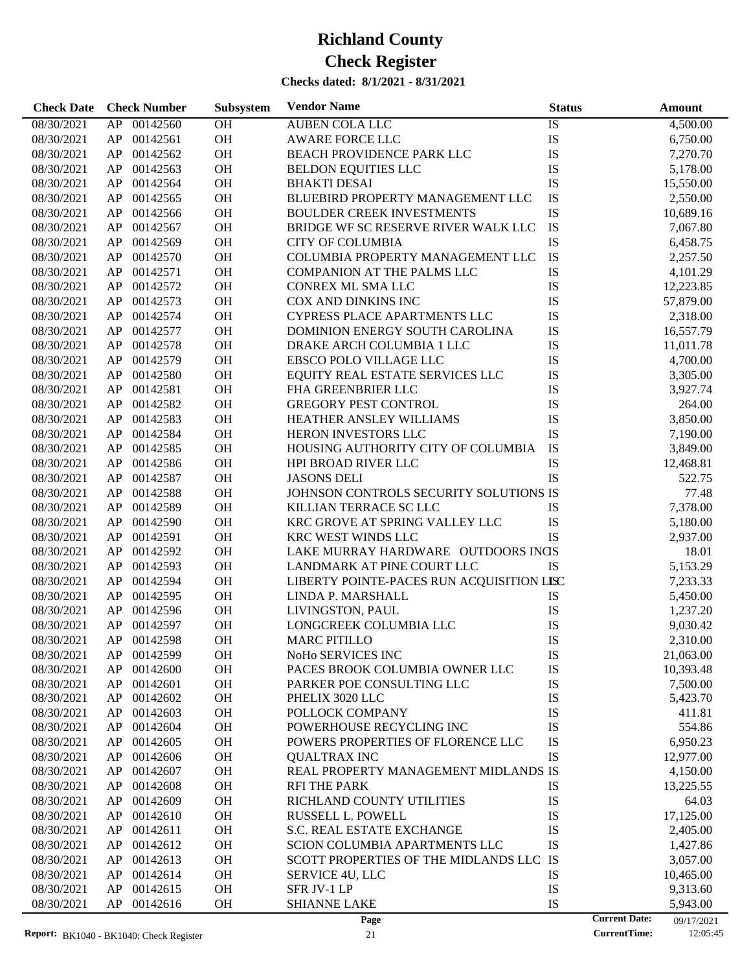| <b>Check Date</b> | <b>Check Number</b> | Subsystem | <b>Vendor Name</b>                        | <b>Status</b>        | <b>Amount</b> |
|-------------------|---------------------|-----------|-------------------------------------------|----------------------|---------------|
| 08/30/2021        | AP<br>00142560      | OH        | <b>AUBEN COLA LLC</b>                     | IS                   | 4,500.00      |
| 08/30/2021        | 00142561<br>AP      | OH        | <b>AWARE FORCE LLC</b>                    | IS                   | 6,750.00      |
| 08/30/2021        | 00142562<br>AP      | OH        | BEACH PROVIDENCE PARK LLC                 | IS                   | 7,270.70      |
| 08/30/2021        | 00142563<br>AP      | OH        | <b>BELDON EQUITIES LLC</b>                | IS                   | 5,178.00      |
| 08/30/2021        | 00142564<br>AP      | OH        | <b>BHAKTI DESAI</b>                       | IS                   | 15,550.00     |
| 08/30/2021        | 00142565<br>AP      | OH        | BLUEBIRD PROPERTY MANAGEMENT LLC          | IS                   | 2,550.00      |
| 08/30/2021        | 00142566<br>AP      | OH        | <b>BOULDER CREEK INVESTMENTS</b>          | IS                   | 10,689.16     |
| 08/30/2021        | 00142567<br>AP      | OH        | BRIDGE WF SC RESERVE RIVER WALK LLC       | IS                   | 7,067.80      |
| 08/30/2021        | 00142569<br>AP      | OH        | <b>CITY OF COLUMBIA</b>                   | IS                   | 6,458.75      |
| 08/30/2021        | 00142570<br>AP      | OH        | COLUMBIA PROPERTY MANAGEMENT LLC          | IS                   | 2,257.50      |
| 08/30/2021        | 00142571<br>AP      | OH        | COMPANION AT THE PALMS LLC                | IS                   | 4,101.29      |
| 08/30/2021        | 00142572<br>AP      | OH        | CONREX ML SMA LLC                         | IS                   | 12,223.85     |
| 08/30/2021        | 00142573<br>AP      | OH        | COX AND DINKINS INC                       | IS                   | 57,879.00     |
| 08/30/2021        | 00142574<br>AP      | OH        | CYPRESS PLACE APARTMENTS LLC              | IS                   | 2,318.00      |
| 08/30/2021        | 00142577<br>AP      | OH        | DOMINION ENERGY SOUTH CAROLINA            | IS                   | 16,557.79     |
| 08/30/2021        | 00142578<br>AP      | OH        | DRAKE ARCH COLUMBIA 1 LLC                 | IS                   | 11,011.78     |
| 08/30/2021        | 00142579<br>AP      | OH        | EBSCO POLO VILLAGE LLC                    | IS                   | 4,700.00      |
| 08/30/2021        | 00142580<br>AP      | OH        | EQUITY REAL ESTATE SERVICES LLC           | IS                   | 3,305.00      |
| 08/30/2021        | 00142581<br>AP      | OH        | FHA GREENBRIER LLC                        | IS                   | 3,927.74      |
| 08/30/2021        | 00142582<br>AP      | OH        | <b>GREGORY PEST CONTROL</b>               | IS                   | 264.00        |
| 08/30/2021        | 00142583<br>AP      | OH        | HEATHER ANSLEY WILLIAMS                   | IS                   | 3,850.00      |
| 08/30/2021        | 00142584<br>AP      | OH        | HERON INVESTORS LLC                       | IS                   | 7,190.00      |
| 08/30/2021        | 00142585<br>AP      | OH        | HOUSING AUTHORITY CITY OF COLUMBIA        | IS                   | 3,849.00      |
| 08/30/2021        | 00142586<br>AP      | OH        | <b>HPI BROAD RIVER LLC</b>                | IS                   | 12,468.81     |
| 08/30/2021        | 00142587<br>AP      | OH        | <b>JASONS DELI</b>                        | IS                   | 522.75        |
| 08/30/2021        | 00142588<br>AP      | OH        | JOHNSON CONTROLS SECURITY SOLUTIONS IS    |                      | 77.48         |
| 08/30/2021        | 00142589<br>AP      | OH        | KILLIAN TERRACE SC LLC                    | IS                   | 7,378.00      |
| 08/30/2021        | 00142590<br>AP      | OH        | KRC GROVE AT SPRING VALLEY LLC            | IS                   | 5,180.00      |
| 08/30/2021        | 00142591<br>AP      | OH        | KRC WEST WINDS LLC                        | IS                   | 2,937.00      |
| 08/30/2021        | 00142592<br>AP      | OH        | LAKE MURRAY HARDWARE OUTDOORS INCS        |                      | 18.01         |
| 08/30/2021        | 00142593<br>AP      | OH        | LANDMARK AT PINE COURT LLC                | IS                   | 5,153.29      |
| 08/30/2021        | 00142594<br>AP      | OH        | LIBERTY POINTE-PACES RUN ACQUISITION LISC |                      | 7,233.33      |
| 08/30/2021        | 00142595<br>AP      | OH        | LINDA P. MARSHALL                         | IS                   | 5,450.00      |
| 08/30/2021        | 00142596<br>AP      | OH        | LIVINGSTON, PAUL                          | IS                   | 1,237.20      |
| 08/30/2021        | AP<br>00142597      | OH        | LONGCREEK COLUMBIA LLC                    | IS                   | 9,030.42      |
| 08/30/2021        | AP 00142598         | <b>OH</b> | <b>MARC PITILLO</b>                       | IS                   | 2,310.00      |
| 08/30/2021        | 00142599<br>AP      | OH        | NoHo SERVICES INC                         | IS                   | 21,063.00     |
| 08/30/2021        | 00142600<br>AP      | OH        | PACES BROOK COLUMBIA OWNER LLC            | IS                   | 10,393.48     |
| 08/30/2021        | AP<br>00142601      | OH        | PARKER POE CONSULTING LLC                 | IS                   | 7,500.00      |
| 08/30/2021        | 00142602<br>AP      | <b>OH</b> | PHELIX 3020 LLC                           | IS                   | 5,423.70      |
| 08/30/2021        | 00142603<br>AP      | OH        | POLLOCK COMPANY                           | IS                   | 411.81        |
| 08/30/2021        | 00142604<br>AP      | OH        | POWERHOUSE RECYCLING INC                  | IS                   | 554.86        |
| 08/30/2021        | 00142605<br>AP      | OH        | POWERS PROPERTIES OF FLORENCE LLC         | IS                   | 6,950.23      |
| 08/30/2021        | 00142606<br>AP      | OH        | <b>QUALTRAX INC</b>                       | IS                   | 12,977.00     |
| 08/30/2021        | 00142607<br>AP      | OH        | REAL PROPERTY MANAGEMENT MIDLANDS IS      |                      | 4,150.00      |
| 08/30/2021        | 00142608<br>AP      | OH        | <b>RFI THE PARK</b>                       | IS                   | 13,225.55     |
| 08/30/2021        | 00142609<br>AP      | OH        | RICHLAND COUNTY UTILITIES                 | IS                   | 64.03         |
| 08/30/2021        | 00142610<br>AP      | OH        | RUSSELL L. POWELL                         | IS                   | 17,125.00     |
| 08/30/2021        | 00142611<br>AP      | OH        | S.C. REAL ESTATE EXCHANGE                 | IS                   | 2,405.00      |
| 08/30/2021        | 00142612<br>AP      | OH        | SCION COLUMBIA APARTMENTS LLC             | IS                   | 1,427.86      |
| 08/30/2021        | 00142613<br>AP      | OH        | SCOTT PROPERTIES OF THE MIDLANDS LLC IS   |                      | 3,057.00      |
| 08/30/2021        | 00142614<br>AP      | OH        | SERVICE 4U, LLC                           | IS                   | 10,465.00     |
| 08/30/2021        | 00142615<br>AP      | OH        | SFR JV-1 LP                               | IS                   | 9,313.60      |
| 08/30/2021        | 00142616<br>AP      | <b>OH</b> | <b>SHIANNE LAKE</b>                       | IS                   | 5,943.00      |
|                   |                     |           | Page                                      | <b>Current Date:</b> | 09/17/2021    |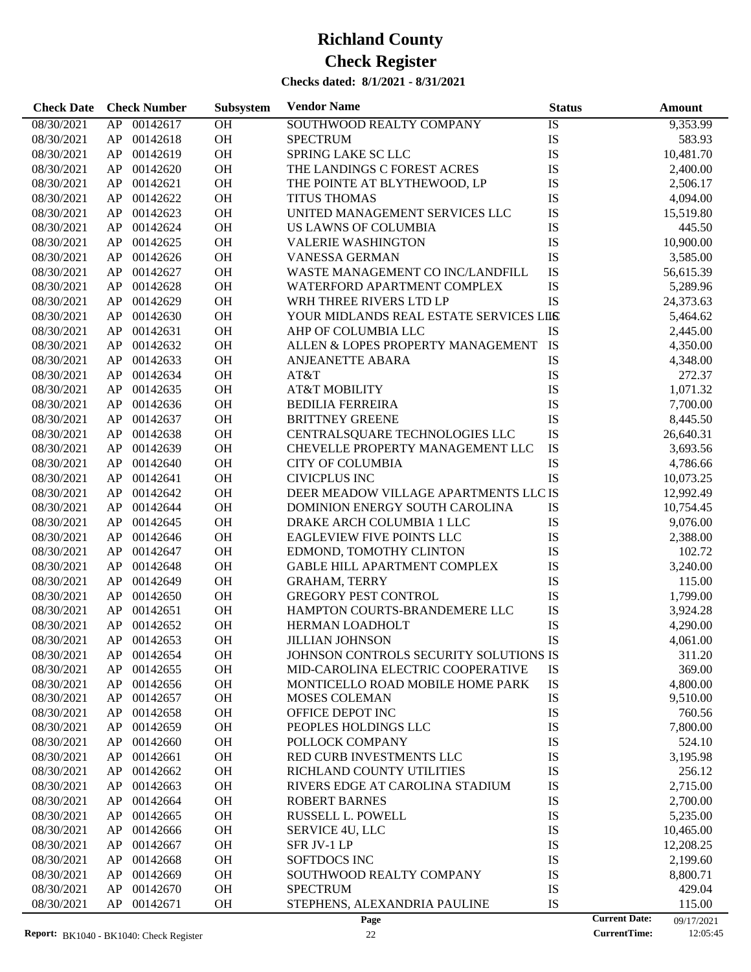**Check Date Check Number Vendor Name Status Amount**

08/30/2021 AP 00142617 OH SOUTHWOOD REALTY COMPANY IS 9,353.99

**Subsystem**

## 08/30/2021 AP 00142618 OH SPECTRUM IS 583.93 08/30/2021 AP 00142619 OH SPRING LAKE SC LLC IS 10,481.70 08/30/2021 AP 00142620 OH THE LANDINGS C FOREST ACRES IS 2,400.00 08/30/2021 AP 00142621 OH THE POINTE AT BLYTHEWOOD, LP IS 2,506.17 08/30/2021 AP 00142622 OH TITUS THOMAS IS 1,094.00 08/30/2021 AP 00142623 OH UNITED MANAGEMENT SERVICES LLC IS 15,519.80 08/30/2021 AP 00142624 OH US LAWNS OF COLUMBIA IS 445.50 08/30/2021 AP 00142625 OH VALERIE WASHINGTON IS 10,900.00 08/30/2021 AP 00142626 OH VANESSA GERMAN IS 3,585.00 08/30/2021 AP 00142627 OH WASTE MANAGEMENT CO INC/LANDFILL IS 56,615.39 08/30/2021 AP 00142628 OH WATERFORD APARTMENT COMPLEX IS 5,289.96<br>08/30/2021 AP 00142629 OH WRH THREE RIVERS LTD LP IS 1 24.373.63 WRH THREE RIVERS LTD LP

| Report: BK1040 - BK1040: Check Register |    |                 |           | Page<br>22                              |    | <b>CurrentTime:</b>  | 09/17/2021<br>12:05:45 |
|-----------------------------------------|----|-----------------|-----------|-----------------------------------------|----|----------------------|------------------------|
| 08/30/2021                              | AP | 00142671        | <b>OH</b> | STEPHENS, ALEXANDRIA PAULINE            | IS | <b>Current Date:</b> | 115.00                 |
| 08/30/2021                              | AP | 00142670        | OH        | <b>SPECTRUM</b>                         | IS |                      | 429.04                 |
| 08/30/2021                              | AP | 00142669        | OH        | SOUTHWOOD REALTY COMPANY                | IS |                      | 8,800.71               |
| 08/30/2021                              | AP | 00142668        | OH        | SOFTDOCS INC                            | IS |                      | 2,199.60               |
| 08/30/2021                              | AP | 00142667        | <b>OH</b> | SFR JV-1 LP                             | IS |                      | 12,208.25              |
| 08/30/2021                              | AP | 00142666        | <b>OH</b> | SERVICE 4U, LLC                         | IS |                      | 10,465.00              |
| 08/30/2021                              | AP | 00142665        | <b>OH</b> | RUSSELL L. POWELL                       | IS |                      | 5,235.00               |
| 08/30/2021                              | AP | 00142664        | <b>OH</b> | <b>ROBERT BARNES</b>                    | IS |                      | 2,700.00               |
| 08/30/2021                              | AP | 00142663        | <b>OH</b> | RIVERS EDGE AT CAROLINA STADIUM         | IS |                      | 2,715.00               |
| 08/30/2021                              | AP | 00142662        | <b>OH</b> | RICHLAND COUNTY UTILITIES               | IS |                      | 256.12                 |
| 08/30/2021                              | AP | 00142661        | <b>OH</b> | RED CURB INVESTMENTS LLC                | IS |                      | 3,195.98               |
| 08/30/2021                              | AP | 00142660        | OH        | POLLOCK COMPANY                         | IS |                      | 524.10                 |
| 08/30/2021                              | AP | 00142659        | OH        | PEOPLES HOLDINGS LLC                    | IS |                      | 7,800.00               |
| 08/30/2021                              | AP | 00142658        | <b>OH</b> | OFFICE DEPOT INC                        | IS |                      | 760.56                 |
| 08/30/2021                              | AP | 00142657        | OH        | MOSES COLEMAN                           | IS |                      | 9,510.00               |
| 08/30/2021                              | AP | 00142656        | <b>OH</b> | MONTICELLO ROAD MOBILE HOME PARK        | IS |                      | 4,800.00               |
| 08/30/2021                              | AP | 00142655        | <b>OH</b> | MID-CAROLINA ELECTRIC COOPERATIVE       | IS |                      | 369.00                 |
| 08/30/2021                              | AP | 00142654        | <b>OH</b> | JOHNSON CONTROLS SECURITY SOLUTIONS IS  |    |                      | 311.20                 |
| 08/30/2021                              | AP | 00142653        | <b>OH</b> | <b>JILLIAN JOHNSON</b>                  | IS |                      | 4,061.00               |
| 08/30/2021                              | AP | 00142652        | <b>OH</b> | HERMAN LOADHOLT                         | IS |                      | 4,290.00               |
| 08/30/2021                              | AP | 00142651        | <b>OH</b> | HAMPTON COURTS-BRANDEMERE LLC           | IS |                      | 3,924.28               |
| 08/30/2021                              | AP | 00142650        | <b>OH</b> | <b>GREGORY PEST CONTROL</b>             | IS |                      | 1,799.00               |
| 08/30/2021                              | AP | 00142649        | <b>OH</b> | <b>GRAHAM, TERRY</b>                    | IS |                      | 115.00                 |
| 08/30/2021                              | AP | 00142648        | <b>OH</b> | GABLE HILL APARTMENT COMPLEX            | IS |                      | 3,240.00               |
| 08/30/2021                              | AP | 00142647        | <b>OH</b> | EDMOND, TOMOTHY CLINTON                 | IS |                      | 102.72                 |
| 08/30/2021                              | AP | 00142646        | <b>OH</b> | EAGLEVIEW FIVE POINTS LLC               | IS |                      | 2,388.00               |
| 08/30/2021                              | AP | 00142645        | <b>OH</b> | DRAKE ARCH COLUMBIA 1 LLC               | IS |                      | 9,076.00               |
| 08/30/2021                              | AP | 00142644        | <b>OH</b> | DOMINION ENERGY SOUTH CAROLINA          | IS |                      | 10,754.45              |
| 08/30/2021                              | AP | 00142642        | OH        | DEER MEADOW VILLAGE APARTMENTS LLC IS   |    |                      | 12,992.49              |
| 08/30/2021                              | AP | 00142641        | <b>OH</b> | <b>CIVICPLUS INC</b>                    | IS |                      | 10,073.25              |
| 08/30/2021                              | AP | 00142640        | <b>OH</b> | <b>CITY OF COLUMBIA</b>                 | IS |                      | 4,786.66               |
| 08/30/2021                              | AP | 00142639        | <b>OH</b> | CHEVELLE PROPERTY MANAGEMENT LLC        | IS |                      | 3,693.56               |
| 08/30/2021                              | AP | 00142638        | OH        | CENTRALSQUARE TECHNOLOGIES LLC          | IS |                      | 26,640.31              |
| 08/30/2021                              | AP | 00142637        | OH        | <b>BRITTNEY GREENE</b>                  | IS |                      | 8,445.50               |
| 08/30/2021                              | AP | 00142636        | <b>OH</b> | <b>BEDILIA FERREIRA</b>                 | IS |                      | 7,700.00               |
| 08/30/2021                              | AP | 00142635        | <b>OH</b> | <b>AT&amp;T MOBILITY</b>                | IS |                      | 1,071.32               |
| 08/30/2021                              | AP | 00142634        | <b>OH</b> | AT&T                                    | IS |                      | 272.37                 |
| 08/30/2021                              | AP | 00142633        | <b>OH</b> | <b>ANJEANETTE ABARA</b>                 | IS |                      | 4,348.00               |
| 08/30/2021                              | AP | 00142632        | <b>OH</b> | ALLEN & LOPES PROPERTY MANAGEMENT       | IS |                      | 4,350.00               |
| 08/30/2021                              | AP | 00142631        | <b>OH</b> | AHP OF COLUMBIA LLC                     | IS |                      | 2,445.00               |
| 08/30/2021                              | AP | 00142630        | <b>OH</b> | YOUR MIDLANDS REAL ESTATE SERVICES LILS |    |                      | 5,464.62               |
| 00/30/2021                              | AF | <b>UU142029</b> | UП        | WKH I HKEE KIVEKS LID LP                | 12 |                      | 24,373.03              |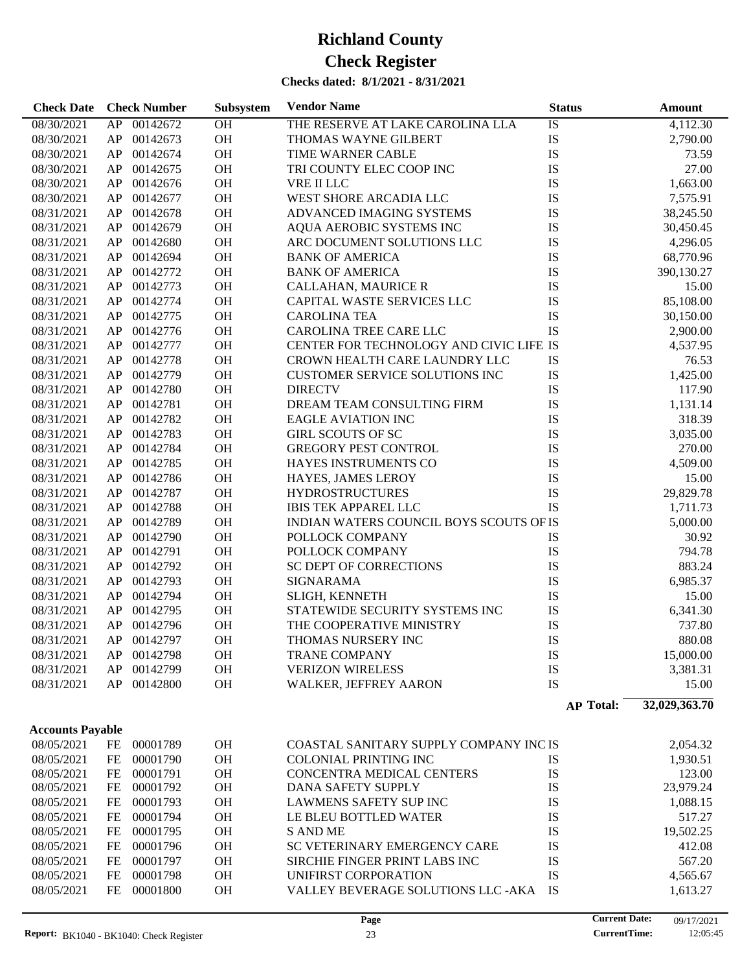| CHECKS GALEG. - 0/1/2021 - 0/31/2021 |    |                     |           |                                         |                  |               |  |  |
|--------------------------------------|----|---------------------|-----------|-----------------------------------------|------------------|---------------|--|--|
| <b>Check Date</b>                    |    | <b>Check Number</b> | Subsystem | <b>Vendor Name</b>                      | <b>Status</b>    | Amount        |  |  |
| 08/30/2021                           | AP | 00142672            | OH        | THE RESERVE AT LAKE CAROLINA LLA        | <b>IS</b>        | 4,112.30      |  |  |
| 08/30/2021                           | AP | 00142673            | OH        | THOMAS WAYNE GILBERT                    | IS               | 2,790.00      |  |  |
| 08/30/2021                           | AP | 00142674            | OH        | TIME WARNER CABLE                       | IS               | 73.59         |  |  |
| 08/30/2021                           | AP | 00142675            | OH        | TRI COUNTY ELEC COOP INC                | IS               | 27.00         |  |  |
| 08/30/2021                           | AP | 00142676            | OH        | VRE II LLC                              | IS               | 1,663.00      |  |  |
| 08/30/2021                           | AP | 00142677            | OH        | WEST SHORE ARCADIA LLC                  | IS               | 7,575.91      |  |  |
| 08/31/2021                           | AP | 00142678            | OH        | ADVANCED IMAGING SYSTEMS                | IS               | 38,245.50     |  |  |
| 08/31/2021                           | AP | 00142679            | OH        | AQUA AEROBIC SYSTEMS INC                | IS               | 30,450.45     |  |  |
| 08/31/2021                           | AP | 00142680            | OH        | ARC DOCUMENT SOLUTIONS LLC              | IS               | 4,296.05      |  |  |
| 08/31/2021                           | AP | 00142694            | OH        | <b>BANK OF AMERICA</b>                  | IS               | 68,770.96     |  |  |
| 08/31/2021                           | AP | 00142772            | OH        | <b>BANK OF AMERICA</b>                  | IS               | 390,130.27    |  |  |
| 08/31/2021                           | AP | 00142773            | OH        | CALLAHAN, MAURICE R                     | IS               | 15.00         |  |  |
| 08/31/2021                           | AP | 00142774            | OH        | CAPITAL WASTE SERVICES LLC              | IS               | 85,108.00     |  |  |
| 08/31/2021                           | AP | 00142775            | OH        | <b>CAROLINA TEA</b>                     | IS               | 30,150.00     |  |  |
| 08/31/2021                           | AP | 00142776            | OH        | CAROLINA TREE CARE LLC                  | <b>IS</b>        | 2,900.00      |  |  |
| 08/31/2021                           | AP | 00142777            | OH        | CENTER FOR TECHNOLOGY AND CIVIC LIFE IS |                  | 4,537.95      |  |  |
| 08/31/2021                           | AP | 00142778            | OH        | CROWN HEALTH CARE LAUNDRY LLC           | IS               | 76.53         |  |  |
| 08/31/2021                           | AP | 00142779            | OH        | CUSTOMER SERVICE SOLUTIONS INC          | IS               | 1,425.00      |  |  |
| 08/31/2021                           | AP | 00142780            | OH        | <b>DIRECTV</b>                          | IS               | 117.90        |  |  |
| 08/31/2021                           | AP | 00142781            | OH        | DREAM TEAM CONSULTING FIRM              | IS               | 1,131.14      |  |  |
| 08/31/2021                           | AP | 00142782            | OH        | <b>EAGLE AVIATION INC</b>               | IS               | 318.39        |  |  |
| 08/31/2021                           | AP | 00142783            | OH        | <b>GIRL SCOUTS OF SC</b>                | IS               | 3,035.00      |  |  |
| 08/31/2021                           | AP | 00142784            | OH        | <b>GREGORY PEST CONTROL</b>             | IS               | 270.00        |  |  |
| 08/31/2021                           | AP | 00142785            | OH        | HAYES INSTRUMENTS CO                    | IS               | 4,509.00      |  |  |
| 08/31/2021                           | AP | 00142786            | OH        | HAYES, JAMES LEROY                      | IS               | 15.00         |  |  |
| 08/31/2021                           | AP | 00142787            | OH        | <b>HYDROSTRUCTURES</b>                  | IS               | 29,829.78     |  |  |
| 08/31/2021                           | AP | 00142788            | OH        | <b>IBIS TEK APPAREL LLC</b>             | <b>IS</b>        | 1,711.73      |  |  |
| 08/31/2021                           | AP | 00142789            | OH        | INDIAN WATERS COUNCIL BOYS SCOUTS OF IS |                  | 5,000.00      |  |  |
| 08/31/2021                           | AP | 00142790            | OH        | POLLOCK COMPANY                         | IS               | 30.92         |  |  |
| 08/31/2021                           | AP | 00142791            | OH        | POLLOCK COMPANY                         | IS               | 794.78        |  |  |
| 08/31/2021                           | AP | 00142792            | OH        | SC DEPT OF CORRECTIONS                  | IS               | 883.24        |  |  |
| 08/31/2021                           | AP | 00142793            | OH        | <b>SIGNARAMA</b>                        | IS               | 6,985.37      |  |  |
| 08/31/2021                           | AP | 00142794            | OH        | SLIGH, KENNETH                          | IS               | 15.00         |  |  |
| 08/31/2021                           | AP | 00142795            | OH        | STATEWIDE SECURITY SYSTEMS INC          | IS               | 6,341.30      |  |  |
| 08/31/2021                           | AP | 00142796            | <b>OH</b> | THE COOPERATIVE MINISTRY                | IS               | 737.80        |  |  |
| 08/31/2021                           | AP | 00142797            | <b>OH</b> | THOMAS NURSERY INC                      | IS               | 880.08        |  |  |
| 08/31/2021                           | AP | 00142798            | OH        | <b>TRANE COMPANY</b>                    | IS               | 15,000.00     |  |  |
| 08/31/2021                           | AP | 00142799            | OH        | <b>VERIZON WIRELESS</b>                 | IS               | 3,381.31      |  |  |
| 08/31/2021                           | AP | 00142800            | OH        | WALKER, JEFFREY AARON                   | <b>IS</b>        | 15.00         |  |  |
|                                      |    |                     |           |                                         | <b>AP</b> Total: | 32,029,363.70 |  |  |
| <b>Accounts Payable</b>              |    |                     |           |                                         |                  |               |  |  |
| 08/05/2021                           | FE | 00001789            | OH        | COASTAL SANITARY SUPPLY COMPANY INC IS  |                  | 2,054.32      |  |  |
|                                      |    |                     |           |                                         |                  |               |  |  |

| 08/05/2021 | FE  | 00001789 | OН        | COASTAL SANITARY SUPPLY COMPANY INC IS |    | 2,054.32  |
|------------|-----|----------|-----------|----------------------------------------|----|-----------|
| 08/05/2021 | FE. | 00001790 | <b>OH</b> | <b>COLONIAL PRINTING INC</b>           | IS | 1,930.51  |
| 08/05/2021 | FE. | 00001791 | <b>OH</b> | CONCENTRA MEDICAL CENTERS              | IS | 123.00    |
| 08/05/2021 | FE. | 00001792 | OН        | DANA SAFETY SUPPLY                     | IS | 23.979.24 |
| 08/05/2021 | FE. | 00001793 | <b>OH</b> | LAWMENS SAFETY SUP INC                 | IS | 1.088.15  |
| 08/05/2021 | FE. | 00001794 | <b>OH</b> | LE BLEU BOTTLED WATER                  | IS | 517.27    |
| 08/05/2021 | FE  | 00001795 | <b>OH</b> | S AND ME                               | IS | 19.502.25 |
| 08/05/2021 | FE. | 00001796 | <b>OH</b> | SC VETERINARY EMERGENCY CARE           | IS | 412.08    |
| 08/05/2021 | FE. | 00001797 | <b>OH</b> | SIRCHIE FINGER PRINT LABS INC          | IS | 567.20    |
| 08/05/2021 | FE. | 00001798 | <b>OH</b> | UNIFIRST CORPORATION                   | IS | 4,565.67  |
| 08/05/2021 | FE  | 00001800 | OН        | VALLEY BEVERAGE SOLUTIONS LLC -AKA IS  |    | 1.613.27  |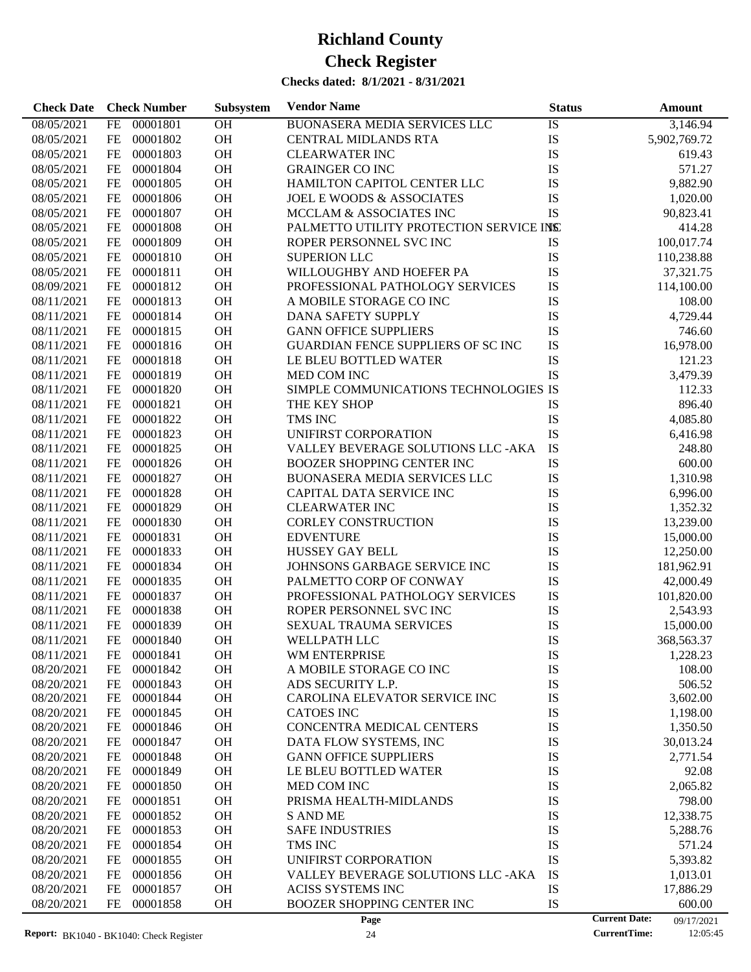| <b>Check Date</b> | <b>Check Number</b>   | Subsystem | <b>Vendor Name</b>                        | <b>Status</b> |                      | <b>Amount</b> |
|-------------------|-----------------------|-----------|-------------------------------------------|---------------|----------------------|---------------|
| 08/05/2021        | 00001801<br>FE        | OH        | BUONASERA MEDIA SERVICES LLC              | IS            |                      | 3,146.94      |
| 08/05/2021        | 00001802<br>FE        | OH        | <b>CENTRAL MIDLANDS RTA</b>               | IS            |                      | 5,902,769.72  |
| 08/05/2021        | FE<br>00001803        | OH        | <b>CLEARWATER INC</b>                     | IS            |                      | 619.43        |
| 08/05/2021        | 00001804<br>FE        | OH        | <b>GRAINGER CO INC</b>                    | IS            |                      | 571.27        |
| 08/05/2021        | FE<br>00001805        | OH        | HAMILTON CAPITOL CENTER LLC               | IS            |                      | 9,882.90      |
| 08/05/2021        | FE<br>00001806        | OH        | <b>JOEL E WOODS &amp; ASSOCIATES</b>      | IS            |                      | 1,020.00      |
| 08/05/2021        | 00001807<br>FE        | OH        | MCCLAM & ASSOCIATES INC                   | <b>IS</b>     |                      | 90,823.41     |
| 08/05/2021        | FE<br>00001808        | OH        | PALMETTO UTILITY PROTECTION SERVICE INSET |               |                      | 414.28        |
| 08/05/2021        | 00001809<br>FE        | OH        | ROPER PERSONNEL SVC INC                   | IS            |                      | 100,017.74    |
| 08/05/2021        | FE<br>00001810        | OH        | <b>SUPERION LLC</b>                       | IS            |                      | 110,238.88    |
| 08/05/2021        | FE<br>00001811        | OH        | WILLOUGHBY AND HOEFER PA                  | IS            |                      | 37,321.75     |
| 08/09/2021        | FE<br>00001812        | OH        | PROFESSIONAL PATHOLOGY SERVICES           | IS            |                      | 114,100.00    |
| 08/11/2021        | FE<br>00001813        | OH        | A MOBILE STORAGE CO INC                   | IS            |                      | 108.00        |
| 08/11/2021        | FE<br>00001814        | OH        | DANA SAFETY SUPPLY                        | IS            |                      | 4,729.44      |
| 08/11/2021        | FE<br>00001815        | OH        | <b>GANN OFFICE SUPPLIERS</b>              | IS            |                      | 746.60        |
| 08/11/2021        | 00001816<br>FE        | OH        | <b>GUARDIAN FENCE SUPPLIERS OF SCINC</b>  | IS            |                      | 16,978.00     |
| 08/11/2021        | FE<br>00001818        | OH        | LE BLEU BOTTLED WATER                     | IS            |                      | 121.23        |
| 08/11/2021        | 00001819<br>FE        | OH        | MED COM INC                               | <b>IS</b>     |                      | 3,479.39      |
| 08/11/2021        | FE<br>00001820        | OH        | SIMPLE COMMUNICATIONS TECHNOLOGIES IS     |               |                      | 112.33        |
| 08/11/2021        | 00001821<br>FE        | OH        | THE KEY SHOP                              | IS            |                      | 896.40        |
| 08/11/2021        | FE<br>00001822        | OH        | TMS INC                                   | IS            |                      | 4,085.80      |
| 08/11/2021        | 00001823<br>FE        | OH        | UNIFIRST CORPORATION                      | IS            |                      | 6,416.98      |
| 08/11/2021        | 00001825<br>FE        | OH        | <b>VALLEY BEVERAGE SOLUTIONS LLC -AKA</b> | IS            |                      | 248.80        |
| 08/11/2021        | FE<br>00001826        | OH        | <b>BOOZER SHOPPING CENTER INC</b>         | IS            |                      | 600.00        |
| 08/11/2021        | 00001827<br>FE        | OH        | <b>BUONASERA MEDIA SERVICES LLC</b>       | IS            |                      | 1,310.98      |
| 08/11/2021        | 00001828<br>FE        | OH        | CAPITAL DATA SERVICE INC                  | IS            |                      | 6,996.00      |
| 08/11/2021        | 00001829<br>FE        | OH        | <b>CLEARWATER INC</b>                     | IS            |                      | 1,352.32      |
| 08/11/2021        | FE<br>00001830        | OH        | <b>CORLEY CONSTRUCTION</b>                | IS            |                      | 13,239.00     |
| 08/11/2021        | 00001831<br>FE        | OH        | <b>EDVENTURE</b>                          | IS            |                      | 15,000.00     |
| 08/11/2021        | 00001833<br>FE        | OH        | HUSSEY GAY BELL                           | IS            |                      | 12,250.00     |
| 08/11/2021        | FE<br>00001834        | OH        | JOHNSONS GARBAGE SERVICE INC              | IS            |                      | 181,962.91    |
| 08/11/2021        | FE<br>00001835        | OH        | PALMETTO CORP OF CONWAY                   | IS            |                      | 42,000.49     |
| 08/11/2021        | 00001837<br>FE        | OH        | PROFESSIONAL PATHOLOGY SERVICES           | IS            |                      | 101,820.00    |
| 08/11/2021        | 00001838<br>FE        | OH        | ROPER PERSONNEL SVC INC                   | IS            |                      | 2,543.93      |
| 08/11/2021        | FE<br>00001839        | OH        | SEXUAL TRAUMA SERVICES                    | IS            |                      | 15,000.00     |
| 08/11/2021        | $FE$<br>00001840      | <b>OH</b> | WELLPATH LLC                              | IS            |                      | 368,563.37    |
| 08/11/2021        | FE<br>00001841        | <b>OH</b> | WM ENTERPRISE                             | IS            |                      | 1,228.23      |
| 08/20/2021        | FE<br>00001842        | OH        | A MOBILE STORAGE CO INC                   | IS            |                      | 108.00        |
| 08/20/2021        | 00001843<br>FE        | OH        | ADS SECURITY L.P.                         | IS            |                      | 506.52        |
| 08/20/2021        | FE<br>00001844        | <b>OH</b> | CAROLINA ELEVATOR SERVICE INC             | IS            |                      | 3,602.00      |
| 08/20/2021        | 00001845<br>FE        | OH        | <b>CATOES INC</b>                         | IS            |                      | 1,198.00      |
| 08/20/2021        | 00001846<br>FE        | OH        | <b>CONCENTRA MEDICAL CENTERS</b>          | IS            |                      | 1,350.50      |
| 08/20/2021        | 00001847<br>FE        | <b>OH</b> | DATA FLOW SYSTEMS, INC                    | IS            |                      | 30,013.24     |
| 08/20/2021        | 00001848<br>FE        | <b>OH</b> | <b>GANN OFFICE SUPPLIERS</b>              | IS            |                      | 2,771.54      |
| 08/20/2021        | 00001849<br>FE        | <b>OH</b> | LE BLEU BOTTLED WATER                     | IS            |                      | 92.08         |
| 08/20/2021        | 00001850<br>FE        | <b>OH</b> | MED COM INC                               | IS            |                      | 2,065.82      |
| 08/20/2021        | 00001851<br>FE        | <b>OH</b> | PRISMA HEALTH-MIDLANDS                    | IS            |                      | 798.00        |
| 08/20/2021        | 00001852<br>FE        | <b>OH</b> | <b>S AND ME</b>                           | IS            |                      | 12,338.75     |
| 08/20/2021        | 00001853<br>FE        | OH        | <b>SAFE INDUSTRIES</b>                    | IS            |                      | 5,288.76      |
| 08/20/2021        | 00001854<br>FE        | <b>OH</b> | TMS INC                                   | IS            |                      | 571.24        |
| 08/20/2021        | 00001855<br>FE        | <b>OH</b> | UNIFIRST CORPORATION                      | IS            |                      | 5,393.82      |
| 08/20/2021        | 00001856<br>FE        | <b>OH</b> | VALLEY BEVERAGE SOLUTIONS LLC -AKA        | IS            |                      | 1,013.01      |
| 08/20/2021        | 00001857<br>FE        | OH        | <b>ACISS SYSTEMS INC</b>                  | IS            |                      | 17,886.29     |
| 08/20/2021        | <b>FE</b><br>00001858 | <b>OH</b> | <b>BOOZER SHOPPING CENTER INC</b>         | IS            |                      | 600.00        |
|                   |                       |           | Page                                      |               | <b>Current Date:</b> | 09/17/2021    |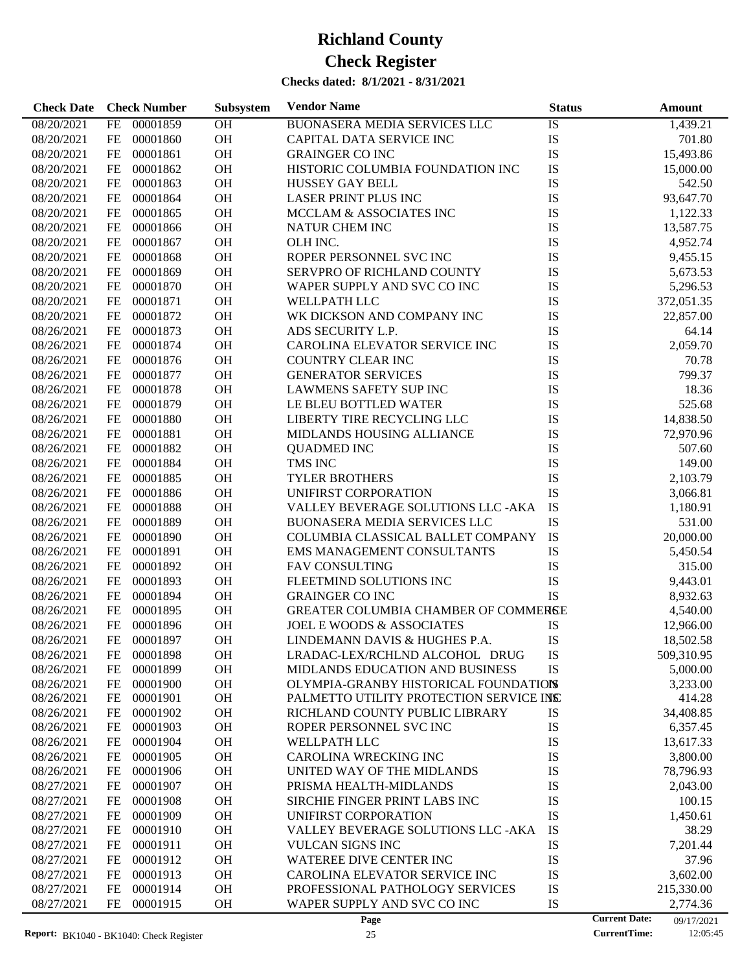| <b>Check Date</b> | <b>Check Number</b>   | <b>Subsystem</b> | <b>Vendor Name</b>                       | <b>Status</b> | Amount                             |
|-------------------|-----------------------|------------------|------------------------------------------|---------------|------------------------------------|
| 08/20/2021        | 00001859<br><b>FE</b> | OH               | BUONASERA MEDIA SERVICES LLC             | IS            | 1,439.21                           |
| 08/20/2021        | 00001860<br>FE        | OH               | CAPITAL DATA SERVICE INC                 | IS            | 701.80                             |
| 08/20/2021        | 00001861<br>FE        | OH               | <b>GRAINGER CO INC</b>                   | IS            | 15,493.86                          |
| 08/20/2021        | FE<br>00001862        | <b>OH</b>        | HISTORIC COLUMBIA FOUNDATION INC         | IS            | 15,000.00                          |
| 08/20/2021        | 00001863<br>FE        | OH               | <b>HUSSEY GAY BELL</b>                   | IS            | 542.50                             |
| 08/20/2021        | 00001864<br>FE        | OH               | <b>LASER PRINT PLUS INC</b>              | IS            | 93,647.70                          |
| 08/20/2021        | FE<br>00001865        | <b>OH</b>        | MCCLAM & ASSOCIATES INC                  | IS            | 1,122.33                           |
| 08/20/2021        | FE<br>00001866        | <b>OH</b>        | NATUR CHEM INC                           | IS            | 13,587.75                          |
| 08/20/2021        | 00001867<br>FE        | OH               | OLH INC.                                 | IS            | 4,952.74                           |
| 08/20/2021        | FE<br>00001868        | OH               | ROPER PERSONNEL SVC INC                  | IS            | 9,455.15                           |
| 08/20/2021        | FE<br>00001869        | <b>OH</b>        | <b>SERVPRO OF RICHLAND COUNTY</b>        | IS            | 5,673.53                           |
| 08/20/2021        | FE<br>00001870        | OH               | WAPER SUPPLY AND SVC CO INC              | IS            | 5,296.53                           |
| 08/20/2021        | 00001871<br>FE        | OH               | <b>WELLPATH LLC</b>                      | IS            | 372,051.35                         |
| 08/20/2021        | 00001872<br>FE        | <b>OH</b>        | WK DICKSON AND COMPANY INC               | IS            | 22,857.00                          |
| 08/26/2021        | FE<br>00001873        | <b>OH</b>        | ADS SECURITY L.P.                        | IS            | 64.14                              |
| 08/26/2021        | 00001874<br>FE        | <b>OH</b>        | CAROLINA ELEVATOR SERVICE INC            | IS            | 2,059.70                           |
| 08/26/2021        | 00001876<br>FE        | OH               | <b>COUNTRY CLEAR INC</b>                 | IS            | 70.78                              |
| 08/26/2021        | 00001877<br>FE        | OH               | <b>GENERATOR SERVICES</b>                | IS            | 799.37                             |
| 08/26/2021        | FE<br>00001878        | <b>OH</b>        | <b>LAWMENS SAFETY SUP INC</b>            | IS            | 18.36                              |
| 08/26/2021        | 00001879<br>FE        | <b>OH</b>        | LE BLEU BOTTLED WATER                    | IS            | 525.68                             |
|                   | 00001880              | OH               | LIBERTY TIRE RECYCLING LLC               | IS            |                                    |
| 08/26/2021        | FE                    | OH               |                                          |               | 14,838.50                          |
| 08/26/2021        | 00001881<br>FE        |                  | MIDLANDS HOUSING ALLIANCE                | IS            | 72,970.96                          |
| 08/26/2021        | 00001882<br>FE        | <b>OH</b>        | <b>QUADMED INC</b>                       | IS            | 507.60                             |
| 08/26/2021        | FE<br>00001884        | <b>OH</b>        | TMS INC                                  | IS            | 149.00                             |
| 08/26/2021        | 00001885<br>FE        | OH               | <b>TYLER BROTHERS</b>                    | IS            | 2,103.79                           |
| 08/26/2021        | 00001886<br>FE        | <b>OH</b>        | UNIFIRST CORPORATION                     | IS            | 3,066.81                           |
| 08/26/2021        | 00001888<br>FE        | <b>OH</b>        | VALLEY BEVERAGE SOLUTIONS LLC -AKA       | IS            | 1,180.91                           |
| 08/26/2021        | 00001889<br>FE        | OH               | <b>BUONASERA MEDIA SERVICES LLC</b>      | IS            | 531.00                             |
| 08/26/2021        | 00001890<br>FE        | OH               | COLUMBIA CLASSICAL BALLET COMPANY        | IS            | 20,000.00                          |
| 08/26/2021        | 00001891<br>FE        | OH               | EMS MANAGEMENT CONSULTANTS               | IS            | 5,450.54                           |
| 08/26/2021        | FE<br>00001892        | <b>OH</b>        | <b>FAV CONSULTING</b>                    | IS            | 315.00                             |
| 08/26/2021        | FE<br>00001893        | <b>OH</b>        | FLEETMIND SOLUTIONS INC                  | IS            | 9,443.01                           |
| 08/26/2021        | 00001894<br>FE        | OH               | <b>GRAINGER CO INC</b>                   | <b>IS</b>     | 8,932.63                           |
| 08/26/2021        | 00001895<br>FE        | <b>OH</b>        | GREATER COLUMBIA CHAMBER OF COMMERSE     |               | 4,540.00                           |
| 08/26/2021        | FE<br>00001896        | OH               | JOEL E WOODS & ASSOCIATES                | IS            | 12,966.00                          |
| 08/26/2021        | FE<br>00001897        | OH               | LINDEMANN DAVIS & HUGHES P.A.            | IS            | 18,502.58                          |
| 08/26/2021        | 00001898<br>FE        | <b>OH</b>        | LRADAC-LEX/RCHLND ALCOHOL DRUG           | IS            | 509,310.95                         |
| 08/26/2021        | 00001899<br>FE        | OH               | MIDLANDS EDUCATION AND BUSINESS          | IS            | 5,000.00                           |
| 08/26/2021        | 00001900<br>FE        | OH               | OLYMPIA-GRANBY HISTORICAL FOUNDATIONS    |               | 3,233.00                           |
| 08/26/2021        | FE<br>00001901        | OH               | PALMETTO UTILITY PROTECTION SERVICE INSC |               | 414.28                             |
| 08/26/2021        | FE<br>00001902        | OH               | RICHLAND COUNTY PUBLIC LIBRARY           | IS            | 34,408.85                          |
| 08/26/2021        | 00001903<br>FE        | OH               | ROPER PERSONNEL SVC INC                  | IS            | 6,357.45                           |
| 08/26/2021        | 00001904<br>FE        | OH               | WELLPATH LLC                             | IS            | 13,617.33                          |
| 08/26/2021        | 00001905<br>FE        | OH               | <b>CAROLINA WRECKING INC</b>             | IS            | 3,800.00                           |
| 08/26/2021        | 00001906<br>FE        | OH               | UNITED WAY OF THE MIDLANDS               | IS            | 78,796.93                          |
| 08/27/2021        | 00001907<br>FE        | OH               | PRISMA HEALTH-MIDLANDS                   | IS            | 2,043.00                           |
| 08/27/2021        | 00001908<br>FE        | OH               | SIRCHIE FINGER PRINT LABS INC            | IS            | 100.15                             |
| 08/27/2021        | 00001909<br>FE        | OH               | UNIFIRST CORPORATION                     | IS            | 1,450.61                           |
| 08/27/2021        | 00001910<br>FE        | OH               | VALLEY BEVERAGE SOLUTIONS LLC -AKA       | IS            | 38.29                              |
| 08/27/2021        | 00001911<br>FE        | OH               | <b>VULCAN SIGNS INC</b>                  | IS            | 7,201.44                           |
| 08/27/2021        | 00001912<br>FE        | OH               | WATEREE DIVE CENTER INC                  | IS            | 37.96                              |
| 08/27/2021        | 00001913<br>FE        | OH               | CAROLINA ELEVATOR SERVICE INC            | IS            | 3,602.00                           |
| 08/27/2021        | 00001914<br>FE        | OH               | PROFESSIONAL PATHOLOGY SERVICES          | IS            | 215,330.00                         |
| 08/27/2021        | FE<br>00001915        | OH               | WAPER SUPPLY AND SVC CO INC              | IS            | 2,774.36                           |
|                   |                       |                  | Page                                     |               | <b>Current Date:</b><br>09/17/2021 |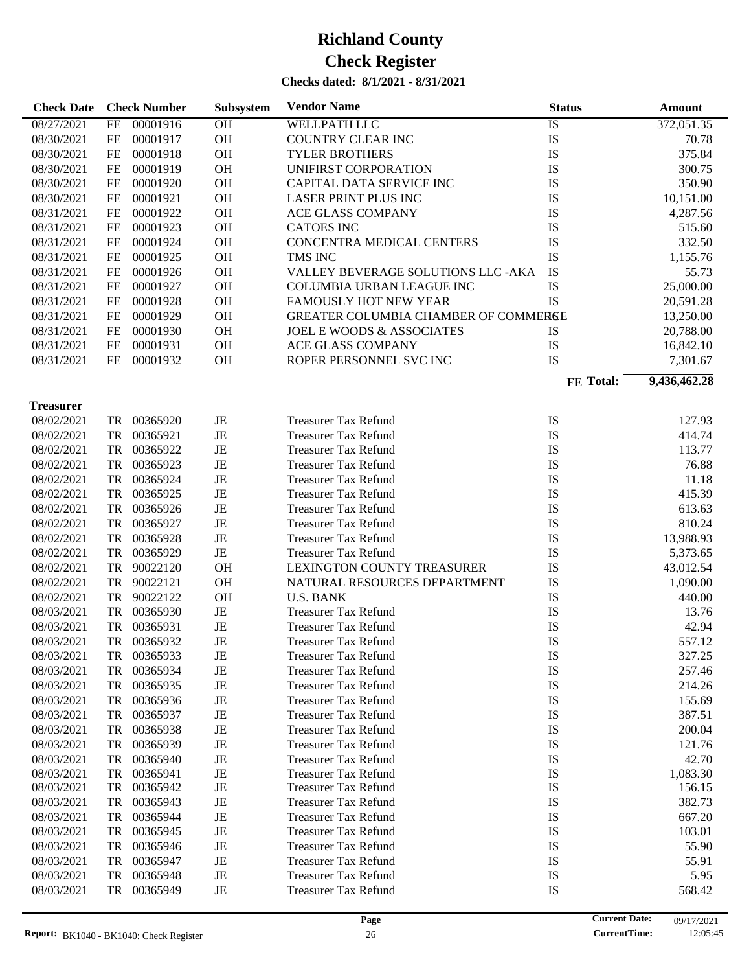#### **Checks dated: 8/1/2021 - 8/31/2021**

| <b>Check Date</b> |           | <b>Check Number</b> | Subsystem   | <b>Vendor Name</b>                   | <b>Status</b> | Amount       |
|-------------------|-----------|---------------------|-------------|--------------------------------------|---------------|--------------|
| 08/27/2021        | <b>FE</b> | 00001916            | <b>OH</b>   | <b>WELLPATH LLC</b>                  | IS            | 372,051.35   |
| 08/30/2021        | FE        | 00001917            | OH          | <b>COUNTRY CLEAR INC</b>             | IS            | 70.78        |
| 08/30/2021        | FE        | 00001918            | <b>OH</b>   | <b>TYLER BROTHERS</b>                | IS            | 375.84       |
| 08/30/2021        | FE        | 00001919            | <b>OH</b>   | UNIFIRST CORPORATION                 | IS            | 300.75       |
| 08/30/2021        | FE        | 00001920            | <b>OH</b>   | CAPITAL DATA SERVICE INC             | IS            | 350.90       |
| 08/30/2021        | FE        | 00001921            | <b>OH</b>   | <b>LASER PRINT PLUS INC</b>          | IS            | 10,151.00    |
| 08/31/2021        | FE        | 00001922            | <b>OH</b>   | <b>ACE GLASS COMPANY</b>             | IS            | 4,287.56     |
| 08/31/2021        | FE        | 00001923            | <b>OH</b>   | <b>CATOES INC</b>                    | IS            | 515.60       |
| 08/31/2021        | FE        | 00001924            | <b>OH</b>   | CONCENTRA MEDICAL CENTERS            | IS            | 332.50       |
| 08/31/2021        | FE        | 00001925            | <b>OH</b>   | TMS INC                              | IS            | 1,155.76     |
| 08/31/2021        | FE        | 00001926            | <b>OH</b>   | VALLEY BEVERAGE SOLUTIONS LLC - AKA  | IS            | 55.73        |
| 08/31/2021        | FE        | 00001927            | <b>OH</b>   | COLUMBIA URBAN LEAGUE INC            | IS            | 25,000.00    |
| 08/31/2021        | FE        | 00001928            | <b>OH</b>   | <b>FAMOUSLY HOT NEW YEAR</b>         | IS            | 20,591.28    |
| 08/31/2021        | FE        | 00001929            | <b>OH</b>   | GREATER COLUMBIA CHAMBER OF COMMERSE |               | 13,250.00    |
| 08/31/2021        | FE        | 00001930            | <b>OH</b>   | <b>JOEL E WOODS &amp; ASSOCIATES</b> | IS            | 20,788.00    |
| 08/31/2021        | FE        | 00001931            | <b>OH</b>   | <b>ACE GLASS COMPANY</b>             | IS            | 16,842.10    |
| 08/31/2021        | FE        | 00001932            | <b>OH</b>   | ROPER PERSONNEL SVC INC              | IS            | 7,301.67     |
|                   |           |                     |             |                                      |               |              |
|                   |           |                     |             |                                      | FE Total:     | 9,436,462.28 |
| <b>Treasurer</b>  |           |                     |             |                                      |               |              |
| 08/02/2021        |           | TR 00365920         | JE          | <b>Treasurer Tax Refund</b>          | IS            | 127.93       |
| 08/02/2021        |           | TR 00365921         | JE          | <b>Treasurer Tax Refund</b>          | IS            | 414.74       |
| 08/02/2021        |           | TR 00365922         | JE          | <b>Treasurer Tax Refund</b>          | IS            | 113.77       |
| 08/02/2021        |           | TR 00365923         | JE          | <b>Treasurer Tax Refund</b>          | IS            | 76.88        |
| 08/02/2021        |           | TR 00365924         | JE          | <b>Treasurer Tax Refund</b>          | IS            | 11.18        |
| 08/02/2021        |           | TR 00365925         | JE          | <b>Treasurer Tax Refund</b>          | IS            | 415.39       |
| 08/02/2021        |           | TR 00365926         | JE          | <b>Treasurer Tax Refund</b>          | IS            | 613.63       |
| 08/02/2021        |           | TR 00365927         | JE          | <b>Treasurer Tax Refund</b>          | IS            | 810.24       |
| 08/02/2021        | TR        | 00365928            | JE          | <b>Treasurer Tax Refund</b>          | IS            | 13,988.93    |
| 08/02/2021        | <b>TR</b> | 00365929            | $_{\rm JE}$ | <b>Treasurer Tax Refund</b>          | IS            | 5,373.65     |
| 08/02/2021        | TR        | 90022120            | <b>OH</b>   | LEXINGTON COUNTY TREASURER           | IS            | 43,012.54    |
| 08/02/2021        | TR        | 90022121            | <b>OH</b>   | NATURAL RESOURCES DEPARTMENT         | IS            | 1,090.00     |
| 08/02/2021        | TR        | 90022122            | <b>OH</b>   | <b>U.S. BANK</b>                     | IS            | 440.00       |
| 08/03/2021        | TR        | 00365930            | JE          | <b>Treasurer Tax Refund</b>          | IS            | 13.76        |
| 08/03/2021        | <b>TR</b> | 00365931            | JE          | <b>Treasurer Tax Refund</b>          | IS            | 42.94        |
| 08/03/2021        |           | TR 00365932         | JE          | <b>Treasurer Tax Refund</b>          | IS            | 557.12       |
| 08/03/2021        | TR        | 00365933            | JE          | <b>Treasurer Tax Refund</b>          | IS            | 327.25       |
| 08/03/2021        | TR        | 00365934            | JE          | <b>Treasurer Tax Refund</b>          | IS            | 257.46       |
| 08/03/2021        | TR        | 00365935            | JE          | <b>Treasurer Tax Refund</b>          | IS            | 214.26       |
| 08/03/2021        | TR        | 00365936            | JE          | <b>Treasurer Tax Refund</b>          | IS            | 155.69       |
| 08/03/2021        | TR        | 00365937            | JE          | <b>Treasurer Tax Refund</b>          | IS            | 387.51       |
| 08/03/2021        | TR        | 00365938            | JE          | <b>Treasurer Tax Refund</b>          | IS            | 200.04       |
| 08/03/2021        | TR        | 00365939            | JE          | <b>Treasurer Tax Refund</b>          | IS            | 121.76       |
| 08/03/2021        | TR        | 00365940            | JE          | <b>Treasurer Tax Refund</b>          | IS            | 42.70        |
| 08/03/2021        | TR        | 00365941            | JE          | <b>Treasurer Tax Refund</b>          | IS            | 1,083.30     |
| 08/03/2021        | TR        | 00365942            | JE          | <b>Treasurer Tax Refund</b>          | IS            | 156.15       |
| 08/03/2021        | TR        | 00365943            | JE          | <b>Treasurer Tax Refund</b>          | IS            | 382.73       |
| 08/03/2021        | TR        | 00365944            | JE          | <b>Treasurer Tax Refund</b>          | IS            | 667.20       |
| 08/03/2021        | TR        | 00365945            | JE          | <b>Treasurer Tax Refund</b>          | IS            | 103.01       |
| 08/03/2021        | TR        | 00365946            | JE          | <b>Treasurer Tax Refund</b>          | IS            | 55.90        |
| 08/03/2021        | TR        | 00365947            | JE          | <b>Treasurer Tax Refund</b>          | IS            | 55.91        |
| 08/03/2021        | TR        | 00365948            | JE          | <b>Treasurer Tax Refund</b>          | IS            | 5.95         |
| 08/03/2021        | TR        | 00365949            | JE          | <b>Treasurer Tax Refund</b>          | IS            | 568.42       |
|                   |           |                     |             |                                      |               |              |

 $\overline{\phantom{a}}$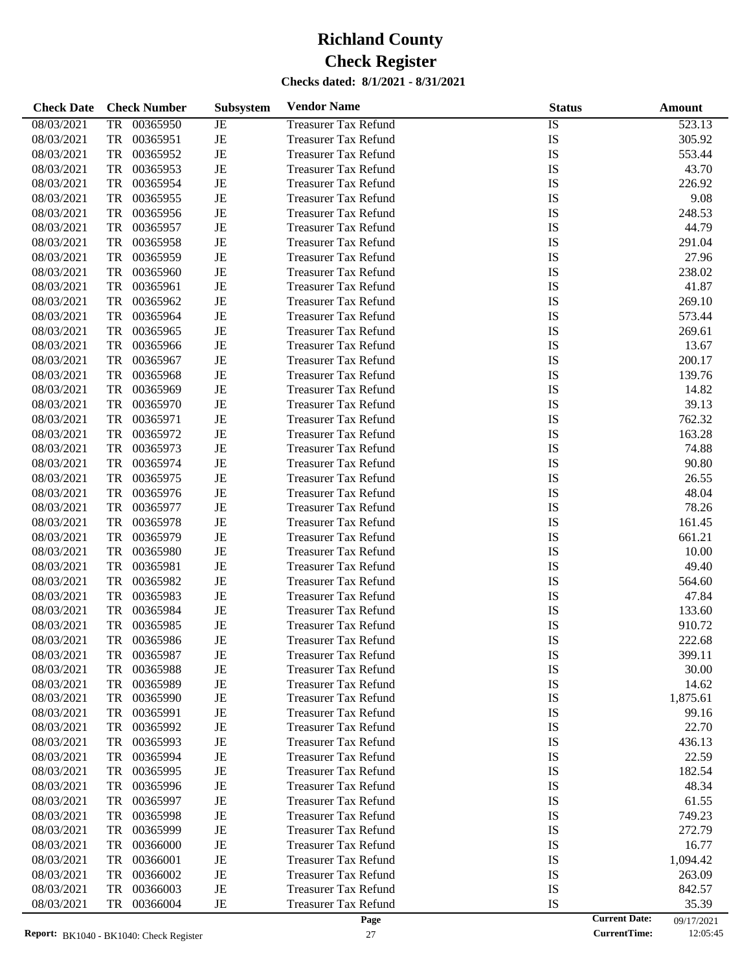| <b>Check Date</b> | <b>Check Number</b>   | <b>Subsystem</b> | <b>Vendor Name</b>          | <b>Status</b> |                      | Amount     |
|-------------------|-----------------------|------------------|-----------------------------|---------------|----------------------|------------|
| 08/03/2021        | 00365950<br><b>TR</b> | JE               | <b>Treasurer Tax Refund</b> | <b>IS</b>     |                      | 523.13     |
| 08/03/2021        | <b>TR</b><br>00365951 | $\rm{JE}$        | <b>Treasurer Tax Refund</b> | IS            |                      | 305.92     |
| 08/03/2021        | <b>TR</b><br>00365952 | $_{\rm JE}$      | <b>Treasurer Tax Refund</b> | IS            |                      | 553.44     |
| 08/03/2021        | <b>TR</b><br>00365953 | $_{\rm JE}$      | <b>Treasurer Tax Refund</b> | IS            |                      | 43.70      |
| 08/03/2021        | <b>TR</b><br>00365954 | $\rm{JE}$        | <b>Treasurer Tax Refund</b> | IS            |                      | 226.92     |
| 08/03/2021        | <b>TR</b><br>00365955 | $_{\rm JE}$      | <b>Treasurer Tax Refund</b> | IS            |                      | 9.08       |
| 08/03/2021        | <b>TR</b><br>00365956 | $_{\rm JE}$      | <b>Treasurer Tax Refund</b> | IS            |                      | 248.53     |
| 08/03/2021        | <b>TR</b><br>00365957 | $\rm{JE}$        | <b>Treasurer Tax Refund</b> | IS            |                      | 44.79      |
| 08/03/2021        | <b>TR</b><br>00365958 | $\rm{JE}$        | <b>Treasurer Tax Refund</b> | IS            |                      | 291.04     |
| 08/03/2021        | <b>TR</b><br>00365959 | $_{\rm JE}$      | <b>Treasurer Tax Refund</b> | IS            |                      | 27.96      |
| 08/03/2021        | <b>TR</b><br>00365960 | $\rm{JE}$        | <b>Treasurer Tax Refund</b> | IS            |                      | 238.02     |
| 08/03/2021        | <b>TR</b><br>00365961 | $\rm{JE}$        | <b>Treasurer Tax Refund</b> | IS            |                      | 41.87      |
| 08/03/2021        | <b>TR</b><br>00365962 | $\rm{JE}$        | <b>Treasurer Tax Refund</b> | IS            |                      | 269.10     |
| 08/03/2021        | <b>TR</b><br>00365964 | $_{\rm JE}$      | <b>Treasurer Tax Refund</b> | IS            |                      | 573.44     |
| 08/03/2021        | <b>TR</b><br>00365965 | $\rm{JE}$        | <b>Treasurer Tax Refund</b> | IS            |                      | 269.61     |
| 08/03/2021        | <b>TR</b><br>00365966 | $\rm{JE}$        | <b>Treasurer Tax Refund</b> | IS            |                      | 13.67      |
| 08/03/2021        | <b>TR</b><br>00365967 | $_{\rm JE}$      | <b>Treasurer Tax Refund</b> | IS            |                      | 200.17     |
| 08/03/2021        | <b>TR</b><br>00365968 | $\rm{JE}$        | <b>Treasurer Tax Refund</b> | IS            |                      | 139.76     |
| 08/03/2021        | <b>TR</b><br>00365969 | $\rm{JE}$        | <b>Treasurer Tax Refund</b> | IS            |                      | 14.82      |
| 08/03/2021        | <b>TR</b><br>00365970 | $\rm{JE}$        | <b>Treasurer Tax Refund</b> | IS            |                      | 39.13      |
| 08/03/2021        | <b>TR</b><br>00365971 | $_{\rm JE}$      | <b>Treasurer Tax Refund</b> | IS            |                      | 762.32     |
| 08/03/2021        | <b>TR</b><br>00365972 | $\rm{JE}$        | <b>Treasurer Tax Refund</b> | IS            |                      | 163.28     |
| 08/03/2021        | <b>TR</b><br>00365973 | $\rm{JE}$        | <b>Treasurer Tax Refund</b> | IS            |                      | 74.88      |
| 08/03/2021        | <b>TR</b><br>00365974 | $\rm{JE}$        | <b>Treasurer Tax Refund</b> | IS            |                      | 90.80      |
| 08/03/2021        | <b>TR</b><br>00365975 | $_{\rm JE}$      | <b>Treasurer Tax Refund</b> | IS            |                      | 26.55      |
| 08/03/2021        | <b>TR</b><br>00365976 | $\rm{JE}$        | <b>Treasurer Tax Refund</b> | IS            |                      | 48.04      |
| 08/03/2021        | <b>TR</b><br>00365977 | $\rm{JE}$        | <b>Treasurer Tax Refund</b> | IS            |                      | 78.26      |
| 08/03/2021        | <b>TR</b><br>00365978 | $_{\rm JE}$      | <b>Treasurer Tax Refund</b> | IS            |                      | 161.45     |
| 08/03/2021        | <b>TR</b><br>00365979 | $\rm{JE}$        | <b>Treasurer Tax Refund</b> | IS            |                      | 661.21     |
| 08/03/2021        | <b>TR</b><br>00365980 | $\rm{JE}$        | <b>Treasurer Tax Refund</b> | IS            |                      | 10.00      |
| 08/03/2021        | <b>TR</b><br>00365981 | $\rm{JE}$        | <b>Treasurer Tax Refund</b> | IS            |                      | 49.40      |
| 08/03/2021        | <b>TR</b><br>00365982 | $_{\rm JE}$      | <b>Treasurer Tax Refund</b> | IS            |                      | 564.60     |
| 08/03/2021        | <b>TR</b><br>00365983 | $\rm{JE}$        | <b>Treasurer Tax Refund</b> | IS            |                      | 47.84      |
| 08/03/2021        | <b>TR</b><br>00365984 | $\rm{JE}$        | <b>Treasurer Tax Refund</b> | IS            |                      | 133.60     |
| 08/03/2021        | <b>TR</b><br>00365985 | $_{\rm JE}$      | <b>Treasurer Tax Refund</b> | IS            |                      | 910.72     |
| 08/03/2021        | <b>TR</b><br>00365986 | JE               | <b>Treasurer Tax Refund</b> | IS            |                      | 222.68     |
| 08/03/2021        | 00365987<br>TR        | JE               | <b>Treasurer Tax Refund</b> | IS            |                      | 399.11     |
| 08/03/2021        | 00365988<br>TR        | JE               | <b>Treasurer Tax Refund</b> | IS            |                      | 30.00      |
| 08/03/2021        | 00365989<br>TR        | JE               | <b>Treasurer Tax Refund</b> | IS            |                      | 14.62      |
| 08/03/2021        | 00365990<br>TR        | JE               | <b>Treasurer Tax Refund</b> | IS            |                      | 1,875.61   |
| 08/03/2021        | 00365991<br>TR        | JE               | <b>Treasurer Tax Refund</b> | IS            |                      | 99.16      |
| 08/03/2021        | 00365992<br>TR        | JE               | <b>Treasurer Tax Refund</b> | IS            |                      | 22.70      |
| 08/03/2021        | 00365993<br>TR        | JE               | <b>Treasurer Tax Refund</b> | IS            |                      | 436.13     |
| 08/03/2021        | 00365994<br>TR        | JE               | <b>Treasurer Tax Refund</b> | IS            |                      | 22.59      |
| 08/03/2021        | TR<br>00365995        | JE               | <b>Treasurer Tax Refund</b> | IS            |                      | 182.54     |
| 08/03/2021        | TR<br>00365996        | JE               | <b>Treasurer Tax Refund</b> | IS            |                      | 48.34      |
| 08/03/2021        | 00365997<br>TR        | JE               | <b>Treasurer Tax Refund</b> | IS            |                      | 61.55      |
| 08/03/2021        | TR<br>00365998        | JE               | <b>Treasurer Tax Refund</b> | IS            |                      | 749.23     |
| 08/03/2021        | TR<br>00365999        | JE               | <b>Treasurer Tax Refund</b> | IS            |                      | 272.79     |
| 08/03/2021        | TR<br>00366000        | JE               | <b>Treasurer Tax Refund</b> | IS            |                      | 16.77      |
| 08/03/2021        | TR<br>00366001        | JE               | <b>Treasurer Tax Refund</b> | IS            |                      | 1,094.42   |
| 08/03/2021        | 00366002<br>TR        | JE               | <b>Treasurer Tax Refund</b> | IS            |                      | 263.09     |
| 08/03/2021        | 00366003<br>TR        | JE               | <b>Treasurer Tax Refund</b> | IS            |                      | 842.57     |
| 08/03/2021        | 00366004<br>TR        | JE               | <b>Treasurer Tax Refund</b> | IS            |                      | 35.39      |
|                   |                       |                  | Page                        |               | <b>Current Date:</b> | 09/17/2021 |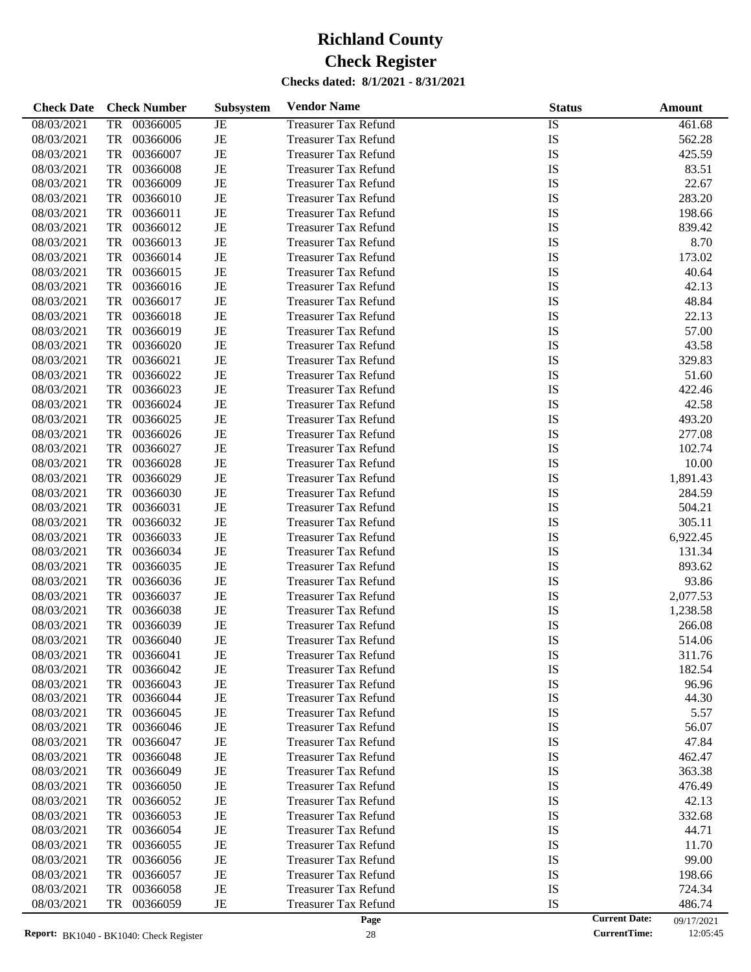| <b>Check Date</b> | <b>Check Number</b>   | <b>Subsystem</b> | <b>Vendor Name</b>          | <b>Status</b> | Amount               |            |
|-------------------|-----------------------|------------------|-----------------------------|---------------|----------------------|------------|
| 08/03/2021        | 00366005<br>TR        | JE               | <b>Treasurer Tax Refund</b> | IS            |                      | 461.68     |
| 08/03/2021        | TR<br>00366006        | $\rm{JE}$        | <b>Treasurer Tax Refund</b> | IS            |                      | 562.28     |
| 08/03/2021        | TR<br>00366007        | JE               | <b>Treasurer Tax Refund</b> | IS            |                      | 425.59     |
| 08/03/2021        | TR<br>00366008        | JE               | <b>Treasurer Tax Refund</b> | IS            |                      | 83.51      |
| 08/03/2021        | TR<br>00366009        | $\rm{JE}$        | <b>Treasurer Tax Refund</b> | IS            |                      | 22.67      |
| 08/03/2021        | TR<br>00366010        | JE               | <b>Treasurer Tax Refund</b> | IS            |                      | 283.20     |
| 08/03/2021        | TR<br>00366011        | JE               | <b>Treasurer Tax Refund</b> | IS            |                      | 198.66     |
| 08/03/2021        | TR<br>00366012        | $\rm{JE}$        | <b>Treasurer Tax Refund</b> | IS            |                      | 839.42     |
| 08/03/2021        | TR<br>00366013        | $\rm{JE}$        | <b>Treasurer Tax Refund</b> | IS            |                      | 8.70       |
| 08/03/2021        | TR<br>00366014        | JE               | <b>Treasurer Tax Refund</b> | IS            |                      | 173.02     |
| 08/03/2021        | TR<br>00366015        | JE               | <b>Treasurer Tax Refund</b> | IS            |                      | 40.64      |
| 08/03/2021        | TR<br>00366016        | $\rm{JE}$        | <b>Treasurer Tax Refund</b> | IS            |                      | 42.13      |
| 08/03/2021        | TR<br>00366017        | $\rm{JE}$        | <b>Treasurer Tax Refund</b> | IS            |                      | 48.84      |
| 08/03/2021        | TR<br>00366018        | JE               | <b>Treasurer Tax Refund</b> | IS            |                      | 22.13      |
| 08/03/2021        | TR<br>00366019        | $\rm{JE}$        | <b>Treasurer Tax Refund</b> | IS            |                      | 57.00      |
| 08/03/2021        | TR<br>00366020        | $\rm{JE}$        | <b>Treasurer Tax Refund</b> | IS            |                      | 43.58      |
| 08/03/2021        | TR<br>00366021        | JE               | <b>Treasurer Tax Refund</b> | IS            |                      | 329.83     |
| 08/03/2021        | TR<br>00366022        | JE               | <b>Treasurer Tax Refund</b> | IS            |                      | 51.60      |
| 08/03/2021        | TR<br>00366023        | $\rm{JE}$        | <b>Treasurer Tax Refund</b> | IS            |                      | 422.46     |
| 08/03/2021        | TR<br>00366024        | $\rm{JE}$        | <b>Treasurer Tax Refund</b> | IS            |                      | 42.58      |
| 08/03/2021        | TR<br>00366025        | JE               | <b>Treasurer Tax Refund</b> | IS            |                      | 493.20     |
| 08/03/2021        | TR<br>00366026        | JE               | <b>Treasurer Tax Refund</b> | IS            |                      | 277.08     |
| 08/03/2021        | TR<br>00366027        | $\rm{JE}$        | <b>Treasurer Tax Refund</b> | IS            |                      | 102.74     |
| 08/03/2021        | TR<br>00366028        | JE               | <b>Treasurer Tax Refund</b> | IS            |                      | 10.00      |
| 08/03/2021        | TR<br>00366029        | JE               | <b>Treasurer Tax Refund</b> | IS            |                      | 1,891.43   |
| 08/03/2021        | TR<br>00366030        | $\rm{JE}$        | <b>Treasurer Tax Refund</b> | IS            |                      | 284.59     |
| 08/03/2021        | TR<br>00366031        | $\rm{JE}$        | <b>Treasurer Tax Refund</b> | IS            |                      | 504.21     |
| 08/03/2021        | TR<br>00366032        | JE               | <b>Treasurer Tax Refund</b> | IS            |                      | 305.11     |
| 08/03/2021        | TR<br>00366033        | JE               | <b>Treasurer Tax Refund</b> | IS            |                      | 6,922.45   |
| 08/03/2021        | TR<br>00366034        | $\rm{JE}$        | <b>Treasurer Tax Refund</b> | IS            |                      | 131.34     |
| 08/03/2021        | TR<br>00366035        | JE               | <b>Treasurer Tax Refund</b> | IS            |                      | 893.62     |
| 08/03/2021        | TR<br>00366036        | JE               | <b>Treasurer Tax Refund</b> | IS            |                      | 93.86      |
| 08/03/2021        | TR<br>00366037        | JE               | <b>Treasurer Tax Refund</b> | IS            |                      | 2,077.53   |
| 08/03/2021        | TR<br>00366038        | JE               | <b>Treasurer Tax Refund</b> | IS            |                      | 1,238.58   |
| 08/03/2021        | <b>TR</b><br>00366039 | JE               | <b>Treasurer Tax Refund</b> | IS            |                      | 266.08     |
| 08/03/2021        | TR<br>00366040        | JE               | <b>Treasurer Tax Refund</b> | IS            |                      | 514.06     |
| 08/03/2021        | 00366041<br>TR        | JE               | <b>Treasurer Tax Refund</b> | IS            |                      | 311.76     |
| 08/03/2021        | 00366042<br>TR        | JE               | <b>Treasurer Tax Refund</b> | IS            |                      | 182.54     |
| 08/03/2021        | 00366043<br>TR        | JE               | <b>Treasurer Tax Refund</b> | IS            |                      | 96.96      |
| 08/03/2021        | 00366044<br>TR        | JE               | <b>Treasurer Tax Refund</b> | IS            |                      | 44.30      |
| 08/03/2021        | 00366045<br>TR        | JE               | <b>Treasurer Tax Refund</b> | IS            |                      | 5.57       |
| 08/03/2021        | 00366046<br>TR        | JE               | <b>Treasurer Tax Refund</b> | IS            |                      | 56.07      |
| 08/03/2021        | TR<br>00366047        | JE               | <b>Treasurer Tax Refund</b> | IS            |                      | 47.84      |
| 08/03/2021        | TR<br>00366048        | JE               | <b>Treasurer Tax Refund</b> | IS            |                      | 462.47     |
| 08/03/2021        | 00366049<br>TR        | JE               | <b>Treasurer Tax Refund</b> | IS            |                      | 363.38     |
| 08/03/2021        | TR<br>00366050        | JE               | <b>Treasurer Tax Refund</b> | IS            |                      | 476.49     |
| 08/03/2021        | TR<br>00366052        | JE               | <b>Treasurer Tax Refund</b> | IS            |                      | 42.13      |
| 08/03/2021        | TR<br>00366053        | JE               | <b>Treasurer Tax Refund</b> | IS            |                      | 332.68     |
| 08/03/2021        | 00366054<br>TR        | JE               | <b>Treasurer Tax Refund</b> | IS            |                      | 44.71      |
| 08/03/2021        | TR<br>00366055        | JE               | <b>Treasurer Tax Refund</b> | IS            |                      | 11.70      |
| 08/03/2021        | TR<br>00366056        | JE               | <b>Treasurer Tax Refund</b> | IS            |                      | 99.00      |
| 08/03/2021        | 00366057<br>TR        | JE               | <b>Treasurer Tax Refund</b> | IS            |                      | 198.66     |
| 08/03/2021        | 00366058<br>TR        | JE               | <b>Treasurer Tax Refund</b> | IS            |                      | 724.34     |
| 08/03/2021        | TR<br>00366059        | JE               | <b>Treasurer Tax Refund</b> | IS            |                      | 486.74     |
|                   |                       |                  | Page                        |               | <b>Current Date:</b> | 09/17/2021 |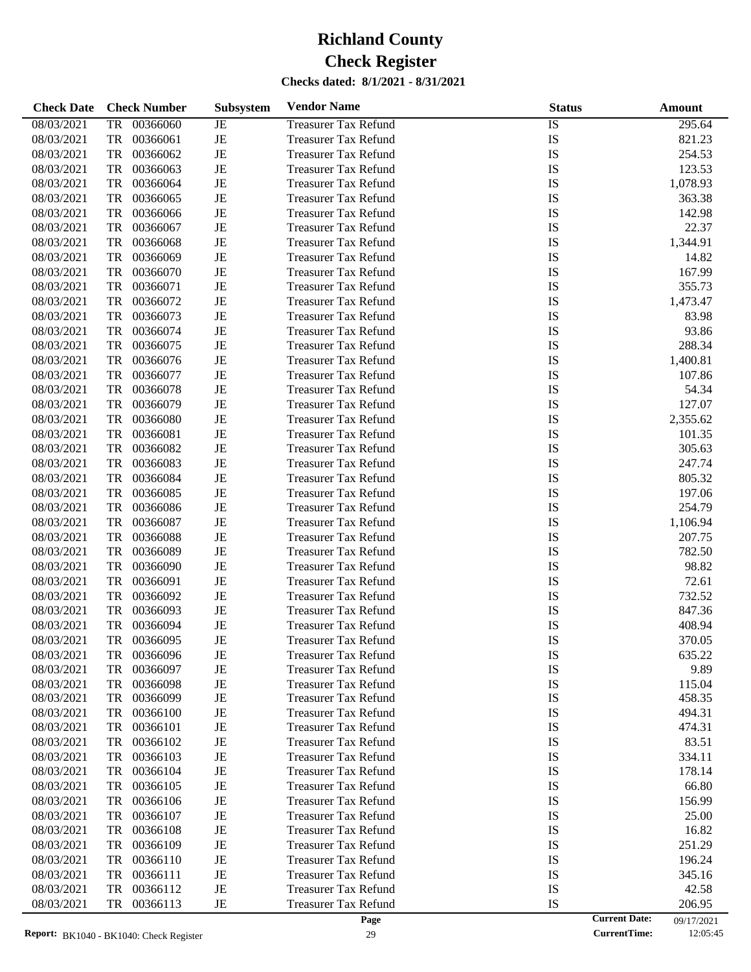| <b>Check Date</b> | <b>Check Number</b>   | <b>Subsystem</b> | <b>Vendor Name</b>          | <b>Status</b> |                      | Amount     |
|-------------------|-----------------------|------------------|-----------------------------|---------------|----------------------|------------|
| 08/03/2021        | 00366060<br><b>TR</b> | JE               | <b>Treasurer Tax Refund</b> | <b>IS</b>     |                      | 295.64     |
| 08/03/2021        | <b>TR</b><br>00366061 | $\rm{JE}$        | <b>Treasurer Tax Refund</b> | IS            |                      | 821.23     |
| 08/03/2021        | <b>TR</b><br>00366062 | $\rm{JE}$        | <b>Treasurer Tax Refund</b> | IS            |                      | 254.53     |
| 08/03/2021        | <b>TR</b><br>00366063 | $\rm{JE}$        | <b>Treasurer Tax Refund</b> | IS            |                      | 123.53     |
| 08/03/2021        | <b>TR</b><br>00366064 | $\rm{JE}$        | <b>Treasurer Tax Refund</b> | IS            |                      | 1,078.93   |
| 08/03/2021        | <b>TR</b><br>00366065 | $\rm{JE}$        | <b>Treasurer Tax Refund</b> | IS            |                      | 363.38     |
| 08/03/2021        | <b>TR</b><br>00366066 | $\rm{JE}$        | <b>Treasurer Tax Refund</b> | IS            |                      | 142.98     |
| 08/03/2021        | TR<br>00366067        | $\rm{JE}$        | <b>Treasurer Tax Refund</b> | IS            |                      | 22.37      |
| 08/03/2021        | TR<br>00366068        | $\rm{JE}$        | <b>Treasurer Tax Refund</b> | IS            |                      | 1,344.91   |
| 08/03/2021        | TR<br>00366069        | $\rm{JE}$        | <b>Treasurer Tax Refund</b> | IS            |                      | 14.82      |
| 08/03/2021        | TR<br>00366070        | $\rm{JE}$        | <b>Treasurer Tax Refund</b> | IS            |                      | 167.99     |
| 08/03/2021        | TR<br>00366071        | $\rm{JE}$        | <b>Treasurer Tax Refund</b> | IS            |                      | 355.73     |
| 08/03/2021        | TR<br>00366072        | $\rm{JE}$        | <b>Treasurer Tax Refund</b> | IS            |                      | 1,473.47   |
| 08/03/2021        | TR<br>00366073        | $\rm{JE}$        | <b>Treasurer Tax Refund</b> | IS            |                      | 83.98      |
| 08/03/2021        | TR<br>00366074        | $\rm{JE}$        | <b>Treasurer Tax Refund</b> | IS            |                      | 93.86      |
| 08/03/2021        | TR<br>00366075        | $\rm{JE}$        | <b>Treasurer Tax Refund</b> | IS            |                      | 288.34     |
| 08/03/2021        | TR<br>00366076        | $\rm{JE}$        | <b>Treasurer Tax Refund</b> | IS            |                      | 1,400.81   |
| 08/03/2021        | TR<br>00366077        | $\rm{JE}$        | <b>Treasurer Tax Refund</b> | IS            |                      | 107.86     |
| 08/03/2021        | TR<br>00366078        | $\rm{JE}$        | <b>Treasurer Tax Refund</b> | IS            |                      | 54.34      |
| 08/03/2021        | TR<br>00366079        | $\rm{JE}$        | <b>Treasurer Tax Refund</b> | IS            |                      | 127.07     |
| 08/03/2021        | TR<br>00366080        | $\rm{JE}$        | <b>Treasurer Tax Refund</b> | IS            |                      | 2,355.62   |
| 08/03/2021        | TR<br>00366081        | $\rm{JE}$        | <b>Treasurer Tax Refund</b> | IS            |                      | 101.35     |
| 08/03/2021        | TR<br>00366082        | $\rm{JE}$        | <b>Treasurer Tax Refund</b> | IS            |                      | 305.63     |
| 08/03/2021        | TR<br>00366083        | $\rm{JE}$        | <b>Treasurer Tax Refund</b> | IS            |                      | 247.74     |
| 08/03/2021        | TR<br>00366084        | $\rm{JE}$        | <b>Treasurer Tax Refund</b> | IS            |                      | 805.32     |
| 08/03/2021        | TR<br>00366085        | $\rm{JE}$        | <b>Treasurer Tax Refund</b> | IS            |                      | 197.06     |
| 08/03/2021        | TR<br>00366086        | $\rm{JE}$        | <b>Treasurer Tax Refund</b> | IS            |                      | 254.79     |
| 08/03/2021        | TR<br>00366087        | $\rm{JE}$        | <b>Treasurer Tax Refund</b> | IS            |                      | 1,106.94   |
| 08/03/2021        | TR<br>00366088        | $\rm{JE}$        | <b>Treasurer Tax Refund</b> | IS            |                      | 207.75     |
| 08/03/2021        | TR<br>00366089        | $\rm{JE}$        | <b>Treasurer Tax Refund</b> | IS            |                      | 782.50     |
| 08/03/2021        | TR<br>00366090        | $\rm{JE}$        | <b>Treasurer Tax Refund</b> | IS            |                      | 98.82      |
| 08/03/2021        | <b>TR</b><br>00366091 | $\rm{JE}$        | <b>Treasurer Tax Refund</b> | IS            |                      | 72.61      |
| 08/03/2021        | <b>TR</b><br>00366092 | $\rm{JE}$        | <b>Treasurer Tax Refund</b> | IS            |                      | 732.52     |
| 08/03/2021        | <b>TR</b><br>00366093 | $\rm{JE}$        | <b>Treasurer Tax Refund</b> | IS            |                      | 847.36     |
| 08/03/2021        | <b>TR</b><br>00366094 | $\rm{JE}$        | <b>Treasurer Tax Refund</b> | IS            |                      | 408.94     |
| 08/03/2021        | <b>TR</b><br>00366095 | $\rm{JE}$        | <b>Treasurer Tax Refund</b> | IS            |                      | 370.05     |
| 08/03/2021        | 00366096<br>TR        | JE               | <b>Treasurer Tax Refund</b> | IS            |                      | 635.22     |
| 08/03/2021        | TR<br>00366097        | JE               | <b>Treasurer Tax Refund</b> | IS            |                      | 9.89       |
| 08/03/2021        | 00366098<br>TR        | JE               | <b>Treasurer Tax Refund</b> | IS            |                      | 115.04     |
| 08/03/2021        | 00366099<br>TR        | JE               | <b>Treasurer Tax Refund</b> | IS            |                      | 458.35     |
| 08/03/2021        | 00366100<br>TR        | JE               | <b>Treasurer Tax Refund</b> | IS            |                      | 494.31     |
| 08/03/2021        | 00366101<br>TR        | JE               | <b>Treasurer Tax Refund</b> | IS            |                      | 474.31     |
| 08/03/2021        | 00366102<br>TR        | JE               | <b>Treasurer Tax Refund</b> | IS            |                      | 83.51      |
| 08/03/2021        | 00366103<br>TR        | JE               | <b>Treasurer Tax Refund</b> | IS            |                      | 334.11     |
| 08/03/2021        | 00366104<br>TR        | JE               | <b>Treasurer Tax Refund</b> | IS            |                      | 178.14     |
| 08/03/2021        | 00366105<br>TR        | JE               | <b>Treasurer Tax Refund</b> | IS            |                      | 66.80      |
| 08/03/2021        | 00366106<br>TR        | JE               | <b>Treasurer Tax Refund</b> | IS            |                      | 156.99     |
| 08/03/2021        | 00366107<br>TR        | JE               | <b>Treasurer Tax Refund</b> | IS            |                      | 25.00      |
| 08/03/2021        | 00366108<br>TR        | JE               | <b>Treasurer Tax Refund</b> | IS            |                      | 16.82      |
| 08/03/2021        | 00366109<br>TR        | JE               | <b>Treasurer Tax Refund</b> | IS            |                      | 251.29     |
| 08/03/2021        | 00366110<br>TR        | JE               | <b>Treasurer Tax Refund</b> | IS            |                      | 196.24     |
| 08/03/2021        | 00366111<br>TR        | JE               | <b>Treasurer Tax Refund</b> | IS            |                      | 345.16     |
| 08/03/2021        | 00366112<br>TR        | JE               | <b>Treasurer Tax Refund</b> | IS            |                      | 42.58      |
| 08/03/2021        | 00366113<br>TR        | JE               | <b>Treasurer Tax Refund</b> | IS            |                      | 206.95     |
|                   |                       |                  | Page                        |               | <b>Current Date:</b> | 09/17/2021 |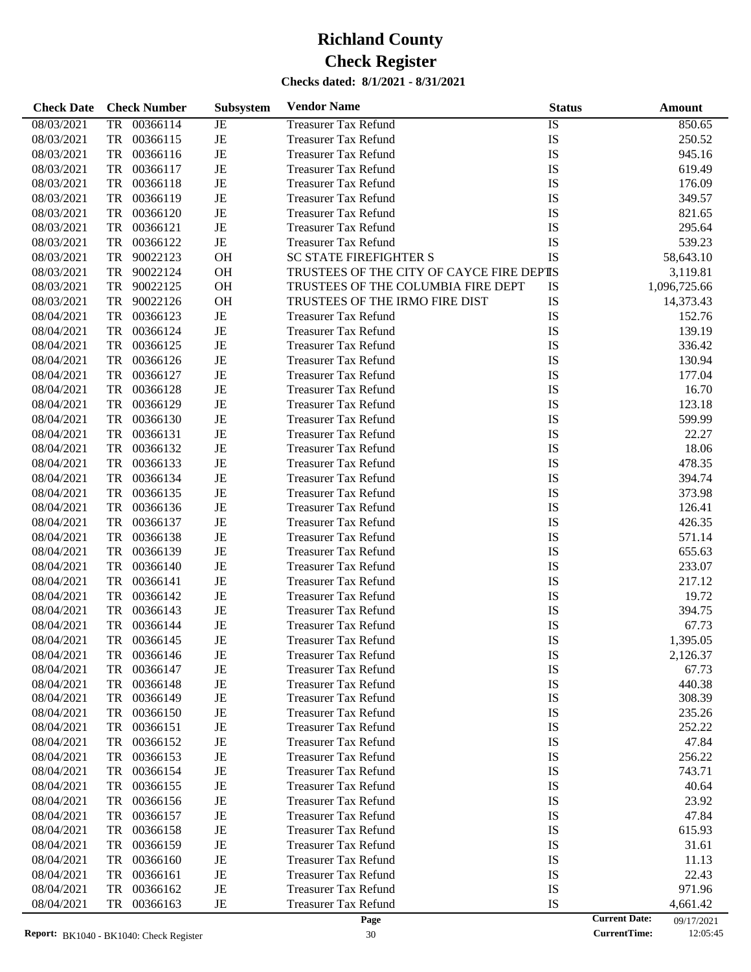| <b>Check Date</b> |           | <b>Check Number</b> | Subsystem | <b>Vendor Name</b>                       | <b>Status</b> |                      | <b>Amount</b> |
|-------------------|-----------|---------------------|-----------|------------------------------------------|---------------|----------------------|---------------|
| 08/03/2021        | TR        | 00366114            | JE        | <b>Treasurer Tax Refund</b>              | IS            |                      | 850.65        |
| 08/03/2021        | TR        | 00366115            | JE        | <b>Treasurer Tax Refund</b>              | IS            |                      | 250.52        |
| 08/03/2021        | TR        | 00366116            | JE        | <b>Treasurer Tax Refund</b>              | IS            |                      | 945.16        |
| 08/03/2021        | TR        | 00366117            | JE        | <b>Treasurer Tax Refund</b>              | IS            |                      | 619.49        |
| 08/03/2021        | TR        | 00366118            | JE        | <b>Treasurer Tax Refund</b>              | IS            |                      | 176.09        |
| 08/03/2021        | TR        | 00366119            | JE        | <b>Treasurer Tax Refund</b>              | IS            |                      | 349.57        |
| 08/03/2021        | TR        | 00366120            | JE        | <b>Treasurer Tax Refund</b>              | IS            |                      | 821.65        |
| 08/03/2021        | TR        | 00366121            | JE        | <b>Treasurer Tax Refund</b>              | IS            |                      | 295.64        |
| 08/03/2021        | TR        | 00366122            | $\rm{JE}$ | <b>Treasurer Tax Refund</b>              | IS            |                      | 539.23        |
| 08/03/2021        | TR        | 90022123            | <b>OH</b> | <b>SC STATE FIREFIGHTER S</b>            | IS            |                      | 58,643.10     |
| 08/03/2021        | TR        | 90022124            | OH        | TRUSTEES OF THE CITY OF CAYCE FIRE DEPIS |               |                      | 3,119.81      |
| 08/03/2021        | TR        | 90022125            | OH        | TRUSTEES OF THE COLUMBIA FIRE DEPT       | IS            |                      | 1,096,725.66  |
| 08/03/2021        | TR        | 90022126            | OH        | TRUSTEES OF THE IRMO FIRE DIST           | IS            |                      | 14,373.43     |
| 08/04/2021        | TR        | 00366123            | JE        | <b>Treasurer Tax Refund</b>              | IS            |                      | 152.76        |
| 08/04/2021        | TR        | 00366124            | JE        | <b>Treasurer Tax Refund</b>              | IS            |                      | 139.19        |
| 08/04/2021        | TR        | 00366125            | JE        | <b>Treasurer Tax Refund</b>              | IS            |                      | 336.42        |
| 08/04/2021        | TR        | 00366126            | JE        | <b>Treasurer Tax Refund</b>              | IS            |                      | 130.94        |
| 08/04/2021        | TR        | 00366127            | JE        | <b>Treasurer Tax Refund</b>              | IS            |                      | 177.04        |
| 08/04/2021        | TR        | 00366128            | JE        | <b>Treasurer Tax Refund</b>              | IS            |                      | 16.70         |
|                   | TR        | 00366129            |           |                                          | IS            |                      | 123.18        |
| 08/04/2021        |           |                     | JE        | <b>Treasurer Tax Refund</b>              |               |                      |               |
| 08/04/2021        | TR        | 00366130            | JE        | <b>Treasurer Tax Refund</b>              | IS            |                      | 599.99        |
| 08/04/2021        | TR        | 00366131            | JE        | <b>Treasurer Tax Refund</b>              | IS            |                      | 22.27         |
| 08/04/2021        | TR        | 00366132            | JE        | <b>Treasurer Tax Refund</b>              | IS            |                      | 18.06         |
| 08/04/2021        | TR        | 00366133            | JE        | <b>Treasurer Tax Refund</b>              | IS            |                      | 478.35        |
| 08/04/2021        | TR        | 00366134            | JE        | <b>Treasurer Tax Refund</b>              | IS            |                      | 394.74        |
| 08/04/2021        | TR        | 00366135            | JE        | <b>Treasurer Tax Refund</b>              | IS            |                      | 373.98        |
| 08/04/2021        | TR        | 00366136            | JE        | <b>Treasurer Tax Refund</b>              | IS            |                      | 126.41        |
| 08/04/2021        | TR        | 00366137            | JE        | <b>Treasurer Tax Refund</b>              | IS            |                      | 426.35        |
| 08/04/2021        | TR        | 00366138            | JE        | <b>Treasurer Tax Refund</b>              | IS            |                      | 571.14        |
| 08/04/2021        | TR        | 00366139            | JE        | <b>Treasurer Tax Refund</b>              | IS            |                      | 655.63        |
| 08/04/2021        | TR        | 00366140            | JE        | <b>Treasurer Tax Refund</b>              | IS            |                      | 233.07        |
| 08/04/2021        | TR        | 00366141            | JE        | <b>Treasurer Tax Refund</b>              | IS            |                      | 217.12        |
| 08/04/2021        | TR        | 00366142            | JE        | <b>Treasurer Tax Refund</b>              | IS            |                      | 19.72         |
| 08/04/2021        | TR        | 00366143            | JE        | <b>Treasurer Tax Refund</b>              | IS            |                      | 394.75        |
| 08/04/2021        | <b>TR</b> | 00366144            | JE        | <b>Treasurer Tax Refund</b>              | IS            |                      | 67.73         |
| 08/04/2021        | TR        | 00366145            | JE        | <b>Treasurer Tax Refund</b>              | IS            |                      | 1,395.05      |
| 08/04/2021        | TR        | 00366146            | JE        | Treasurer Tax Refund                     | IS            |                      | 2,126.37      |
| 08/04/2021        | TR        | 00366147            | JE        | <b>Treasurer Tax Refund</b>              | IS            |                      | 67.73         |
| 08/04/2021        | TR        | 00366148            | JE        | <b>Treasurer Tax Refund</b>              | IS            |                      | 440.38        |
| 08/04/2021        | TR        | 00366149            | JE        | Treasurer Tax Refund                     | IS            |                      | 308.39        |
| 08/04/2021        | TR        | 00366150            | JE        | <b>Treasurer Tax Refund</b>              | IS            |                      | 235.26        |
| 08/04/2021        | TR        | 00366151            | JE        | <b>Treasurer Tax Refund</b>              | IS            |                      | 252.22        |
| 08/04/2021        | TR        | 00366152            | JE        | <b>Treasurer Tax Refund</b>              | IS            |                      | 47.84         |
| 08/04/2021        | TR        | 00366153            | JE        | <b>Treasurer Tax Refund</b>              | IS            |                      | 256.22        |
| 08/04/2021        | TR        | 00366154            | JE        | <b>Treasurer Tax Refund</b>              | IS            |                      | 743.71        |
| 08/04/2021        | TR        | 00366155            | JE        | <b>Treasurer Tax Refund</b>              | IS            |                      | 40.64         |
| 08/04/2021        | TR        | 00366156            | JE        | <b>Treasurer Tax Refund</b>              | IS            |                      | 23.92         |
| 08/04/2021        | TR        | 00366157            | JE        | <b>Treasurer Tax Refund</b>              | IS            |                      | 47.84         |
| 08/04/2021        | TR        | 00366158            | JE        | <b>Treasurer Tax Refund</b>              | IS            |                      | 615.93        |
| 08/04/2021        | TR        | 00366159            | JE        | <b>Treasurer Tax Refund</b>              | IS            |                      | 31.61         |
| 08/04/2021        | TR        | 00366160            | JE        | <b>Treasurer Tax Refund</b>              | IS            |                      | 11.13         |
| 08/04/2021        | <b>TR</b> | 00366161            | JE        | <b>Treasurer Tax Refund</b>              | IS            |                      | 22.43         |
| 08/04/2021        | TR        | 00366162            | JE        | <b>Treasurer Tax Refund</b>              | IS            |                      | 971.96        |
| 08/04/2021        | TR        | 00366163            | JE        | <b>Treasurer Tax Refund</b>              | IS            |                      | 4,661.42      |
|                   |           |                     |           | Page                                     |               | <b>Current Date:</b> | 09/17/2021    |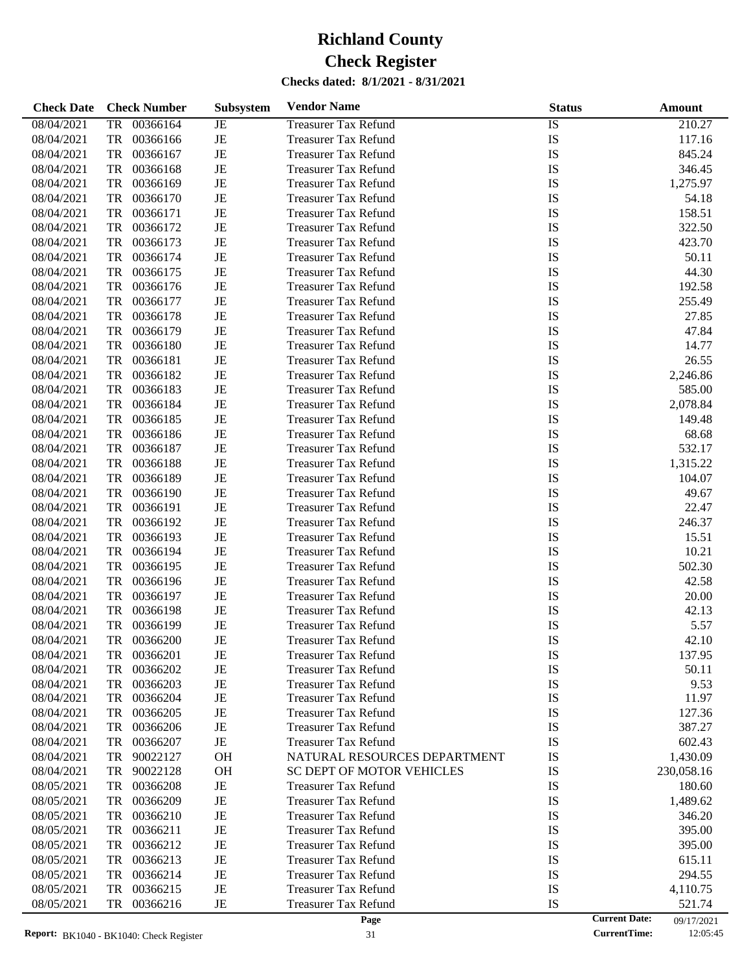| <b>Check Date</b> | <b>Check Number</b>   | <b>Subsystem</b> | <b>Vendor Name</b>               | <b>Status</b> | Amount                             |
|-------------------|-----------------------|------------------|----------------------------------|---------------|------------------------------------|
| 08/04/2021        | 00366164<br><b>TR</b> | JE               | <b>Treasurer Tax Refund</b>      | <b>IS</b>     | 210.27                             |
| 08/04/2021        | <b>TR</b><br>00366166 | $\rm{JE}$        | <b>Treasurer Tax Refund</b>      | IS            | 117.16                             |
| 08/04/2021        | 00366167<br>TR        | $_{\rm JE}$      | <b>Treasurer Tax Refund</b>      | IS            | 845.24                             |
| 08/04/2021        | <b>TR</b><br>00366168 | $\rm{JE}$        | <b>Treasurer Tax Refund</b>      | IS            | 346.45                             |
| 08/04/2021        | <b>TR</b><br>00366169 | $\rm{JE}$        | <b>Treasurer Tax Refund</b>      | IS            | 1,275.97                           |
| 08/04/2021        | <b>TR</b><br>00366170 | $\rm{JE}$        | <b>Treasurer Tax Refund</b>      | IS            | 54.18                              |
| 08/04/2021        | <b>TR</b><br>00366171 | $\rm{JE}$        | <b>Treasurer Tax Refund</b>      | IS            | 158.51                             |
| 08/04/2021        | <b>TR</b><br>00366172 | $\rm{JE}$        | <b>Treasurer Tax Refund</b>      | IS            | 322.50                             |
| 08/04/2021        | <b>TR</b><br>00366173 | $\rm{JE}$        | <b>Treasurer Tax Refund</b>      | IS            | 423.70                             |
| 08/04/2021        | <b>TR</b><br>00366174 | $\rm{JE}$        | <b>Treasurer Tax Refund</b>      | IS            | 50.11                              |
| 08/04/2021        | <b>TR</b><br>00366175 | $\rm{JE}$        | <b>Treasurer Tax Refund</b>      | IS            | 44.30                              |
| 08/04/2021        | <b>TR</b><br>00366176 | $\rm{JE}$        | <b>Treasurer Tax Refund</b>      | IS            | 192.58                             |
| 08/04/2021        | <b>TR</b><br>00366177 | $\rm{JE}$        | <b>Treasurer Tax Refund</b>      | IS            | 255.49                             |
| 08/04/2021        | <b>TR</b><br>00366178 | $\rm{JE}$        | <b>Treasurer Tax Refund</b>      | IS            | 27.85                              |
| 08/04/2021        | <b>TR</b><br>00366179 | $\rm{JE}$        | <b>Treasurer Tax Refund</b>      | IS            | 47.84                              |
| 08/04/2021        | <b>TR</b><br>00366180 | $\rm{JE}$        | <b>Treasurer Tax Refund</b>      | IS            | 14.77                              |
| 08/04/2021        | <b>TR</b><br>00366181 | $\rm{JE}$        | <b>Treasurer Tax Refund</b>      | IS            | 26.55                              |
| 08/04/2021        | <b>TR</b><br>00366182 | $\rm{JE}$        | <b>Treasurer Tax Refund</b>      | IS            | 2,246.86                           |
| 08/04/2021        | <b>TR</b><br>00366183 | $\rm{JE}$        | <b>Treasurer Tax Refund</b>      | IS            | 585.00                             |
| 08/04/2021        | <b>TR</b><br>00366184 | $\rm{JE}$        | <b>Treasurer Tax Refund</b>      | IS            | 2,078.84                           |
| 08/04/2021        | <b>TR</b><br>00366185 | $\rm{JE}$        | <b>Treasurer Tax Refund</b>      | IS            | 149.48                             |
| 08/04/2021        | <b>TR</b><br>00366186 | $\rm{JE}$        | <b>Treasurer Tax Refund</b>      | IS            | 68.68                              |
| 08/04/2021        | <b>TR</b><br>00366187 | $\rm{JE}$        | <b>Treasurer Tax Refund</b>      | IS            | 532.17                             |
| 08/04/2021        | <b>TR</b><br>00366188 | $\rm{JE}$        | <b>Treasurer Tax Refund</b>      | IS            | 1,315.22                           |
| 08/04/2021        | <b>TR</b><br>00366189 | $\rm{JE}$        | <b>Treasurer Tax Refund</b>      | IS            | 104.07                             |
| 08/04/2021        | <b>TR</b><br>00366190 | $\rm{JE}$        | <b>Treasurer Tax Refund</b>      | IS            | 49.67                              |
| 08/04/2021        | <b>TR</b><br>00366191 | $\rm{JE}$        | <b>Treasurer Tax Refund</b>      | IS            | 22.47                              |
| 08/04/2021        | <b>TR</b><br>00366192 | $\rm{JE}$        | <b>Treasurer Tax Refund</b>      | IS            | 246.37                             |
| 08/04/2021        | <b>TR</b><br>00366193 | $\rm{JE}$        | <b>Treasurer Tax Refund</b>      | IS            | 15.51                              |
| 08/04/2021        | <b>TR</b><br>00366194 | $\rm{JE}$        | <b>Treasurer Tax Refund</b>      | IS            | 10.21                              |
| 08/04/2021        | <b>TR</b><br>00366195 | $\rm{JE}$        | <b>Treasurer Tax Refund</b>      | IS            | 502.30                             |
| 08/04/2021        | <b>TR</b><br>00366196 | $\rm{JE}$        | <b>Treasurer Tax Refund</b>      | IS            | 42.58                              |
| 08/04/2021        | <b>TR</b><br>00366197 | $\rm{JE}$        | <b>Treasurer Tax Refund</b>      | IS            | 20.00                              |
| 08/04/2021        | <b>TR</b><br>00366198 | $\rm{JE}$        | <b>Treasurer Tax Refund</b>      | IS            | 42.13                              |
| 08/04/2021        | <b>TR</b><br>00366199 | $\rm{JE}$        | <b>Treasurer Tax Refund</b>      | IS            | 5.57                               |
| 08/04/2021        | <b>TR</b><br>00366200 | $_{\rm JE}$      | <b>Treasurer Tax Refund</b>      | IS            | 42.10                              |
| 08/04/2021        | 00366201<br>TR        | JE               | Treasurer Tax Refund             | IS            | 137.95                             |
| 08/04/2021        | 00366202<br>TR        | $\rm{JE}$        | <b>Treasurer Tax Refund</b>      | IS            | 50.11                              |
| 08/04/2021        | 00366203<br>TR        | JE               | <b>Treasurer Tax Refund</b>      | IS            | 9.53                               |
| 08/04/2021        | 00366204<br>TR        | JE               | <b>Treasurer Tax Refund</b>      | IS            | 11.97                              |
| 08/04/2021        | 00366205<br>TR        | JE               | <b>Treasurer Tax Refund</b>      | IS            | 127.36                             |
| 08/04/2021        | TR<br>00366206        | JE               | <b>Treasurer Tax Refund</b>      | IS            | 387.27                             |
| 08/04/2021        | TR<br>00366207        | $_{\rm JE}$      | <b>Treasurer Tax Refund</b>      | IS            | 602.43                             |
| 08/04/2021        | TR<br>90022127        | <b>OH</b>        | NATURAL RESOURCES DEPARTMENT     | IS            | 1,430.09                           |
| 08/04/2021        | 90022128<br>TR        | <b>OH</b>        | <b>SC DEPT OF MOTOR VEHICLES</b> | IS            | 230,058.16                         |
| 08/05/2021        | 00366208<br>TR        | JE               | <b>Treasurer Tax Refund</b>      | IS            | 180.60                             |
| 08/05/2021        | TR<br>00366209        | JE               | <b>Treasurer Tax Refund</b>      | IS            | 1,489.62                           |
| 08/05/2021        | TR<br>00366210        | JE               | <b>Treasurer Tax Refund</b>      | IS            | 346.20                             |
| 08/05/2021        | TR<br>00366211        | JE               | <b>Treasurer Tax Refund</b>      | IS            | 395.00                             |
| 08/05/2021        | TR<br>00366212        | JE               | <b>Treasurer Tax Refund</b>      | IS            | 395.00                             |
| 08/05/2021        | TR<br>00366213        | JE               | <b>Treasurer Tax Refund</b>      | IS            | 615.11                             |
| 08/05/2021        | TR<br>00366214        | JE               | <b>Treasurer Tax Refund</b>      | IS            | 294.55                             |
| 08/05/2021        | 00366215<br>TR        | JE               | <b>Treasurer Tax Refund</b>      | IS            | 4,110.75                           |
| 08/05/2021        | 00366216<br>TR        | JE               | <b>Treasurer Tax Refund</b>      | IS            | 521.74                             |
|                   |                       |                  | Page                             |               | <b>Current Date:</b><br>09/17/2021 |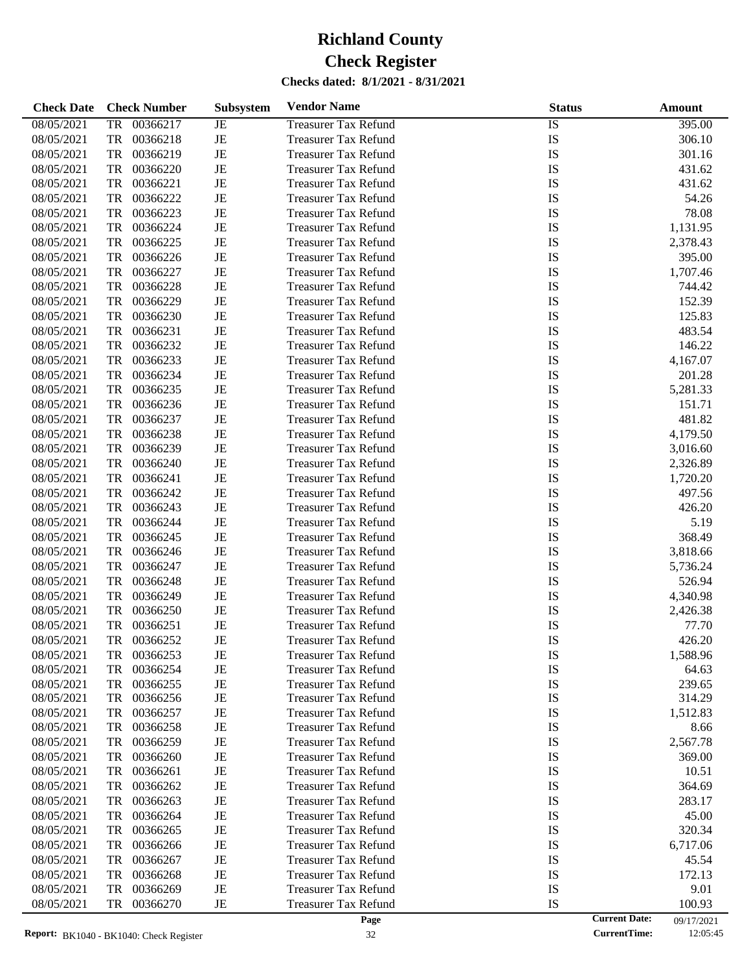| <b>Check Date</b> | <b>Check Number</b>   | <b>Subsystem</b> | <b>Vendor Name</b>          | <b>Status</b> | Amount                             |
|-------------------|-----------------------|------------------|-----------------------------|---------------|------------------------------------|
| 08/05/2021        | 00366217<br><b>TR</b> | JE               | <b>Treasurer Tax Refund</b> | <b>IS</b>     | 395.00                             |
| 08/05/2021        | <b>TR</b><br>00366218 | $\rm{JE}$        | <b>Treasurer Tax Refund</b> | IS            | 306.10                             |
| 08/05/2021        | <b>TR</b><br>00366219 | $_{\rm JE}$      | <b>Treasurer Tax Refund</b> | IS            | 301.16                             |
| 08/05/2021        | <b>TR</b><br>00366220 | $\rm{JE}$        | <b>Treasurer Tax Refund</b> | IS            | 431.62                             |
| 08/05/2021        | <b>TR</b><br>00366221 | $\rm{JE}$        | <b>Treasurer Tax Refund</b> | IS            | 431.62                             |
| 08/05/2021        | <b>TR</b><br>00366222 | $\rm{JE}$        | <b>Treasurer Tax Refund</b> | IS            | 54.26                              |
| 08/05/2021        | <b>TR</b><br>00366223 | $\rm{JE}$        | <b>Treasurer Tax Refund</b> | IS            | 78.08                              |
| 08/05/2021        | <b>TR</b><br>00366224 | $\rm{JE}$        | <b>Treasurer Tax Refund</b> | IS            | 1,131.95                           |
| 08/05/2021        | <b>TR</b><br>00366225 | $\rm{JE}$        | <b>Treasurer Tax Refund</b> | IS            | 2,378.43                           |
| 08/05/2021        | <b>TR</b><br>00366226 | $\rm{JE}$        | <b>Treasurer Tax Refund</b> | IS            | 395.00                             |
| 08/05/2021        | <b>TR</b><br>00366227 | $\rm{JE}$        | <b>Treasurer Tax Refund</b> | IS            | 1,707.46                           |
| 08/05/2021        | <b>TR</b><br>00366228 | $\rm{JE}$        | <b>Treasurer Tax Refund</b> | IS            | 744.42                             |
| 08/05/2021        | <b>TR</b><br>00366229 | $\rm{JE}$        | <b>Treasurer Tax Refund</b> | IS            | 152.39                             |
| 08/05/2021        | <b>TR</b><br>00366230 | $\rm{JE}$        | <b>Treasurer Tax Refund</b> | IS            | 125.83                             |
| 08/05/2021        | <b>TR</b><br>00366231 | $\rm{JE}$        | <b>Treasurer Tax Refund</b> | IS            | 483.54                             |
| 08/05/2021        | <b>TR</b><br>00366232 | $\rm{JE}$        | <b>Treasurer Tax Refund</b> | IS            | 146.22                             |
| 08/05/2021        | <b>TR</b><br>00366233 | $\rm{JE}$        | <b>Treasurer Tax Refund</b> | IS            | 4,167.07                           |
| 08/05/2021        | <b>TR</b><br>00366234 | $\rm{JE}$        | <b>Treasurer Tax Refund</b> | IS            | 201.28                             |
| 08/05/2021        | <b>TR</b><br>00366235 | $\rm{JE}$        | <b>Treasurer Tax Refund</b> | IS            | 5,281.33                           |
| 08/05/2021        | <b>TR</b><br>00366236 | $\rm{JE}$        | <b>Treasurer Tax Refund</b> | IS            | 151.71                             |
| 08/05/2021        | <b>TR</b><br>00366237 | $\rm{JE}$        | <b>Treasurer Tax Refund</b> | IS            | 481.82                             |
| 08/05/2021        | <b>TR</b><br>00366238 | $\rm{JE}$        | <b>Treasurer Tax Refund</b> | IS            | 4,179.50                           |
| 08/05/2021        | <b>TR</b><br>00366239 | $\rm{JE}$        | <b>Treasurer Tax Refund</b> | IS            | 3,016.60                           |
| 08/05/2021        | <b>TR</b><br>00366240 | $\rm{JE}$        | <b>Treasurer Tax Refund</b> | IS            | 2,326.89                           |
| 08/05/2021        | <b>TR</b><br>00366241 | $\rm{JE}$        |                             | IS            |                                    |
|                   |                       |                  | <b>Treasurer Tax Refund</b> |               | 1,720.20                           |
| 08/05/2021        | <b>TR</b><br>00366242 | $\rm{JE}$        | <b>Treasurer Tax Refund</b> | IS            | 497.56                             |
| 08/05/2021        | <b>TR</b><br>00366243 | $\rm{JE}$        | <b>Treasurer Tax Refund</b> | IS            | 426.20                             |
| 08/05/2021        | <b>TR</b><br>00366244 | $\rm{JE}$        | <b>Treasurer Tax Refund</b> | IS            | 5.19                               |
| 08/05/2021        | <b>TR</b><br>00366245 | $\rm{JE}$        | <b>Treasurer Tax Refund</b> | IS            | 368.49                             |
| 08/05/2021        | <b>TR</b><br>00366246 | $\rm{JE}$        | <b>Treasurer Tax Refund</b> | IS            | 3,818.66                           |
| 08/05/2021        | <b>TR</b><br>00366247 | $\rm{JE}$        | <b>Treasurer Tax Refund</b> | IS            | 5,736.24                           |
| 08/05/2021        | <b>TR</b><br>00366248 | $\rm{JE}$        | <b>Treasurer Tax Refund</b> | IS            | 526.94                             |
| 08/05/2021        | <b>TR</b><br>00366249 | $\rm{JE}$        | <b>Treasurer Tax Refund</b> | IS            | 4,340.98                           |
| 08/05/2021        | <b>TR</b><br>00366250 | $\rm{JE}$        | <b>Treasurer Tax Refund</b> | IS            | 2,426.38                           |
| 08/05/2021        | <b>TR</b><br>00366251 | $\rm{JE}$        | <b>Treasurer Tax Refund</b> | IS            | 77.70                              |
| 08/05/2021        | <b>TR</b><br>00366252 | $_{\rm JE}$      | <b>Treasurer Tax Refund</b> | IS            | 426.20                             |
| 08/05/2021        | 00366253<br>TR        | JE               | <b>Treasurer Tax Refund</b> | IS            | 1,588.96                           |
| 08/05/2021        | TR<br>00366254        | JE               | <b>Treasurer Tax Refund</b> | IS            | 64.63                              |
| 08/05/2021        | 00366255<br>TR        | $\rm{JE}$        | <b>Treasurer Tax Refund</b> | IS            | 239.65                             |
| 08/05/2021        | 00366256<br>TR        | JE               | <b>Treasurer Tax Refund</b> | IS            | 314.29                             |
| 08/05/2021        | 00366257<br>TR        | JE               | <b>Treasurer Tax Refund</b> | IS            | 1,512.83                           |
| 08/05/2021        | 00366258<br>TR        | JE               | <b>Treasurer Tax Refund</b> | IS            | 8.66                               |
| 08/05/2021        | 00366259<br>TR        | JE               | <b>Treasurer Tax Refund</b> | IS            | 2,567.78                           |
| 08/05/2021        | 00366260<br>TR        | JE               | <b>Treasurer Tax Refund</b> | IS            | 369.00                             |
| 08/05/2021        | 00366261<br>TR        | JE               | <b>Treasurer Tax Refund</b> | IS            | 10.51                              |
| 08/05/2021        | 00366262<br>TR        | JE               | <b>Treasurer Tax Refund</b> | IS            | 364.69                             |
| 08/05/2021        | 00366263<br>TR        | JE               | <b>Treasurer Tax Refund</b> | IS            | 283.17                             |
| 08/05/2021        | 00366264<br>TR        | JE               | <b>Treasurer Tax Refund</b> | IS            | 45.00                              |
| 08/05/2021        | 00366265<br>TR        | JE               | <b>Treasurer Tax Refund</b> | IS            | 320.34                             |
| 08/05/2021        | 00366266<br>TR        | JE               | <b>Treasurer Tax Refund</b> | IS            | 6,717.06                           |
| 08/05/2021        | 00366267<br>TR        | JE               | <b>Treasurer Tax Refund</b> | IS            | 45.54                              |
| 08/05/2021        | 00366268<br>TR        | JE               | <b>Treasurer Tax Refund</b> | IS            | 172.13                             |
| 08/05/2021        | 00366269<br>TR        | JE               | <b>Treasurer Tax Refund</b> | IS            | 9.01                               |
| 08/05/2021        | 00366270<br>TR        | JE               | <b>Treasurer Tax Refund</b> | IS            | 100.93                             |
|                   |                       |                  | Page                        |               | <b>Current Date:</b><br>09/17/2021 |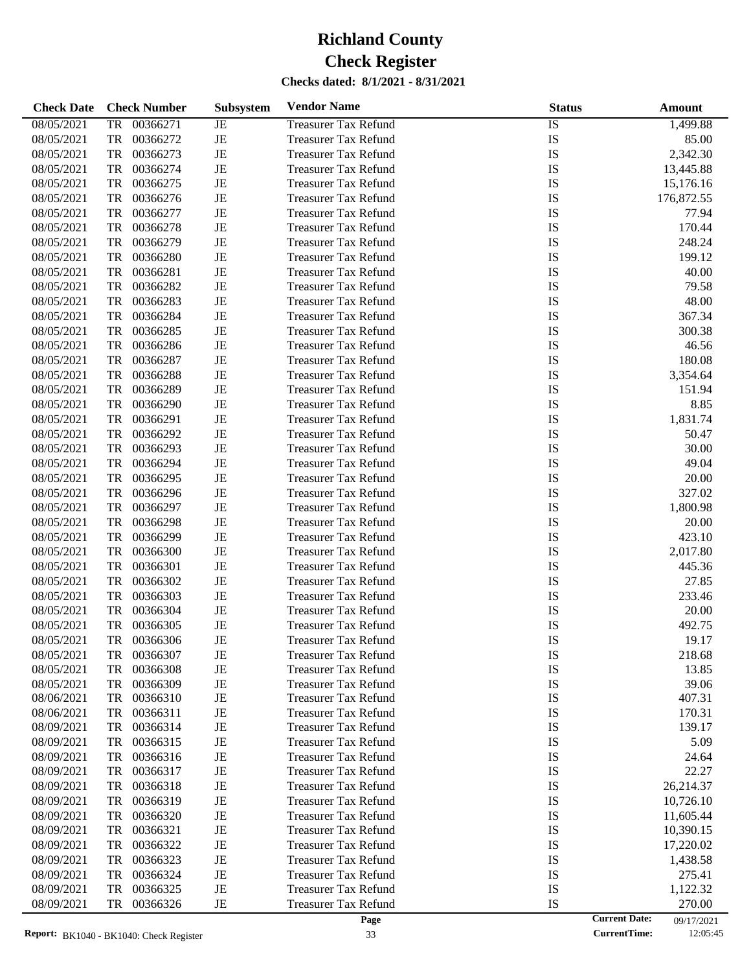| <b>Check Date</b> | <b>Check Number</b>   | Subsystem   | <b>Vendor Name</b>          | <b>Status</b> | <b>Amount</b>                      |
|-------------------|-----------------------|-------------|-----------------------------|---------------|------------------------------------|
| 08/05/2021        | 00366271<br><b>TR</b> | JE          | <b>Treasurer Tax Refund</b> | <b>IS</b>     | 1,499.88                           |
| 08/05/2021        | <b>TR</b><br>00366272 | $\rm{JE}$   | <b>Treasurer Tax Refund</b> | IS            | 85.00                              |
| 08/05/2021        | 00366273<br>TR        | $_{\rm JE}$ | <b>Treasurer Tax Refund</b> | IS            | 2,342.30                           |
| 08/05/2021        | <b>TR</b><br>00366274 | $\rm{JE}$   | <b>Treasurer Tax Refund</b> | IS            | 13,445.88                          |
| 08/05/2021        | <b>TR</b><br>00366275 | $\rm{JE}$   | <b>Treasurer Tax Refund</b> | IS            | 15,176.16                          |
| 08/05/2021        | <b>TR</b><br>00366276 | $_{\rm JE}$ | <b>Treasurer Tax Refund</b> | IS            | 176,872.55                         |
| 08/05/2021        | <b>TR</b><br>00366277 | $\rm{JE}$   | <b>Treasurer Tax Refund</b> | IS            | 77.94                              |
| 08/05/2021        | <b>TR</b><br>00366278 | $\rm{JE}$   | <b>Treasurer Tax Refund</b> | IS            | 170.44                             |
| 08/05/2021        | <b>TR</b><br>00366279 | $\rm{JE}$   | <b>Treasurer Tax Refund</b> | IS            | 248.24                             |
| 08/05/2021        | <b>TR</b><br>00366280 | $\rm{JE}$   | <b>Treasurer Tax Refund</b> | IS            | 199.12                             |
| 08/05/2021        | <b>TR</b><br>00366281 | $\rm{JE}$   | <b>Treasurer Tax Refund</b> | IS            | 40.00                              |
| 08/05/2021        | <b>TR</b><br>00366282 | $\rm{JE}$   | <b>Treasurer Tax Refund</b> | IS            | 79.58                              |
| 08/05/2021        | <b>TR</b><br>00366283 | $\rm{JE}$   | <b>Treasurer Tax Refund</b> | IS            | 48.00                              |
| 08/05/2021        | <b>TR</b><br>00366284 | $\rm{JE}$   | <b>Treasurer Tax Refund</b> | IS            | 367.34                             |
| 08/05/2021        | <b>TR</b><br>00366285 | $\rm{JE}$   | <b>Treasurer Tax Refund</b> | IS            | 300.38                             |
| 08/05/2021        | <b>TR</b><br>00366286 | $_{\rm JE}$ | <b>Treasurer Tax Refund</b> | IS            | 46.56                              |
| 08/05/2021        | <b>TR</b><br>00366287 | $\rm{JE}$   | <b>Treasurer Tax Refund</b> | IS            | 180.08                             |
| 08/05/2021        | <b>TR</b><br>00366288 | $\rm{JE}$   | <b>Treasurer Tax Refund</b> | IS            | 3,354.64                           |
| 08/05/2021        | <b>TR</b><br>00366289 | $_{\rm JE}$ | <b>Treasurer Tax Refund</b> | IS            | 151.94                             |
| 08/05/2021        | <b>TR</b><br>00366290 | $\rm{JE}$   | <b>Treasurer Tax Refund</b> | IS            | 8.85                               |
| 08/05/2021        | <b>TR</b><br>00366291 | $\rm{JE}$   | <b>Treasurer Tax Refund</b> | IS            | 1,831.74                           |
| 08/05/2021        | <b>TR</b><br>00366292 | $\rm{JE}$   | <b>Treasurer Tax Refund</b> | IS            | 50.47                              |
| 08/05/2021        | <b>TR</b><br>00366293 | $\rm{JE}$   | <b>Treasurer Tax Refund</b> | IS            | 30.00                              |
| 08/05/2021        | <b>TR</b><br>00366294 | $\rm{JE}$   | <b>Treasurer Tax Refund</b> | IS            | 49.04                              |
| 08/05/2021        | <b>TR</b><br>00366295 | $\rm{JE}$   | <b>Treasurer Tax Refund</b> | IS            | 20.00                              |
| 08/05/2021        | <b>TR</b><br>00366296 | $\rm{JE}$   | <b>Treasurer Tax Refund</b> | IS            | 327.02                             |
| 08/05/2021        | <b>TR</b><br>00366297 | $\rm{JE}$   | <b>Treasurer Tax Refund</b> | IS            | 1,800.98                           |
| 08/05/2021        | <b>TR</b><br>00366298 | $\rm{JE}$   | <b>Treasurer Tax Refund</b> | IS            | 20.00                              |
| 08/05/2021        | <b>TR</b><br>00366299 | $\rm{JE}$   | <b>Treasurer Tax Refund</b> | IS            | 423.10                             |
| 08/05/2021        | <b>TR</b><br>00366300 | $\rm{JE}$   | <b>Treasurer Tax Refund</b> | IS            | 2,017.80                           |
| 08/05/2021        | <b>TR</b><br>00366301 | $\rm{JE}$   | <b>Treasurer Tax Refund</b> | IS            | 445.36                             |
| 08/05/2021        | <b>TR</b><br>00366302 | $\rm{JE}$   | <b>Treasurer Tax Refund</b> | IS            | 27.85                              |
| 08/05/2021        | <b>TR</b><br>00366303 | $\rm{JE}$   | <b>Treasurer Tax Refund</b> | IS            | 233.46                             |
| 08/05/2021        | <b>TR</b><br>00366304 | $\rm{JE}$   | <b>Treasurer Tax Refund</b> | IS            | 20.00                              |
| 08/05/2021        | <b>TR</b><br>00366305 | $\rm{JE}$   | <b>Treasurer Tax Refund</b> | IS            | 492.75                             |
| 08/05/2021        | <b>TR</b><br>00366306 | $_{\rm JE}$ | <b>Treasurer Tax Refund</b> | IS            | 19.17                              |
| 08/05/2021        | 00366307<br>TR        | JE          | <b>Treasurer Tax Refund</b> | IS            | 218.68                             |
| 08/05/2021        | 00366308<br>TR        | JE          | <b>Treasurer Tax Refund</b> | IS            | 13.85                              |
| 08/05/2021        | 00366309<br>TR        | JE          | <b>Treasurer Tax Refund</b> | IS            | 39.06                              |
| 08/06/2021        | 00366310<br>TR        | JE          | <b>Treasurer Tax Refund</b> | IS            | 407.31                             |
| 08/06/2021        | 00366311<br>TR        | JE          | <b>Treasurer Tax Refund</b> | IS            | 170.31                             |
| 08/09/2021        | TR<br>00366314        | JE          | <b>Treasurer Tax Refund</b> | IS            | 139.17                             |
| 08/09/2021        | TR<br>00366315        | JE          | <b>Treasurer Tax Refund</b> | IS            | 5.09                               |
| 08/09/2021        | 00366316<br>TR        | JE          | <b>Treasurer Tax Refund</b> | IS            | 24.64                              |
| 08/09/2021        | 00366317<br>TR        | JE          | <b>Treasurer Tax Refund</b> | IS            | 22.27                              |
| 08/09/2021        | TR<br>00366318        | JE          | <b>Treasurer Tax Refund</b> | IS            | 26,214.37                          |
| 08/09/2021        | TR<br>00366319        | JE          | <b>Treasurer Tax Refund</b> | IS            | 10,726.10                          |
| 08/09/2021        | 00366320<br>TR        | JE          | <b>Treasurer Tax Refund</b> | IS            | 11,605.44                          |
| 08/09/2021        | TR<br>00366321        | JE          | <b>Treasurer Tax Refund</b> | IS            | 10,390.15                          |
| 08/09/2021        | TR<br>00366322        | JE          | <b>Treasurer Tax Refund</b> | IS            | 17,220.02                          |
| 08/09/2021        | 00366323<br>TR        | JE          | <b>Treasurer Tax Refund</b> | IS            | 1,438.58                           |
| 08/09/2021        | TR<br>00366324        | JE          | <b>Treasurer Tax Refund</b> | IS            | 275.41                             |
| 08/09/2021        | 00366325<br>TR        | JE          | <b>Treasurer Tax Refund</b> | IS            | 1,122.32                           |
| 08/09/2021        | 00366326<br>TR        | JE          | <b>Treasurer Tax Refund</b> | IS            | 270.00                             |
|                   |                       |             | Page                        |               | <b>Current Date:</b><br>09/17/2021 |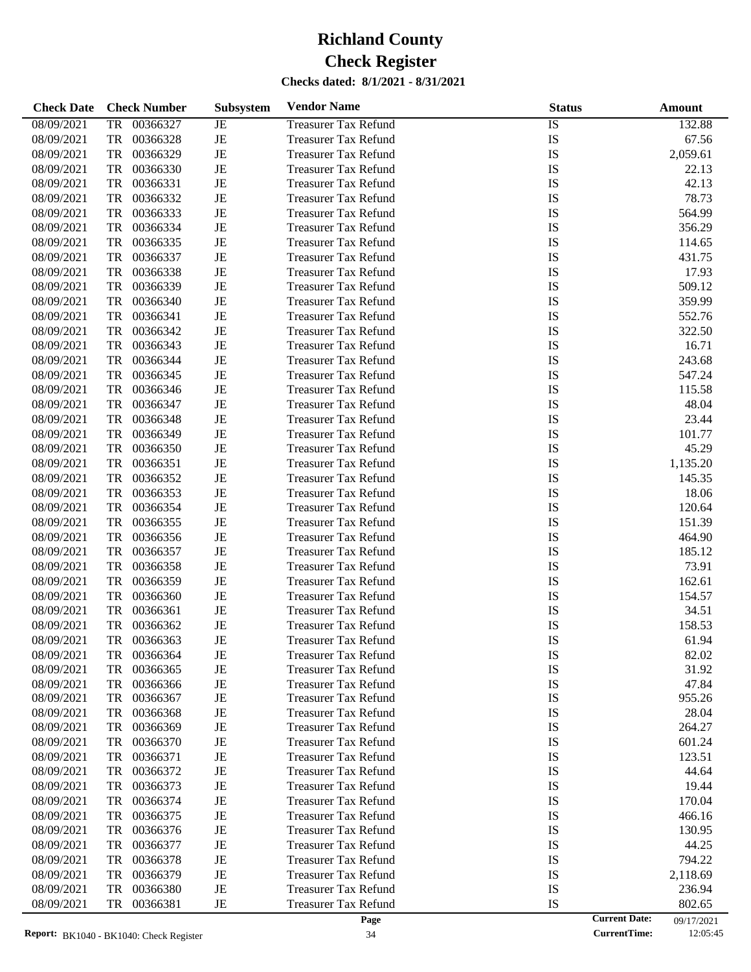| <b>Check Date</b> | <b>Check Number</b>   | <b>Subsystem</b> | <b>Vendor Name</b>          | <b>Status</b> | Amount                             |
|-------------------|-----------------------|------------------|-----------------------------|---------------|------------------------------------|
| 08/09/2021        | 00366327<br>TR        | JE               | <b>Treasurer Tax Refund</b> | IS            | 132.88                             |
| 08/09/2021        | TR<br>00366328        | $\rm{JE}$        | <b>Treasurer Tax Refund</b> | IS            | 67.56                              |
| 08/09/2021        | TR<br>00366329        | JE               | <b>Treasurer Tax Refund</b> | IS            | 2,059.61                           |
| 08/09/2021        | TR<br>00366330        | JE               | <b>Treasurer Tax Refund</b> | IS            | 22.13                              |
| 08/09/2021        | TR<br>00366331        | $\rm{JE}$        | <b>Treasurer Tax Refund</b> | IS            | 42.13                              |
| 08/09/2021        | TR<br>00366332        | JE               | <b>Treasurer Tax Refund</b> | IS            | 78.73                              |
| 08/09/2021        | TR<br>00366333        | JE               | <b>Treasurer Tax Refund</b> | IS            | 564.99                             |
| 08/09/2021        | TR<br>00366334        | $\rm{JE}$        | <b>Treasurer Tax Refund</b> | IS            | 356.29                             |
| 08/09/2021        | TR<br>00366335        | $\rm{JE}$        | <b>Treasurer Tax Refund</b> | IS            | 114.65                             |
| 08/09/2021        | TR<br>00366337        | JE               | <b>Treasurer Tax Refund</b> | IS            | 431.75                             |
| 08/09/2021        | TR<br>00366338        | JE               | <b>Treasurer Tax Refund</b> | IS            | 17.93                              |
| 08/09/2021        | TR<br>00366339        | $\rm{JE}$        | <b>Treasurer Tax Refund</b> | IS            | 509.12                             |
| 08/09/2021        | TR<br>00366340        | JE               | <b>Treasurer Tax Refund</b> | IS            | 359.99                             |
| 08/09/2021        | TR<br>00366341        | JE               | <b>Treasurer Tax Refund</b> | IS            | 552.76                             |
| 08/09/2021        | TR<br>00366342        | $\rm{JE}$        | <b>Treasurer Tax Refund</b> | IS            | 322.50                             |
| 08/09/2021        | TR<br>00366343        | $\rm{JE}$        | <b>Treasurer Tax Refund</b> | IS            | 16.71                              |
| 08/09/2021        | TR<br>00366344        | JE               | <b>Treasurer Tax Refund</b> | IS            | 243.68                             |
| 08/09/2021        | TR<br>00366345        | JE               | <b>Treasurer Tax Refund</b> | IS            | 547.24                             |
| 08/09/2021        | TR<br>00366346        | $\rm{JE}$        | <b>Treasurer Tax Refund</b> | IS            | 115.58                             |
| 08/09/2021        | TR<br>00366347        | $\rm{JE}$        | <b>Treasurer Tax Refund</b> | IS            | 48.04                              |
| 08/09/2021        | TR<br>00366348        | JE               | <b>Treasurer Tax Refund</b> | IS            | 23.44                              |
| 08/09/2021        | TR<br>00366349        | JE               | <b>Treasurer Tax Refund</b> | IS            | 101.77                             |
| 08/09/2021        | TR<br>00366350        | $\rm{JE}$        | <b>Treasurer Tax Refund</b> | IS            | 45.29                              |
| 08/09/2021        | TR<br>00366351        | JE               | <b>Treasurer Tax Refund</b> | IS            | 1,135.20                           |
| 08/09/2021        | TR<br>00366352        | JE               | <b>Treasurer Tax Refund</b> | IS            | 145.35                             |
| 08/09/2021        | TR<br>00366353        | $\rm{JE}$        | <b>Treasurer Tax Refund</b> | IS            | 18.06                              |
| 08/09/2021        | TR<br>00366354        | $\rm{JE}$        | <b>Treasurer Tax Refund</b> | IS            | 120.64                             |
| 08/09/2021        | TR<br>00366355        | JE               | <b>Treasurer Tax Refund</b> | IS            | 151.39                             |
| 08/09/2021        | TR<br>00366356        | JE               | <b>Treasurer Tax Refund</b> | IS            | 464.90                             |
| 08/09/2021        | TR<br>00366357        | $\rm{JE}$        | <b>Treasurer Tax Refund</b> | IS            | 185.12                             |
| 08/09/2021        | TR<br>00366358        | JE               | <b>Treasurer Tax Refund</b> | IS            | 73.91                              |
| 08/09/2021        | TR<br>00366359        | JE               | <b>Treasurer Tax Refund</b> | IS            | 162.61                             |
| 08/09/2021        | TR<br>00366360        | JE               | <b>Treasurer Tax Refund</b> | IS            | 154.57                             |
| 08/09/2021        | TR<br>00366361        | JE               | <b>Treasurer Tax Refund</b> | IS            | 34.51                              |
| 08/09/2021        | <b>TR</b><br>00366362 | JE               | <b>Treasurer Tax Refund</b> | IS            | 158.53                             |
| 08/09/2021        | TR<br>00366363        | JE               | <b>Treasurer Tax Refund</b> | IS            | 61.94                              |
| 08/09/2021        | 00366364<br>TR        | JE               | <b>Treasurer Tax Refund</b> | IS            | 82.02                              |
| 08/09/2021        | TR<br>00366365        | JE               | <b>Treasurer Tax Refund</b> | IS            | 31.92                              |
| 08/09/2021        | TR<br>00366366        | JE               | <b>Treasurer Tax Refund</b> | IS            | 47.84                              |
| 08/09/2021        | 00366367<br>TR        | JE               | <b>Treasurer Tax Refund</b> | IS            | 955.26                             |
| 08/09/2021        | 00366368<br>TR        | JE               | <b>Treasurer Tax Refund</b> | IS            | 28.04                              |
| 08/09/2021        | 00366369<br>TR        | JE               | <b>Treasurer Tax Refund</b> | IS            | 264.27                             |
| 08/09/2021        | TR<br>00366370        | JE               | <b>Treasurer Tax Refund</b> | IS            | 601.24                             |
| 08/09/2021        | TR<br>00366371        | JE               | <b>Treasurer Tax Refund</b> | IS            | 123.51                             |
| 08/09/2021        | 00366372<br>TR        | JE               | <b>Treasurer Tax Refund</b> | IS            | 44.64                              |
| 08/09/2021        | TR<br>00366373        | JE               | <b>Treasurer Tax Refund</b> | IS            | 19.44                              |
| 08/09/2021        | TR<br>00366374        | JE               | <b>Treasurer Tax Refund</b> | IS            | 170.04                             |
| 08/09/2021        | TR<br>00366375        | JE               | <b>Treasurer Tax Refund</b> | IS            | 466.16                             |
| 08/09/2021        | 00366376<br>TR        | JE               | <b>Treasurer Tax Refund</b> | IS            | 130.95                             |
| 08/09/2021        | TR<br>00366377        | JE               | <b>Treasurer Tax Refund</b> | IS            | 44.25                              |
| 08/09/2021        | TR<br>00366378        | JE               | <b>Treasurer Tax Refund</b> | IS            | 794.22                             |
| 08/09/2021        | 00366379<br>TR        | JE               | <b>Treasurer Tax Refund</b> | IS            | 2,118.69                           |
| 08/09/2021        | 00366380<br>TR        | JE               | <b>Treasurer Tax Refund</b> | IS            | 236.94                             |
| 08/09/2021        | TR<br>00366381        | JE               | <b>Treasurer Tax Refund</b> | IS            | 802.65                             |
|                   |                       |                  | Page                        |               | <b>Current Date:</b><br>09/17/2021 |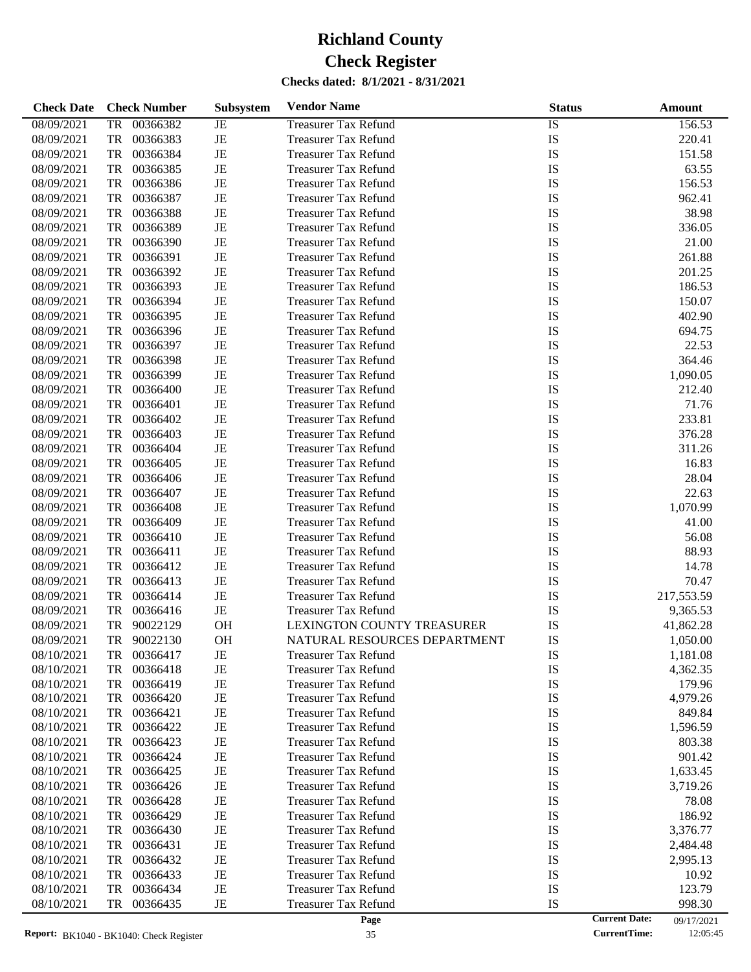| <b>Check Date</b> | <b>Check Number</b>   | Subsystem | <b>Vendor Name</b>                | <b>Status</b> | Amount                             |
|-------------------|-----------------------|-----------|-----------------------------------|---------------|------------------------------------|
| 08/09/2021        | 00366382<br><b>TR</b> | JE        | <b>Treasurer Tax Refund</b>       | <b>IS</b>     | 156.53                             |
| 08/09/2021        | <b>TR</b><br>00366383 | $\rm{JE}$ | <b>Treasurer Tax Refund</b>       | IS            | 220.41                             |
| 08/09/2021        | 00366384<br>TR        | $\rm{JE}$ | <b>Treasurer Tax Refund</b>       | IS            | 151.58                             |
| 08/09/2021        | <b>TR</b><br>00366385 | $\rm{JE}$ | <b>Treasurer Tax Refund</b>       | IS            | 63.55                              |
| 08/09/2021        | <b>TR</b><br>00366386 | $\rm{JE}$ | <b>Treasurer Tax Refund</b>       | IS            | 156.53                             |
| 08/09/2021        | <b>TR</b><br>00366387 | $\rm{JE}$ | <b>Treasurer Tax Refund</b>       | IS            | 962.41                             |
| 08/09/2021        | <b>TR</b><br>00366388 | $\rm{JE}$ | <b>Treasurer Tax Refund</b>       | IS            | 38.98                              |
| 08/09/2021        | <b>TR</b><br>00366389 | $\rm{JE}$ | <b>Treasurer Tax Refund</b>       | IS            | 336.05                             |
| 08/09/2021        | <b>TR</b><br>00366390 | $\rm{JE}$ | <b>Treasurer Tax Refund</b>       | IS            | 21.00                              |
| 08/09/2021        | <b>TR</b><br>00366391 | $\rm{JE}$ | <b>Treasurer Tax Refund</b>       | IS            | 261.88                             |
| 08/09/2021        | <b>TR</b><br>00366392 | $\rm{JE}$ | <b>Treasurer Tax Refund</b>       | IS            | 201.25                             |
| 08/09/2021        | <b>TR</b><br>00366393 | $\rm{JE}$ | <b>Treasurer Tax Refund</b>       | IS            | 186.53                             |
| 08/09/2021        | <b>TR</b><br>00366394 | $\rm{JE}$ | <b>Treasurer Tax Refund</b>       | IS            | 150.07                             |
| 08/09/2021        | <b>TR</b><br>00366395 | $\rm{JE}$ | <b>Treasurer Tax Refund</b>       | IS            | 402.90                             |
| 08/09/2021        | <b>TR</b><br>00366396 | $\rm{JE}$ | <b>Treasurer Tax Refund</b>       | IS            | 694.75                             |
| 08/09/2021        | <b>TR</b><br>00366397 | $\rm{JE}$ | <b>Treasurer Tax Refund</b>       | IS            | 22.53                              |
| 08/09/2021        | <b>TR</b><br>00366398 | $\rm{JE}$ | <b>Treasurer Tax Refund</b>       | IS            | 364.46                             |
| 08/09/2021        | <b>TR</b><br>00366399 | $\rm{JE}$ | <b>Treasurer Tax Refund</b>       | IS            | 1,090.05                           |
| 08/09/2021        | <b>TR</b><br>00366400 | $\rm{JE}$ | <b>Treasurer Tax Refund</b>       | IS            | 212.40                             |
| 08/09/2021        | <b>TR</b><br>00366401 | $\rm{JE}$ | <b>Treasurer Tax Refund</b>       | IS            | 71.76                              |
| 08/09/2021        | <b>TR</b><br>00366402 | $\rm{JE}$ | <b>Treasurer Tax Refund</b>       | IS            | 233.81                             |
| 08/09/2021        | <b>TR</b><br>00366403 | $\rm{JE}$ | <b>Treasurer Tax Refund</b>       | IS            | 376.28                             |
| 08/09/2021        | <b>TR</b><br>00366404 | $\rm{JE}$ | <b>Treasurer Tax Refund</b>       | IS            | 311.26                             |
| 08/09/2021        | <b>TR</b><br>00366405 | $\rm{JE}$ | <b>Treasurer Tax Refund</b>       | IS            | 16.83                              |
| 08/09/2021        | <b>TR</b><br>00366406 | $\rm{JE}$ | <b>Treasurer Tax Refund</b>       | IS            | 28.04                              |
| 08/09/2021        | <b>TR</b><br>00366407 | $\rm{JE}$ | <b>Treasurer Tax Refund</b>       | IS            | 22.63                              |
| 08/09/2021        | <b>TR</b><br>00366408 | $\rm{JE}$ | <b>Treasurer Tax Refund</b>       | IS            | 1,070.99                           |
| 08/09/2021        | <b>TR</b><br>00366409 | $\rm{JE}$ | <b>Treasurer Tax Refund</b>       | IS            | 41.00                              |
| 08/09/2021        | <b>TR</b><br>00366410 | $\rm{JE}$ | <b>Treasurer Tax Refund</b>       | IS            | 56.08                              |
| 08/09/2021        | <b>TR</b><br>00366411 | $\rm{JE}$ | <b>Treasurer Tax Refund</b>       | IS            | 88.93                              |
| 08/09/2021        | <b>TR</b><br>00366412 | $\rm{JE}$ | <b>Treasurer Tax Refund</b>       | IS            | 14.78                              |
| 08/09/2021        | <b>TR</b><br>00366413 | $\rm{JE}$ | <b>Treasurer Tax Refund</b>       | IS            | 70.47                              |
| 08/09/2021        | <b>TR</b><br>00366414 | $\rm{JE}$ | <b>Treasurer Tax Refund</b>       | IS            | 217,553.59                         |
| 08/09/2021        | <b>TR</b><br>00366416 | $\rm{JE}$ | <b>Treasurer Tax Refund</b>       | IS            | 9,365.53                           |
| 08/09/2021        | <b>TR</b><br>90022129 | <b>OH</b> | <b>LEXINGTON COUNTY TREASURER</b> | IS            | 41,862.28                          |
| 08/09/2021        | <b>TR</b><br>90022130 | <b>OH</b> | NATURAL RESOURCES DEPARTMENT      | IS            | 1,050.00                           |
| 08/10/2021        | 00366417<br>TR        | JE        | <b>Treasurer Tax Refund</b>       | IS            | 1,181.08                           |
| 08/10/2021        | 00366418<br>TR        | JE        | <b>Treasurer Tax Refund</b>       | IS            | 4,362.35                           |
| 08/10/2021        | 00366419<br>TR        | JE        | <b>Treasurer Tax Refund</b>       | IS            | 179.96                             |
| 08/10/2021        | 00366420<br>TR        | JE        | <b>Treasurer Tax Refund</b>       | IS            | 4,979.26                           |
| 08/10/2021        | 00366421<br>TR        | JE        | <b>Treasurer Tax Refund</b>       | IS            | 849.84                             |
| 08/10/2021        | 00366422<br>TR        | JE        | <b>Treasurer Tax Refund</b>       | IS            | 1,596.59                           |
| 08/10/2021        | TR<br>00366423        | JE        | <b>Treasurer Tax Refund</b>       | IS            | 803.38                             |
| 08/10/2021        | 00366424<br>TR        | JE        | <b>Treasurer Tax Refund</b>       | IS            | 901.42                             |
| 08/10/2021        | 00366425<br>TR        | JE        | <b>Treasurer Tax Refund</b>       | IS            | 1,633.45                           |
| 08/10/2021        | TR<br>00366426        | JE        | <b>Treasurer Tax Refund</b>       | IS            | 3,719.26                           |
| 08/10/2021        | TR<br>00366428        | JE        | <b>Treasurer Tax Refund</b>       | IS            | 78.08                              |
| 08/10/2021        | 00366429<br>TR        | JE        | <b>Treasurer Tax Refund</b>       | IS            | 186.92                             |
| 08/10/2021        | TR<br>00366430        | JE        | <b>Treasurer Tax Refund</b>       | IS            | 3,376.77                           |
| 08/10/2021        | TR<br>00366431        | JE        | <b>Treasurer Tax Refund</b>       | IS            | 2,484.48                           |
| 08/10/2021        | 00366432<br>TR        | JE        | <b>Treasurer Tax Refund</b>       | IS            | 2,995.13                           |
| 08/10/2021        | 00366433<br>TR        | JE        | <b>Treasurer Tax Refund</b>       | IS            | 10.92                              |
| 08/10/2021        | 00366434<br>TR        | JE        | <b>Treasurer Tax Refund</b>       | IS            | 123.79                             |
| 08/10/2021        | 00366435<br>TR        | JE        | <b>Treasurer Tax Refund</b>       | IS            | 998.30                             |
|                   |                       |           | Page                              |               | <b>Current Date:</b><br>09/17/2021 |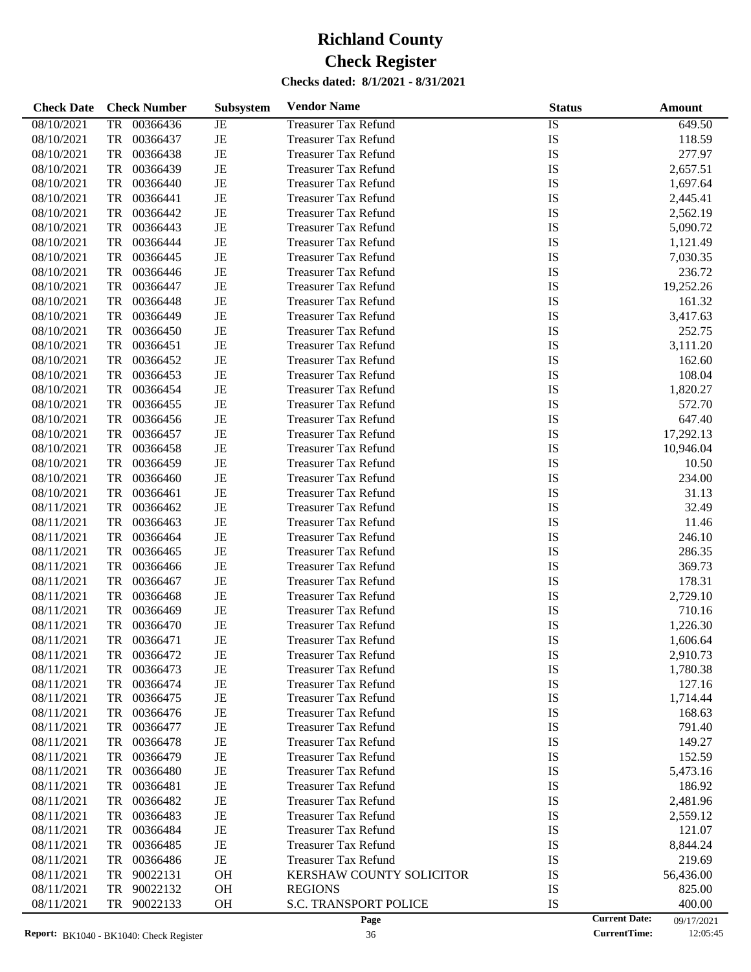| <b>Check Date</b> | <b>Check Number</b>   | Subsystem | <b>Vendor Name</b>              | <b>Status</b> | <b>Amount</b>                      |
|-------------------|-----------------------|-----------|---------------------------------|---------------|------------------------------------|
| 08/10/2021        | 00366436<br>TR        | JE        | <b>Treasurer Tax Refund</b>     | IS            | 649.50                             |
| 08/10/2021        | TR<br>00366437        | JE        | <b>Treasurer Tax Refund</b>     | IS            | 118.59                             |
| 08/10/2021        | TR<br>00366438        | JE        | <b>Treasurer Tax Refund</b>     | IS            | 277.97                             |
| 08/10/2021        | TR<br>00366439        | JE        | <b>Treasurer Tax Refund</b>     | IS            | 2,657.51                           |
| 08/10/2021        | TR<br>00366440        | JE        | <b>Treasurer Tax Refund</b>     | IS            | 1,697.64                           |
| 08/10/2021        | TR<br>00366441        | JE        | <b>Treasurer Tax Refund</b>     | IS            | 2,445.41                           |
| 08/10/2021        | TR<br>00366442        | JE        | <b>Treasurer Tax Refund</b>     | IS            | 2,562.19                           |
| 08/10/2021        | TR<br>00366443        | JE        | <b>Treasurer Tax Refund</b>     | IS            | 5,090.72                           |
| 08/10/2021        | TR<br>00366444        | JE        | <b>Treasurer Tax Refund</b>     | IS            | 1,121.49                           |
| 08/10/2021        | TR<br>00366445        | $\rm{JE}$ | <b>Treasurer Tax Refund</b>     | IS            | 7,030.35                           |
| 08/10/2021        | TR<br>00366446        | JE        | <b>Treasurer Tax Refund</b>     | IS            | 236.72                             |
| 08/10/2021        | TR<br>00366447        | JE        | <b>Treasurer Tax Refund</b>     | IS            | 19,252.26                          |
| 08/10/2021        | TR<br>00366448        | JE        | <b>Treasurer Tax Refund</b>     | IS            | 161.32                             |
| 08/10/2021        | TR<br>00366449        | $\rm{JE}$ | <b>Treasurer Tax Refund</b>     | IS            | 3,417.63                           |
| 08/10/2021        | TR<br>00366450        | JE        | <b>Treasurer Tax Refund</b>     | IS            | 252.75                             |
| 08/10/2021        | TR<br>00366451        | JE        | <b>Treasurer Tax Refund</b>     | IS            | 3,111.20                           |
| 08/10/2021        | TR<br>00366452        | $\rm{JE}$ | <b>Treasurer Tax Refund</b>     | IS            | 162.60                             |
| 08/10/2021        | TR<br>00366453        | $\rm{JE}$ | <b>Treasurer Tax Refund</b>     | IS            | 108.04                             |
| 08/10/2021        | TR<br>00366454        | JE        | <b>Treasurer Tax Refund</b>     | IS            | 1,820.27                           |
| 08/10/2021        | TR<br>00366455        | JE        | <b>Treasurer Tax Refund</b>     | IS            | 572.70                             |
| 08/10/2021        | TR<br>00366456        | JE        | <b>Treasurer Tax Refund</b>     | IS            | 647.40                             |
| 08/10/2021        | TR<br>00366457        | $\rm{JE}$ | <b>Treasurer Tax Refund</b>     | IS            | 17,292.13                          |
| 08/10/2021        | TR<br>00366458        | JE        | <b>Treasurer Tax Refund</b>     | IS            | 10,946.04                          |
| 08/10/2021        | TR<br>00366459        | JE        | <b>Treasurer Tax Refund</b>     | IS            | 10.50                              |
| 08/10/2021        | TR<br>00366460        | JE        | <b>Treasurer Tax Refund</b>     | IS            | 234.00                             |
| 08/10/2021        | TR<br>00366461        | $\rm{JE}$ | <b>Treasurer Tax Refund</b>     | IS            | 31.13                              |
| 08/11/2021        | TR<br>00366462        | JE        | <b>Treasurer Tax Refund</b>     | IS            | 32.49                              |
| 08/11/2021        | TR<br>00366463        | JE        | <b>Treasurer Tax Refund</b>     | IS            | 11.46                              |
| 08/11/2021        | TR<br>00366464        | JE        | <b>Treasurer Tax Refund</b>     | IS            | 246.10                             |
| 08/11/2021        | TR<br>00366465        | $\rm{JE}$ | <b>Treasurer Tax Refund</b>     | IS            | 286.35                             |
| 08/11/2021        | TR<br>00366466        | JE        | <b>Treasurer Tax Refund</b>     | IS            | 369.73                             |
| 08/11/2021        | TR<br>00366467        | JE        | <b>Treasurer Tax Refund</b>     | IS            | 178.31                             |
| 08/11/2021        | TR<br>00366468        | JE        | <b>Treasurer Tax Refund</b>     | IS            | 2,729.10                           |
| 08/11/2021        | TR<br>00366469        | JE        | <b>Treasurer Tax Refund</b>     | IS            | 710.16                             |
| 08/11/2021        | <b>TR</b><br>00366470 | JE        | <b>Treasurer Tax Refund</b>     | IS            | 1,226.30                           |
| 08/11/2021        | TR<br>00366471        | JE        | <b>Treasurer Tax Refund</b>     | IS            | 1,606.64                           |
| 08/11/2021        | 00366472<br>TR        | JE        | <b>Treasurer Tax Refund</b>     | IS            | 2,910.73                           |
| 08/11/2021        | 00366473<br>TR        | JE        | <b>Treasurer Tax Refund</b>     | IS            | 1,780.38                           |
| 08/11/2021        | 00366474<br>TR        | JE        | <b>Treasurer Tax Refund</b>     | IS            | 127.16                             |
| 08/11/2021        | 00366475<br>TR        | JE        | <b>Treasurer Tax Refund</b>     | IS            | 1,714.44                           |
| 08/11/2021        | TR<br>00366476        | JE        | <b>Treasurer Tax Refund</b>     | IS            | 168.63                             |
| 08/11/2021        | TR<br>00366477        | JE        | <b>Treasurer Tax Refund</b>     | IS            | 791.40                             |
| 08/11/2021        | TR<br>00366478        | JE        | <b>Treasurer Tax Refund</b>     | IS            | 149.27                             |
| 08/11/2021        | TR<br>00366479        | JE        | <b>Treasurer Tax Refund</b>     | IS            | 152.59                             |
| 08/11/2021        | TR<br>00366480        | JE        | <b>Treasurer Tax Refund</b>     | IS            | 5,473.16                           |
| 08/11/2021        | TR<br>00366481        | JE        | <b>Treasurer Tax Refund</b>     | IS            | 186.92                             |
| 08/11/2021        | TR<br>00366482        | JE        | <b>Treasurer Tax Refund</b>     | IS            | 2,481.96                           |
| 08/11/2021        | TR<br>00366483        | JE        | <b>Treasurer Tax Refund</b>     | IS            | 2,559.12                           |
| 08/11/2021        | TR<br>00366484        | JE        | <b>Treasurer Tax Refund</b>     | IS            | 121.07                             |
| 08/11/2021        | TR<br>00366485        | JE        | <b>Treasurer Tax Refund</b>     | IS            | 8,844.24                           |
| 08/11/2021        | TR<br>00366486        | JE        | <b>Treasurer Tax Refund</b>     | IS            | 219.69                             |
| 08/11/2021        | TR<br>90022131        | <b>OH</b> | <b>KERSHAW COUNTY SOLICITOR</b> | IS            | 56,436.00                          |
| 08/11/2021        | 90022132<br>TR        | OH        | <b>REGIONS</b>                  | IS            | 825.00                             |
| 08/11/2021        | TR<br>90022133        | <b>OH</b> | <b>S.C. TRANSPORT POLICE</b>    | IS            | 400.00                             |
|                   |                       |           | Page                            |               | <b>Current Date:</b><br>09/17/2021 |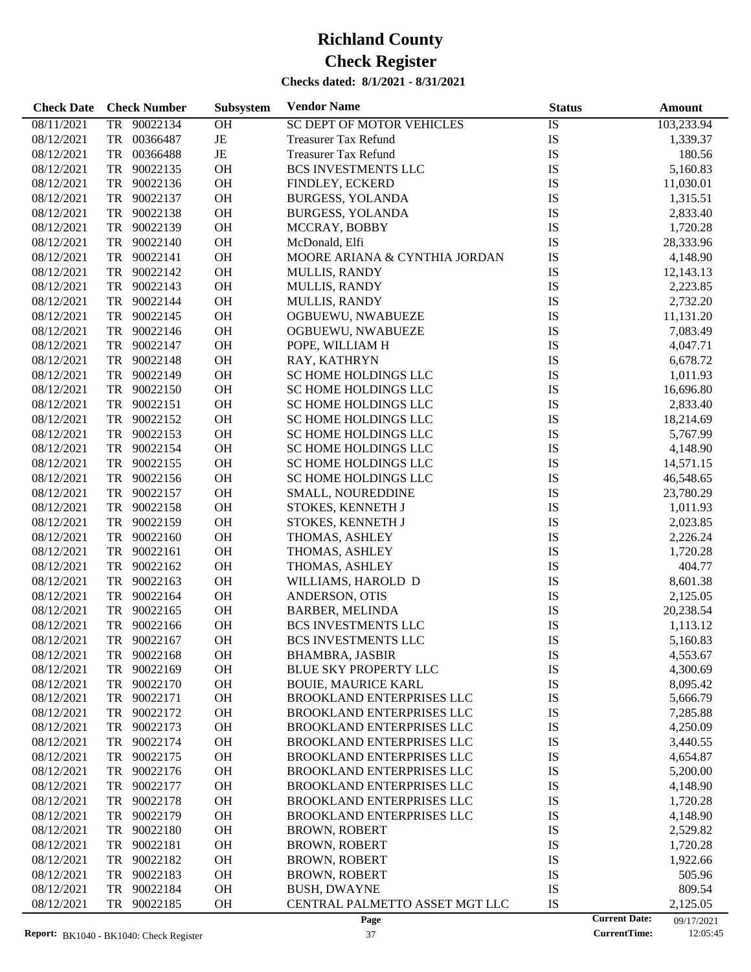| <b>Check Date</b>        | <b>Check Number</b>              | Subsystem   | <b>Vendor Name</b>                                             | <b>Status</b> | <b>Amount</b>                                  |
|--------------------------|----------------------------------|-------------|----------------------------------------------------------------|---------------|------------------------------------------------|
| 08/11/2021               | TR 90022134                      | <b>OH</b>   | <b>SC DEPT OF MOTOR VEHICLES</b>                               | IS            | 103,233.94                                     |
| 08/12/2021               | 00366487<br>TR                   | $\rm{JE}$   | <b>Treasurer Tax Refund</b>                                    | IS            | 1,339.37                                       |
| 08/12/2021               | TR<br>00366488                   | $_{\rm JE}$ | <b>Treasurer Tax Refund</b>                                    | IS            | 180.56                                         |
| 08/12/2021               | TR<br>90022135                   | OH          | <b>BCS INVESTMENTS LLC</b>                                     | IS            | 5,160.83                                       |
| 08/12/2021               | 90022136<br>TR                   | OH          | FINDLEY, ECKERD                                                | IS            | 11,030.01                                      |
| 08/12/2021               | 90022137<br>TR                   | OH          | <b>BURGESS, YOLANDA</b>                                        | IS            | 1,315.51                                       |
| 08/12/2021               | TR<br>90022138                   | OH          | <b>BURGESS, YOLANDA</b>                                        | IS            | 2,833.40                                       |
| 08/12/2021               | 90022139<br>TR                   | OH          | MCCRAY, BOBBY                                                  | IS            | 1,720.28                                       |
| 08/12/2021               | TR<br>90022140                   | OH          | McDonald, Elfi                                                 | IS            | 28,333.96                                      |
| 08/12/2021               | 90022141<br>TR                   | OH          | MOORE ARIANA & CYNTHIA JORDAN                                  | IS            | 4,148.90                                       |
| 08/12/2021               | TR<br>90022142                   | OH          | <b>MULLIS, RANDY</b>                                           | IS            | 12,143.13                                      |
| 08/12/2021               | TR<br>90022143                   | OH          | <b>MULLIS, RANDY</b>                                           | IS            | 2,223.85                                       |
| 08/12/2021               | 90022144<br>TR                   | OH          | <b>MULLIS, RANDY</b>                                           | IS            | 2,732.20                                       |
| 08/12/2021               | 90022145<br>TR                   | OH          | OGBUEWU, NWABUEZE                                              | IS            | 11,131.20                                      |
| 08/12/2021               | TR<br>90022146                   | OH          | OGBUEWU, NWABUEZE                                              | IS            | 7,083.49                                       |
| 08/12/2021               | TR<br>90022147                   | OH          | POPE, WILLIAM H                                                | IS            | 4,047.71                                       |
| 08/12/2021               | 90022148<br>TR                   | OH          | RAY, KATHRYN                                                   | IS            | 6,678.72                                       |
| 08/12/2021               | 90022149<br>TR                   | OH          | SC HOME HOLDINGS LLC                                           | IS            | 1,011.93                                       |
| 08/12/2021               | TR<br>90022150                   | OH          | SC HOME HOLDINGS LLC                                           | IS            | 16,696.80                                      |
| 08/12/2021               | TR<br>90022151                   | OH          | SC HOME HOLDINGS LLC                                           | IS            | 2,833.40                                       |
| 08/12/2021               | 90022152<br>TR                   | OH          | SC HOME HOLDINGS LLC                                           | IS            | 18,214.69                                      |
| 08/12/2021               | 90022153<br>TR                   | OH          | SC HOME HOLDINGS LLC                                           | IS            | 5,767.99                                       |
| 08/12/2021               | TR<br>90022154                   | OH          | SC HOME HOLDINGS LLC                                           | IS            | 4,148.90                                       |
| 08/12/2021               | 90022155<br>TR                   | OH          | SC HOME HOLDINGS LLC                                           | IS            | 14,571.15                                      |
| 08/12/2021               | 90022156<br>TR                   | OH          | SC HOME HOLDINGS LLC                                           | IS            | 46,548.65                                      |
| 08/12/2021               | 90022157<br>TR                   | OH          | SMALL, NOUREDDINE                                              | IS            | 23,780.29                                      |
| 08/12/2021               | TR<br>90022158                   | OH          | STOKES, KENNETH J                                              | IS            | 1,011.93                                       |
| 08/12/2021               | TR<br>90022159                   | OH          | STOKES, KENNETH J                                              | IS            | 2,023.85                                       |
| 08/12/2021               | 90022160<br>TR                   | OH          | THOMAS, ASHLEY                                                 | IS            | 2,226.24                                       |
| 08/12/2021               | 90022161<br>TR                   | OH          | THOMAS, ASHLEY                                                 | IS            | 1,720.28                                       |
| 08/12/2021               | TR<br>90022162                   | OH          | THOMAS, ASHLEY                                                 | IS            | 404.77                                         |
| 08/12/2021               | TR<br>90022163                   | OH          | WILLIAMS, HAROLD D                                             | IS            | 8,601.38                                       |
| 08/12/2021               | 90022164<br>TR                   | OH          | ANDERSON, OTIS                                                 | IS            | 2,125.05                                       |
| 08/12/2021               | 90022165<br>TR                   | OH          | <b>BARBER, MELINDA</b>                                         | IS            | 20,238.54                                      |
| 08/12/2021               | TR<br>90022166                   | OH          | BCS INVESTMENTS LLC                                            | IS            |                                                |
|                          |                                  | <b>OH</b>   |                                                                |               | 1,113.12                                       |
| 08/12/2021               | TR 90022167                      |             | <b>BCS INVESTMENTS LLC</b>                                     | IS            | 5,160.83                                       |
| 08/12/2021               | TR 90022168                      | <b>OH</b>   | <b>BHAMBRA, JASBIR</b>                                         | <b>IS</b>     | 4,553.67                                       |
| 08/12/2021               | TR 90022169                      | OH          | <b>BLUE SKY PROPERTY LLC</b>                                   | IS            | 4,300.69                                       |
| 08/12/2021<br>08/12/2021 | TR<br>90022170<br>TR<br>90022171 | OH<br>OH    | <b>BOUIE, MAURICE KARL</b><br><b>BROOKLAND ENTERPRISES LLC</b> | IS<br>IS      | 8,095.42<br>5,666.79                           |
| 08/12/2021               | 90022172<br>TR                   | OH          | BROOKLAND ENTERPRISES LLC                                      | IS            | 7,285.88                                       |
| 08/12/2021               | 90022173<br>TR                   | OH          | BROOKLAND ENTERPRISES LLC                                      | IS            |                                                |
| 08/12/2021               | 90022174<br>TR                   | OH          | BROOKLAND ENTERPRISES LLC                                      | IS            | 4,250.09<br>3,440.55                           |
|                          | TR<br>90022175                   | OH          |                                                                | IS            |                                                |
| 08/12/2021               |                                  |             | BROOKLAND ENTERPRISES LLC                                      |               | 4,654.87                                       |
| 08/12/2021               | 90022176<br>TR                   | OH          | BROOKLAND ENTERPRISES LLC                                      | IS            | 5,200.00                                       |
| 08/12/2021               | 90022177<br>TR                   | OH          | BROOKLAND ENTERPRISES LLC                                      | IS            | 4,148.90                                       |
| 08/12/2021               | 90022178<br>TR                   | OH          | BROOKLAND ENTERPRISES LLC                                      | IS            | 1,720.28                                       |
| 08/12/2021               | TR<br>90022179                   | OH          | BROOKLAND ENTERPRISES LLC                                      | IS            | 4,148.90                                       |
| 08/12/2021               | 90022180<br>TR                   | OH          | <b>BROWN, ROBERT</b>                                           | IS            | 2,529.82                                       |
| 08/12/2021               | 90022181<br>TR                   | OH          | <b>BROWN, ROBERT</b>                                           | IS            | 1,720.28                                       |
| 08/12/2021               | 90022182<br>TR                   | OH          | <b>BROWN, ROBERT</b>                                           | IS            | 1,922.66                                       |
| 08/12/2021               | ${\rm TR}$<br>90022183           | OH          | <b>BROWN, ROBERT</b>                                           | IS            | 505.96                                         |
| 08/12/2021               | 90022184<br>TR                   | OH          | <b>BUSH, DWAYNE</b>                                            | IS            | 809.54                                         |
| 08/12/2021               | 90022185<br>TR                   | OH          | CENTRAL PALMETTO ASSET MGT LLC<br>Page                         | IS            | 2,125.05<br><b>Current Date:</b><br>09/17/2021 |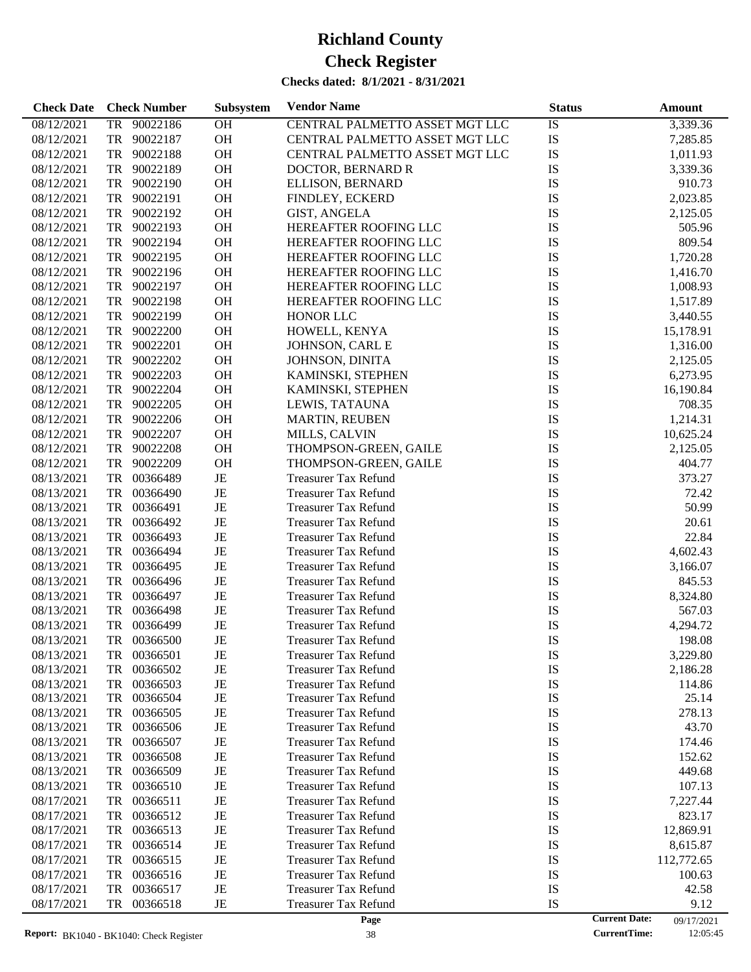| <b>Check Date</b>        | <b>Check Number</b>              | Subsystem | <b>Vendor Name</b>                                  | <b>Status</b> | <b>Amount</b>                      |
|--------------------------|----------------------------------|-----------|-----------------------------------------------------|---------------|------------------------------------|
| 08/12/2021               | TR 90022186                      | <b>OH</b> | CENTRAL PALMETTO ASSET MGT LLC                      | IS            | 3,339.36                           |
| 08/12/2021               | TR 90022187                      | OH        | CENTRAL PALMETTO ASSET MGT LLC                      | IS            | 7,285.85                           |
| 08/12/2021               | 90022188<br>TR                   | <b>OH</b> | CENTRAL PALMETTO ASSET MGT LLC                      | IS            | 1,011.93                           |
| 08/12/2021               | 90022189<br>TR                   | OH        | DOCTOR, BERNARD R                                   | IS            | 3,339.36                           |
| 08/12/2021               | 90022190<br>TR                   | OH        | ELLISON, BERNARD                                    | IS            | 910.73                             |
| 08/12/2021               | 90022191<br>TR                   | OH        | FINDLEY, ECKERD                                     | IS            | 2,023.85                           |
| 08/12/2021               | 90022192<br>TR                   | OH        | <b>GIST, ANGELA</b>                                 | IS            | 2,125.05                           |
| 08/12/2021               | 90022193<br>TR                   | OH        | HEREAFTER ROOFING LLC                               | IS            | 505.96                             |
| 08/12/2021               | 90022194<br>TR                   | OH        | HEREAFTER ROOFING LLC                               | IS            | 809.54                             |
| 08/12/2021               | 90022195<br>TR                   | OH        | HEREAFTER ROOFING LLC                               | IS            | 1,720.28                           |
| 08/12/2021               | 90022196<br>TR                   | <b>OH</b> | HEREAFTER ROOFING LLC                               | IS            | 1,416.70                           |
| 08/12/2021               | 90022197<br>TR                   | OH        | HEREAFTER ROOFING LLC                               | IS            | 1,008.93                           |
| 08/12/2021               | 90022198<br>TR                   | OH        | HEREAFTER ROOFING LLC                               | IS            | 1,517.89                           |
| 08/12/2021               | 90022199<br>TR                   | OH        | HONOR LLC                                           | IS            | 3,440.55                           |
| 08/12/2021               | 90022200<br>TR                   | OH        | HOWELL, KENYA                                       | IS            | 15,178.91                          |
| 08/12/2021               | 90022201<br>TR                   | OH        | JOHNSON, CARL E                                     | IS            | 1,316.00                           |
| 08/12/2021               | 90022202<br>TR                   | OH        | JOHNSON, DINITA                                     | IS            | 2,125.05                           |
| 08/12/2021               | 90022203<br>TR                   | OH        | KAMINSKI, STEPHEN                                   | IS            | 6,273.95                           |
| 08/12/2021               | 90022204<br>TR                   | OH        | KAMINSKI, STEPHEN                                   | IS            | 16,190.84                          |
| 08/12/2021               | 90022205<br>TR                   | OH        | LEWIS, TATAUNA                                      | IS            | 708.35                             |
| 08/12/2021               | 90022206<br>TR                   | OH        | <b>MARTIN, REUBEN</b>                               | IS            | 1,214.31                           |
| 08/12/2021               | 90022207<br>TR                   | OH        | MILLS, CALVIN                                       | IS            | 10,625.24                          |
| 08/12/2021               | 90022208<br>TR                   | OH        | THOMPSON-GREEN, GAILE                               | IS            | 2,125.05                           |
| 08/12/2021               | 90022209<br>TR                   | <b>OH</b> | THOMPSON-GREEN, GAILE                               | IS            | 404.77                             |
| 08/13/2021               | 00366489<br>TR                   | $\rm{JE}$ | <b>Treasurer Tax Refund</b>                         | IS            | 373.27                             |
| 08/13/2021               | 00366490<br>TR                   | JE        | <b>Treasurer Tax Refund</b>                         | IS            | 72.42                              |
| 08/13/2021               | 00366491<br>TR                   | JE        | <b>Treasurer Tax Refund</b>                         | IS            | 50.99                              |
| 08/13/2021               | TR<br>00366492                   | JE        | <b>Treasurer Tax Refund</b>                         | IS            | 20.61                              |
| 08/13/2021               | 00366493<br>TR                   | JE        | <b>Treasurer Tax Refund</b>                         | IS            | 22.84                              |
| 08/13/2021               | 00366494<br>TR                   | JE        | <b>Treasurer Tax Refund</b>                         | IS            | 4,602.43                           |
| 08/13/2021               | 00366495<br>TR                   | JE        | <b>Treasurer Tax Refund</b>                         | IS            | 3,166.07                           |
| 08/13/2021               | TR<br>00366496                   | JE        | <b>Treasurer Tax Refund</b>                         | IS            | 845.53                             |
| 08/13/2021               | 00366497<br>TR                   | JE        | <b>Treasurer Tax Refund</b>                         | IS            | 8,324.80                           |
| 08/13/2021               | TR<br>00366498                   | JE        | <b>Treasurer Tax Refund</b>                         | IS            | 567.03                             |
| 08/13/2021               | 00366499<br>TR                   | JE        | <b>Treasurer Tax Refund</b>                         | IS            |                                    |
|                          | TR 00366500                      | JE        |                                                     |               | 4,294.72                           |
| 08/13/2021               |                                  |           | <b>Treasurer Tax Refund</b>                         | IS            | 198.08                             |
| 08/13/2021               | TR<br>00366501                   | JE        | Treasurer Tax Refund                                | IS            | 3,229.80                           |
| 08/13/2021               | 00366502<br>TR                   | JE        | <b>Treasurer Tax Refund</b>                         | IS            | 2,186.28                           |
| 08/13/2021<br>08/13/2021 | 00366503<br>TR<br>TR<br>00366504 | JE<br>JE  | <b>Treasurer Tax Refund</b><br>Treasurer Tax Refund | IS<br>IS      | 114.86<br>25.14                    |
| 08/13/2021               | TR<br>00366505                   | JE        | Treasurer Tax Refund                                | IS            | 278.13                             |
| 08/13/2021               | TR<br>00366506                   | JE        | <b>Treasurer Tax Refund</b>                         | IS            | 43.70                              |
| 08/13/2021               | 00366507<br>TR                   | JE        | <b>Treasurer Tax Refund</b>                         | IS            | 174.46                             |
| 08/13/2021               | TR<br>00366508                   | JE        |                                                     | IS            |                                    |
|                          |                                  |           | <b>Treasurer Tax Refund</b>                         |               | 152.62                             |
| 08/13/2021               | 00366509<br>TR                   | JE        | <b>Treasurer Tax Refund</b>                         | IS            | 449.68                             |
| 08/13/2021               | TR<br>00366510                   | JE        | <b>Treasurer Tax Refund</b>                         | IS            | 107.13                             |
| 08/17/2021               | TR<br>00366511                   | JE        | <b>Treasurer Tax Refund</b>                         | IS            | 7,227.44                           |
| 08/17/2021               | TR<br>00366512                   | JE        | <b>Treasurer Tax Refund</b>                         | IS            | 823.17                             |
| 08/17/2021               | 00366513<br>TR                   | JE        | <b>Treasurer Tax Refund</b>                         | IS            | 12,869.91                          |
| 08/17/2021               | TR<br>00366514                   | JE        | <b>Treasurer Tax Refund</b>                         | IS            | 8,615.87                           |
| 08/17/2021               | TR<br>00366515                   | JE        | <b>Treasurer Tax Refund</b>                         | IS            | 112,772.65                         |
| 08/17/2021               | TR<br>00366516                   | JE        | <b>Treasurer Tax Refund</b>                         | IS            | 100.63                             |
| 08/17/2021               | 00366517<br>TR                   | JE        | <b>Treasurer Tax Refund</b>                         | IS            | 42.58                              |
| 08/17/2021               | TR<br>00366518                   | JE        | <b>Treasurer Tax Refund</b>                         | IS            | 9.12                               |
|                          |                                  |           | Page                                                |               | <b>Current Date:</b><br>09/17/2021 |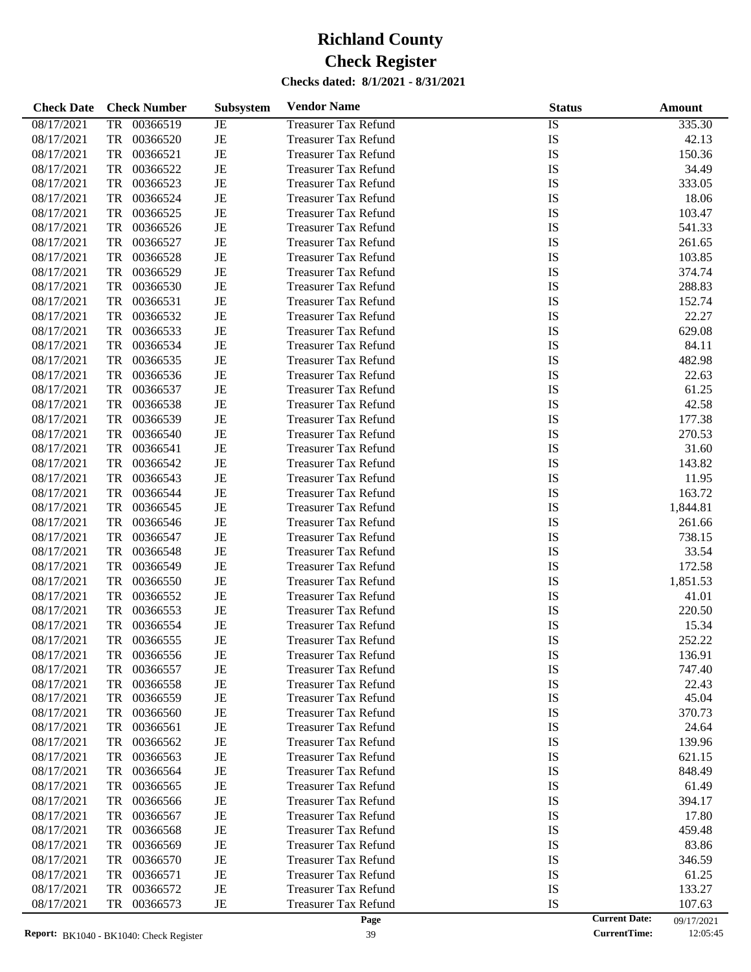| <b>Check Date</b> | <b>Check Number</b>   | Subsystem | <b>Vendor Name</b>          | <b>Status</b> | <b>Amount</b>                      |
|-------------------|-----------------------|-----------|-----------------------------|---------------|------------------------------------|
| 08/17/2021        | 00366519<br>TR        | JE        | <b>Treasurer Tax Refund</b> | IS            | 335.30                             |
| 08/17/2021        | TR<br>00366520        | $\rm{JE}$ | <b>Treasurer Tax Refund</b> | IS            | 42.13                              |
| 08/17/2021        | TR<br>00366521        | $\rm{JE}$ | <b>Treasurer Tax Refund</b> | IS            | 150.36                             |
| 08/17/2021        | TR<br>00366522        | JE        | <b>Treasurer Tax Refund</b> | IS            | 34.49                              |
| 08/17/2021        | TR<br>00366523        | JE        | <b>Treasurer Tax Refund</b> | IS            | 333.05                             |
| 08/17/2021        | TR<br>00366524        | $\rm{JE}$ | <b>Treasurer Tax Refund</b> | IS            | 18.06                              |
| 08/17/2021        | TR<br>00366525        | $\rm{JE}$ | <b>Treasurer Tax Refund</b> | IS            | 103.47                             |
| 08/17/2021        | TR<br>00366526        | JE        | <b>Treasurer Tax Refund</b> | IS            | 541.33                             |
| 08/17/2021        | TR<br>00366527        | $\rm{JE}$ | <b>Treasurer Tax Refund</b> | IS            | 261.65                             |
| 08/17/2021        | TR<br>00366528        | $\rm{JE}$ | <b>Treasurer Tax Refund</b> | IS            | 103.85                             |
| 08/17/2021        | TR<br>00366529        | $\rm{JE}$ | <b>Treasurer Tax Refund</b> | IS            | 374.74                             |
| 08/17/2021        | TR<br>00366530        | JE        | <b>Treasurer Tax Refund</b> | IS            | 288.83                             |
| 08/17/2021        | TR<br>00366531        | $\rm{JE}$ | <b>Treasurer Tax Refund</b> | IS            | 152.74                             |
| 08/17/2021        | TR<br>00366532        | $\rm{JE}$ | <b>Treasurer Tax Refund</b> | IS            | 22.27                              |
| 08/17/2021        | TR<br>00366533        | $\rm{JE}$ | <b>Treasurer Tax Refund</b> | IS            | 629.08                             |
| 08/17/2021        | TR<br>00366534        | JE        | <b>Treasurer Tax Refund</b> | IS            | 84.11                              |
| 08/17/2021        | TR<br>00366535        | $\rm{JE}$ | <b>Treasurer Tax Refund</b> | IS            | 482.98                             |
| 08/17/2021        | TR<br>00366536        | $\rm{JE}$ | <b>Treasurer Tax Refund</b> | IS            | 22.63                              |
| 08/17/2021        | TR<br>00366537        | $\rm{JE}$ | <b>Treasurer Tax Refund</b> | IS            | 61.25                              |
| 08/17/2021        | TR<br>00366538        | JE        | <b>Treasurer Tax Refund</b> | IS            | 42.58                              |
| 08/17/2021        | TR<br>00366539        | $\rm{JE}$ | <b>Treasurer Tax Refund</b> | IS            | 177.38                             |
| 08/17/2021        | TR<br>00366540        | $\rm{JE}$ | <b>Treasurer Tax Refund</b> | IS            | 270.53                             |
| 08/17/2021        | TR<br>00366541        | $\rm{JE}$ | <b>Treasurer Tax Refund</b> | IS            | 31.60                              |
| 08/17/2021        | TR<br>00366542        | JE        | <b>Treasurer Tax Refund</b> | IS            | 143.82                             |
| 08/17/2021        | TR<br>00366543        | $\rm{JE}$ | <b>Treasurer Tax Refund</b> | IS            | 11.95                              |
| 08/17/2021        | TR<br>00366544        | $\rm{JE}$ | <b>Treasurer Tax Refund</b> | IS            | 163.72                             |
| 08/17/2021        | TR<br>00366545        | $\rm{JE}$ | <b>Treasurer Tax Refund</b> | IS            | 1,844.81                           |
| 08/17/2021        | TR<br>00366546        | JE        | <b>Treasurer Tax Refund</b> | IS            | 261.66                             |
| 08/17/2021        | TR<br>00366547        | $\rm{JE}$ | <b>Treasurer Tax Refund</b> | IS            | 738.15                             |
| 08/17/2021        | TR<br>00366548        | $\rm{JE}$ | <b>Treasurer Tax Refund</b> | IS            | 33.54                              |
| 08/17/2021        | TR<br>00366549        | $\rm{JE}$ | <b>Treasurer Tax Refund</b> | IS            | 172.58                             |
| 08/17/2021        | TR<br>00366550        | JE        | <b>Treasurer Tax Refund</b> | IS            | 1,851.53                           |
| 08/17/2021        | TR<br>00366552        | $\rm{JE}$ | <b>Treasurer Tax Refund</b> | IS            | 41.01                              |
| 08/17/2021        | TR<br>00366553        | JE        | <b>Treasurer Tax Refund</b> | IS            | 220.50                             |
| 08/17/2021        | <b>TR</b><br>00366554 | JE        | <b>Treasurer Tax Refund</b> | IS            | 15.34                              |
| 08/17/2021        | TR<br>00366555        | JE        | <b>Treasurer Tax Refund</b> | IS            | 252.22                             |
| 08/17/2021        | 00366556<br>TR        | JE        | <b>Treasurer Tax Refund</b> | IS            | 136.91                             |
| 08/17/2021        | TR<br>00366557        | JE        | <b>Treasurer Tax Refund</b> | IS            | 747.40                             |
| 08/17/2021        | 00366558<br>TR        | JE        | <b>Treasurer Tax Refund</b> | IS            | 22.43                              |
| 08/17/2021        | TR<br>00366559        | JE        | Treasurer Tax Refund        | IS            | 45.04                              |
| 08/17/2021        | 00366560<br>TR        | JE        | <b>Treasurer Tax Refund</b> | IS            | 370.73                             |
| 08/17/2021        | 00366561<br>TR        | JE        | <b>Treasurer Tax Refund</b> | IS            | 24.64                              |
| 08/17/2021        | 00366562<br>TR        | JE        | <b>Treasurer Tax Refund</b> | IS            | 139.96                             |
| 08/17/2021        | 00366563<br>TR        | JE        | <b>Treasurer Tax Refund</b> | IS            | 621.15                             |
| 08/17/2021        | 00366564<br>TR        | JE        | <b>Treasurer Tax Refund</b> | IS            | 848.49                             |
| 08/17/2021        | 00366565<br>TR        | JE        | <b>Treasurer Tax Refund</b> | IS            | 61.49                              |
| 08/17/2021        | 00366566<br>TR        | JE        | <b>Treasurer Tax Refund</b> | IS            | 394.17                             |
| 08/17/2021        | 00366567<br>TR        | JE        | <b>Treasurer Tax Refund</b> | IS            | 17.80                              |
| 08/17/2021        | 00366568<br>TR        | JE        | <b>Treasurer Tax Refund</b> | IS            | 459.48                             |
| 08/17/2021        | 00366569<br>TR        | JE        | <b>Treasurer Tax Refund</b> | IS            | 83.86                              |
| 08/17/2021        | 00366570<br>TR        | JE        | <b>Treasurer Tax Refund</b> | IS            | 346.59                             |
| 08/17/2021        | 00366571<br>TR        | JE        | <b>Treasurer Tax Refund</b> | IS            | 61.25                              |
| 08/17/2021        | 00366572<br>TR        | JE        | <b>Treasurer Tax Refund</b> | IS            | 133.27                             |
| 08/17/2021        | 00366573<br>TR        | JE        | <b>Treasurer Tax Refund</b> | IS            | 107.63                             |
|                   |                       |           | Page                        |               | <b>Current Date:</b><br>09/17/2021 |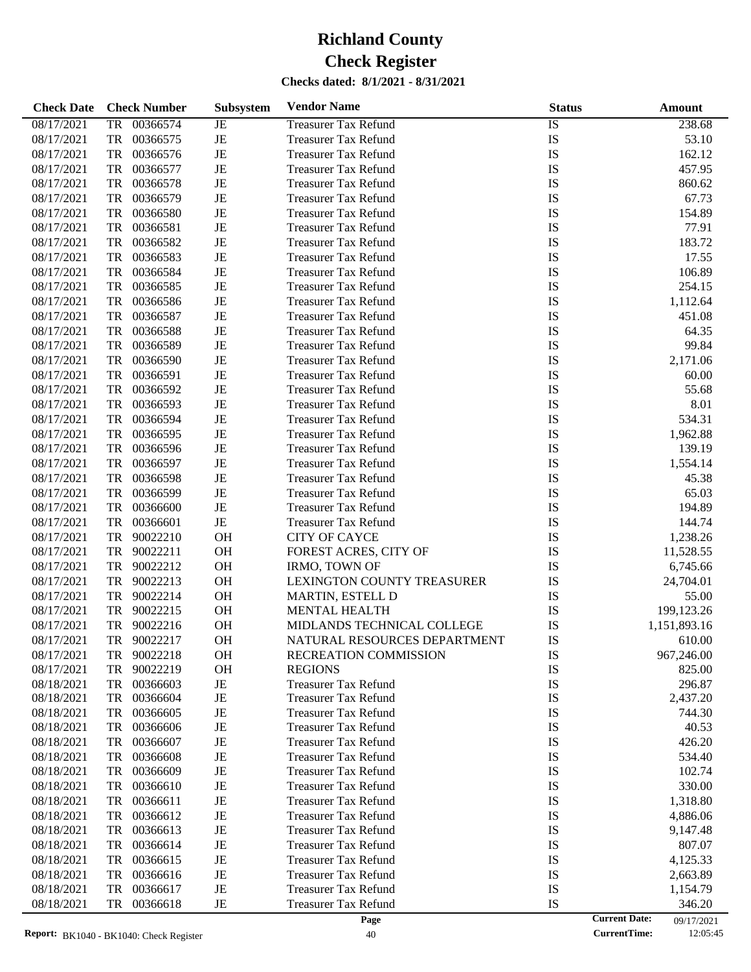| <b>Check Date</b> | <b>Check Number</b>   | Subsystem | <b>Vendor Name</b>           | <b>Status</b> | Amount                             |
|-------------------|-----------------------|-----------|------------------------------|---------------|------------------------------------|
| 08/17/2021        | 00366574<br><b>TR</b> | JE        | <b>Treasurer Tax Refund</b>  | IS            | 238.68                             |
| 08/17/2021        | <b>TR</b><br>00366575 | $\rm{JE}$ | <b>Treasurer Tax Refund</b>  | IS            | 53.10                              |
| 08/17/2021        | <b>TR</b><br>00366576 | $\rm{JE}$ | <b>Treasurer Tax Refund</b>  | IS            | 162.12                             |
| 08/17/2021        | <b>TR</b><br>00366577 | $\rm{JE}$ | <b>Treasurer Tax Refund</b>  | IS            | 457.95                             |
| 08/17/2021        | <b>TR</b><br>00366578 | $\rm{JE}$ | <b>Treasurer Tax Refund</b>  | IS            | 860.62                             |
| 08/17/2021        | <b>TR</b><br>00366579 | $\rm{JE}$ | <b>Treasurer Tax Refund</b>  | IS            | 67.73                              |
| 08/17/2021        | <b>TR</b><br>00366580 | $\rm{JE}$ | <b>Treasurer Tax Refund</b>  | IS            | 154.89                             |
| 08/17/2021        | <b>TR</b><br>00366581 | $\rm{JE}$ | <b>Treasurer Tax Refund</b>  | IS            | 77.91                              |
| 08/17/2021        | <b>TR</b><br>00366582 | $\rm{JE}$ | <b>Treasurer Tax Refund</b>  | IS            | 183.72                             |
| 08/17/2021        | <b>TR</b><br>00366583 | $\rm{JE}$ | <b>Treasurer Tax Refund</b>  | IS            | 17.55                              |
| 08/17/2021        | <b>TR</b><br>00366584 | $\rm{JE}$ | <b>Treasurer Tax Refund</b>  | IS            | 106.89                             |
| 08/17/2021        | <b>TR</b><br>00366585 | $\rm{JE}$ | <b>Treasurer Tax Refund</b>  | IS            | 254.15                             |
| 08/17/2021        | <b>TR</b><br>00366586 | $\rm{JE}$ | <b>Treasurer Tax Refund</b>  | IS            | 1,112.64                           |
| 08/17/2021        | <b>TR</b><br>00366587 | $\rm{JE}$ | <b>Treasurer Tax Refund</b>  | IS            | 451.08                             |
| 08/17/2021        | <b>TR</b><br>00366588 | $\rm{JE}$ | <b>Treasurer Tax Refund</b>  | IS            | 64.35                              |
| 08/17/2021        | <b>TR</b><br>00366589 | $\rm{JE}$ | <b>Treasurer Tax Refund</b>  | IS            | 99.84                              |
| 08/17/2021        | <b>TR</b><br>00366590 | $\rm{JE}$ | <b>Treasurer Tax Refund</b>  | IS            | 2,171.06                           |
| 08/17/2021        | <b>TR</b><br>00366591 | $\rm{JE}$ | <b>Treasurer Tax Refund</b>  | IS            | 60.00                              |
| 08/17/2021        | <b>TR</b><br>00366592 | $\rm{JE}$ | <b>Treasurer Tax Refund</b>  | IS            | 55.68                              |
| 08/17/2021        | <b>TR</b><br>00366593 | $\rm{JE}$ | <b>Treasurer Tax Refund</b>  | IS            | 8.01                               |
| 08/17/2021        | <b>TR</b><br>00366594 | $\rm{JE}$ | <b>Treasurer Tax Refund</b>  | IS            | 534.31                             |
| 08/17/2021        | <b>TR</b><br>00366595 | $\rm{JE}$ | <b>Treasurer Tax Refund</b>  | IS            | 1,962.88                           |
| 08/17/2021        | <b>TR</b><br>00366596 | $\rm{JE}$ | <b>Treasurer Tax Refund</b>  | IS            | 139.19                             |
| 08/17/2021        | <b>TR</b><br>00366597 | $\rm{JE}$ | <b>Treasurer Tax Refund</b>  | IS            | 1,554.14                           |
| 08/17/2021        | <b>TR</b><br>00366598 | $\rm{JE}$ | <b>Treasurer Tax Refund</b>  | IS            | 45.38                              |
| 08/17/2021        | <b>TR</b><br>00366599 | $\rm{JE}$ | <b>Treasurer Tax Refund</b>  | IS            | 65.03                              |
| 08/17/2021        | <b>TR</b><br>00366600 | $\rm{JE}$ | <b>Treasurer Tax Refund</b>  | IS            | 194.89                             |
| 08/17/2021        | <b>TR</b><br>00366601 | $\rm{JE}$ | <b>Treasurer Tax Refund</b>  | IS            | 144.74                             |
| 08/17/2021        | <b>TR</b><br>90022210 | OH        | <b>CITY OF CAYCE</b>         | IS            | 1,238.26                           |
| 08/17/2021        | <b>TR</b><br>90022211 | OH        | FOREST ACRES, CITY OF        | IS            | 11,528.55                          |
| 08/17/2021        | <b>TR</b><br>90022212 | OH        | <b>IRMO, TOWN OF</b>         | IS            | 6,745.66                           |
| 08/17/2021        | <b>TR</b><br>90022213 | OH        | LEXINGTON COUNTY TREASURER   | IS            | 24,704.01                          |
| 08/17/2021        | <b>TR</b><br>90022214 | OH        | MARTIN, ESTELL D             | IS            | 55.00                              |
| 08/17/2021        | <b>TR</b><br>90022215 | OH        | MENTAL HEALTH                | IS            | 199,123.26                         |
| 08/17/2021        | <b>TR</b><br>90022216 | OH        | MIDLANDS TECHNICAL COLLEGE   | IS            | 1,151,893.16                       |
| 08/17/2021        | <b>TR</b><br>90022217 | <b>OH</b> | NATURAL RESOURCES DEPARTMENT | IS            | 610.00                             |
| 08/17/2021        | 90022218<br>TR        | OH        | RECREATION COMMISSION        | IS            | 967,246.00                         |
| 08/17/2021        | 90022219<br>TR        | <b>OH</b> | <b>REGIONS</b>               | IS            | 825.00                             |
| 08/18/2021        | <b>TR</b><br>00366603 | $\rm{JE}$ | <b>Treasurer Tax Refund</b>  | IS            | 296.87                             |
| 08/18/2021        | 00366604<br>TR        | JE        | <b>Treasurer Tax Refund</b>  | IS            | 2,437.20                           |
| 08/18/2021        | 00366605<br>TR        | JE        | <b>Treasurer Tax Refund</b>  | IS            | 744.30                             |
| 08/18/2021        | 00366606<br>TR        | JE        | <b>Treasurer Tax Refund</b>  | IS            | 40.53                              |
| 08/18/2021        | 00366607<br>TR        | JE        | <b>Treasurer Tax Refund</b>  | IS            | 426.20                             |
| 08/18/2021        | 00366608<br>TR        | JE        | <b>Treasurer Tax Refund</b>  | IS            | 534.40                             |
| 08/18/2021        | 00366609<br>TR        | JE        | <b>Treasurer Tax Refund</b>  | IS            | 102.74                             |
| 08/18/2021        | 00366610<br>TR        | JE        | <b>Treasurer Tax Refund</b>  | IS            | 330.00                             |
| 08/18/2021        | 00366611<br>TR        | JE        | <b>Treasurer Tax Refund</b>  | IS            | 1,318.80                           |
| 08/18/2021        | 00366612<br>TR        | JE        | <b>Treasurer Tax Refund</b>  | IS            | 4,886.06                           |
| 08/18/2021        | 00366613<br>TR        | JE        | <b>Treasurer Tax Refund</b>  | IS            | 9,147.48                           |
| 08/18/2021        | 00366614<br>TR        | JE        | <b>Treasurer Tax Refund</b>  | IS            | 807.07                             |
| 08/18/2021        | 00366615<br>TR        | JE        | <b>Treasurer Tax Refund</b>  | IS            | 4,125.33                           |
| 08/18/2021        | 00366616<br>TR        | JE        | <b>Treasurer Tax Refund</b>  | IS            | 2,663.89                           |
| 08/18/2021        | 00366617<br>TR        | JE        | <b>Treasurer Tax Refund</b>  | IS            | 1,154.79                           |
| 08/18/2021        | 00366618<br>TR        | JE        | <b>Treasurer Tax Refund</b>  | IS            | 346.20                             |
|                   |                       |           | Page                         |               | <b>Current Date:</b><br>09/17/2021 |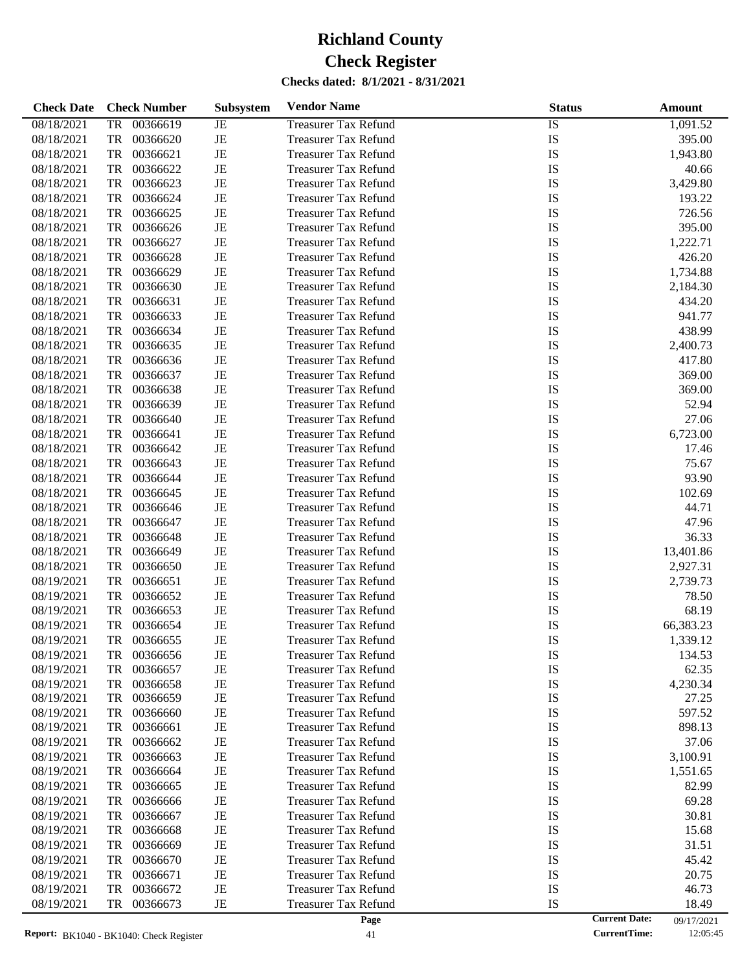| <b>Check Date</b> | <b>Check Number</b>   | Subsystem   | <b>Vendor Name</b>          | <b>Status</b> | Amount                             |
|-------------------|-----------------------|-------------|-----------------------------|---------------|------------------------------------|
| 08/18/2021        | 00366619<br><b>TR</b> | JE          | <b>Treasurer Tax Refund</b> | <b>IS</b>     | 1,091.52                           |
| 08/18/2021        | <b>TR</b><br>00366620 | $\rm{JE}$   | <b>Treasurer Tax Refund</b> | IS            | 395.00                             |
| 08/18/2021        | TR<br>00366621        | $\rm{JE}$   | <b>Treasurer Tax Refund</b> | IS            | 1,943.80                           |
| 08/18/2021        | <b>TR</b><br>00366622 | $\rm{JE}$   | <b>Treasurer Tax Refund</b> | IS            | 40.66                              |
| 08/18/2021        | <b>TR</b><br>00366623 | $\rm{JE}$   | <b>Treasurer Tax Refund</b> | IS            | 3,429.80                           |
| 08/18/2021        | <b>TR</b><br>00366624 | $\rm{JE}$   | <b>Treasurer Tax Refund</b> | IS            | 193.22                             |
| 08/18/2021        | <b>TR</b><br>00366625 | $\rm{JE}$   | <b>Treasurer Tax Refund</b> | IS            | 726.56                             |
| 08/18/2021        | <b>TR</b><br>00366626 | $\rm{JE}$   | <b>Treasurer Tax Refund</b> | IS            | 395.00                             |
| 08/18/2021        | <b>TR</b><br>00366627 | $\rm{JE}$   | <b>Treasurer Tax Refund</b> | IS            | 1,222.71                           |
| 08/18/2021        | <b>TR</b><br>00366628 | $\rm{JE}$   | <b>Treasurer Tax Refund</b> | IS            | 426.20                             |
| 08/18/2021        | <b>TR</b><br>00366629 | $\rm{JE}$   | <b>Treasurer Tax Refund</b> | IS            | 1,734.88                           |
| 08/18/2021        | <b>TR</b><br>00366630 | $\rm{JE}$   | <b>Treasurer Tax Refund</b> | IS            | 2,184.30                           |
| 08/18/2021        | <b>TR</b><br>00366631 | $\rm{JE}$   | <b>Treasurer Tax Refund</b> | IS            | 434.20                             |
| 08/18/2021        | <b>TR</b><br>00366633 | $\rm{JE}$   | <b>Treasurer Tax Refund</b> | IS            | 941.77                             |
| 08/18/2021        | <b>TR</b><br>00366634 | $\rm{JE}$   | <b>Treasurer Tax Refund</b> | IS            | 438.99                             |
| 08/18/2021        | <b>TR</b><br>00366635 | $\rm{JE}$   | <b>Treasurer Tax Refund</b> | IS            | 2,400.73                           |
| 08/18/2021        | <b>TR</b><br>00366636 | $\rm{JE}$   | <b>Treasurer Tax Refund</b> | IS            | 417.80                             |
| 08/18/2021        | <b>TR</b><br>00366637 | $\rm{JE}$   | <b>Treasurer Tax Refund</b> | IS            | 369.00                             |
| 08/18/2021        | <b>TR</b><br>00366638 | $\rm{JE}$   | <b>Treasurer Tax Refund</b> | IS            | 369.00                             |
| 08/18/2021        | <b>TR</b><br>00366639 | $\rm{JE}$   | <b>Treasurer Tax Refund</b> | IS            | 52.94                              |
| 08/18/2021        | <b>TR</b><br>00366640 | $\rm{JE}$   | <b>Treasurer Tax Refund</b> | IS            | 27.06                              |
| 08/18/2021        | <b>TR</b><br>00366641 | $\rm{JE}$   | <b>Treasurer Tax Refund</b> | IS            | 6,723.00                           |
| 08/18/2021        | <b>TR</b><br>00366642 | $\rm{JE}$   | <b>Treasurer Tax Refund</b> | IS            | 17.46                              |
| 08/18/2021        | <b>TR</b><br>00366643 | $\rm{JE}$   | <b>Treasurer Tax Refund</b> | IS            | 75.67                              |
| 08/18/2021        | <b>TR</b><br>00366644 | $\rm{JE}$   | <b>Treasurer Tax Refund</b> | IS            | 93.90                              |
| 08/18/2021        | <b>TR</b><br>00366645 | $\rm{JE}$   | <b>Treasurer Tax Refund</b> | IS            | 102.69                             |
| 08/18/2021        | <b>TR</b><br>00366646 | $\rm{JE}$   | <b>Treasurer Tax Refund</b> | IS            | 44.71                              |
| 08/18/2021        | <b>TR</b><br>00366647 | $\rm{JE}$   | <b>Treasurer Tax Refund</b> | IS            | 47.96                              |
| 08/18/2021        | <b>TR</b><br>00366648 | $\rm{JE}$   | <b>Treasurer Tax Refund</b> | IS            | 36.33                              |
| 08/18/2021        | <b>TR</b><br>00366649 | $\rm{JE}$   | <b>Treasurer Tax Refund</b> | IS            | 13,401.86                          |
| 08/18/2021        | <b>TR</b><br>00366650 | $\rm{JE}$   | <b>Treasurer Tax Refund</b> | IS            | 2,927.31                           |
| 08/19/2021        | <b>TR</b><br>00366651 | $\rm{JE}$   | <b>Treasurer Tax Refund</b> | IS            | 2,739.73                           |
| 08/19/2021        | <b>TR</b><br>00366652 | $\rm{JE}$   | <b>Treasurer Tax Refund</b> | IS            | 78.50                              |
| 08/19/2021        | <b>TR</b><br>00366653 | $\rm{JE}$   | <b>Treasurer Tax Refund</b> | IS            | 68.19                              |
| 08/19/2021        | <b>TR</b><br>00366654 | $\rm{JE}$   | <b>Treasurer Tax Refund</b> | IS            | 66,383.23                          |
| 08/19/2021        | <b>TR</b><br>00366655 | $_{\rm JE}$ | <b>Treasurer Tax Refund</b> | IS            | 1,339.12                           |
| 08/19/2021        | 00366656<br>TR        | JE          | Treasurer Tax Refund        | IS            | 134.53                             |
| 08/19/2021        | TR<br>00366657        | JE          | <b>Treasurer Tax Refund</b> | IS            | 62.35                              |
| 08/19/2021        | 00366658<br>TR        | JE          | <b>Treasurer Tax Refund</b> | IS            | 4,230.34                           |
| 08/19/2021        | 00366659<br>TR        | JE          | <b>Treasurer Tax Refund</b> | IS            | 27.25                              |
| 08/19/2021        | 00366660<br>TR        | JE          | <b>Treasurer Tax Refund</b> | IS            | 597.52                             |
| 08/19/2021        | TR<br>00366661        | JE          | <b>Treasurer Tax Refund</b> | IS            | 898.13                             |
| 08/19/2021        | TR<br>00366662        | JE          | <b>Treasurer Tax Refund</b> | IS            | 37.06                              |
| 08/19/2021        | TR<br>00366663        | JE          | <b>Treasurer Tax Refund</b> | IS            | 3,100.91                           |
| 08/19/2021        | 00366664<br>TR        | JE          | <b>Treasurer Tax Refund</b> | IS            | 1,551.65                           |
| 08/19/2021        | TR<br>00366665        | JE          | <b>Treasurer Tax Refund</b> | IS            | 82.99                              |
| 08/19/2021        | TR<br>00366666        | JE          | <b>Treasurer Tax Refund</b> | IS            | 69.28                              |
| 08/19/2021        | 00366667<br>TR        | JE          | <b>Treasurer Tax Refund</b> | IS            | 30.81                              |
| 08/19/2021        | TR<br>00366668        | JE          | <b>Treasurer Tax Refund</b> | IS            | 15.68                              |
| 08/19/2021        | TR<br>00366669        | JE          | <b>Treasurer Tax Refund</b> | IS            | 31.51                              |
| 08/19/2021        | 00366670<br>TR        | JE          | <b>Treasurer Tax Refund</b> | IS            | 45.42                              |
| 08/19/2021        | 00366671<br>TR        | JE          | <b>Treasurer Tax Refund</b> | IS            | 20.75                              |
| 08/19/2021        | 00366672<br>TR        | JE          | <b>Treasurer Tax Refund</b> | IS            | 46.73                              |
| 08/19/2021        | 00366673<br>TR        | JE          | <b>Treasurer Tax Refund</b> | IS            | 18.49                              |
|                   |                       |             | Page                        |               | <b>Current Date:</b><br>09/17/2021 |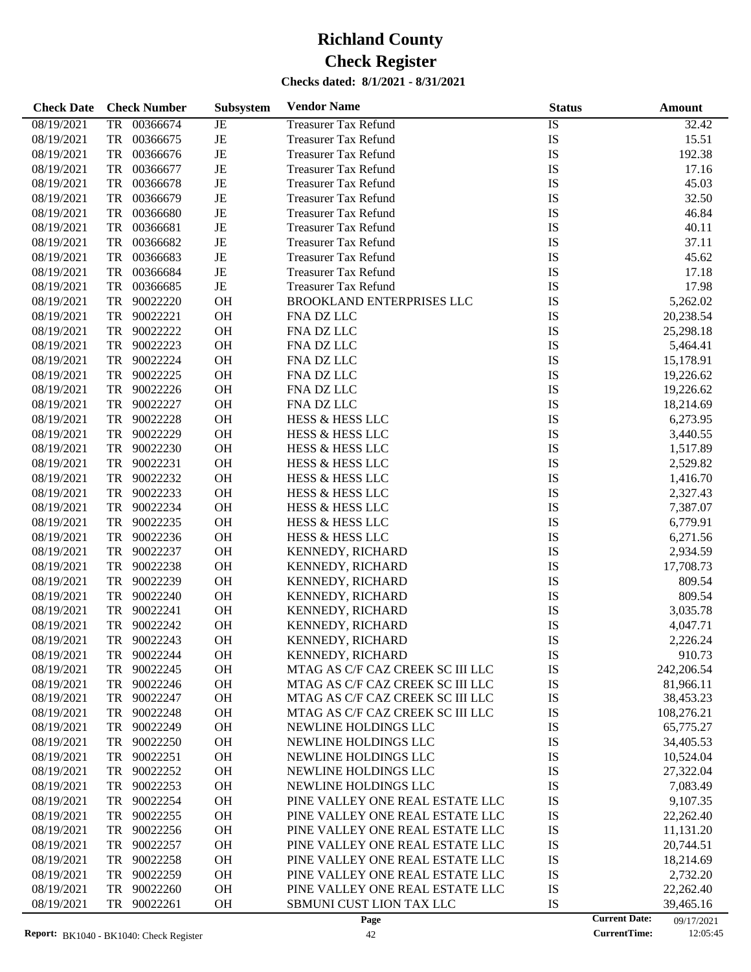| <b>Check Date</b> | <b>Check Number</b>        | Subsystem       | <b>Vendor Name</b>               | <b>Status</b>   | Amount                             |
|-------------------|----------------------------|-----------------|----------------------------------|-----------------|------------------------------------|
| 08/19/2021        | <b>TR</b><br>00366674      | $\overline{JE}$ | <b>Treasurer Tax Refund</b>      | $\overline{IS}$ | 32.42                              |
| 08/19/2021        | 00366675<br>TR             | JE              | <b>Treasurer Tax Refund</b>      | IS              | 15.51                              |
| 08/19/2021        | 00366676<br>TR             | JE              | <b>Treasurer Tax Refund</b>      | IS              | 192.38                             |
| 08/19/2021        | TR<br>00366677             | JE              | <b>Treasurer Tax Refund</b>      | IS              | 17.16                              |
| 08/19/2021        | TR<br>00366678             | JE              | <b>Treasurer Tax Refund</b>      | IS              | 45.03                              |
| 08/19/2021        | TR<br>00366679             | JE              | <b>Treasurer Tax Refund</b>      | IS              | 32.50                              |
| 08/19/2021        | TR<br>00366680             | JE              | <b>Treasurer Tax Refund</b>      | IS              | 46.84                              |
| 08/19/2021        | TR<br>00366681             | JE              | <b>Treasurer Tax Refund</b>      | IS              | 40.11                              |
| 08/19/2021        | TR<br>00366682             | JE              | <b>Treasurer Tax Refund</b>      | IS              | 37.11                              |
| 08/19/2021        | TR<br>00366683             | JE              | <b>Treasurer Tax Refund</b>      | IS              | 45.62                              |
| 08/19/2021        | TR<br>00366684             | JE              | <b>Treasurer Tax Refund</b>      | IS              | 17.18                              |
| 08/19/2021        | 00366685<br>TR             | $\rm{JE}$       | <b>Treasurer Tax Refund</b>      | IS              | 17.98                              |
| 08/19/2021        | TR<br>90022220             | OH              | BROOKLAND ENTERPRISES LLC        | IS              | 5,262.02                           |
| 08/19/2021        | TR<br>90022221             | OH              | FNA DZ LLC                       | IS              | 20,238.54                          |
| 08/19/2021        | TR<br>90022222             | OH              | FNA DZ LLC                       | IS              | 25,298.18                          |
| 08/19/2021        | TR<br>90022223             | OH              | FNA DZ LLC                       | IS              | 5,464.41                           |
| 08/19/2021        | 90022224<br>TR             | OH              | FNA DZ LLC                       | IS              | 15,178.91                          |
|                   | TR<br>90022225             | OH              | FNA DZ LLC                       | IS              |                                    |
| 08/19/2021        |                            |                 |                                  |                 | 19,226.62                          |
| 08/19/2021        | TR<br>90022226<br>90022227 | OH              | FNA DZ LLC                       | IS              | 19,226.62                          |
| 08/19/2021        | TR                         | OH              | FNA DZ LLC                       | IS              | 18,214.69                          |
| 08/19/2021        | TR<br>90022228             | OH              | HESS & HESS LLC                  | IS              | 6,273.95                           |
| 08/19/2021        | 90022229<br>TR             | OH              | HESS & HESS LLC                  | IS              | 3,440.55                           |
| 08/19/2021        | TR<br>90022230             | OH              | <b>HESS &amp; HESS LLC</b>       | IS              | 1,517.89                           |
| 08/19/2021        | 90022231<br>TR             | OH              | HESS & HESS LLC                  | IS              | 2,529.82                           |
| 08/19/2021        | 90022232<br>TR             | OH              | HESS & HESS LLC                  | IS              | 1,416.70                           |
| 08/19/2021        | TR<br>90022233             | OH              | HESS & HESS LLC                  | IS              | 2,327.43                           |
| 08/19/2021        | 90022234<br>TR             | OH              | HESS & HESS LLC                  | IS              | 7,387.07                           |
| 08/19/2021        | TR<br>90022235             | OH              | HESS & HESS LLC                  | IS              | 6,779.91                           |
| 08/19/2021        | TR<br>90022236             | OH              | HESS & HESS LLC                  | IS              | 6,271.56                           |
| 08/19/2021        | 90022237<br>TR             | OH              | KENNEDY, RICHARD                 | IS              | 2,934.59                           |
| 08/19/2021        | TR<br>90022238             | OH              | KENNEDY, RICHARD                 | IS              | 17,708.73                          |
| 08/19/2021        | 90022239<br>TR             | OH              | KENNEDY, RICHARD                 | IS              | 809.54                             |
| 08/19/2021        | TR<br>90022240             | OH              | KENNEDY, RICHARD                 | IS              | 809.54                             |
| 08/19/2021        | TR<br>90022241             | OH              | KENNEDY, RICHARD                 | IS              | 3,035.78                           |
| 08/19/2021        | TR<br>90022242             | OH              | KENNEDY, RICHARD                 | IS              | 4,047.71                           |
| 08/19/2021        | TR<br>90022243             | OH              | KENNEDY, RICHARD                 | IS              | 2,226.24                           |
| 08/19/2021        | 90022244<br>TR             | OH              | KENNEDY, RICHARD                 | IS              | 910.73                             |
| 08/19/2021        | 90022245<br>TR             | OH              | MTAG AS C/F CAZ CREEK SC III LLC | IS              | 242,206.54                         |
| 08/19/2021        | 90022246<br>TR             | OH              | MTAG AS C/F CAZ CREEK SC III LLC | IS              | 81,966.11                          |
| 08/19/2021        | TR<br>90022247             | OH              | MTAG AS C/F CAZ CREEK SC III LLC | IS              | 38,453.23                          |
| 08/19/2021        | TR<br>90022248             | OH              | MTAG AS C/F CAZ CREEK SC III LLC | IS              | 108,276.21                         |
| 08/19/2021        | TR<br>90022249             | <b>OH</b>       | NEWLINE HOLDINGS LLC             | IS              | 65,775.27                          |
| 08/19/2021        | 90022250<br>TR             | <b>OH</b>       | NEWLINE HOLDINGS LLC             | IS              | 34,405.53                          |
| 08/19/2021        | 90022251<br>TR             | OH              | NEWLINE HOLDINGS LLC             | IS              | 10,524.04                          |
| 08/19/2021        | 90022252<br>TR             | OH              | NEWLINE HOLDINGS LLC             | IS              | 27,322.04                          |
| 08/19/2021        | TR<br>90022253             | OH              | NEWLINE HOLDINGS LLC             | IS              | 7,083.49                           |
| 08/19/2021        | TR<br>90022254             | OH              | PINE VALLEY ONE REAL ESTATE LLC  | IS              | 9,107.35                           |
| 08/19/2021        | TR<br>90022255             | OH              | PINE VALLEY ONE REAL ESTATE LLC  | IS              | 22,262.40                          |
| 08/19/2021        | TR<br>90022256             | OH              | PINE VALLEY ONE REAL ESTATE LLC  | IS              | 11,131.20                          |
| 08/19/2021        | TR<br>90022257             | OH              | PINE VALLEY ONE REAL ESTATE LLC  | IS              | 20,744.51                          |
| 08/19/2021        | TR<br>90022258             | OH              | PINE VALLEY ONE REAL ESTATE LLC  | IS              | 18,214.69                          |
| 08/19/2021        | TR<br>90022259             | OH              | PINE VALLEY ONE REAL ESTATE LLC  | IS              | 2,732.20                           |
| 08/19/2021        | 90022260<br>TR             | OH              | PINE VALLEY ONE REAL ESTATE LLC  | IS              | 22,262.40                          |
| 08/19/2021        | 90022261<br>TR             | OH              | SBMUNI CUST LION TAX LLC         | IS              | 39,465.16                          |
|                   |                            |                 | Page                             |                 | <b>Current Date:</b><br>09/17/2021 |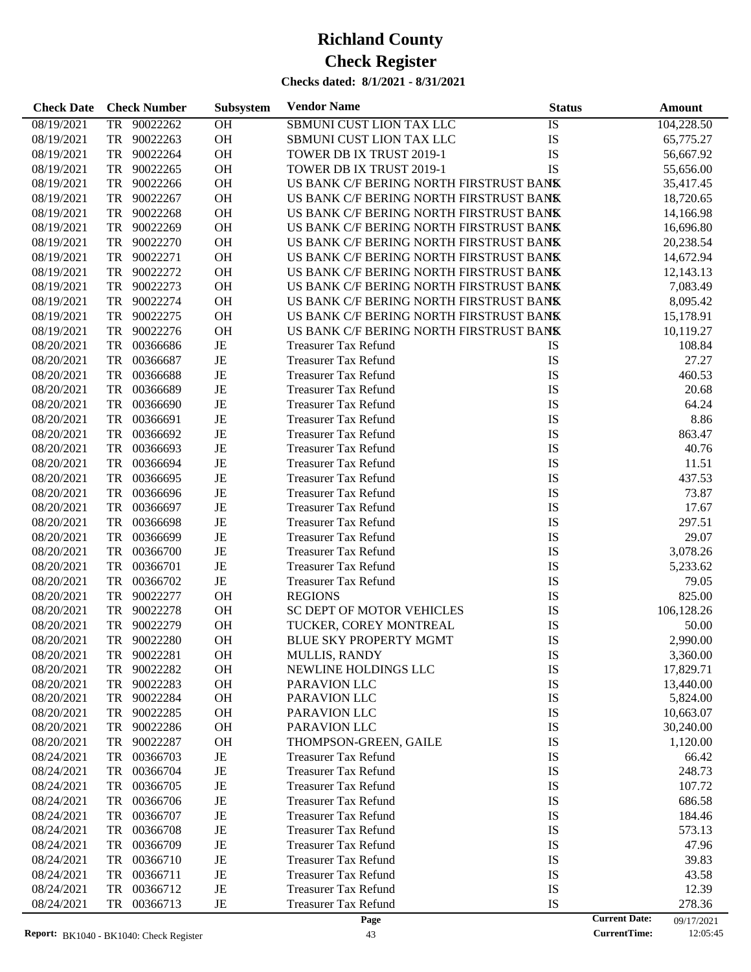| <b>Check Date</b> | <b>Check Number</b>   | Subsystem | <b>Vendor Name</b>                      | <b>Status</b> | Amount                             |
|-------------------|-----------------------|-----------|-----------------------------------------|---------------|------------------------------------|
| 08/19/2021        | 90022262<br>TR        | OH        | SBMUNI CUST LION TAX LLC                | IS            | 104,228.50                         |
| 08/19/2021        | TR<br>90022263        | OH        | SBMUNI CUST LION TAX LLC                | IS            | 65,775.27                          |
| 08/19/2021        | TR<br>90022264        | OH        | TOWER DB IX TRUST 2019-1                | IS            | 56,667.92                          |
| 08/19/2021        | TR<br>90022265        | OH        | TOWER DB IX TRUST 2019-1                | IS            | 55,656.00                          |
| 08/19/2021        | TR<br>90022266        | OH        | US BANK C/F BERING NORTH FIRSTRUST BANK |               | 35,417.45                          |
| 08/19/2021        | TR<br>90022267        | OH        | US BANK C/F BERING NORTH FIRSTRUST BANK |               | 18,720.65                          |
| 08/19/2021        | TR<br>90022268        | OH        | US BANK C/F BERING NORTH FIRSTRUST BANK |               | 14,166.98                          |
| 08/19/2021        | TR<br>90022269        | OH        | US BANK C/F BERING NORTH FIRSTRUST BANK |               | 16,696.80                          |
| 08/19/2021        | TR<br>90022270        | OH        | US BANK C/F BERING NORTH FIRSTRUST BANK |               | 20,238.54                          |
| 08/19/2021        | TR<br>90022271        | OH        | US BANK C/F BERING NORTH FIRSTRUST BANK |               | 14,672.94                          |
| 08/19/2021        | TR<br>90022272        | OH        | US BANK C/F BERING NORTH FIRSTRUST BANK |               | 12,143.13                          |
| 08/19/2021        | TR<br>90022273        | OH        | US BANK C/F BERING NORTH FIRSTRUST BANK |               | 7,083.49                           |
| 08/19/2021        | TR<br>90022274        | OH        | US BANK C/F BERING NORTH FIRSTRUST BANK |               | 8,095.42                           |
| 08/19/2021        | TR<br>90022275        | OH        | US BANK C/F BERING NORTH FIRSTRUST BANK |               | 15,178.91                          |
| 08/19/2021        | TR<br>90022276        | OH        | US BANK C/F BERING NORTH FIRSTRUST BANK |               | 10,119.27                          |
| 08/20/2021        | TR<br>00366686        | JE        | <b>Treasurer Tax Refund</b>             | IS            | 108.84                             |
| 08/20/2021        | TR<br>00366687        | JE        | <b>Treasurer Tax Refund</b>             | IS            | 27.27                              |
| 08/20/2021        | TR<br>00366688        | $\rm{JE}$ | <b>Treasurer Tax Refund</b>             | IS            | 460.53                             |
| 08/20/2021        | TR<br>00366689        | JE        | <b>Treasurer Tax Refund</b>             | IS            | 20.68                              |
| 08/20/2021        | TR<br>00366690        | JE        | <b>Treasurer Tax Refund</b>             | IS            | 64.24                              |
| 08/20/2021        | TR<br>00366691        | JE        | <b>Treasurer Tax Refund</b>             | IS            | 8.86                               |
| 08/20/2021        | TR<br>00366692        | JE        | <b>Treasurer Tax Refund</b>             | IS            | 863.47                             |
| 08/20/2021        | TR<br>00366693        | JE        | <b>Treasurer Tax Refund</b>             | IS            | 40.76                              |
| 08/20/2021        | TR<br>00366694        | JE        | <b>Treasurer Tax Refund</b>             | IS            | 11.51                              |
| 08/20/2021        | TR<br>00366695        | JE        | <b>Treasurer Tax Refund</b>             | IS            | 437.53                             |
| 08/20/2021        | TR<br>00366696        | JE        | <b>Treasurer Tax Refund</b>             | IS            | 73.87                              |
| 08/20/2021        | TR<br>00366697        | JE        | <b>Treasurer Tax Refund</b>             | IS            | 17.67                              |
| 08/20/2021        | TR<br>00366698        | $\rm{JE}$ | <b>Treasurer Tax Refund</b>             | IS            | 297.51                             |
| 08/20/2021        | TR<br>00366699        | JE        | <b>Treasurer Tax Refund</b>             | IS            | 29.07                              |
| 08/20/2021        | TR<br>00366700        | JE        | <b>Treasurer Tax Refund</b>             | IS            | 3,078.26                           |
| 08/20/2021        | TR<br>00366701        | JE        | <b>Treasurer Tax Refund</b>             | IS            | 5,233.62                           |
| 08/20/2021        | TR<br>00366702        | JE        | <b>Treasurer Tax Refund</b>             | IS            | 79.05                              |
| 08/20/2021        | TR<br>90022277        | OH        | <b>REGIONS</b>                          | IS            | 825.00                             |
| 08/20/2021        | TR<br>90022278        | OH        | SC DEPT OF MOTOR VEHICLES               | IS            | 106,128.26                         |
| 08/20/2021        | <b>TR</b><br>90022279 | OH        | TUCKER, COREY MONTREAL                  | IS            | 50.00                              |
| 08/20/2021        | <b>TR</b><br>90022280 | <b>OH</b> | <b>BLUE SKY PROPERTY MGMT</b>           | IS            | 2,990.00                           |
| 08/20/2021        | 90022281<br>TR        | OH        | MULLIS, RANDY                           | IS            | 3,360.00                           |
| 08/20/2021        | 90022282<br>TR        | <b>OH</b> | NEWLINE HOLDINGS LLC                    | IS            | 17,829.71                          |
| 08/20/2021        | <b>TR</b><br>90022283 | OH        | PARAVION LLC                            | IS            | 13,440.00                          |
| 08/20/2021        | 90022284<br>TR        | <b>OH</b> | PARAVION LLC                            | IS            | 5,824.00                           |
| 08/20/2021        | 90022285<br>TR        | <b>OH</b> | PARAVION LLC                            | IS            | 10,663.07                          |
| 08/20/2021        | 90022286<br>TR        | OH        | PARAVION LLC                            | IS            | 30,240.00                          |
| 08/20/2021        | 90022287<br>TR        | <b>OH</b> | THOMPSON-GREEN, GAILE                   | IS            | 1,120.00                           |
| 08/24/2021        | 00366703<br>TR        | JE        | <b>Treasurer Tax Refund</b>             | IS            | 66.42                              |
| 08/24/2021        | 00366704<br>TR        | JE        | <b>Treasurer Tax Refund</b>             | IS            | 248.73                             |
| 08/24/2021        | 00366705<br>TR        | JE        | <b>Treasurer Tax Refund</b>             | IS            | 107.72                             |
| 08/24/2021        | TR<br>00366706        | JE        | <b>Treasurer Tax Refund</b>             | IS            | 686.58                             |
| 08/24/2021        | TR<br>00366707        | JE        | <b>Treasurer Tax Refund</b>             | IS            | 184.46                             |
| 08/24/2021        | 00366708<br>TR        | JE        | <b>Treasurer Tax Refund</b>             | IS            | 573.13                             |
| 08/24/2021        | 00366709<br>TR        | JE        | <b>Treasurer Tax Refund</b>             | IS            | 47.96                              |
| 08/24/2021        | 00366710<br>TR        | JE        | <b>Treasurer Tax Refund</b>             | IS            | 39.83                              |
| 08/24/2021        | TR<br>00366711        | JE        | <b>Treasurer Tax Refund</b>             | IS            | 43.58                              |
| 08/24/2021        | 00366712<br>TR        | JE        | <b>Treasurer Tax Refund</b>             | IS            | 12.39                              |
| 08/24/2021        | 00366713<br>TR        | JE        | <b>Treasurer Tax Refund</b>             | IS            | 278.36                             |
|                   |                       |           | Page                                    |               | <b>Current Date:</b><br>09/17/2021 |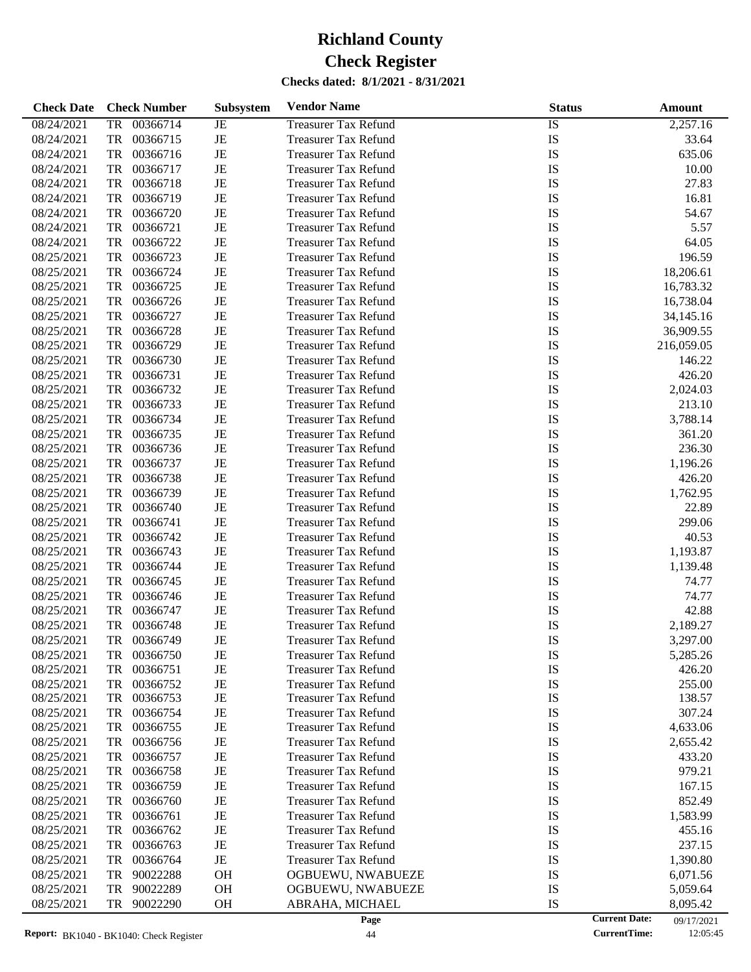| <b>Check Date</b>        | <b>Check Number</b>   | <b>Subsystem</b> | <b>Vendor Name</b>                                         | <b>Status</b>              | Amount                 |
|--------------------------|-----------------------|------------------|------------------------------------------------------------|----------------------------|------------------------|
| 08/24/2021               | 00366714<br><b>TR</b> | JE               | <b>Treasurer Tax Refund</b>                                | IS                         | 2,257.16               |
| 08/24/2021               | <b>TR</b><br>00366715 | $\rm{JE}$        | <b>Treasurer Tax Refund</b>                                | IS                         | 33.64                  |
| 08/24/2021               | <b>TR</b><br>00366716 | JE               | <b>Treasurer Tax Refund</b>                                | IS                         | 635.06                 |
| 08/24/2021               | <b>TR</b><br>00366717 | $_{\rm JE}$      | <b>Treasurer Tax Refund</b>                                | IS                         | 10.00                  |
| 08/24/2021               | <b>TR</b><br>00366718 | JE               | <b>Treasurer Tax Refund</b>                                | IS                         | 27.83                  |
| 08/24/2021               | <b>TR</b><br>00366719 | JE               | <b>Treasurer Tax Refund</b>                                | IS                         | 16.81                  |
| 08/24/2021               | <b>TR</b><br>00366720 | $\rm{JE}$        | <b>Treasurer Tax Refund</b>                                | IS                         | 54.67                  |
| 08/24/2021               | <b>TR</b><br>00366721 | JE               | <b>Treasurer Tax Refund</b>                                | IS                         | 5.57                   |
| 08/24/2021               | <b>TR</b><br>00366722 | JE               | <b>Treasurer Tax Refund</b>                                | IS                         | 64.05                  |
| 08/25/2021               | <b>TR</b><br>00366723 | JE               | <b>Treasurer Tax Refund</b>                                | IS                         | 196.59                 |
| 08/25/2021               | <b>TR</b><br>00366724 | $\rm{JE}$        | <b>Treasurer Tax Refund</b>                                | IS                         | 18,206.61              |
| 08/25/2021               | <b>TR</b><br>00366725 | JE               | <b>Treasurer Tax Refund</b>                                | IS                         | 16,783.32              |
| 08/25/2021               | <b>TR</b><br>00366726 | JE               | <b>Treasurer Tax Refund</b>                                | IS                         | 16,738.04              |
| 08/25/2021               | <b>TR</b><br>00366727 | $\rm{JE}$        | <b>Treasurer Tax Refund</b>                                | IS                         | 34,145.16              |
| 08/25/2021               | <b>TR</b><br>00366728 | JE               | <b>Treasurer Tax Refund</b>                                | IS                         | 36,909.55              |
| 08/25/2021               | <b>TR</b><br>00366729 | JE               | <b>Treasurer Tax Refund</b>                                | IS                         | 216,059.05             |
| 08/25/2021               | <b>TR</b><br>00366730 | JE               | <b>Treasurer Tax Refund</b>                                | IS                         | 146.22                 |
| 08/25/2021               | <b>TR</b><br>00366731 | $\rm{JE}$        | <b>Treasurer Tax Refund</b>                                | IS                         | 426.20                 |
| 08/25/2021               | <b>TR</b><br>00366732 | JE               | <b>Treasurer Tax Refund</b>                                | IS                         | 2,024.03               |
| 08/25/2021               | <b>TR</b><br>00366733 | JE               | <b>Treasurer Tax Refund</b>                                | IS                         | 213.10                 |
| 08/25/2021               | <b>TR</b><br>00366734 | JE               | <b>Treasurer Tax Refund</b>                                | IS                         | 3,788.14               |
| 08/25/2021               | <b>TR</b><br>00366735 | $\rm{JE}$        | <b>Treasurer Tax Refund</b>                                | IS                         | 361.20                 |
| 08/25/2021               | <b>TR</b><br>00366736 | JE               | <b>Treasurer Tax Refund</b>                                | IS                         | 236.30                 |
| 08/25/2021               | <b>TR</b><br>00366737 | JE               | <b>Treasurer Tax Refund</b>                                | IS                         | 1,196.26               |
| 08/25/2021               | <b>TR</b><br>00366738 | JE               | <b>Treasurer Tax Refund</b>                                | IS                         | 426.20                 |
| 08/25/2021               | <b>TR</b><br>00366739 | JE               |                                                            | IS                         |                        |
| 08/25/2021               | <b>TR</b><br>00366740 | JE               | <b>Treasurer Tax Refund</b>                                | IS                         | 1,762.95<br>22.89      |
| 08/25/2021               | <b>TR</b><br>00366741 | $\rm{JE}$        | <b>Treasurer Tax Refund</b>                                | IS                         | 299.06                 |
| 08/25/2021               | <b>TR</b><br>00366742 | $\rm{JE}$        | <b>Treasurer Tax Refund</b><br><b>Treasurer Tax Refund</b> | IS                         | 40.53                  |
| 08/25/2021               | <b>TR</b><br>00366743 | JE               | <b>Treasurer Tax Refund</b>                                | IS                         | 1,193.87               |
| 08/25/2021               | <b>TR</b><br>00366744 | JE               | <b>Treasurer Tax Refund</b>                                | IS                         | 1,139.48               |
| 08/25/2021               | <b>TR</b><br>00366745 | $\rm{JE}$        | <b>Treasurer Tax Refund</b>                                | IS                         | 74.77                  |
| 08/25/2021               | <b>TR</b><br>00366746 | $\rm{JE}$        | <b>Treasurer Tax Refund</b>                                | IS                         | 74.77                  |
| 08/25/2021               | <b>TR</b><br>00366747 | JE               | <b>Treasurer Tax Refund</b>                                | IS                         | 42.88                  |
|                          |                       |                  |                                                            |                            |                        |
| 08/25/2021<br>08/25/2021 | <b>TR</b><br>00366748 | JE               | <b>Treasurer Tax Refund</b>                                | IS                         | 2,189.27               |
|                          | <b>TR</b><br>00366749 | JE               | <b>Treasurer Tax Refund</b>                                | IS                         | 3,297.00               |
| 08/25/2021               | 00366750<br>TR        | JE               | <b>Treasurer Tax Refund</b>                                | IS                         | 5,285.26               |
| 08/25/2021               | TR<br>00366751        | JE               | <b>Treasurer Tax Refund</b>                                | IS                         | 426.20                 |
| 08/25/2021               | <b>TR</b><br>00366752 | JE               | <b>Treasurer Tax Refund</b>                                | IS                         | 255.00                 |
| 08/25/2021<br>08/25/2021 | 00366753<br>TR        | JE               | Treasurer Tax Refund<br><b>Treasurer Tax Refund</b>        | IS                         | 138.57                 |
|                          | 00366754<br>TR        | JE               |                                                            | IS                         | 307.24                 |
| 08/25/2021               | 00366755<br>TR        | JE               | <b>Treasurer Tax Refund</b><br><b>Treasurer Tax Refund</b> | IS                         | 4,633.06               |
| 08/25/2021               | 00366756<br>TR        | JE               |                                                            | IS                         | 2,655.42               |
| 08/25/2021               | TR<br>00366757        | JE               | <b>Treasurer Tax Refund</b>                                | IS                         | 433.20                 |
| 08/25/2021               | 00366758<br>TR        | JE               | <b>Treasurer Tax Refund</b>                                | IS                         | 979.21                 |
| 08/25/2021               | 00366759<br>TR        | JE               | <b>Treasurer Tax Refund</b>                                | IS                         | 167.15                 |
| 08/25/2021               | 00366760<br>TR        | JE               | <b>Treasurer Tax Refund</b>                                | IS                         | 852.49                 |
| 08/25/2021               | TR<br>00366761        | JE               | <b>Treasurer Tax Refund</b>                                | IS                         | 1,583.99               |
| 08/25/2021               | 00366762<br>TR        | JE               | <b>Treasurer Tax Refund</b>                                | IS                         | 455.16                 |
| 08/25/2021               | 00366763<br>TR        | JE               | <b>Treasurer Tax Refund</b>                                | IS                         | 237.15                 |
| 08/25/2021               | 00366764<br>TR        | $\rm{JE}$        | <b>Treasurer Tax Refund</b>                                | IS                         | 1,390.80               |
| 08/25/2021               | TR<br>90022288        | <b>OH</b>        | OGBUEWU, NWABUEZE                                          | IS                         | 6,071.56               |
| 08/25/2021               | 90022289<br>TR        | <b>OH</b>        | OGBUEWU, NWABUEZE                                          | IS                         | 5,059.64               |
| 08/25/2021               | 90022290<br>TR        | <b>OH</b>        | ABRAHA, MICHAEL<br>Page                                    | IS<br><b>Current Date:</b> | 8,095.42<br>09/17/2021 |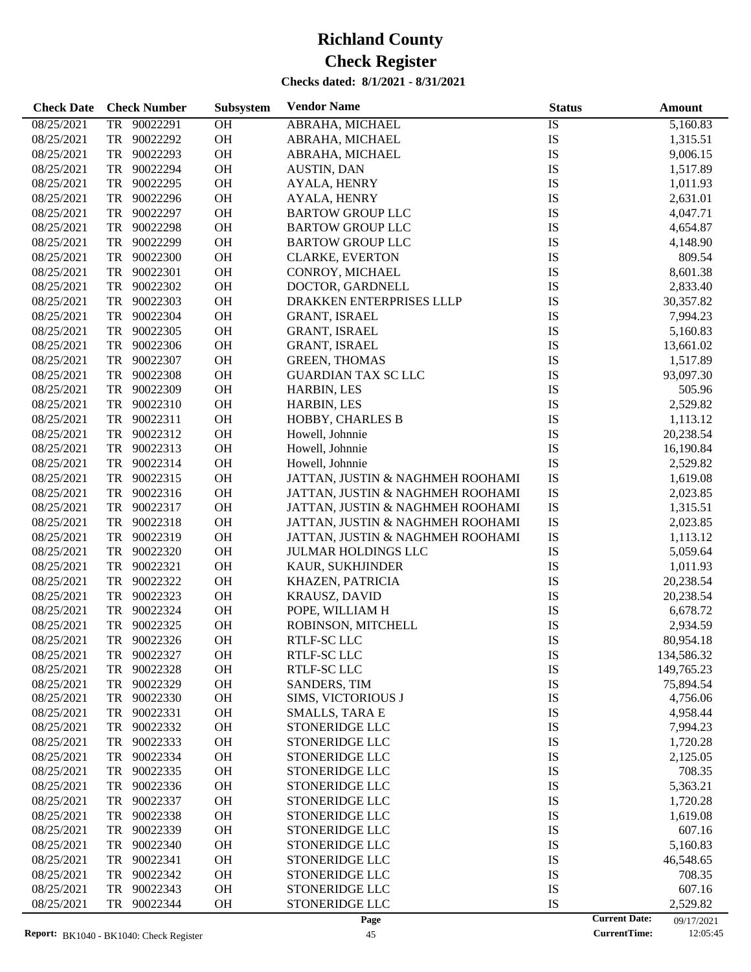## **Check Date Check Number Subsystem Vendor Name Status Status Amount Subsystem** 08/25/2021 TR 90022291 OH ABRAHA, MICHAEL IS 5,160.83 08/25/2021 TR 90022292 OH ABRAHA, MICHAEL IS IS 1,315.51

| 08/25/2021 |    | TR 90022293 | OH        | ABRAHA, MICHAEL                  | IS | 9,006.15                           |
|------------|----|-------------|-----------|----------------------------------|----|------------------------------------|
| 08/25/2021 |    | TR 90022294 | <b>OH</b> | AUSTIN, DAN                      | IS | 1,517.89                           |
| 08/25/2021 | TR | 90022295    | OH        | AYALA, HENRY                     | IS | 1,011.93                           |
| 08/25/2021 |    | TR 90022296 | OH        | AYALA, HENRY                     | IS | 2,631.01                           |
| 08/25/2021 |    | TR 90022297 | <b>OH</b> | <b>BARTOW GROUP LLC</b>          | IS | 4,047.71                           |
| 08/25/2021 | TR | 90022298    | <b>OH</b> | <b>BARTOW GROUP LLC</b>          | IS | 4,654.87                           |
| 08/25/2021 | TR | 90022299    | <b>OH</b> | <b>BARTOW GROUP LLC</b>          | IS | 4,148.90                           |
| 08/25/2021 | TR | 90022300    | <b>OH</b> | <b>CLARKE, EVERTON</b>           | IS | 809.54                             |
| 08/25/2021 |    | TR 90022301 | <b>OH</b> | CONROY, MICHAEL                  | IS | 8,601.38                           |
| 08/25/2021 |    | TR 90022302 | <b>OH</b> | DOCTOR, GARDNELL                 | IS | 2,833.40                           |
| 08/25/2021 |    | TR 90022303 | <b>OH</b> | DRAKKEN ENTERPRISES LLLP         | IS | 30,357.82                          |
| 08/25/2021 |    | TR 90022304 | <b>OH</b> | <b>GRANT, ISRAEL</b>             | IS | 7,994.23                           |
| 08/25/2021 |    | TR 90022305 | <b>OH</b> | <b>GRANT, ISRAEL</b>             | IS | 5,160.83                           |
| 08/25/2021 |    | TR 90022306 | <b>OH</b> | <b>GRANT, ISRAEL</b>             | IS | 13,661.02                          |
| 08/25/2021 |    | TR 90022307 | <b>OH</b> | <b>GREEN, THOMAS</b>             | IS | 1,517.89                           |
| 08/25/2021 |    | TR 90022308 | <b>OH</b> | <b>GUARDIAN TAX SC LLC</b>       | IS | 93,097.30                          |
| 08/25/2021 |    | TR 90022309 | <b>OH</b> | HARBIN, LES                      | IS | 505.96                             |
| 08/25/2021 | TR | 90022310    | <b>OH</b> | HARBIN, LES                      | IS | 2,529.82                           |
| 08/25/2021 | TR | 90022311    | <b>OH</b> | HOBBY, CHARLES B                 | IS | 1,113.12                           |
| 08/25/2021 | TR | 90022312    | <b>OH</b> | Howell, Johnnie                  | IS | 20,238.54                          |
| 08/25/2021 | TR | 90022313    | <b>OH</b> | Howell, Johnnie                  | IS | 16,190.84                          |
| 08/25/2021 | TR | 90022314    | <b>OH</b> | Howell, Johnnie                  | IS | 2,529.82                           |
| 08/25/2021 | TR | 90022315    | <b>OH</b> | JATTAN, JUSTIN & NAGHMEH ROOHAMI | IS | 1,619.08                           |
| 08/25/2021 | TR | 90022316    | <b>OH</b> | JATTAN, JUSTIN & NAGHMEH ROOHAMI | IS | 2,023.85                           |
| 08/25/2021 | TR | 90022317    | <b>OH</b> | JATTAN, JUSTIN & NAGHMEH ROOHAMI | IS | 1,315.51                           |
| 08/25/2021 | TR | 90022318    | <b>OH</b> | JATTAN, JUSTIN & NAGHMEH ROOHAMI | IS | 2,023.85                           |
| 08/25/2021 | TR | 90022319    | <b>OH</b> | JATTAN, JUSTIN & NAGHMEH ROOHAMI | IS | 1,113.12                           |
| 08/25/2021 | TR | 90022320    | <b>OH</b> |                                  | IS | 5,059.64                           |
| 08/25/2021 | TR | 90022321    | <b>OH</b> | <b>JULMAR HOLDINGS LLC</b>       | IS |                                    |
|            |    |             | <b>OH</b> | KAUR, SUKHJINDER                 |    | 1,011.93                           |
| 08/25/2021 | TR | 90022322    |           | KHAZEN, PATRICIA                 | IS | 20,238.54                          |
| 08/25/2021 | TR | 90022323    | <b>OH</b> | <b>KRAUSZ, DAVID</b>             | IS | 20,238.54                          |
| 08/25/2021 | TR | 90022324    | <b>OH</b> | POPE, WILLIAM H                  | IS | 6,678.72                           |
| 08/25/2021 | TR | 90022325    | <b>OH</b> | ROBINSON, MITCHELL               | IS | 2,934.59                           |
| 08/25/2021 | TR | 90022326    | <b>OH</b> | RTLF-SC LLC                      | IS | 80,954.18                          |
| 08/25/2021 | TR | 90022327    | <b>OH</b> | RTLF-SC LLC                      | IS | 134,586.32                         |
| 08/25/2021 | TR | 90022328    | <b>OH</b> | RTLF-SC LLC                      | IS | 149,765.23                         |
| 08/25/2021 |    | TR 90022329 | <b>OH</b> | SANDERS, TIM                     | IS | 75,894.54                          |
| 08/25/2021 | TR | 90022330    | <b>OH</b> | SIMS, VICTORIOUS J               | IS | 4,756.06                           |
| 08/25/2021 | TR | 90022331    | OH        | <b>SMALLS, TARA E</b>            | IS | 4,958.44                           |
| 08/25/2021 | TR | 90022332    | <b>OH</b> | STONERIDGE LLC                   | IS | 7,994.23                           |
| 08/25/2021 | TR | 90022333    | <b>OH</b> | STONERIDGE LLC                   | IS | 1,720.28                           |
| 08/25/2021 | TR | 90022334    | <b>OH</b> | STONERIDGE LLC                   | IS | 2,125.05                           |
| 08/25/2021 | TR | 90022335    | <b>OH</b> | STONERIDGE LLC                   | IS | 708.35                             |
| 08/25/2021 | TR | 90022336    | <b>OH</b> | STONERIDGE LLC                   | IS | 5,363.21                           |
| 08/25/2021 | TR | 90022337    | <b>OH</b> | STONERIDGE LLC                   | IS | 1,720.28                           |
| 08/25/2021 | TR | 90022338    | <b>OH</b> | STONERIDGE LLC                   | IS | 1,619.08                           |
| 08/25/2021 | TR | 90022339    | <b>OH</b> | STONERIDGE LLC                   | IS | 607.16                             |
| 08/25/2021 | TR | 90022340    | <b>OH</b> | STONERIDGE LLC                   | IS | 5,160.83                           |
| 08/25/2021 | TR | 90022341    | <b>OH</b> | STONERIDGE LLC                   | IS | 46,548.65                          |
| 08/25/2021 | TR | 90022342    | <b>OH</b> | STONERIDGE LLC                   | IS | 708.35                             |
| 08/25/2021 | TR | 90022343    | <b>OH</b> | STONERIDGE LLC                   | IS | 607.16                             |
| 08/25/2021 | TR | 90022344    | <b>OH</b> | STONERIDGE LLC                   | IS | 2,529.82                           |
|            |    |             |           | Page                             |    | <b>Current Date:</b><br>09/17/2021 |

 $\overline{a}$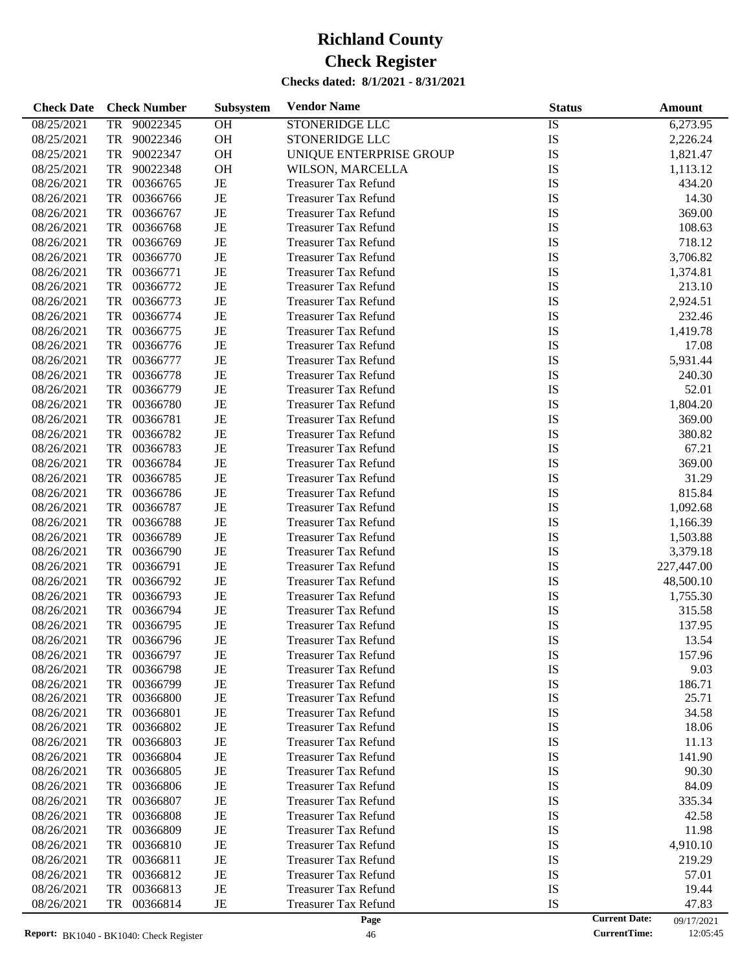| <b>Check Date</b> | <b>Check Number</b>   | Subsystem | <b>Vendor Name</b>          | <b>Status</b>   | <b>Amount</b> |
|-------------------|-----------------------|-----------|-----------------------------|-----------------|---------------|
| 08/25/2021        | <b>TR</b><br>90022345 | OH        | <b>STONERIDGE LLC</b>       | $\overline{1S}$ | 6,273.95      |
| 08/25/2021        | <b>TR</b><br>90022346 | OH        | <b>STONERIDGE LLC</b>       | IS              | 2,226.24      |
| 08/25/2021        | <b>TR</b><br>90022347 | OH        | UNIQUE ENTERPRISE GROUP     | IS              | 1,821.47      |
| 08/25/2021        | <b>TR</b><br>90022348 | OH        | WILSON, MARCELLA            | IS              | 1,113.12      |
| 08/26/2021        | <b>TR</b><br>00366765 | JE        | <b>Treasurer Tax Refund</b> | IS              | 434.20        |
| 08/26/2021        | <b>TR</b><br>00366766 | JE        | <b>Treasurer Tax Refund</b> | IS              | 14.30         |
| 08/26/2021        | <b>TR</b><br>00366767 | JE        | <b>Treasurer Tax Refund</b> | IS              | 369.00        |
| 08/26/2021        | <b>TR</b><br>00366768 | JE        | <b>Treasurer Tax Refund</b> | IS              | 108.63        |
| 08/26/2021        | <b>TR</b><br>00366769 | JE        | <b>Treasurer Tax Refund</b> | IS              | 718.12        |
| 08/26/2021        | <b>TR</b><br>00366770 | JE        | <b>Treasurer Tax Refund</b> | IS              | 3,706.82      |
| 08/26/2021        | <b>TR</b><br>00366771 | JE        | <b>Treasurer Tax Refund</b> | IS              | 1,374.81      |
| 08/26/2021        | <b>TR</b><br>00366772 | JE        | <b>Treasurer Tax Refund</b> | IS              | 213.10        |
| 08/26/2021        | <b>TR</b><br>00366773 | JE        | <b>Treasurer Tax Refund</b> | IS              | 2,924.51      |
| 08/26/2021        | <b>TR</b><br>00366774 | JE        | <b>Treasurer Tax Refund</b> | IS              | 232.46        |
| 08/26/2021        | <b>TR</b><br>00366775 | JE        | <b>Treasurer Tax Refund</b> | IS              | 1,419.78      |
| 08/26/2021        | <b>TR</b><br>00366776 | JE        | <b>Treasurer Tax Refund</b> | IS              | 17.08         |
| 08/26/2021        | <b>TR</b><br>00366777 | JE        | <b>Treasurer Tax Refund</b> | IS              | 5,931.44      |
| 08/26/2021        | <b>TR</b><br>00366778 | JE        | <b>Treasurer Tax Refund</b> | IS              | 240.30        |
| 08/26/2021        | <b>TR</b><br>00366779 | JE        | <b>Treasurer Tax Refund</b> | IS              | 52.01         |
| 08/26/2021        | <b>TR</b><br>00366780 | JE        | <b>Treasurer Tax Refund</b> | IS              | 1,804.20      |
| 08/26/2021        | <b>TR</b><br>00366781 | JE        | <b>Treasurer Tax Refund</b> | IS              | 369.00        |
| 08/26/2021        | <b>TR</b><br>00366782 | JE        | <b>Treasurer Tax Refund</b> | IS              | 380.82        |
| 08/26/2021        | <b>TR</b><br>00366783 | JE        | <b>Treasurer Tax Refund</b> | IS              | 67.21         |
| 08/26/2021        | <b>TR</b><br>00366784 | JE        | <b>Treasurer Tax Refund</b> | IS              | 369.00        |
| 08/26/2021        | <b>TR</b><br>00366785 | JE        | <b>Treasurer Tax Refund</b> | IS              | 31.29         |
| 08/26/2021        | <b>TR</b><br>00366786 | JE        | <b>Treasurer Tax Refund</b> | IS              | 815.84        |
| 08/26/2021        | <b>TR</b><br>00366787 | JE        | <b>Treasurer Tax Refund</b> | IS              | 1,092.68      |
| 08/26/2021        | <b>TR</b><br>00366788 | JE        | <b>Treasurer Tax Refund</b> | IS              | 1,166.39      |
| 08/26/2021        | <b>TR</b><br>00366789 | JE        | <b>Treasurer Tax Refund</b> | IS              | 1,503.88      |
| 08/26/2021        | <b>TR</b><br>00366790 | JE        | <b>Treasurer Tax Refund</b> | IS              | 3,379.18      |
| 08/26/2021        | <b>TR</b><br>00366791 | JE        | <b>Treasurer Tax Refund</b> | IS              | 227,447.00    |
| 08/26/2021        | <b>TR</b><br>00366792 | JE        | <b>Treasurer Tax Refund</b> | IS              | 48,500.10     |
| 08/26/2021        | <b>TR</b><br>00366793 | JE        | <b>Treasurer Tax Refund</b> | IS              | 1,755.30      |
| 08/26/2021        | <b>TR</b><br>00366794 | JE        | <b>Treasurer Tax Refund</b> | IS              | 315.58        |
| 08/26/2021        | <b>TR</b><br>00366795 | JE        | <b>Treasurer Tax Refund</b> | IS              | 137.95        |
| 08/26/2021        | TR<br>00366796        | JE        | <b>Treasurer Tax Refund</b> | IS              | 13.54         |
| 08/26/2021        | 00366797<br>TR        | JE        | <b>Treasurer Tax Refund</b> | IS              | 157.96        |
| 08/26/2021        | 00366798<br>TR        | JE        | <b>Treasurer Tax Refund</b> | IS              | 9.03          |
| 08/26/2021        | 00366799<br>TR        | JE        | <b>Treasurer Tax Refund</b> | IS              | 186.71        |
| 08/26/2021        | TR<br>00366800        | JE        | <b>Treasurer Tax Refund</b> | IS              | 25.71         |
| 08/26/2021        | TR<br>00366801        | JE        | <b>Treasurer Tax Refund</b> | IS              | 34.58         |
| 08/26/2021        | 00366802<br>TR        | JE        | <b>Treasurer Tax Refund</b> | IS              | 18.06         |
| 08/26/2021        | 00366803<br>TR        | JE        | <b>Treasurer Tax Refund</b> | IS              | 11.13         |
| 08/26/2021        | 00366804<br>TR        | JE        | <b>Treasurer Tax Refund</b> | IS              | 141.90        |
| 08/26/2021        | 00366805<br>TR        | JE        | <b>Treasurer Tax Refund</b> | IS              | 90.30         |
| 08/26/2021        | 00366806<br>TR        | JE        | <b>Treasurer Tax Refund</b> | IS              | 84.09         |
| 08/26/2021        | 00366807<br>TR        | JE        | <b>Treasurer Tax Refund</b> | IS              | 335.34        |
| 08/26/2021        | 00366808<br>TR        | JE        | <b>Treasurer Tax Refund</b> | IS              | 42.58         |
| 08/26/2021        | 00366809<br>TR        | JE        | <b>Treasurer Tax Refund</b> | IS              | 11.98         |
| 08/26/2021        | 00366810<br>TR        | JE        | <b>Treasurer Tax Refund</b> | IS              | 4,910.10      |
| 08/26/2021        | 00366811<br>TR        | JE        | <b>Treasurer Tax Refund</b> | IS              | 219.29        |
| 08/26/2021        | 00366812<br>TR        | JE        | <b>Treasurer Tax Refund</b> | IS              | 57.01         |
| 08/26/2021        | 00366813<br>TR        | JE        | <b>Treasurer Tax Refund</b> | IS              | 19.44         |
| 08/26/2021        | 00366814<br>TR        | JE        | <b>Treasurer Tax Refund</b> | IS              | 47.83         |
|                   |                       |           |                             |                 |               |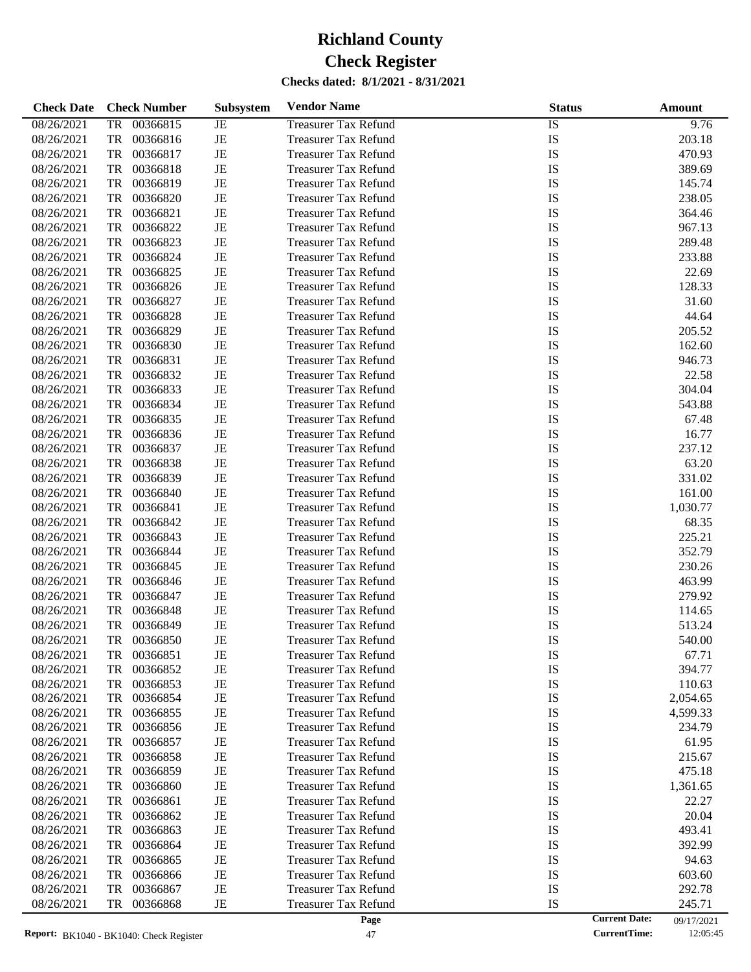| <b>Check Date</b> | <b>Check Number</b> | Subsystem | <b>Vendor Name</b>          | <b>Status</b> | Amount                             |
|-------------------|---------------------|-----------|-----------------------------|---------------|------------------------------------|
| 08/26/2021        | 00366815<br>TR      | JE        | <b>Treasurer Tax Refund</b> | IS            | 9.76                               |
| 08/26/2021        | TR<br>00366816      | JE        | <b>Treasurer Tax Refund</b> | IS            | 203.18                             |
| 08/26/2021        | TR<br>00366817      | JE        | <b>Treasurer Tax Refund</b> | IS            | 470.93                             |
| 08/26/2021        | 00366818<br>TR      | JE        | <b>Treasurer Tax Refund</b> | IS            | 389.69                             |
| 08/26/2021        | TR<br>00366819      | JE        | <b>Treasurer Tax Refund</b> | IS            | 145.74                             |
| 08/26/2021        | TR<br>00366820      | JE        | <b>Treasurer Tax Refund</b> | IS            | 238.05                             |
| 08/26/2021        | TR<br>00366821      | JE        | <b>Treasurer Tax Refund</b> | IS            | 364.46                             |
| 08/26/2021        | 00366822<br>TR      | JE        | <b>Treasurer Tax Refund</b> | IS            | 967.13                             |
| 08/26/2021        | TR<br>00366823      | JE        | <b>Treasurer Tax Refund</b> | IS            | 289.48                             |
| 08/26/2021        | TR<br>00366824      | JE        | <b>Treasurer Tax Refund</b> | IS            | 233.88                             |
| 08/26/2021        | TR<br>00366825      | JE        | <b>Treasurer Tax Refund</b> | IS            | 22.69                              |
| 08/26/2021        | 00366826<br>TR      | JE        | <b>Treasurer Tax Refund</b> | IS            | 128.33                             |
| 08/26/2021        | TR<br>00366827      | JE        | <b>Treasurer Tax Refund</b> | IS            | 31.60                              |
| 08/26/2021        | TR<br>00366828      | JE        | <b>Treasurer Tax Refund</b> | IS            | 44.64                              |
| 08/26/2021        | TR<br>00366829      | JE        | <b>Treasurer Tax Refund</b> | IS            | 205.52                             |
| 08/26/2021        | 00366830<br>TR      | JE        | <b>Treasurer Tax Refund</b> | IS            | 162.60                             |
| 08/26/2021        | TR<br>00366831      | JE        | <b>Treasurer Tax Refund</b> | IS            | 946.73                             |
| 08/26/2021        | TR<br>00366832      | JE        | <b>Treasurer Tax Refund</b> | IS            | 22.58                              |
| 08/26/2021        | TR<br>00366833      | JE        | <b>Treasurer Tax Refund</b> | IS            | 304.04                             |
| 08/26/2021        | 00366834<br>TR      | JE        | <b>Treasurer Tax Refund</b> | IS            | 543.88                             |
| 08/26/2021        | TR<br>00366835      | JE        | <b>Treasurer Tax Refund</b> | IS            | 67.48                              |
| 08/26/2021        | TR<br>00366836      | JE        | <b>Treasurer Tax Refund</b> | IS            | 16.77                              |
| 08/26/2021        | TR<br>00366837      | JE        | <b>Treasurer Tax Refund</b> | IS            | 237.12                             |
| 08/26/2021        | 00366838<br>TR      | JE        | <b>Treasurer Tax Refund</b> | IS            | 63.20                              |
| 08/26/2021        | TR<br>00366839      | JE        | <b>Treasurer Tax Refund</b> | IS            | 331.02                             |
| 08/26/2021        | TR<br>00366840      | JE        | <b>Treasurer Tax Refund</b> | IS            | 161.00                             |
| 08/26/2021        | TR<br>00366841      | JE        | <b>Treasurer Tax Refund</b> | IS            | 1,030.77                           |
| 08/26/2021        | 00366842<br>TR      | JE        | <b>Treasurer Tax Refund</b> | IS            | 68.35                              |
| 08/26/2021        | TR<br>00366843      | JE        | <b>Treasurer Tax Refund</b> | IS            | 225.21                             |
| 08/26/2021        | TR<br>00366844      | JE        | <b>Treasurer Tax Refund</b> | IS            | 352.79                             |
| 08/26/2021        | TR<br>00366845      | JE        | <b>Treasurer Tax Refund</b> | IS            | 230.26                             |
| 08/26/2021        | 00366846<br>TR      | JE        | <b>Treasurer Tax Refund</b> | IS            | 463.99                             |
| 08/26/2021        | TR<br>00366847      | JE        | <b>Treasurer Tax Refund</b> | IS            | 279.92                             |
| 08/26/2021        | TR<br>00366848      | JE        | <b>Treasurer Tax Refund</b> | IS            | 114.65                             |
| 08/26/2021        | 00366849<br>TR      | JE        | <b>Treasurer Tax Refund</b> | IS            | 513.24                             |
| 08/26/2021        | 00366850<br>TR      | JE        | <b>Treasurer Tax Refund</b> | IS            | 540.00                             |
| 08/26/2021        | 00366851<br>TR      | JE        | <b>Treasurer Tax Refund</b> | IS            | 67.71                              |
| 08/26/2021        | TR<br>00366852      | JE        | <b>Treasurer Tax Refund</b> | IS            | 394.77                             |
| 08/26/2021        | TR<br>00366853      | JE        | <b>Treasurer Tax Refund</b> | IS            | 110.63                             |
| 08/26/2021        | 00366854<br>TR      | JE        | <b>Treasurer Tax Refund</b> | IS            | 2,054.65                           |
| 08/26/2021        | TR<br>00366855      | JE        | <b>Treasurer Tax Refund</b> | IS            | 4,599.33                           |
| 08/26/2021        | 00366856<br>TR      | JE        | <b>Treasurer Tax Refund</b> | IS            | 234.79                             |
| 08/26/2021        | TR<br>00366857      | JE        | <b>Treasurer Tax Refund</b> | IS            | 61.95                              |
| 08/26/2021        | TR<br>00366858      | JE        | <b>Treasurer Tax Refund</b> | IS            | 215.67                             |
| 08/26/2021        | TR<br>00366859      | JE        | <b>Treasurer Tax Refund</b> | IS            | 475.18                             |
| 08/26/2021        | 00366860<br>TR      | JE        | <b>Treasurer Tax Refund</b> | IS            | 1,361.65                           |
| 08/26/2021        | TR<br>00366861      | JE        | <b>Treasurer Tax Refund</b> | IS            | 22.27                              |
| 08/26/2021        | TR<br>00366862      | JE        | <b>Treasurer Tax Refund</b> | IS            | 20.04                              |
| 08/26/2021        | TR<br>00366863      | JE        | <b>Treasurer Tax Refund</b> | IS            | 493.41                             |
| 08/26/2021        | 00366864<br>TR      | JE        | <b>Treasurer Tax Refund</b> | IS            | 392.99                             |
| 08/26/2021        | TR<br>00366865      | JE        | <b>Treasurer Tax Refund</b> | IS            | 94.63                              |
| 08/26/2021        | TR<br>00366866      | JE        | <b>Treasurer Tax Refund</b> | IS            | 603.60                             |
| 08/26/2021        | TR<br>00366867      | JE        | <b>Treasurer Tax Refund</b> | IS            | 292.78                             |
| 08/26/2021        | 00366868<br>TR      | JE        | <b>Treasurer Tax Refund</b> | IS            | 245.71                             |
|                   |                     |           | Page                        |               | <b>Current Date:</b><br>09/17/2021 |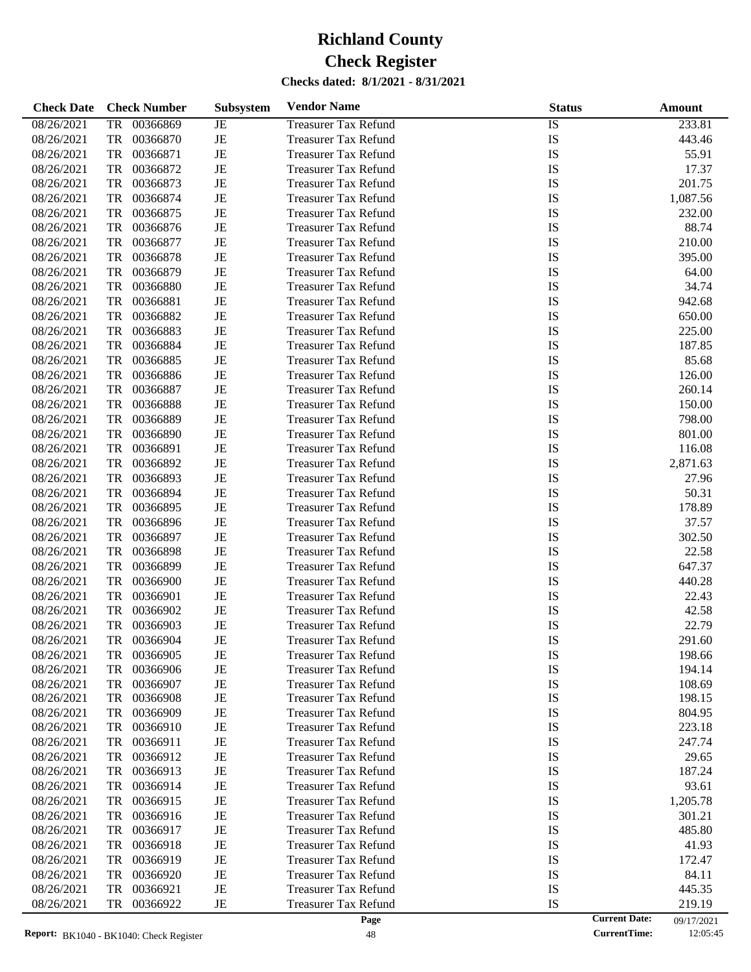| <b>Check Date</b> | <b>Check Number</b>   | <b>Subsystem</b> | <b>Vendor Name</b>          | <b>Status</b> |                      | Amount     |
|-------------------|-----------------------|------------------|-----------------------------|---------------|----------------------|------------|
| 08/26/2021        | 00366869<br><b>TR</b> | JE               | <b>Treasurer Tax Refund</b> | <b>IS</b>     |                      | 233.81     |
| 08/26/2021        | <b>TR</b><br>00366870 | $\rm{JE}$        | <b>Treasurer Tax Refund</b> | IS            |                      | 443.46     |
| 08/26/2021        | <b>TR</b><br>00366871 | $_{\rm JE}$      | <b>Treasurer Tax Refund</b> | IS            |                      | 55.91      |
| 08/26/2021        | <b>TR</b><br>00366872 | JE               | <b>Treasurer Tax Refund</b> | IS            |                      | 17.37      |
| 08/26/2021        | <b>TR</b><br>00366873 | $\rm{JE}$        | <b>Treasurer Tax Refund</b> | IS            |                      | 201.75     |
| 08/26/2021        | <b>TR</b><br>00366874 | $\rm{JE}$        | <b>Treasurer Tax Refund</b> | IS            |                      | 1,087.56   |
| 08/26/2021        | <b>TR</b><br>00366875 | $_{\rm JE}$      | <b>Treasurer Tax Refund</b> | IS            |                      | 232.00     |
| 08/26/2021        | <b>TR</b><br>00366876 | $\rm{JE}$        | <b>Treasurer Tax Refund</b> | IS            |                      | 88.74      |
| 08/26/2021        | <b>TR</b><br>00366877 | $\rm{JE}$        | <b>Treasurer Tax Refund</b> | IS            |                      | 210.00     |
| 08/26/2021        | <b>TR</b><br>00366878 | $_{\rm JE}$      | <b>Treasurer Tax Refund</b> | IS            |                      | 395.00     |
| 08/26/2021        | <b>TR</b><br>00366879 | JE               | <b>Treasurer Tax Refund</b> | IS            |                      | 64.00      |
| 08/26/2021        | <b>TR</b><br>00366880 | JE               | <b>Treasurer Tax Refund</b> | IS            |                      | 34.74      |
| 08/26/2021        | <b>TR</b><br>00366881 | $\rm{JE}$        | <b>Treasurer Tax Refund</b> | IS            |                      | 942.68     |
| 08/26/2021        | <b>TR</b><br>00366882 | $_{\rm JE}$      | <b>Treasurer Tax Refund</b> | IS            |                      | 650.00     |
| 08/26/2021        | <b>TR</b><br>00366883 | JE               | <b>Treasurer Tax Refund</b> | IS            |                      | 225.00     |
| 08/26/2021        | <b>TR</b><br>00366884 | $\rm{JE}$        | <b>Treasurer Tax Refund</b> | IS            |                      | 187.85     |
| 08/26/2021        | <b>TR</b><br>00366885 | $_{\rm JE}$      | <b>Treasurer Tax Refund</b> | IS            |                      | 85.68      |
| 08/26/2021        | <b>TR</b><br>00366886 | JE               | <b>Treasurer Tax Refund</b> | IS            |                      | 126.00     |
| 08/26/2021        | <b>TR</b><br>00366887 | JE               | <b>Treasurer Tax Refund</b> | IS            |                      | 260.14     |
| 08/26/2021        | <b>TR</b><br>00366888 | $\rm{JE}$        | <b>Treasurer Tax Refund</b> | IS            |                      | 150.00     |
| 08/26/2021        | <b>TR</b><br>00366889 | $_{\rm JE}$      | <b>Treasurer Tax Refund</b> | IS            |                      | 798.00     |
| 08/26/2021        | <b>TR</b><br>00366890 | JE               | <b>Treasurer Tax Refund</b> | IS            |                      | 801.00     |
| 08/26/2021        | <b>TR</b><br>00366891 | $\rm{JE}$        | <b>Treasurer Tax Refund</b> | IS            |                      | 116.08     |
| 08/26/2021        | <b>TR</b><br>00366892 | $\rm{JE}$        | <b>Treasurer Tax Refund</b> | IS            |                      | 2,871.63   |
| 08/26/2021        | <b>TR</b><br>00366893 | JE               | <b>Treasurer Tax Refund</b> | IS            |                      | 27.96      |
| 08/26/2021        | <b>TR</b><br>00366894 | JE               | <b>Treasurer Tax Refund</b> | IS            |                      | 50.31      |
| 08/26/2021        | <b>TR</b><br>00366895 | $\rm{JE}$        | <b>Treasurer Tax Refund</b> | IS            |                      | 178.89     |
| 08/26/2021        | <b>TR</b><br>00366896 | $_{\rm JE}$      | <b>Treasurer Tax Refund</b> | IS            |                      | 37.57      |
| 08/26/2021        | <b>TR</b><br>00366897 | JE               | <b>Treasurer Tax Refund</b> | IS            |                      | 302.50     |
| 08/26/2021        | <b>TR</b><br>00366898 | $\rm{JE}$        | <b>Treasurer Tax Refund</b> | IS            |                      | 22.58      |
| 08/26/2021        | <b>TR</b><br>00366899 | $\rm{JE}$        | <b>Treasurer Tax Refund</b> | IS            |                      | 647.37     |
| 08/26/2021        | <b>TR</b><br>00366900 | $_{\rm JE}$      | <b>Treasurer Tax Refund</b> | IS            |                      | 440.28     |
| 08/26/2021        | <b>TR</b><br>00366901 | $\rm{JE}$        | <b>Treasurer Tax Refund</b> | IS            |                      | 22.43      |
| 08/26/2021        | <b>TR</b><br>00366902 | $\rm{JE}$        | <b>Treasurer Tax Refund</b> | IS            |                      | 42.58      |
| 08/26/2021        | <b>TR</b><br>00366903 | JE               | <b>Treasurer Tax Refund</b> | IS            |                      | 22.79      |
| 08/26/2021        | <b>TR</b><br>00366904 | JE               | <b>Treasurer Tax Refund</b> | IS            |                      | 291.60     |
| 08/26/2021        | 00366905<br>TR        | JE               | <b>Treasurer Tax Refund</b> | IS            |                      | 198.66     |
| 08/26/2021        | TR<br>00366906        | JE               | <b>Treasurer Tax Refund</b> | IS            |                      | 194.14     |
| 08/26/2021        | 00366907<br>TR        | JE               | <b>Treasurer Tax Refund</b> | IS            |                      | 108.69     |
| 08/26/2021        | 00366908<br>TR        | JE               | <b>Treasurer Tax Refund</b> | IS            |                      | 198.15     |
| 08/26/2021        | 00366909<br>TR        | JE               | <b>Treasurer Tax Refund</b> | IS            |                      | 804.95     |
| 08/26/2021        | 00366910<br>TR        | JE               | <b>Treasurer Tax Refund</b> | IS            |                      | 223.18     |
| 08/26/2021        | TR<br>00366911        | JE               | <b>Treasurer Tax Refund</b> | IS            |                      | 247.74     |
| 08/26/2021        | TR<br>00366912        | JE               | <b>Treasurer Tax Refund</b> | IS            |                      | 29.65      |
| 08/26/2021        | 00366913<br>TR        | JE               | <b>Treasurer Tax Refund</b> | IS            |                      | 187.24     |
| 08/26/2021        | TR<br>00366914        | JE               | <b>Treasurer Tax Refund</b> | IS            |                      | 93.61      |
| 08/26/2021        | TR<br>00366915        | JE               | <b>Treasurer Tax Refund</b> | IS            |                      | 1,205.78   |
| 08/26/2021        | TR<br>00366916        | JE               | <b>Treasurer Tax Refund</b> | IS            |                      | 301.21     |
| 08/26/2021        | 00366917<br>TR        | JE               | <b>Treasurer Tax Refund</b> | IS            |                      | 485.80     |
| 08/26/2021        | TR<br>00366918        | JE               | <b>Treasurer Tax Refund</b> | IS            |                      | 41.93      |
| 08/26/2021        | TR<br>00366919        | JE               | <b>Treasurer Tax Refund</b> | IS            |                      | 172.47     |
| 08/26/2021        | 00366920<br>TR        | JE               | <b>Treasurer Tax Refund</b> | IS            |                      | 84.11      |
| 08/26/2021        | 00366921<br>TR        | JE               | <b>Treasurer Tax Refund</b> | IS            |                      | 445.35     |
| 08/26/2021        | 00366922<br>TR        | JE               | <b>Treasurer Tax Refund</b> | IS            |                      | 219.19     |
|                   |                       |                  | Page                        |               | <b>Current Date:</b> | 09/17/2021 |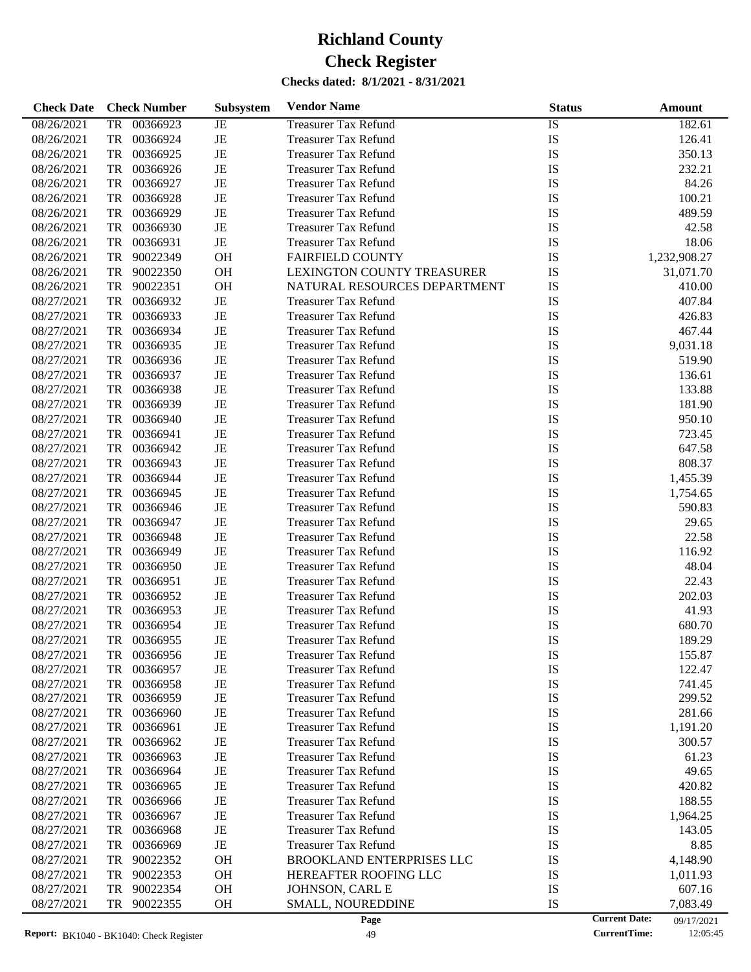**Check Date Check Number Subsystem Vendor Name Status Status Amount** 

**Subsystem**

# 08/26/2021 TR 00366923 JE Treasurer Tax Refund IS IS 182.61 08/26/2021 TR 00366924 JE Treasurer Tax Refund IS IS 126.41 08/26/2021 TR 00366925 JE Treasurer Tax Refund IS IS 350.13 08/26/2021 TR 00366926 JE Treasurer Tax Refund IS 1S 232.21 TR 00366926 JE Treasurer Tax Refund IS 232.21 21 08/26/2021 TR 00366927 JE Treasurer Tax Refund IS IS 84.26

| Report: BK1040 - BK1040: Check Register |           |             |             | 49                               |           | <b>CurrentTime:</b>  | 12:05:45     |
|-----------------------------------------|-----------|-------------|-------------|----------------------------------|-----------|----------------------|--------------|
|                                         |           |             |             | Page                             |           | <b>Current Date:</b> | 09/17/2021   |
| 08/27/2021                              | TR        | 90022355    | <b>OH</b>   | SMALL, NOUREDDINE                | IS        |                      | 7,083.49     |
| 08/27/2021                              | TR        | 90022354    | OH          | JOHNSON, CARL E                  | IS        |                      | 607.16       |
| 08/27/2021                              |           | TR 90022353 | OH          | HEREAFTER ROOFING LLC            | IS        |                      | 1,011.93     |
| 08/27/2021                              |           | TR 90022352 | OH          | <b>BROOKLAND ENTERPRISES LLC</b> | IS        |                      | 4,148.90     |
| 08/27/2021                              |           | TR 00366969 | $_{\rm JE}$ | <b>Treasurer Tax Refund</b>      | IS        |                      | 8.85         |
| 08/27/2021                              | TR        | 00366968    | JE          | <b>Treasurer Tax Refund</b>      | IS        |                      | 143.05       |
| 08/27/2021                              | TR        | 00366967    | JE          | <b>Treasurer Tax Refund</b>      | IS        |                      | 1,964.25     |
| 08/27/2021                              | TR        | 00366966    | JE          | <b>Treasurer Tax Refund</b>      | IS        |                      | 188.55       |
| 08/27/2021                              | TR        | 00366965    | JE          | <b>Treasurer Tax Refund</b>      | IS        |                      | 420.82       |
| 08/27/2021                              | TR        | 00366964    | JE          | <b>Treasurer Tax Refund</b>      | IS        |                      | 49.65        |
| 08/27/2021                              | TR        | 00366963    | JE          | <b>Treasurer Tax Refund</b>      | IS        |                      | 61.23        |
| 08/27/2021                              |           | TR 00366962 | JE          | <b>Treasurer Tax Refund</b>      | IS        |                      | 300.57       |
| 08/27/2021                              |           | TR 00366961 | JE          | <b>Treasurer Tax Refund</b>      | IS        |                      | 1,191.20     |
| 08/27/2021                              | TR        | 00366960    | JE          | <b>Treasurer Tax Refund</b>      | IS        |                      | 281.66       |
| 08/27/2021                              | TR        | 00366959    | JE          | <b>Treasurer Tax Refund</b>      | IS        |                      | 299.52       |
| 08/27/2021                              | <b>TR</b> | 00366958    | JE          | <b>Treasurer Tax Refund</b>      | IS        |                      | 741.45       |
| 08/27/2021                              | <b>TR</b> | 00366957    | JE          | <b>Treasurer Tax Refund</b>      | IS        |                      | 122.47       |
| 08/27/2021                              | <b>TR</b> | 00366956    | JE          | <b>Treasurer Tax Refund</b>      | IS        |                      | 155.87       |
| 08/27/2021                              | <b>TR</b> | 00366955    | JE          | <b>Treasurer Tax Refund</b>      | IS        |                      | 189.29       |
| 08/27/2021                              | <b>TR</b> | 00366954    | JE          | <b>Treasurer Tax Refund</b>      | IS        |                      | 680.70       |
| 08/27/2021                              | <b>TR</b> | 00366953    | JE          | <b>Treasurer Tax Refund</b>      | IS        |                      | 41.93        |
| 08/27/2021                              | <b>TR</b> | 00366952    | JE          | <b>Treasurer Tax Refund</b>      | IS        |                      | 202.03       |
| 08/27/2021                              | <b>TR</b> | 00366951    | JE          | <b>Treasurer Tax Refund</b>      | IS        |                      | 22.43        |
| 08/27/2021                              | <b>TR</b> | 00366950    | JE          | <b>Treasurer Tax Refund</b>      | IS        |                      | 48.04        |
| 08/27/2021                              | <b>TR</b> | 00366949    | JE          | <b>Treasurer Tax Refund</b>      | IS        |                      | 116.92       |
| 08/27/2021                              | <b>TR</b> | 00366948    | JE          | <b>Treasurer Tax Refund</b>      | IS        |                      | 22.58        |
| 08/27/2021                              | <b>TR</b> | 00366947    | JE          | <b>Treasurer Tax Refund</b>      | IS        |                      | 29.65        |
| 08/27/2021                              | <b>TR</b> | 00366946    | JE          | <b>Treasurer Tax Refund</b>      | IS        |                      | 590.83       |
| 08/27/2021                              | <b>TR</b> | 00366945    | JE          | <b>Treasurer Tax Refund</b>      | IS        |                      | 1,754.65     |
| 08/27/2021                              | <b>TR</b> | 00366944    | JE          | <b>Treasurer Tax Refund</b>      | IS        |                      | 1,455.39     |
| 08/27/2021                              | <b>TR</b> | 00366943    | JE          | <b>Treasurer Tax Refund</b>      | IS        |                      | 808.37       |
| 08/27/2021                              | <b>TR</b> | 00366942    | JE          | <b>Treasurer Tax Refund</b>      | IS        |                      | 647.58       |
| 08/27/2021                              | <b>TR</b> | 00366941    | JE          | <b>Treasurer Tax Refund</b>      | IS        |                      | 723.45       |
| 08/27/2021                              | <b>TR</b> | 00366940    | JE          | <b>Treasurer Tax Refund</b>      | IS        |                      | 950.10       |
| 08/27/2021                              | <b>TR</b> | 00366939    | JE          | <b>Treasurer Tax Refund</b>      | IS        |                      | 181.90       |
| 08/27/2021                              | <b>TR</b> | 00366938    | JE          | <b>Treasurer Tax Refund</b>      | IS        |                      | 133.88       |
| 08/27/2021                              | <b>TR</b> | 00366937    | JE          | <b>Treasurer Tax Refund</b>      | IS        |                      | 136.61       |
| 08/27/2021                              | <b>TR</b> | 00366936    | JE          | <b>Treasurer Tax Refund</b>      | IS        |                      | 519.90       |
| 08/27/2021                              | <b>TR</b> | 00366935    | JE          | <b>Treasurer Tax Refund</b>      | IS        |                      | 9,031.18     |
| 08/27/2021                              | <b>TR</b> | 00366934    | JE          | <b>Treasurer Tax Refund</b>      | IS        |                      | 467.44       |
| 08/27/2021                              | <b>TR</b> | 00366933    | JE          | <b>Treasurer Tax Refund</b>      | IS        |                      | 426.83       |
| 08/27/2021                              | <b>TR</b> | 00366932    | $\rm{JE}$   | <b>Treasurer Tax Refund</b>      | IS        |                      | 407.84       |
| 08/26/2021                              | <b>TR</b> | 90022351    | <b>OH</b>   | NATURAL RESOURCES DEPARTMENT     | IS        |                      | 410.00       |
| 08/26/2021                              | <b>TR</b> | 90022350    | <b>OH</b>   | LEXINGTON COUNTY TREASURER       | IS        |                      | 31,071.70    |
| 08/26/2021                              | <b>TR</b> | 90022349    | <b>OH</b>   | <b>FAIRFIELD COUNTY</b>          | IS        |                      | 1,232,908.27 |
| 08/26/2021                              | <b>TR</b> | 00366931    | $\rm{JE}$   | <b>Treasurer Tax Refund</b>      | IS        |                      | 18.06        |
| 08/26/2021                              | <b>TR</b> | 00366930    | JE          | <b>Treasurer Tax Refund</b>      | <b>IS</b> |                      | 42.58        |
| 08/26/2021                              | <b>TR</b> | 00366929    | JE          | <b>Treasurer Tax Refund</b>      | IS        |                      | 489.59       |
| 08/26/2021                              | <b>TR</b> | 00366928    | JE          | <b>Treasurer Tax Refund</b>      | IS        |                      | 100.21       |
| 00/20/2021                              | IK.       | 00300927    | JE          | Treasurer Tax Refund             | 12        |                      | 84.ZO        |